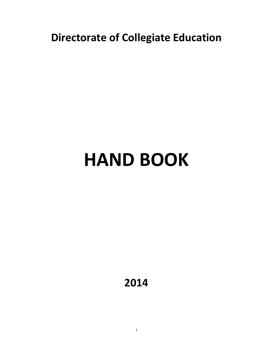**Directorate of Collegiate Education**

# **HAND BOOK**

**2014**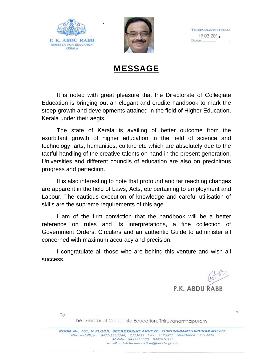



**THIRUVANANTHAPURAM** 19.03.2014 **DATED............** 

## MESSAGE

It is noted with great pleasure that the Directorate of Collegiate Education is bringing out an elegant and erudite handbook to mark the steep growth and developments attained in the field of Higher Education, Kerala under their aegis.

The state of Kerala is availing of better outcome from the exorbitant growth of higher education in the field of science and technology, arts, humanities, culture etc which are absolutely due to the tactful handling of the creative talents on hand in the present generation. Universities and different councils of education are also on precipitous progress and perfection.

It is also interesting to note that profound and far reaching changes are apparent in the field of Laws, Acts, etc pertaining to employment and Labour. The cautious execution of knowledge and careful utilisation of skills are the supreme requirements of this age.

I am of the firm conviction that the handbook will be a better reference on rules and its interpretations, a fine collection of Government Orders, Circulars and an authentic Guide to administer all concerned with maximum accuracy and precision.

I congratulate all those who are behind this venture and wish all success.

P.K. ABDU RABB

To

The Director of Collegiate Education, Thiruvananthapuram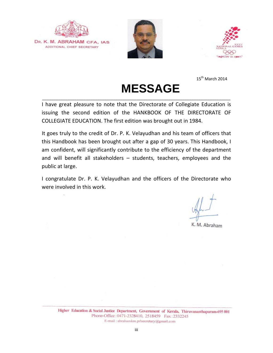

DR. K. M. ABRAHAM CFA, IAS ADDITIONAL CHIEF SECRETARY





 $15^{th}$  March 2014

## **MESSAGE**

I have great pleasure to note that the Directorate of Collegiate Education is issuing the second edition of the HANKBOOK OF THE DIRECTORATE OF COLLEGIATE EDUCATION. The first edition was brought out in 1984.

\_\_\_\_\_\_\_\_\_\_\_\_\_\_\_\_\_\_\_\_\_\_\_\_\_\_\_\_\_\_\_\_\_\_\_\_\_\_\_\_\_\_\_\_\_\_\_\_\_\_\_\_\_\_\_\_\_\_\_\_\_\_\_\_\_\_\_\_\_\_\_\_\_\_\_\_\_\_\_\_\_\_

It goes truly to the credit of Dr. P. K. Velayudhan and his team of officers that this Handbook has been brought out after a gap of 30 years. This Handbook, I am confident, will significantly contribute to the efficiency of the department and will benefit all stakeholders – students, teachers, employees and the public at large.

I congratulate Dr. P. K. Velayudhan and the officers of the Directorate who were involved in this work.

K. M. Abraham

Higher Education & Social Justice Department, Government of Kerala, Thiruvananthapuram-695 001 Phone-Office: 0471-2328410, 2518459 Fax: 2332245 E-mail: abrahamkm.prlsecretary@gmail.com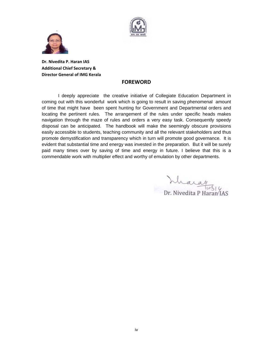



**Dr. Nivedita P. Haran IAS Additional Chief Secretary & Director General of IMG Kerala**

#### **FOREWORD**

 I deeply appreciate the creative initiative of Collegiate Education Department in coming out with this wonderful work which is going to result in saving phenomenal amount of time that might have been spent hunting for Government and Departmental orders and locating the pertinent rules. The arrangement of the rules under specific heads makes navigation through the maze of rules and orders a very easy task. Consequently speedy disposal can be anticipated. The handbook will make the seemingly obscure provisions easily accessible to students, teaching community and all the relevant stakeholders and thus promote demystification and transparency which in turn will promote good governance. It is evident that substantial time and energy was invested in the preparation. But it will be surely paid many times over by saving of time and energy in future. I believe that this is a commendable work with multiplier effect and worthy of emulation by other departments.

haray r. Nivedita P Haran IAS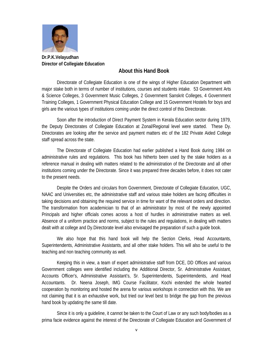

**Dr.P.K.Velayudhan Director of Collegiate Education** 

#### **About this Hand Book**

Directorate of Collegiate Education is one of the wings of Higher Education Department with major stake both in terms of number of institutions, courses and students intake. 53 Government Arts & Science Colleges, 3 Government Music Colleges, 2 Government Sanskrit Colleges, 4 Government Training Colleges, 1 Government Physical Education College and 15 Government Hostels for boys and girls are the various types of institutions coming under the direct control of this Directorate.

Soon after the introduction of Direct Payment System in Kerala Education sector during 1979, the Deputy Directorates of Collegiate Education at Zonal/Regional level were started. These Dy. Directorates are looking after the service and payment matters etc of the 182 Private Aided College staff spread across the state.

The Directorate of Collegiate Education had earlier published a Hand Book during 1984 on administrative rules and regulations. This book has hitherto been used by the stake holders as a reference manual in dealing with matters related to the administration of the Directorate and all other institutions coming under the Directorate. Since it was prepared three decades before, it does not cater to the present needs.

Despite the Orders and circulars from Government, Directorate of Collegiate Education, UGC, NAAC and Universities etc, the administrative staff and various stake holders are facing difficulties in taking decisions and obtaining the required service in time for want of the relevant orders and direction. The transformation from academician to that of an administrator by most of the newly appointed Principals and higher officials comes across a host of hurdles in administrative matters as well. Absence of a uniform practice and norms, subject to the rules and regulations, in dealing with matters dealt with at college and Dy.Directorate level also envisaged the preparation of such a guide book.

We also hope that this hand book will help the Section Clerks, Head Accountants, Superintendents, Administrative Assistants, and all other stake holders. This will also be useful to the teaching and non teaching community as well.

Keeping this in view, a team of expert administrative staff from DCE, DD Offices and various Government colleges were identified including the Additional Director, Sr. Administrative Assistant, Accounts Officer's, Administrative Assistant's, Sr. Superintendents, Superintendents, .and Head Accountants. Dr. Neena Joseph, IMG Course Facilitator, Kochi extended the whole hearted cooperation by monitoring and hosted the arena for various workshops in connection with this. We are not claiming that it is an exhaustive work, but tried our level best to bridge the gap from the previous hand book by updating the same till date.

Since it is only a guideline, it cannot be taken to the Court of Law or any such body/bodies as a prima facie evidence against the interest of the Directorate of Collegiate Education and Government of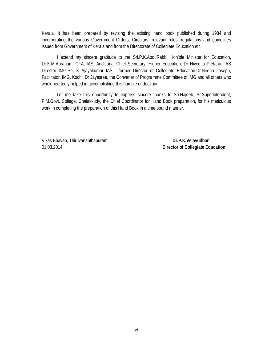Kerala. It has been prepared by revising the existing hand book published during 1984 and incorporating the various Government Orders, Circulars, relevant rules, regulations and guidelines issued from Government of Kerala and from the Directorate of Collegiate Education etc.

I extend my sincere gratitude to the Sri.P.K.AbduRabb, Hon'ble Minister for Education, Dr.K.M.Abraham, CFA, IAS, Additional Chief Secretary, Higher Education, Dr Nivedita P Haran IAS Director IMG,Sri. K Ajayakumar IAS, former Director of Collegiate Education,Dr.Neena Joseph, Facilitator, IMG, Kochi, Dr Jayasree, the Convener of Programme Committee of IMG and all others who wholeheartedly helped in accomplishing this humble endeavour.

Let me take this opportunity to express sincere thanks to Sri.Najeeb, Sr.Superintendent, P.M.Govt. College, Chalakkudy, the Chief Coordinator for Hand Book preparation, for his meticulous work in completing the preparation of this Hand Book in a time bound manner.

Vikas Bhavan, Thiruvananthapuram **Dr.P.K.Velayudhan** 01.03.2014 **Director of Collegiate Education**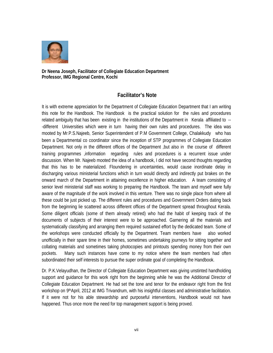

**Dr Neena Joseph, Facilitator of Collegiate Education Department Professor, IMG Regional Centre, Kochi** 

#### **Facilitator's Note**

It is with extreme appreciation for the Department of Collegiate Education Department that I am writing this note for the Handbook. The Handbook is the practical solution for the rules and procedures related ambiguity that has been existing in the institutions of the Department in Kerala affiliated to -- -different Universities which were in turn having their own rules and procedures. The idea was mooted by Mr.P.S.Najeeb, Senior Superintendent of P.M Government College, Chalakkudy who has been a Departmental co coordinator since the inception of STP programmes of Collegiate Education Department. Not only in the different offices of the Department ,but also in the course of different training programmes ,information regarding rules and procedures is a recurrent issue under discussion. When Mr. Najeeb mooted the idea of a handbook, I did not have second thoughts regarding that this has to be materialized. Floundering in uncertainties, would cause inordinate delay in discharging various ministerial functions which in turn would directly and indirectly put brakes on the onward march of the Department in attaining excellence in higher education. A team consisting of senior level ministerial staff was working to preparing the Handbook. The team and myself were fully aware of the magnitude of the work involved in this venture. There was no single place from where all these could be just picked up. The different rules and procedures and Government Orders dating back from the beginning lie scattered across different offices of the Department spread throughout Kerala. Some diligent officials (some of them already retired) who had the habit of keeping track of the documents of subjects of their interest were to be approached. Garnering all the materials and systematically classifying and arranging them required sustained effort by the dedicated team. Some of the workshops were conducted officially by the Department. Team members have also worked unofficially in their spare time in their homes, sometimes undertaking journeys for sitting together and collating materials and sometimes taking photocopies and printouts spending money from their own pockets. Many such instances have come to my notice where the team members had often subordinated their self interests to pursue the super ordinate goal of completing the Handbook.

Dr. P.K.Velayudhan, the Director of Collegiate Education Department was giving unstinted handholding support and guidance for this work right from the beginning while he was the Additional Director of Collegiate Education Department. He had set the tone and tenor for the endeavor right from the first workshop on 9thApril, 2012 at IMG Trivandrum, with his insightful classes and administrative facilitation. If it were not for his able stewardship and purposeful interventions, Handbook would not have happened. Thus once more the need for top management support is being proved.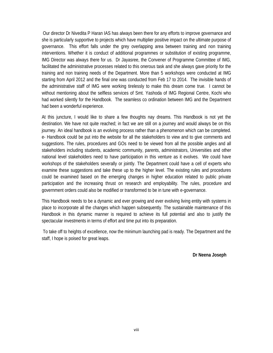Our director Dr Nivedita P Haran IAS has always been there for any efforts to improve governance and she is particularly supportive to projects which have multiplier positive impact on the ultimate purpose of governance. This effort falls under the grey overlapping area between training and non training interventions. Whether it is conduct of additional programmes or substitution of existing programme, IMG Director was always there for us. Dr Jayasree, the Convener of Programme Committee of IMG, facilitated the administrative processes related to this onerous task and she always gave priority for the training and non training needs of the Department. More than 5 workshops were conducted at IMG starting from April 2012 and the final one was conducted from Feb 17 to 2014. The invisible hands of the administrative staff of IMG were working tirelessly to make this dream come true. I cannot be without mentioning about the selfless services of Smt. Yashoda of IMG Regional Centre, Kochi who had worked silently for the Handbook. The seamless co ordination between IMG and the Department had been a wonderful experience.

At this juncture, I would like to share a few thoughts nay dreams. This Handbook is not yet the destination. We have not quite reached; in fact we are still on a journey and would always be on this journey. An ideal handbook is an evolving process rather than a phenomenon which can be completed. e- Handbook could be put into the website for all the stakeholders to view and to give comments and suggestions. The rules, procedures and GOs need to be viewed from all the possible angles and all stakeholders including students, academic community, parents, administrators, Universities and other national level stakeholders need to have participation in this venture as it evolves. We could have workshops of the stakeholders severally or jointly. The Department could have a cell of experts who examine these suggestions and take these up to the higher level. The existing rules and procedures could be examined based on the emerging changes in higher education related to public private participation and the increasing thrust on research and employability. The rules, procedure and government orders could also be modified or transformed to be in tune with e-governance.

This Handbook needs to be a dynamic and ever growing and ever evolving living entity with systems in place to incorporate all the changes which happen subsequently. The sustainable maintenance of this Handbook in this dynamic manner is required to achieve its full potential and also to justify the spectacular investments in terms of effort and time put into its preparation.

 To take off to heights of excellence, now the minimum launching pad is ready. The Department and the staff, I hope is poised for great leaps.

**Dr Neena Joseph**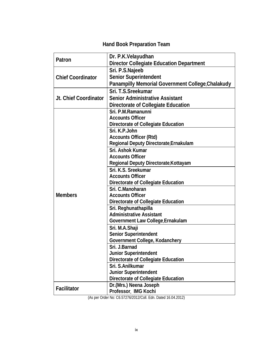## **Hand Book Preparation Team**

| Patron                   | Dr. P.K. Velayudhan                               |
|--------------------------|---------------------------------------------------|
|                          | <b>Director Collegiate Education Department</b>   |
|                          | Sri. P.S. Najeeb                                  |
| <b>Chief Coordinator</b> | <b>Senior Superintendent</b>                      |
|                          | Panampilly Memorial Government College, Chalakudy |
|                          | Sri. T.S. Sreekumar                               |
| Jt. Chief Coordinator    | <b>Senior Administrative Assistant</b>            |
|                          | Directorate of Collegiate Education               |
|                          | Sri. P.M.Ramanunni                                |
|                          | <b>Accounts Officer</b>                           |
|                          | Directorate of Collegiate Education               |
|                          | Sri. K.P.John                                     |
|                          | <b>Accounts Officer (Rtd)</b>                     |
|                          | Regional Deputy Directorate, Ernakulam            |
|                          | Sri. Ashok Kumar                                  |
|                          | <b>Accounts Officer</b>                           |
|                          | Regional Deputy Directorate, Kottayam             |
|                          | Sri. K.S. Sreekumar                               |
|                          | <b>Accounts Officer</b>                           |
|                          | Directorate of Collegiate Education               |
|                          | Sri. C.Manoharan                                  |
| <b>Members</b>           | <b>Accounts Officer</b>                           |
|                          | Directorate of Collegiate Education               |
|                          | Sri. Reghunathapilla                              |
|                          | <b>Administrative Assistant</b>                   |
|                          | Government Law College, Ernakulam                 |
|                          | Sri. M.A.Shaji                                    |
|                          | Senior Superintendent                             |
|                          | Government College, Kodanchery                    |
|                          | Sri. J.Barnad                                     |
|                          | Junior Superintendent                             |
|                          | Directorate of Collegiate Education               |
|                          | Sri. S.Anilkumar                                  |
|                          | <b>Junior Superintendent</b>                      |
|                          | Directorate of Collegiate Education               |
|                          | Dr.(Mrs.) Neena Joseph                            |
| <b>Facilitator</b>       | Professor, IMG Kochi                              |

(As per Order No: C6.57276/2012/Coll. Edn. Dated 16.04.2012)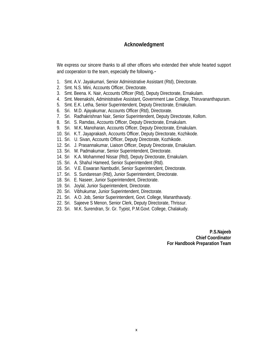#### **Acknowledgment**

We express our sincere thanks to all other officers who extended their whole hearted support and cooperation to the team, especially the following*.-*

- 1. Smt. A.V. Jayakumari, Senior Administrative Assistant (Rtd), Directorate.
- 2. Smt. N.S. Mini, Accounts Officer, Directorate.
- 3. Smt. Beena. K. Nair, Accounts Officer (Rtd), Deputy Directorate, Ernakulam.
- 4. Smt. Meenakshi, Administrative Assistant, Government Law College, Thiruvananthapuram.
- 5. Smt. E.K. Letha, Senior Superintendent, Deputy Directorate, Ernakulam.
- 6. Sri. M.D. Ajayakumar, Accounts Officer (Rtd), Directorate.
- 7. Sri. Radhakrishnan Nair, Senior Superintendent, Deputy Directorate, Kollom.
- 8. Sri. S. Ramdas, Accounts Officer, Deputy Directorate, Ernakulam.
- 9. Sri. M.K, Manoharan, Accounts Officer, Deputy Directorate, Ernakulam.
- 10. Sri. K.T. Jayaprakash, Accounts Officer, Deputy Directorate, Kozhikode.
- 11. Sri. U. Sivan, Accounts Officer, Deputy Directorate, Kozhikode.
- 12. Sri. J. Prasannakumar, Liaison Officer, Deputy Directorate, Ernakulam.
- 13. Sri. M. Padmakumar, Senior Superintendent, Directorate.
- 14. Sri K.A. Mohammed Nissar (Rtd), Deputy Directorate, Ernakulam.
- 15. Sri. A. Shahul Hameed, Senior Superintendent (Rtd).
- 16. Sri. V.E. Eswaran Nambudiri, Senior Superintendent, Directorate.
- 17. Sri. S. Sundaresan (Rtd), Junior Superintendent, Directorate.
- 18. Sri. E. Naseer, Junior Superintendent, Directorate.
- 19. Sri. Joylal, Junior Superintendent, Directorate.
- 20. Sri. Vibhukumar, Junior Superintendent, Directorate.
- 21. Sri. A.O. Job, Senior Superintendent, Govt. College, Mananthavady.
- 22. Sri. Sajeeve S Menon, Senior Clerk, Deputy Directorate, Thrissur.
- 23. Sri. M.K. Surendran, Sr. Gr. Typist, P.M.Govt. College, Chalakudy.

**P.S.Najeeb Chief Coordinator For Handbook Preparation Team**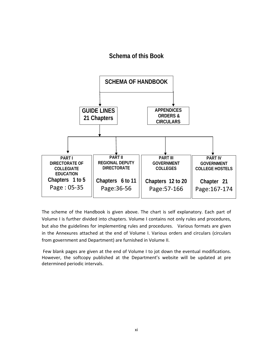#### **Schema of this Book**



The scheme of the Handbook is given above. The chart is self explanatory. Each part of Volume I is further divided into chapters. Volume I contains not only rules and procedures, but also the guidelines for implementing rules and procedures. Various formats are given in the Annexures attached at the end of Volume I. Various orders and circulars (circulars from government and Department) are furnished in Volume II.

Few blank pages are given at the end of Volume I to jot down the eventual modifications. However, the softcopy published at the Department's website will be updated at pre determined periodic intervals.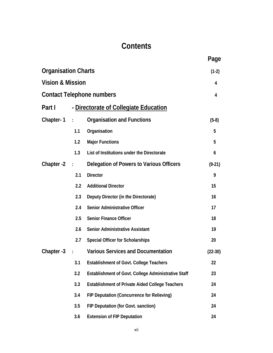## **Contents**

|                             |                |                                                        | Page      |
|-----------------------------|----------------|--------------------------------------------------------|-----------|
| <b>Organisation Charts</b>  |                |                                                        | $(1-2)$   |
| <b>Vision &amp; Mission</b> |                |                                                        | 4         |
|                             |                | <b>Contact Telephone numbers</b>                       | 4         |
| Part I                      |                | - Directorate of Collegiate Education                  |           |
| Chapter-1                   | $\sim 10^6$    | <b>Organisation and Functions</b>                      | $(5-8)$   |
|                             | 1.1            | Organisation                                           | 5         |
|                             | 1.2            | <b>Major Functions</b>                                 | 5         |
|                             | 1.3            | List of Institutions under the Directorate             | 6         |
| Chapter -2                  | $\sim 1000$    | Delegation of Powers to Various Officers               | $(9-21)$  |
|                             | 2.1            | <b>Director</b>                                        | 9         |
|                             | 2.2            | <b>Additional Director</b>                             | 15        |
|                             | 2.3            | Deputy Director (in the Directorate)                   | 16        |
|                             | 2.4            | <b>Senior Administrative Officer</b>                   | 17        |
|                             | 2.5            | <b>Senior Finance Officer</b>                          | 18        |
|                             | 2.6            | <b>Senior Administrative Assistant</b>                 | 19        |
|                             | 2.7            | <b>Special Officer for Scholarships</b>                | 20        |
| Chapter -3                  | $\ddot{\cdot}$ | <b>Various Services and Documentation</b>              | $(22-30)$ |
|                             | 3.1            | <b>Establishment of Govt. College Teachers</b>         | 22        |
|                             | 3.2            | Establishment of Govt. College Administrative Staff    | 23        |
|                             | 3.3            | <b>Establishment of Private Aided College Teachers</b> | 24        |
|                             | 3.4            | FIP Deputation (Concurrence for Relieving)             | 24        |
|                             | 3.5            | FIP Deputation (for Govt. sanction)                    | 24        |
|                             | 3.6            | <b>Extension of FIP Deputation</b>                     | 24        |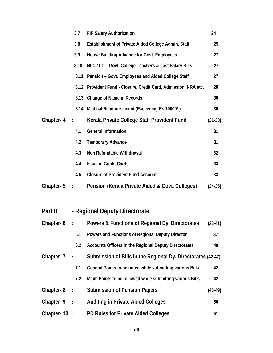|           | 3.7           | <b>FIP Salary Authorization</b>                                 | 24        |
|-----------|---------------|-----------------------------------------------------------------|-----------|
|           | 3.8           | Establishment of Private Aided College Admin. Staff             | 25        |
|           | 3.9           | House Building Advance for Govt. Employees                      | 27        |
|           | 3.10          | NLC / LC - Govt. College Teachers & Last Salary Bills           | 27        |
|           | 3.11          | Pension - Govt. Employees and Aided College Staff               | 27        |
|           |               | 3.12 Provident Fund - Closure, Credit Card, Admission, NRA etc. | 28        |
|           |               | 3.13 Change of Name in Records                                  | 30        |
|           | 3.14          | Medical Reimbursement (Exceeding Rs.10000/-)                    | 30        |
| Chapter-4 | $\sim$ 1.     | Kerala Private College Staff Provident Fund                     | $(31-33)$ |
|           | 4.1           | <b>General Information</b>                                      | 31        |
|           | 4.2           | <b>Temporary Advance</b>                                        | 31        |
|           | 4.3           | Non Refundable Withdrawal                                       | 32        |
|           | 4.4           | <b>Issue of Credit Cards</b>                                    | 33        |
|           | 4.5           | <b>Closure of Provident Fund Account</b>                        | 33        |
| Chapter-5 | $\mathcal{L}$ | Pension (Kerala Private Aided & Govt. Colleges)                 | $(34-35)$ |

Part II - Regional Deputy Directorate

| Chapter- $6:$   |                | Powers & Functions of Regional Dy. Directorates              |           |
|-----------------|----------------|--------------------------------------------------------------|-----------|
|                 | 6.1            | Powers and Functions of Regional Deputy Director             | 37        |
|                 | 6.2            | Accounts Officers in the Regional Deputy Directorates        | 40        |
| Chapter- 7      | $\mathbb{R}^n$ | Submission of Bills in the Regional Dy. Directorates (42-47) |           |
|                 | 7.1            | General Points to be noted while submitting various Bills    | 42        |
|                 | 7.2            | Maim Points to be followed while submitting various Bills    | 42        |
| Chapter- $8:$   |                | <b>Submission of Pension Papers</b>                          | $(48-49)$ |
| Chapter-9 :     |                | <b>Auditing in Private Aided Colleges</b>                    | 50        |
| Chapter- $10$ : |                | <b>PD Rules for Private Aided Colleges</b>                   | 51        |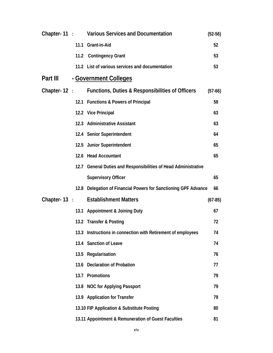|                 |      | Chapter-11: Various Services and Documentation                  | $(52-56)$ |
|-----------------|------|-----------------------------------------------------------------|-----------|
|                 |      | 11.1 Grant-in-Aid                                               | 52        |
|                 |      | 11.2 Contingency Grant                                          | 53        |
|                 |      | 11.2 List of various services and documentation                 | 53        |
| Part III        |      | - Government Colleges                                           |           |
| Chapter-12:     |      | Functions, Duties & Responsibilities of Officers                | $(57-66)$ |
|                 |      | 12.1 Functions & Powers of Principal                            | 58        |
|                 |      | 12.2 Vice Principal                                             | 63        |
|                 |      | 12.3 Administrative Assistant                                   | 63        |
|                 |      | 12.4 Senior Superintendent                                      | 64        |
|                 |      | 12.5 Junior Superintendent                                      | 65        |
|                 |      | 12.6 Head Accountant                                            | 65        |
|                 |      | 12.7 General Duties and Responsibilities of Head Administrative |           |
|                 |      | <b>Supervisory Officer</b>                                      | 65        |
|                 | 12.8 | Delegation of Financial Powers for Sanctioning GPF Advance      | 66        |
| Chapter- $13$ : |      | <b>Establishment Matters</b>                                    | $(67-85)$ |
|                 |      | 13.1 Appointment & Joining Duty                                 | 67        |
|                 |      | 13.2 Transfer & Posting                                         | 72        |
|                 | 13.3 | Instructions in connection with Retirement of employees         | 74        |
|                 | 13.4 | <b>Sanction of Leave</b>                                        | 74        |
|                 | 13.5 | Regularisation                                                  | 76        |
|                 | 13.6 | <b>Declaration of Probation</b>                                 | 77        |
|                 | 13.7 | Promotions                                                      | 79        |
|                 |      | 13.8 NOC for Applying Passport                                  | 79        |
|                 |      | 13.9 Application for Transfer                                   | 79        |
|                 |      | 13.10 FIP Application & Substitute Posting                      | 80        |
|                 |      | 13.11 Appointment & Remuneration of Guest Faculties             | 81        |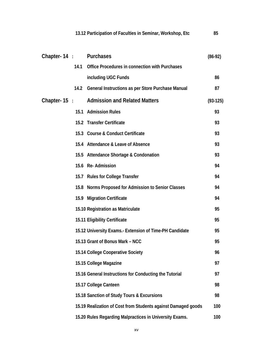|                       |      | 13.12 Participation of Faculties in Seminar, Workshop, Etc    | 85         |
|-----------------------|------|---------------------------------------------------------------|------------|
| Chapter-14: Purchases |      |                                                               | $(86-92)$  |
|                       | 14.1 | Office Procedures in connection with Purchases                |            |
|                       |      | including UGC Funds                                           | 86         |
|                       | 14.2 | General Instructions as per Store Purchase Manual             | 87         |
| Chapter- $15$ :       |      | <b>Admission and Related Matters</b>                          | $(93-125)$ |
|                       |      | 15.1 Admission Rules                                          | 93         |
|                       |      | 15.2 Transfer Certificate                                     | 93         |
|                       |      | 15.3 Course & Conduct Certificate                             | 93         |
|                       |      | 15.4 Attendance & Leave of Absence                            | 93         |
|                       |      | 15.5 Attendance Shortage & Condonation                        | 93         |
|                       |      | 15.6 Re-Admission                                             | 94         |
|                       |      | 15.7 Rules for College Transfer                               | 94         |
|                       |      | 15.8 Norms Proposed for Admission to Senior Classes           | 94         |
|                       |      | 15.9 Migration Certificate                                    | 94         |
|                       |      | 15.10 Registration as Matriculate                             | 95         |
|                       |      | 15.11 Eligibility Certificate                                 | 95         |
|                       |      | 15.12 University Exams.- Extension of Time-PH Candidate       | 95         |
|                       |      | 15.13 Grant of Bonus Mark - NCC                               | 95         |
|                       |      | 15.14 College Cooperative Society                             | 96         |
|                       |      | 15.15 College Magazine                                        | 97         |
|                       |      | 15.16 General Instructions for Conducting the Tutorial        | 97         |
|                       |      | 15.17 College Canteen                                         | 98         |
|                       |      | 15.18 Sanction of Study Tours & Excursions                    | 98         |
|                       |      | 15.19 Realization of Cost from Students against Damaged goods | 100        |
|                       |      | 15.20 Rules Regarding Malpractices in University Exams.       | 100        |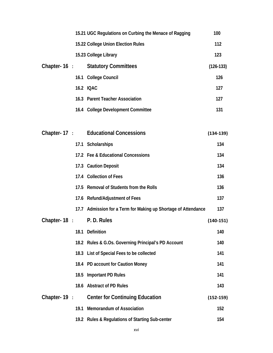|                 |      | 15.21 UGC Regulations on Curbing the Menace of Ragging    | 100           |
|-----------------|------|-----------------------------------------------------------|---------------|
|                 |      | 15.22 College Union Election Rules                        | 112           |
|                 |      | 15.23 College Library                                     | 123           |
| Chapter-16 :    |      | <b>Statutory Committees</b>                               | $(126-133)$   |
|                 | 16.1 | <b>College Council</b>                                    | 126           |
|                 |      | 16.2 IQAC                                                 | 127           |
|                 |      | 16.3 Parent Teacher Association                           | 127           |
|                 |      | 16.4 College Development Committee                        | 131           |
|                 |      |                                                           |               |
|                 |      | Chapter-17: Educational Concessions                       | $(134-139)$   |
|                 |      | 17.1 Scholarships                                         | 134           |
|                 |      | 17.2 Fee & Educational Concessions                        | 134           |
|                 |      | 17.3 Caution Deposit                                      | 134           |
|                 |      | 17.4 Collection of Fees                                   | 136           |
|                 | 17.5 | <b>Removal of Students from the Rolls</b>                 | 136           |
|                 | 17.6 | <b>Refund/Adjustment of Fees</b>                          | 137           |
|                 | 17.7 | Admission for a Term for Making up Shortage of Attendance | 137           |
| Chapter- $18$ : |      | P.D. Rules                                                | $(140-151)$   |
|                 | 18.1 | Definition                                                | 140           |
|                 |      | 18.2 Rules & G.Os. Governing Principal's PD Account       | 140           |
|                 |      | 18.3 List of Special Fees to be collected                 | 141           |
|                 |      | 18.4 PD account for Caution Money                         | 141           |
|                 | 18.5 | <b>Important PD Rules</b>                                 | 141           |
|                 | 18.6 | <b>Abstract of PD Rules</b>                               | 143           |
| Chapter- $19$ : |      | <b>Center for Continuing Education</b>                    | $(152 - 159)$ |
|                 | 19.1 | <b>Memorandum of Association</b>                          | 152           |
|                 |      | 19.2 Rules & Regulations of Starting Sub-center           | 154           |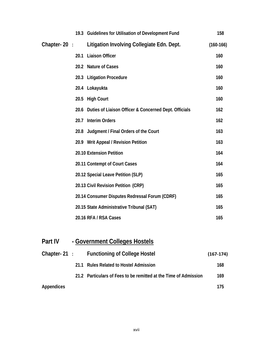|             | 19.3 Guidelines for Utilisation of Development Fund        | 158         |
|-------------|------------------------------------------------------------|-------------|
| Chapter-20: | Litigation Involving Collegiate Edn. Dept.                 | $(160-166)$ |
|             | <b>Liaison Officer</b><br>20.1                             | 160         |
|             | 20.2 Nature of Cases                                       | 160         |
|             | <b>Litigation Procedure</b><br>20.3                        | 160         |
|             | 20.4 Lokayukta                                             | 160         |
|             | <b>High Court</b><br>20.5                                  | 160         |
|             | 20.6 Duties of Liaison Officer & Concerned Dept. Officials | 162         |
|             | <b>Interim Orders</b><br>20.7                              | 162         |
|             | 20.8 Judgment / Final Orders of the Court                  | 163         |
|             | 20.9 Writ Appeal / Revision Petition                       | 163         |
|             | 20.10 Extension Petition                                   | 164         |
|             | 20.11 Contempt of Court Cases                              | 164         |
|             | 20.12 Special Leave Petition (SLP)                         | 165         |
|             | 20.13 Civil Revision Petition (CRP)                        | 165         |
|             | 20.14 Consumer Disputes Redressal Forum (CDRF)             | 165         |
|             | 20.15 State Administrative Tribunal (SAT)                  | 165         |
|             | 20.16 RFA / RSA Cases                                      | 165         |

## **Part IV - Government Colleges Hostels**

| Chapter-21:       | <b>Functioning of College Hostel</b>                             | $(167-174)$ |
|-------------------|------------------------------------------------------------------|-------------|
|                   | 21.1 Rules Related to Hostel Admission                           | 168         |
|                   | 21.2 Particulars of Fees to be remitted at the Time of Admission | 169         |
| <b>Appendices</b> |                                                                  | 175         |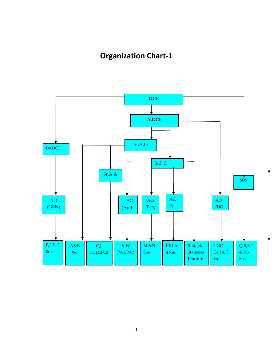## **Organization Chart‐1**

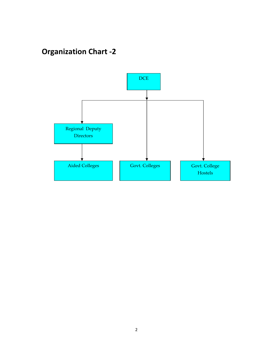## **Organization Chart ‐2**

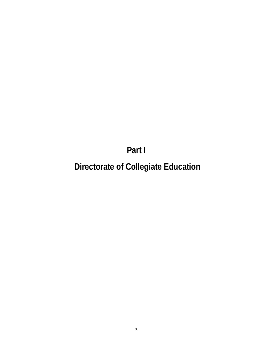**Part I** 

 **Directorate of Collegiate Education**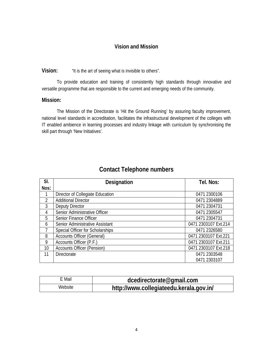#### **Vision and Mission**

#### **Vision:** "It is the art of seeing what is invisible to others".

 To provide education and training of consistently high standards through innovative and versatile programme that are responsible to the current and emerging needs of the community.

#### **Mission:**

The Mission of the Directorate is 'Hit the Ground Running' by assuring faculty improvement, national level standards in accreditation, facilitates the infrastructural development of the colleges with IT enabled ambience in learning processes and industry linkage with curriculum by synchronising the skill part through 'New Initiatives'.

| SI.  | Designation                       | Tel. Nos:            |
|------|-----------------------------------|----------------------|
| Nos: |                                   |                      |
|      | Director of Collegiate Education  | 0471 2300106         |
| 2    | <b>Additional Director</b>        | 0471 2304889         |
| 3    | Deputy Director                   | 0471 2304731         |
| 4    | Senior Administrative Officer     | 0471 2305547         |
| 5    | Senior Finance Officer            | 0471 2304731         |
| 6    | Senior Administrative Assistant   | 0471 2303107 Ext.214 |
|      | Special Officer for Scholarships  | 0471 2326580         |
| 8    | <b>Accounts Officer (General)</b> | 0471 2303107 Ext.221 |
| 9    | Accounts Officer (P.F.)           | 0471 2303107 Ext.211 |
| 10   | <b>Accounts Officer (Pension)</b> | 0471 2303107 Ext.218 |
| 11   | <b>Directorate</b>                | 0471 2303548         |
|      |                                   | 0471 2303107         |

#### **Contact Telephone numbers**

| E Mail  | dcedirectorate@gmail.com                |  |
|---------|-----------------------------------------|--|
| Website | http://www.collegiateedu.kerala.gov.in/ |  |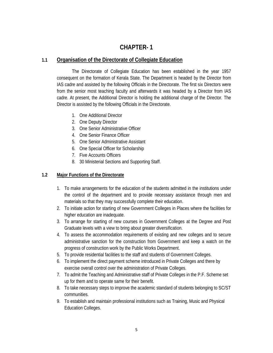#### **CHAPTER- 1**

#### **1.1 Organisation of the Directorate of Collegiate Education**

The Directorate of Collegiate Education has been established in the year 1957 consequent on the formation of Kerala State. The Department is headed by the Director from IAS cadre and assisted by the following Officials in the Directorate. The first six Directors were from the senior most teaching faculty and afterwards it was headed by a Director from IAS cadre. At present, the Additional Director is holding the additional charge of the Director. The Director is assisted by the following Officials in the Directorate.

- 1. One Additional Director
- 2. One Deputy Director
- 3. One Senior Administrative Officer
- 4. One Senior Finance Officer
- 5. One Senior Administrative Assistant
- 6. One Special Officer for Scholarship
- 7. Five Accounts Officers
- 8. 30 Ministerial Sections and Supporting Staff.

#### **1.2 Major Functions of the Directorate**

- 1. To make arrangements for the education of the students admitted in the institutions under the control of the department and to provide necessary assistance through men and materials so that they may successfully complete their education.
- 2. To initiate action for starting of new Government Colleges in Places where the facilities for higher education are inadequate.
- 3. To arrange for starting of new courses in Government Colleges at the Degree and Post Graduate levels with a view to bring about greater diversification.
- 4. To assess the accommodation requirements of existing and new colleges and to secure administrative sanction for the construction from Government and keep a watch on the progress of construction work by the Public Works Department.
- 5. To provide residential facilities to the staff and students of Government Colleges.
- 6. To implement the direct payment scheme introduced in Private Colleges and there by exercise overall control over the administration of Private Colleges.
- 7. To admit the Teaching and Administrative staff of Private Colleges in the P.F. Scheme set up for them and to operate same for their benefit.
- 8. To take necessary steps to improve the academic standard of students belonging to SC/ST communities.
- 9. To establish and maintain professional institutions such as Training, Music and Physical Education Colleges.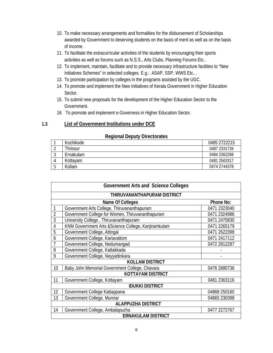- 10. To make necessary arrangements and formalities for the disbursement of Scholarships awarded by Government to deserving students on the basis of merit as well as on the basis of income.
- 11. To facilitate the extracurricular activities of the students by encouraging their sports activities as well as forums such as N.S.S., Arts Clubs, Planning Forums Etc..
- 12. To implement, maintain, facilitate and to provide necessary infrastructure facilities to "New Initiatives Schemes" in selected colleges. E.g.: ASAP, SSP, WWS Etc...
- 13. To promote participation by colleges in the programs assisted by the UGC.
- 14. To promote and implement the New Initiatives of Kerala Government in Higher Education Sector.
- 15. To submit new proposals for the development of the Higher Education Sector to the Government.
- 16. To promote and implement e-Governess in Higher Education Sector.

#### **1.3 List of Government Institutions under DCE**

|   | ----------- |              |  |  |  |  |  |
|---|-------------|--------------|--|--|--|--|--|
|   | Kozhikode   | 0495 2722215 |  |  |  |  |  |
| ∸ | Thrissur    | 0487 2331726 |  |  |  |  |  |
|   | Ernakulam   | 0484 2362268 |  |  |  |  |  |
|   | Kottavam    | 0481 2563317 |  |  |  |  |  |
|   | Kollam      | 0474 2744378 |  |  |  |  |  |

#### **Regional Deputy Directorates**

| <b>Government Arts and Science Colleges</b> |                                                      |              |  |
|---------------------------------------------|------------------------------------------------------|--------------|--|
| THIRUVANANTHAPURAM DISTRICT                 |                                                      |              |  |
| Name Of Colleges                            |                                                      | Phone No:    |  |
| 1                                           | Government Arts College, Thiruvananthapuram          | 0471 2323040 |  |
| $\overline{2}$                              | Government College for Women, Thiruvananthapuram     | 0471 2324986 |  |
| 3                                           | University College, Thiruvananthapuram               | 0471 2475830 |  |
| $\overline{4}$                              | KNM Government Arts & Science College, Kanjiramkulam | 0471 2265179 |  |
| 5                                           | Government College, Attingal                         | 0471 2622398 |  |
| 6                                           | Government College, Kariavattom                      | 0471 2417112 |  |
| $\overline{1}$                              | Government College, Nedumangad                       | 0472 2812287 |  |
| 8                                           | Government College, Kattakkada                       |              |  |
| 9                                           | Government College, Neyyattinkara                    |              |  |
| <b>KOLLAM DISTRICT</b>                      |                                                      |              |  |
| 10                                          | Baby John Memorial Government College, Chavara       | 0476 2680736 |  |
| <b>KOTTAYAM DISTRICT</b>                    |                                                      |              |  |
| 11                                          | Government College, Kottayam                         | 0481 2363116 |  |
| <b>IDUKKI DISTRICT</b>                      |                                                      |              |  |
| 12                                          | Government College Kattappana                        | 04868 250160 |  |
| 13                                          | Government College, Munnar                           | 04865 230398 |  |
| <b>ALAPPUZHA DISTRICT</b>                   |                                                      |              |  |
| 14                                          | Government College, Ambalapuzha                      | 0477 2272767 |  |
| <b>ERNAKULAM DISTRICT</b>                   |                                                      |              |  |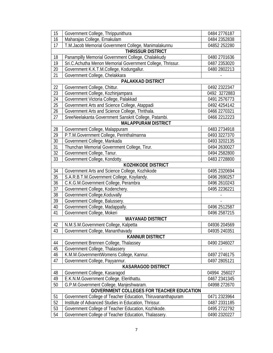| 15                                               | Government College, Thrippunithura                          | 0484 2776187 |  |  |
|--------------------------------------------------|-------------------------------------------------------------|--------------|--|--|
| 16                                               | Maharajas College, Ernakulam                                | 0484 2352838 |  |  |
| 17                                               | T.M.Jacob Memorial Government College, Manimalakunnu        | 04852 252280 |  |  |
| <b>THRISSUR DISTRICT</b>                         |                                                             |              |  |  |
| 18                                               | Panampilly Memorial Government College, Chalakkudy          | 0480 2701636 |  |  |
| 19                                               | Sri.C.Achutha Menon Memorial Government College, Thrissur.  | 0487 2353020 |  |  |
| 20                                               | Government K.K.T.M.College, Kodungallur.                    | 0480 2802213 |  |  |
| 21                                               | Government College, Chelakkara                              |              |  |  |
|                                                  | PALAKKAD DISTRICT                                           |              |  |  |
| 22                                               | Government College, Chittur.                                | 0492 2322347 |  |  |
| 23                                               | Government College, Kozhinjampara                           | 0492 3272883 |  |  |
| 24                                               | Government Victoria College, Palakkad                       | 0491 2576773 |  |  |
| 25                                               | Government Arts and Science College, Atappadi               | 0492 4254142 |  |  |
| 26                                               | Government Arts and Science College, Thrithala.             | 0466 2270321 |  |  |
| 27                                               | SreeNeelakanta Government Sanskrit College, Patambi.        | 0466 2212223 |  |  |
|                                                  | <b>MALAPPURAM DISTRICT</b>                                  |              |  |  |
| 28                                               | Government College, Malappuram                              | 0483 2734918 |  |  |
| 29                                               | P.T.M.Government College, Perinthalmanna                    | 0493 3227370 |  |  |
| 30                                               | Government College, Mankada                                 | 0493 3202135 |  |  |
| $\overline{31}$                                  | Thunchan Memorial Government College, Tirur.                | 0494 2630027 |  |  |
| 32                                               | Government College, Tanur.                                  | 0494 2582800 |  |  |
| 33                                               | Government College, Kondotty.                               | 0483 2728800 |  |  |
|                                                  | <b>KOZHIKODE DISTRICT</b>                                   |              |  |  |
| 34                                               | Government Arts and Science College, Kozhikode              | 0495 2320694 |  |  |
| 35                                               | S.A.R.B.T.M.Government College, Koyilandy.                  | 0496 2690257 |  |  |
| 36                                               | C.K.G.M.Government College, Perambra                        | 0496 2610243 |  |  |
| 37                                               | Government College, Kodenchery.                             | 0495 2236221 |  |  |
| 38                                               | Government College, Koduvally                               |              |  |  |
| 39                                               | Government College, Balussery.                              |              |  |  |
| 40                                               | Government College, Madappally.                             | 0496 2512587 |  |  |
| 41                                               | Government College, Mokeri                                  | 0496 2587215 |  |  |
| <b>WAYANAD DISTRICT</b>                          |                                                             |              |  |  |
| 42                                               | N.M.S.M.Government College, Kalpetta                        | 04936 204569 |  |  |
| 43                                               | Government College, Mananthavady                            | 04935 240351 |  |  |
| <b>KANNUR DISTRICT</b>                           |                                                             |              |  |  |
| 44                                               | Government Brennen College, Thalassey                       | 0490 2346027 |  |  |
| 45                                               | Government College, Thalassery                              |              |  |  |
| 46                                               | K.M.M.GovernmentWomens College, Kannur.                     | 0497 2746175 |  |  |
| 47                                               | Government College, Payyannur.                              | 0497 2805121 |  |  |
|                                                  | <b>KASARAGOD DISTRICT</b>                                   |              |  |  |
| 48                                               | Government College, Kasaragod                               | 04994 256027 |  |  |
| 49                                               | E.K.N.M.Government College, Elerithattu.                    | 0467 2341345 |  |  |
| 50                                               | G.P.M.Government College, Manjeshwaram.                     | 04998 272670 |  |  |
| <b>GOVERNMENT COLLEGES FOR TEACHER EDUCATION</b> |                                                             |              |  |  |
| 51                                               | Government College of Teacher Education, Thiruvananthapuram | 0471 2323964 |  |  |
| 52                                               | Institute of Advanced Studies in Education, Thrissur.       | 0487 2331185 |  |  |
| 53                                               | Government College of Teacher Education, Kozhikode.         | 0495 2722792 |  |  |
| 54                                               | Government College of Teacher Education, Thalassery.        | 0490 2320227 |  |  |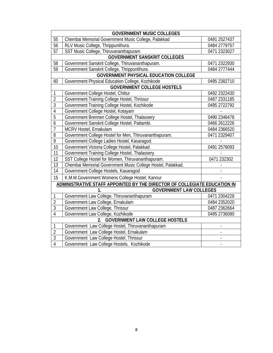| <b>GOVERNMENT MUSIC COLLEGES</b>                                          |                                                             |              |  |
|---------------------------------------------------------------------------|-------------------------------------------------------------|--------------|--|
| 55                                                                        | Chembai Memorial Government Music College, Palakkad         | 0491 2527437 |  |
| 56                                                                        | RLV Music College, Thrippunithura.                          | 0484 2779757 |  |
| 57                                                                        | SST Music College, Thiruvananthapuram                       | 0471 2323027 |  |
| <b>GOVERNMENT SANSKRIT COLLEGES</b>                                       |                                                             |              |  |
| 58                                                                        | Government Sanskrit College, Thiruvananthapuram.            | 0471 2322930 |  |
| 59                                                                        | Government Sanskrit College, Thrippunithura.                | 0484 2777444 |  |
| <b>GOVERNMENT PHYSICAL EDUCATION COLLEGE</b>                              |                                                             |              |  |
| 60                                                                        | Government Physical Education College, Kozhikode            | 0495 2382710 |  |
|                                                                           | <b>GOVERNMENT COLLEGE HOSTELS</b>                           |              |  |
| $\mathbf{1}$                                                              | Government College Hostel, Chittur                          | 0492 2322430 |  |
| $\overline{2}$                                                            | Government Training College Hostel, Thrissur                | 0487 2331185 |  |
| $\overline{3}$                                                            | Government Training College Hostel, Kozhikode               | 0495 2722792 |  |
| $\overline{4}$                                                            | Government College Hostel, Kotayam                          |              |  |
| $\overline{5}$                                                            | Government Brennen College Hostel, Thalassery               | 0490 2346478 |  |
| $\overline{6}$                                                            | Government Sanskrit College Hostel, Pattambi.               | 0466 2612226 |  |
| $\overline{1}$                                                            | MCRV Hostel, Ernakulam                                      | 0484 2366520 |  |
| 8                                                                         | Government College Hostel for Men, Thiruvananthapuram.      | 0471 2329407 |  |
| $\overline{9}$                                                            | Government College Ladies Hostel, Kasaragod.                |              |  |
| 10                                                                        | Government Victoria College Hostel, Palakkad                | 0491 2578093 |  |
| 11                                                                        | Government Training College Hostel, Thalassery.             |              |  |
| 12                                                                        | SST College Hostel for Women, Thiruvananthapuram.           | 0471 232302  |  |
| 13                                                                        | Chembai Memorial Government Music College Hostel, Palakkad. |              |  |
| 14                                                                        | Government College Hostels, Kasaragod                       |              |  |
| 15                                                                        | K.M.M.Government Womens College Hostel, Kannur              |              |  |
| ADMINISTRATIVE STAFF APPOINTED BY THE DIRECTOR OF COLLEGIATE EDUCATION IN |                                                             |              |  |
|                                                                           | <b>GOVERNMENT LAW COLLEGES</b><br>1.                        |              |  |
| 1                                                                         | Government Law College, Thiruvananthapuram                  | 0471 2304228 |  |
| $\overline{2}$                                                            | Government Law College, Ernakulam                           | 0484 2352020 |  |
| $\overline{3}$                                                            | Government Law College, Thrissur                            | 0487 2362664 |  |
| $\overline{4}$                                                            | Government Law College, Kozhikode                           | 0495 2736080 |  |
| 2.<br><b>GOVERNMENT LAW COLLEGE HOSTELS</b>                               |                                                             |              |  |
| $\mathbf{1}$                                                              | Government Law College Hostel, Thiruvananthapuram           |              |  |
| $\overline{2}$                                                            | Government Law College Hostel, Ernakulam                    |              |  |
| $\overline{3}$                                                            | Government Law College Hostel, Thrissur                     |              |  |
| $\overline{4}$                                                            | Government Law College Hostels, Kozhikode                   |              |  |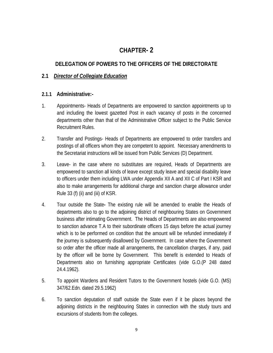### **CHAPTER- 2**

#### **DELEGATION OF POWERS TO THE OFFICERS OF THE DIRECTORATE**

#### **2.1** *Director of Collegiate Education*

#### **2.1.1 Administrative:-**

- 1. Appointments- Heads of Departments are empowered to sanction appointments up to and including the lowest gazetted Post in each vacancy of posts in the concerned departments other than that of the Administrative Officer subject to the Public Service Recruitment Rules.
- 2. Transfer and Postings- Heads of Departments are empowered to order transfers and postings of all officers whom they are competent to appoint. Necessary amendments to the Secretariat instructions will be issued from Public Services (D) Department.
- 3. Leave- in the case where no substitutes are required, Heads of Departments are empowered to sanction all kinds of leave except study leave and special disability leave to officers under them including LWA under Appendix XII A and XII C of Part I KSR and also to make arrangements for additional charge and sanction charge allowance under Rule 33 (f) (ii) and (iii) of KSR.
- 4. Tour outside the State**-** The existing rule will be amended to enable the Heads of departments also to go to the adjoining district of neighbouring States on Government business after intimating Government. The Heads of Departments are also empowered to sanction advance T.A to their subordinate officers 15 days before the actual journey which is to be performed on condition that the amount will be refunded immediately if the journey is subsequently disallowed by Government. In case where the Government so order after the officer made all arrangements, the cancellation charges, if any, paid by the officer will be borne by Government. This benefit is extended to Heads of Departments also on furnishing appropriate Certificates (vide G.O.(P 248 dated 24.4.1962).
- 5. To appoint Wardens and Resident Tutors to the Government hostels (vide G.O. (MS) 347/62.Edn. dated 29.5.1962)
- 6. To sanction deputation of staff outside the State even if it be places beyond the adjoining districts in the neighbouring States in connection with the study tours and excursions of students from the colleges.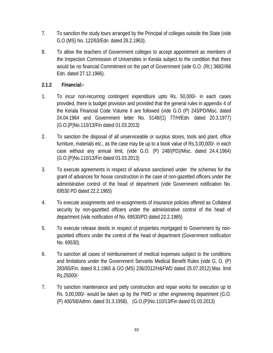- 7. To sanction the study tours arranged by the Principal of colleges outside the State (vide G.O.(MS) No. 122/63/Edn. dated 28.2.1963).
- 8. To allow the teachers of Government colleges to accept appointment as members of the Inspection Commission of Universities in Kerala subject to the condition that there would be no financial Commitment on the part of Government (vide G.O. (Rt.) 3682//66 Edn. dated 27.12.1966).

#### **2.1.2 Financial:-**

- 1. To incur non-recurring contingent expenditure upto Rs. 50,000/- in each cases provided, there is budget provision and provided that the general rules in appendix 4 of the Kerala Financial Code Volume II are followed (vide G.O (P) 243/PD/Misc. dated 24.04.1964 and Government letter No. 5148/(1) 77/H/Edn. dated 20.3.1977) (G.O.(P)No.110/13/Fin dated 01.03.2013)
- 2. To sanction the disposal of all unserviceable or surplus stores, tools and plant, office furniture, materials etc., as the case may be up to a book value of Rs.3,00,000/- in each case without any annual limit, (vide G.O. (P) 248/(PD)/Misc. dated 24.4.1964) (G.O.(P)No.110/13/Fin dated 01.03.2013)
- 3. To execute agreements in respect of advance sanctioned under the schemes for the grant of advances for house construction in the case of non-gazetted officers under the administrative control of the head of department (vide Government notification No. 69530 PD dated 22.2.1965)
- 4. To execute assignments and re-assignments of insurance policies offered as Collateral security by non-gazetted officers under the administrative control of the head of department (vide notification of No. 69530/PD dated 22.2.1965)
- 5. To execute release deeds in respect of properties mortgaged to Government by nongazetted officers under the control of the head of department (Government notification No. 69530).
- 6. To sanction all cases of reimbursement of medical expenses subject to the conditions and limitations under the Government Servants Medical Benefit Rules (vide G, O. (P) 283/65/Fin. dated 8.1.1965 & GO (MS) 236/2012/H&FWD dated 25.07.2012).Max. limit Rs.25000/-
- 7. To sanction maintenance and petty construction and repair works for execution up to Rs. 5,00,000/- would be taken up by the PWD or other engineering department (G.O. (P) 400/58/Admn. dated 31.3.1958). (G.O.(P)No.110/13/Fin dated 01.03.2013)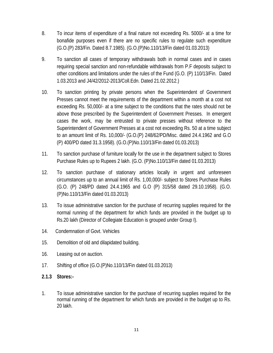- 8. To incur items of expenditure of a final nature not exceeding Rs. 5000/- at a time for bonafide purposes even if there are no specific rules to regulate such expenditure (G.O.(P) 283/Fin. Dated 8.7.1985). (G.O.(P)No.110/13/Fin dated 01.03.2013)
- 9. To sanction all cases of temporary withdrawals both in normal cases and in cases requiring special sanction and non-refundable withdrawals from P.F deposits subject to other conditions and limitations under the rules of the Fund (G.O. (P) 110/13/Fin. Dated 1.03.2013 and J4/42/2012-2013/Coll.Edn. Dated 21.02.2012.)
- 10. To sanction printing by private persons when the Superintendent of Government Presses cannot meet the requirements of the department within a month at a cost not exceeding Rs. 50,000/- at a time subject to the conditions that the rates should not be above those prescribed by the Superintendent of Government Presses. In emergent cases the work, may be entrusted to private presses without reference to the Superintendent of Government Presses at a cost not exceeding Rs. 50 at a time subject to an amount limit of Rs. 10,000/- (G.O.(P) 248/62/PD/Misc. dated 24.4.1962 and G.O (P) 400/PD dated 31.3.1958). (G.O.(P)No.110/13/Fin dated 01.03.2013)
- 11. To sanction purchase of furniture locally for the use in the department subject to Stores Purchase Rules up to Rupees 2 lakh. (G.O. (P)No.110/13/Fin dated 01.03.2013)
- 12. To sanction purchase of stationary articles locally in urgent and unforeseen circumstances up to an annual limit of Rs. 1,00,000/- subject to Stores Purchase Rules (G.O. (P) 248/PD dated 24.4.1965 and G.O (P) 315/58 dated 29.10.1958). (G.O. (P)No.110/13/Fin dated 01.03.2013)
- 13. To issue administrative sanction for the purchase of recurring supplies required for the normal running of the department for which funds are provided in the budget up to Rs.20 lakh (Director of Collegiate Education is grouped under Group I).
- 14. Condemnation of Govt. Vehicles
- 15. Demolition of old and dilapidated building.
- 16. Leasing out on auction.
- 17. Shifting of office (G.O.(P)No.110/13/Fin dated 01.03.2013)
- **2.1.3 Stores:-**
- 1. To issue administrative sanction for the purchase of recurring supplies required for the normal running of the department for which funds are provided in the budget up to Rs. 20 lakh.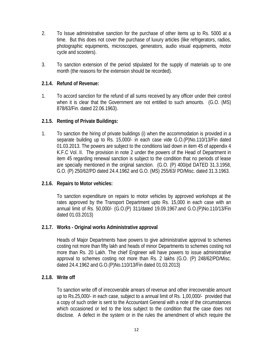- 2. To Issue administrative sanction for the purchase of other items up to Rs. 5000 at a time. But this does not cover the purchase of luxury articles (like refrigerators, radios, photographic equipments, microscopes, generators, audio visual equipments, motor cycle and scooters).
- 3. To sanction extension of the period stipulated for the supply of materials up to one month (the reasons for the extension should be recorded).

#### **2.1.4. Refund of Revenue:**

1. To accord sanction for the refund of all sums received by any officer under their control when it is clear that the Government are not entitled to such amounts. (G.O. (MS) 878/63/Fin. dated 22.06.1963).

#### **2.1.5. Renting of Private Buildings:**

1. To sanction the hiring of private buildings (i) when the accommodation is provided in a separate building up to Rs. 15,000/- in each case vide G.O.(P)No.110/13/Fin dated 01.03.2013. The powers are subject to the conditions laid down in item 45 of appendix 4 K.F.C Vol. II. The provision in note 2 under the powers of the Head of Department in item 45 regarding renewal sanction is subject to the condition that no periods of lease are specially mentioned in the original sanction. (G.O. (P) 400/pd DATED 31.3.1958, G.O. (P) 250/62/PD dated 24.4.1962 and G.O. (MS) 255/63/ PD/Misc. dated 31.3.1963.

#### **2.1.6. Repairs to Motor vehicles:**

To sanction expenditure on repairs to motor vehicles by approved workshops at the rates approved by the Transport Department upto Rs. 15,000 in each case with an annual limit of Rs. 50,000/- (G.O.(P) 311/dated 19.09.1967.and G.O.(P)No.110/13/Fin dated 01.03.2013)

#### **2.1.7. Works - Original works Administrative approval**

Heads of Major Departments have powers to give administrative approval to schemes costing not more than fifty lakh and heads of minor Departments to schemes costing not more than Rs. 20 Lakh. The chief Engineer will have powers to issue administrative approval to schemes costing not more than Rs. 2 lakhs (G.O. (P) 248/62/PD/Misc. dated 24.4.1962 and G.O.(P)No.110/13/Fin dated 01.03.2013)

#### **2.1.8. Write off**

To sanction write off of irrecoverable arrears of revenue and other irrecoverable amount up to Rs.25,000/- in each case, subject to a annual limit of Rs. 1,00,000/- provided that a copy of such order is sent to the Accountant General with a note of the circumstances which occasioned or led to the loss subject to the condition that the case does not disclose. A defect in the system or in the rules the amendment of which require the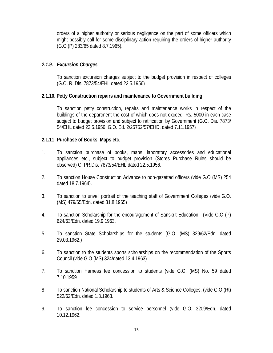orders of a higher authority or serious negligence on the part of some officers which might possibly call for some disciplinary action requiring the orders of higher authority (G.O (P) 283/65 dated 8.7.1965).

#### *2.1.9. Excursion Charges*

To sanction excursion charges subject to the budget provision in respect of colleges (G.O. R. Dis. 7873/54/EHL dated 22.5.1956)

#### **2.1.10. Petty Construction repairs and maintenance to Government building**

To sanction petty construction, repairs and maintenance works in respect of the buildings of the department the cost of which does not exceed Rs. 5000 in each case subject to budget provision and subject to ratification by Government (G.O. Dis. 7873/ 54/EHL dated 22.5.1956, G.O. Ed. 2/25752/57/EHD. dated 7.11.1957)

#### **2.1.11 Purchase of Books, Maps etc**.

- 1. To sanction purchase of books, maps, laboratory accessories and educational appliances etc., subject to budget provision (Stores Purchase Rules should be observed) G. PR.Dis. 7873/54/EHL dated 22.5.1956.
- 2. To sanction House Construction Advance to non-gazetted officers (vide G.O (MS) 254 dated 18.7.1964).
- 3. To sanction to unveil portrait of the teaching staff of Government Colleges (vide G.O. (MS) 479/65/Edn. dated 31.8.1965)
- 4. To sanction Scholarship for the encouragement of Sanskrit Education. (Vide G.O (P) 624/63/Edn. dated 19.9.1963.
- 5. To sanction State Scholarships for the students (G.O. (MS) 329/62/Edn. dated 29.03.1962.)
- 6. To sanction to the students sports scholarships on the recommendation of the Sports Council (vide G.O (MS) 324/dated 13.4.1963)
- 7. To sanction Harness fee concession to students (vide G.O. (MS) No. 59 dated 7.10.1959
- 8 To sanction National Scholarship to students of Arts & Science Colleges, (vide G.O (Rt) 522/62/Edn. dated 1.3.1963.
- 9. To sanction fee concession to service personnel (vide G.O. 3209/Edn. dated 10.12.1962.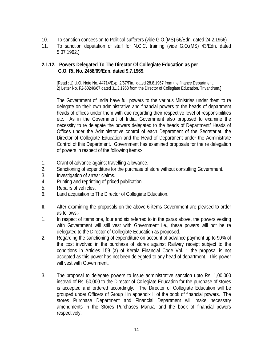- 10. To sanction concession to Political sufferers (vide G.O.(MS) 66/Edn. dated 24.2.1966)
- 11. To sanction deputation of staff for N.C.C. training (vide G.O.(MS) 43/Edn. dated 5.07.1962.)

#### **2.1.12. Powers Delegated To The Director Of Collegiate Education as per G.O. Rt. No. 2458/69/Edn. dated 9.7.1969.**

[Read : 1) U.O. Note No. 44714/Exp. 2/67/Fin. dated 28.8.1967 from the finance Department. 2) Letter No. F2-50246/67 dated 31.3.1968 from the Director of Collegiate Education, Trivandrum.]

The Government of India have full powers to the various Ministries under them to re delegate on their own administrative and financial powers to the heads of department heads of offices under them with due regarding their respective level of responsibilities etc. As in the Government of India, Government also proposed to examine the necessity to re delegate the powers delegated to the heads of Department/ Heads of Offices under the Administrative control of each Department of the Secretariat, the Director of Collegiate Education and the Head of Department under the Administrate Control of this Department. Government has examined proposals for the re delegation of powers in respect of the following items:-

- 1. Grant of advance against travelling allowance.
- 2. Sanctioning of expenditure for the purchase of store without consulting Government.
- 3. Investigation of arrear claims.
- 4. Printing and reprinting of priced publication.
- 5. Repairs of vehicles.
- 6. Land acquisition to The Director of Collegiate Education.
- II. After examining the proposals on the above 6 items Government are pleased to order as follows:-
- 1. In respect of items one, four and six referred to in the paras above, the powers vesting with Government will still vest with Government i.e., these powers will not be re delegated to the Director of Collegiate Education as proposed.
- 2. Regarding the sanctioning of expenditure on account of advance payment up to 90% of the cost involved in the purchase of stores against Railway receipt subject to the conditions in Articles 159 (a) of Kerala Financial Code Vol. 1 the proposal is not accepted as this power has not been delegated to any head of department. This power will vest with Government.
- 3. The proposal to delegate powers to issue administrative sanction upto Rs. 1,00,000 instead of Rs. 50,000 to the Director of Collegiate Education for the purchase of stores is accepted and ordered accordingly. The Director of Collegiate Education will be grouped under Officers of Group I in appendix II of the book of financial powers. The stores Purchase Department and Financial Department will make necessary amendments in the Stores Purchases Manual and the book of financial powers respectively.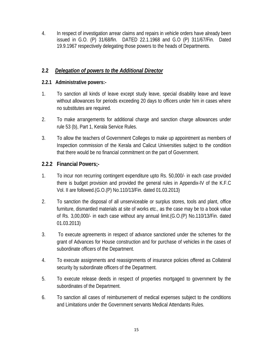4. In respect of investigation arrear claims and repairs in vehicle orders have already been issued in G.O. (P) 31/68/fin. DATED 22.1.1968 and G.O (P) 311/67/Fin. Dated 19.9.1967 respectively delegating those powers to the heads of Departments.

#### **2.2** *Delegation of powers to the Additional Director*

#### **2.2.1 Administrative powers:-**

- 1. To sanction all kinds of leave except study leave, special disability leave and leave without allowances for periods exceeding 20 days to officers under him in cases where no substitutes are required.
- 2. To make arrangements for additional charge and sanction charge allowances under rule 53 (b), Part 1, Kerala Service Rules.
- 3. To allow the teachers of Government Colleges to make up appointment as members of Inspection commission of the Kerala and Calicut Universities subject to the condition that there would be no financial commitment on the part of Government.

#### **2.2.2 Financial Powers;-**

- 1. To incur non recurring contingent expenditure upto Rs. 50,000/- in each case provided there is budget provision and provided the general rules in Appendix-IV of the K.F.C Vol. II are followed.(G.O.(P) No.110/13/Fin. dated 01.03.2013)
- 2. To sanction the disposal of all unserviceable or surplus stores, tools and plant, office furniture, dismantled materials at site of works etc., as the case may be to a book value of Rs. 3,00,000/- in each case without any annual limit.(G.O.(P) No.110/13/Fin. dated 01.03.2013)
- 3. To execute agreements in respect of advance sanctioned under the schemes for the grant of Advances for House construction and for purchase of vehicles in the cases of subordinate officers of the Department.
- 4. To execute assignments and reassignments of insurance policies offered as Collateral security by subordinate officers of the Department.
- 5. To execute release deeds in respect of properties mortgaged to government by the subordinates of the Department.
- 6. To sanction all cases of reimbursement of medical expenses subject to the conditions and Limitations under the Government servants Medical Attendants Rules.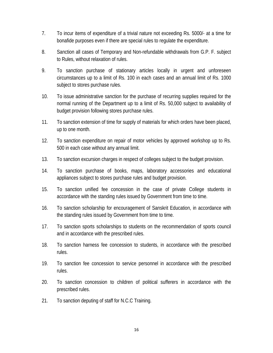- 7. To incur items of expenditure of a trivial nature not exceeding Rs. 5000/- at a time for bonafide purposes even if there are special rules to regulate the expenditure.
- 8. Sanction all cases of Temporary and Non-refundable withdrawals from G.P. F. subject to Rules, without relaxation of rules.
- 9. To sanction purchase of stationary articles locally in urgent and unforeseen circumstances up to a limit of Rs. 100 in each cases and an annual limit of Rs. 1000 subject to stores purchase rules.
- 10. To issue administrative sanction for the purchase of recurring supplies required for the normal running of the Department up to a limit of Rs. 50,000 subject to availability of budget provision following stores purchase rules.
- 11. To sanction extension of time for supply of materials for which orders have been placed, up to one month.
- 12. To sanction expenditure on repair of motor vehicles by approved workshop up to Rs. 500 in each case without any annual limit.
- 13. To sanction excursion charges in respect of colleges subject to the budget provision.
- 14. To sanction purchase of books, maps, laboratory accessories and educational appliances subject to stores purchase rules and budget provision.
- 15. To sanction unified fee concession in the case of private College students in accordance with the standing rules issued by Government from time to time.
- 16. To sanction scholarship for encouragement of Sanskrit Education, in accordance with the standing rules issued by Government from time to time.
- 17. To sanction sports scholarships to students on the recommendation of sports council and in accordance with the prescribed rules.
- 18. To sanction harness fee concession to students, in accordance with the prescribed rules.
- 19. To sanction fee concession to service personnel in accordance with the prescribed rules.
- 20. To sanction concession to children of political sufferers in accordance with the prescribed rules.
- 21. To sanction deputing of staff for N.C.C Training.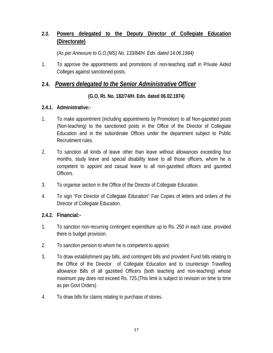#### **2.3. Powers delegated to the Deputy Director of Collegiate Education (Directorate)**

*(As per Annexure to G.O.(MS) No. 133/84/H. Edn. dated 14.06.1984)* 

1. To approve the appointments and promotions of non-teaching staff in Private Aided Colleges against sanctioned posts.

#### **2.4.** *Powers delegated to the Senior Administrative Officer*

#### **(G.O. Rt. No. 182/74/H. Edn. dated 06.02.1974)**

#### **2.4.1. Administrative:-**

- 1. To make appointment (including appointments by Promotion) to all Non-gazetted posts (Non-teaching) to the sanctioned posts in the Office of the Director of Collegiate Education and in the subordinate Offices under the department subject to Public Recruitment rules.
- 2. To sanction all kinds of leave other than leave without allowances exceeding four months, study leave and special disability leave to all those officers, whom he is competent to appoint and casual leave to all non-gazetted officers and gazetted Officers.
- 3. To organise section in the Office of the Director of Collegiate Education.
- 4. To sign "For Director of Collegiate Education" Fair Copies of letters and orders of the Director of Collegiate Education.

#### **2.4.2. Financial:-**

- 1. To sanction non-recurring contingent expenditure up to Rs. 250 in each case, provided there is budget provision.
- 2. To sanction pension to whom he is competent to appoint.
- 3. To draw establishment pay bills, and contingent bills and provident Fund bills relating to the Office of the Director of Collegiate Education and to countersign Travelling allowance Bills of all gazetted Officers (both teaching and non-teaching) whose maximum pay does not exceed Rs. 725.(This limit is subject to revision on time to time as per Govt Orders)
- 4. To draw bills for claims relating to purchase of stores.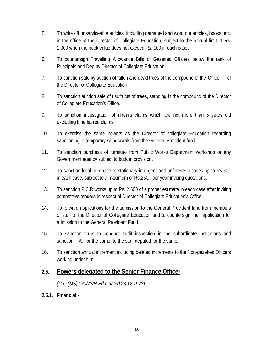- 5. To write off unserviceable articles, including damaged and worn out articles, books, etc. in the office of the Director of Collegiate Education, subject to the annual limit of Rs. 1,000 when the book value does not exceed Rs. 100 in each cases.
- 6. To countersign Travelling Allowance Bills of Gazetted Officers below the rank of Principals and Deputy Director of Collegiate Education.
- 7. To sanction sale by auction of fallen and dead trees of the compound of the Office of the Director of Collegiate Education.
- 8. To sanction auction sale of usufructs of trees, standing in the compound of the Director of Collegiate Education's Office.
- 9. To sanction investigation of arrears claims which are not more than 5 years old excluding time barred claims.
- 10. To exercise the same powers as the Director of collegiate Education regarding sanctioning of temporary withdrawals from the General Provident fund.
- 11. To sanction purchase of furniture from Public Works Department workshop or any Government agency subject to budget provision.
- 12. To sanction local purchase of stationary in urgent and unforeseen cases up to Rs.50/ in each case, subject to a maximum of Rs.250/- per year inviting quotations.
- 13. To sanction P.C.R works up to Rs. 2,500 of a proper estimate in each case after inviting competitive tenders in respect of Director of Collegiate Education's Office.
- 14. To forward applications for the admission to the General Provident fund from members of staff of the Director of Collegiate Education and to countersign their application for admission to the General Provident Fund.
- 15. To sanction tours to conduct audit inspection in the subordinate institutions and sanction T.A. for the same, to the staff deputed for the same.
- 16. To sanction annual increment including belated increments to the Non-gazetted Officers working under him.

#### **2.5. Powers delegated to the Senior Finance Officer**

*(G.O.(MS) 170/73/H.Edn. dated 23.12.1973)* 

**2.5.1. Financial:-**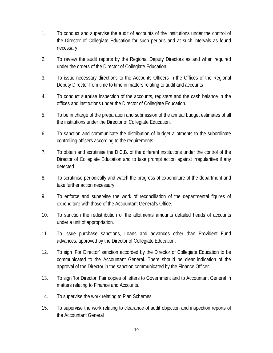- 1. To conduct and supervise the audit of accounts of the institutions under the control of the Director of Collegiate Education for such periods and at such intervals as found necessary.
- 2. To review the audit reports by the Regional Deputy Directors as and when required under the orders of the Director of Collegiate Education.
- 3. To issue necessary directions to the Accounts Officers in the Offices of the Regional Deputy Director from time to time in matters relating to audit and accounts
- 4. To conduct surprise inspection of the accounts, registers and the cash balance in the offices and institutions under the Director of Collegiate Education.
- 5. To be in charge of the preparation and submission of the annual budget estimates of all the institutions under the Director of Collegiate Education.
- 6. To sanction and communicate the distribution of budget allotments to the subordinate controlling officers according to the requirements.
- 7. To obtain and scrutinise the D.C.B. of the different institutions under the control of the Director of Collegiate Education and to take prompt action against irregularities if any detected
- 8. To scrutinise periodically and watch the progress of expenditure of the department and take further action necessary.
- 9. To enforce and supervise the work of reconciliation of the departmental figures of expenditure with those of the Accountant General's Office.
- 10. To sanction the redistribution of the allotments amounts detailed heads of accounts under a unit of appropriation.
- 11. To issue purchase sanctions, Loans and advances other than Provident Fund advances, approved by the Director of Collegiate Education.
- 12. To sign 'For Director' sanction accorded by the Director of Collegiate Education to be communicated to the Accountant General. There should be clear indication of the approval of the Director in the sanction communicated by the Finance Officer.
- 13. To sign 'for Director' Fair copies of letters to Government and to Accountant General in matters relating to Finance and Accounts.
- 14. To supervise the work relating to Plan Schemes
- 15. To supervise the work relating to clearance of audit objection and inspection reports of the Accountant General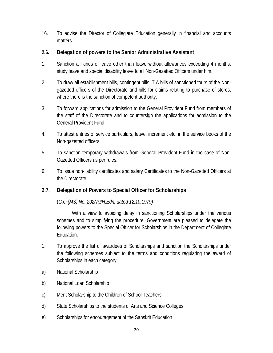16. To advise the Director of Collegiate Education generally in financial and accounts matters.

## **2.6. Delegation of powers to the Senior Administrative Assistant**

- 1. Sanction all kinds of leave other than leave without allowances exceeding 4 months, study leave and special disability leave to all Non-Gazetted Officers under him.
- 2. To draw all establishment bills, contingent bills, T.A bills of sanctioned tours of the Nongazetted officers of the Directorate and bills for claims relating to purchase of stores, where there is the sanction of competent authority.
- 3. To forward applications for admission to the General Provident Fund from members of the staff of the Directorate and to countersign the applications for admission to the General Provident Fund.
- 4. To attest entries of service particulars, leave, increment etc. in the service books of the Non-gazetted officers.
- 5. To sanction temporary withdrawals from General Provident Fund in the case of Non-Gazetted Officers as per rules.
- 6. To issue non-liability certificates and salary Certificates to the Non-Gazetted Officers at the Directorate.

# **2.7. Delegation of Powers to Special Officer for Scholarships**

# (*G.O.(MS) No. 202/79/H.Edn. dated 12.10.1979)*

 With a view to avoiding delay in sanctioning Scholarships under the various schemes and to simplifying the procedure, Government are pleased to delegate the following powers to the Special Officer for Scholarships in the Department of Collegiate Education.

- 1. To approve the list of awardees of Scholarships and sanction the Scholarships under the following schemes subject to the terms and conditions regulating the award of Scholarships in each category.
- a) National Scholarship
- b) National Loan Scholarship
- c) Merit Scholarship to the Children of School Teachers
- d) State Scholarships to the students of Arts and Science Colleges
- e) Scholarships for encouragement of the Sanskrit Education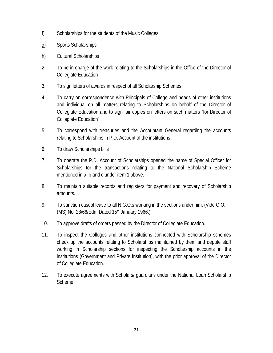- f) Scholarships for the students of the Music Colleges.
- g) Sports Scholarships
- h) Cultural Scholarships
- 2. To be in charge of the work relating to the Scholarships in the Office of the Director of Collegiate Education
- 3. To sign letters of awards in respect of all Scholarship Schemes.
- 4. To carry on correspondence with Principals of College and heads of other institutions and individual on all matters relating to Scholarships on behalf of the Director of Collegiate Education and to sign fair copies on letters on such matters "for Director of Collegiate Education".
- 5. To correspond with treasuries and the Accountant General regarding the accounts relating to Scholarships in P.D. Account of the institutions
- 6. To draw Scholarships bills
- 7. To operate the P.D. Account of Scholarships opened the name of Special Officer for Scholarships for the transactions relating to the National Scholarship Scheme mentioned in a, b and c under item 1 above.
- 8. To maintain suitable records and registers for payment and recovery of Scholarship amounts.
- 9. To sanction casual leave to all N.G.O.s working in the sections under him. (Vide G.O. (MS) No. 28/66/Edn. Dated 15<sup>th</sup> January 1966.)
- 10. To approve drafts of orders passed by the Director of Collegiate Education.
- 11. To inspect the Colleges and other institutions connected with Scholarship schemes check up the accounts relating to Scholarships maintained by them and depute staff working in Scholarship sections for inspecting the Scholarship accounts in the institutions (Government and Private Institution), with the prior approval of the Director of Collegiate Education.
- 12. To execute agreements with Scholars/ guardians under the National Loan Scholarship Scheme.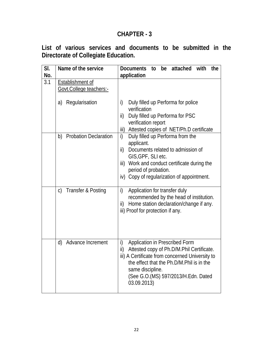**List of various services and documents to be submitted in the Directorate of Collegiate Education.** 

| SI.<br>No. | Name of the service                           | <b>Documents</b><br>be attached<br>with<br>the<br>to<br>application                                                                                                                                                                                                  |
|------------|-----------------------------------------------|----------------------------------------------------------------------------------------------------------------------------------------------------------------------------------------------------------------------------------------------------------------------|
| 3.1        | Establishment of<br>Govt.College teachers:-   |                                                                                                                                                                                                                                                                      |
|            | Regularisation<br>a)                          | i)<br>Duly filled up Performa for police<br>verification<br>Duly filled up Performa for PSC<br>ii)<br>verification report<br>Attested copies of NET/Ph.D certificate<br>iii)                                                                                         |
|            | <b>Probation Declaration</b><br>b)            | Duly filled up Performa from the<br>i)<br>applicant.<br>ii)<br>Documents related to admission of<br>GIS, GPF, SLI etc.<br>iii)<br>Work and conduct certificate during the<br>period of probation.<br>iv) Copy of regularization of appointment.                      |
|            | $\mathsf{C}$<br><b>Transfer &amp; Posting</b> | Application for transfer duly<br>i)<br>recommended by the head of institution.<br>Home station declaration/change if any.<br>ii)<br>iii) Proof for protection if any.                                                                                                |
|            | Advance Increment<br>d)                       | i)<br>Application in Prescribed Form<br>Attested copy of Ph.D/M.Phil Certificate.<br>ii)<br>iii) A Certificate from concerned University to<br>the effect that the Ph.D/M.Phil is in the<br>same discipline.<br>(See G.O. (MS) 597/2013/H. Edn. Dated<br>03.09.2013) |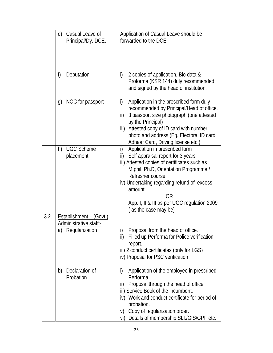|      | Casual Leave of<br>e)<br>Principal/Dy. DCE.                                    | Application of Casual Leave should be<br>forwarded to the DCE.                                                                                                                                                                                                                                                                    |
|------|--------------------------------------------------------------------------------|-----------------------------------------------------------------------------------------------------------------------------------------------------------------------------------------------------------------------------------------------------------------------------------------------------------------------------------|
|      | f)<br>Deputation                                                               | 2 copies of application, Bio data &<br>i)<br>Proforma (KSR 144) duly recommended<br>and signed by the head of institution.                                                                                                                                                                                                        |
|      | NOC for passport<br>g)                                                         | i)<br>Application in the prescribed form duly<br>recommended by Principal/Head of office.<br>3 passport size photograph (one attested<br>ii)<br>by the Principal)<br>Attested copy of ID card with number<br>iii)<br>photo and address (Eg. Electoral ID card,<br>Adhaar Card, Driving license etc.)                              |
|      | <b>UGC Scheme</b><br>h)<br>placement                                           | Application in prescribed form<br>i)<br>Self appraisal report for 3 years<br>ii)<br>iii) Attested copies of certificates such as<br>M.phil, Ph.D, Orientation Programme /<br>Refresher course<br>iv) Undertaking regarding refund of excess<br>amount<br>0R<br>App. I, II & III as per UGC regulation 2009<br>as the case may be) |
| 3.2. | <u> Establishment – (Govt.)</u><br>Administrative staff:-<br>a) Regularization | Proposal from the head of office.<br>i)<br>Filled up Performa for Police verification<br>ii)<br>report.<br>iii) 2 conduct certificates (only for LGS)<br>iv) Proposal for PSC verification                                                                                                                                        |
|      | Declaration of<br>b)<br>Probation                                              | i)<br>Application of the employee in prescribed<br>Performa.<br>Proposal through the head of office.<br>ii)<br>iii) Service Book of the incumbent.<br>iv) Work and conduct certificate for period of<br>probation.<br>Copy of regularization order.<br>V)<br>Details of membership SLI./GIS/GPF etc.<br>vi)                       |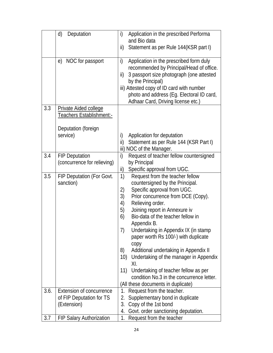|      | d)<br>Deputation                                                | i)<br>Application in the prescribed Performa<br>and Bio data                              |
|------|-----------------------------------------------------------------|-------------------------------------------------------------------------------------------|
|      |                                                                 | Statement as per Rule 144(KSR part I)<br>ii)                                              |
|      | NOC for passport<br>e)                                          | Application in the prescribed form duly<br>i)<br>recommended by Principal/Head of office. |
|      |                                                                 | 3 passport size photograph (one attested<br>ii)<br>by the Principal)                      |
|      |                                                                 | iii) Attested copy of ID card with number                                                 |
|      |                                                                 | photo and address (Eg. Electoral ID card,<br>Adhaar Card, Driving license etc.)           |
| 3.3  | <b>Private Aided college</b><br><b>Teachers Establishment:-</b> |                                                                                           |
|      |                                                                 |                                                                                           |
|      | Deputation (foreign                                             |                                                                                           |
|      | service)                                                        | i)<br>Application for deputation<br>Statement as per Rule 144 (KSR Part I)<br>ii)         |
|      |                                                                 | iii) NOC of the Manager.                                                                  |
| 3.4  | <b>FIP Deputation</b>                                           | i)<br>Request of teacher fellow countersigned                                             |
|      | (concurrence for relieving)                                     | by Principal<br>Specific approval from UGC.<br>ii)                                        |
| 3.5  | FIP Deputation (For Govt.                                       | 1)<br>Request from the teacher fellow                                                     |
|      | sanction)                                                       | countersigned by the Principal.                                                           |
|      |                                                                 | Specific approval from UGC.<br>2)                                                         |
|      |                                                                 | 3)<br>Prior concurrence from DCE (Copy).<br>Relieving order.<br>4)                        |
|      |                                                                 | 5)<br>Joining report in Annexure iv                                                       |
|      |                                                                 | Bio-data of the teacher fellow in<br>6)                                                   |
|      |                                                                 | Appendix B.                                                                               |
|      |                                                                 | 7)<br>Undertaking in Appendix IX (in stamp                                                |
|      |                                                                 | paper worth Rs 100/-) with duplicate                                                      |
|      |                                                                 | copy<br>8)<br>Additional undertaking in Appendix II                                       |
|      |                                                                 | Undertaking of the manager in Appendix<br>10)                                             |
|      |                                                                 | XI.<br>Undertaking of teacher fellow as per<br>11)                                        |
|      |                                                                 | condition No.3 in the concurrence letter.                                                 |
|      |                                                                 | (All these documents in duplicate)                                                        |
| 3.6. | <b>Extension of concurrence</b>                                 | Request from the teacher.<br>1.                                                           |
|      | of FIP Deputation for TS                                        | Supplementary bond in duplicate<br>2.                                                     |
|      | (Extension)                                                     | Copy of the 1st bond<br>3.<br>Govt. order sanctioning deputation.<br>4.                   |
| 3.7  | <b>FIP Salary Authorization</b>                                 | 1.<br>Request from the teacher                                                            |
|      |                                                                 |                                                                                           |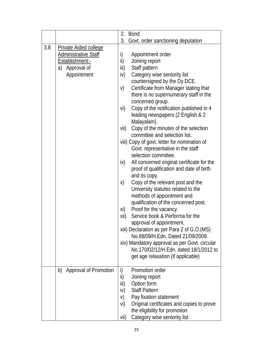|     |                                                                                                                    | 2.<br>Bond                                                                                                                                                                                                                                                                                                                                                                                                                                                                                                                                                                                                                                                                                                                                                                                                                                                                                                                                                                                                                                                                                                                                                               |
|-----|--------------------------------------------------------------------------------------------------------------------|--------------------------------------------------------------------------------------------------------------------------------------------------------------------------------------------------------------------------------------------------------------------------------------------------------------------------------------------------------------------------------------------------------------------------------------------------------------------------------------------------------------------------------------------------------------------------------------------------------------------------------------------------------------------------------------------------------------------------------------------------------------------------------------------------------------------------------------------------------------------------------------------------------------------------------------------------------------------------------------------------------------------------------------------------------------------------------------------------------------------------------------------------------------------------|
|     |                                                                                                                    | 3.<br>Govt. order sanctioning deputation                                                                                                                                                                                                                                                                                                                                                                                                                                                                                                                                                                                                                                                                                                                                                                                                                                                                                                                                                                                                                                                                                                                                 |
| 3.8 | <b>Private Aided college</b><br><b>Administrative Staff</b><br>Establishment:-<br>Approval of<br>a)<br>Appointment | i)<br>Appointment order<br>ii)<br>Joining report<br>Staff pattern<br>iii)<br>Category wise seniority list<br>iv)<br>countersigned by the Dy.DCE.<br>Certificate from Manager stating that<br>V)<br>there is no supernumerary staff in the<br>concerned group.<br>Copy of the notification published in 4<br>vi)<br>leading newspapers (2 English & 2<br>Malayalam).<br>Copy of the minutes of the selection<br>vii)<br>committee and selection list.<br>viii) Copy of govt. letter for nomination of<br>Govt. representative in the staff<br>selection committee.<br>All concerned original certificate for the<br>ix)<br>proof of qualification and date of birth<br>and its copy.<br>Copy of the relevant post and the<br>X)<br>University statutes related to the<br>methods of appointment and<br>qualification of the concerned post.<br>Proof for the vacancy.<br>xi)<br>Service book & Performa for the<br>xii)<br>approval of appointment.<br>xiii) Declaration as per Para 2 of G.O.(MS)<br>No.88/09/H.Edn. Dated 21/09/2009.<br>xiv) Mandatory approval as per Govt. circular<br>No.170/02/12/H.Edn. dated 18/1/2012 to<br>get age relaxation. (if applicable) |
|     | Approval of Promotion<br>b)                                                                                        | Promotion order<br>i)<br>ii)<br>Joining report<br>iii)<br>Option form<br><b>Staff Pattern</b><br>iv)<br>V)<br>Pay fixation statement<br>Original certificates and copies to prove<br>vi)<br>the eligibility for promotion<br>Category wise seniority list<br>vii)                                                                                                                                                                                                                                                                                                                                                                                                                                                                                                                                                                                                                                                                                                                                                                                                                                                                                                        |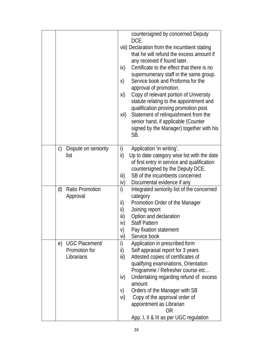|                                       | countersigned by concerned Deputy<br>DCE.                                         |
|---------------------------------------|-----------------------------------------------------------------------------------|
|                                       | viii) Declaration from the incumbent stating                                      |
|                                       | that he will refund the excess amount if                                          |
|                                       | any received if found later.                                                      |
|                                       | Certificate to the effect that there is no                                        |
|                                       | ix)                                                                               |
|                                       | supernumerary staff in the same group.<br>Service book and Proforma for the<br>X) |
|                                       | approval of promotion.                                                            |
|                                       | Copy of relevant portion of University<br>xi)                                     |
|                                       | statute relating to the appointment and                                           |
|                                       | qualification proving promotion post.                                             |
|                                       | Statement of relinquishment from the<br>xii)                                      |
|                                       | senior hand, if applicable (Counter                                               |
|                                       | signed by the Manager) together with his                                          |
|                                       | SB.                                                                               |
| Dispute on seniority<br>$\mathcal{C}$ | Application 'in writing'.<br>i)                                                   |
| list                                  | ii)<br>Up to date category wise list with the date                                |
|                                       | of first entry in service and qualification                                       |
|                                       | countersigned by the Deputy DCE.                                                  |
|                                       | SB of the incumbents concerned<br>iii)                                            |
|                                       | iv)<br>Documental evidence if any                                                 |
| <b>Ratio Promotion</b><br>d)          | i)<br>Integrated seniority list of the concerned                                  |
| Approval                              | category                                                                          |
|                                       | ii)<br>Promotion Order of the Manager                                             |
|                                       | ii)<br>Joining report                                                             |
|                                       | Option and declaration<br>iii)                                                    |
|                                       | <b>Staff Pattern</b><br>iv)                                                       |
|                                       | V)<br>Pay fixation statement                                                      |
|                                       | Service book<br>vi)                                                               |
| UGC Placement/<br>e)                  | i)<br>Application in prescribed form                                              |
| Promotion for                         | Self appraisal report for 3 years<br>ii)                                          |
| Librarians                            | Attested copies of certificates of<br>iii)                                        |
|                                       | qualifying examinations, Orientation                                              |
|                                       | Programme / Refresher course etc                                                  |
|                                       | Undertaking regarding refund of excess<br>iv)                                     |
|                                       | amount                                                                            |
|                                       | Orders of the Manager with SB<br>V)                                               |
|                                       | Copy of the approval order of<br>vi)                                              |
|                                       | appointment as Librarian                                                          |
|                                       | 0R                                                                                |
|                                       | App. I, II & III as per UGC regulation                                            |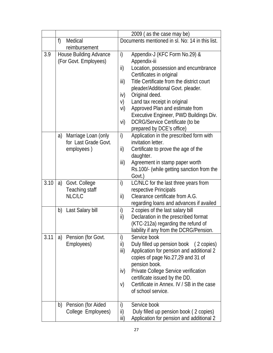|      |                                                              | 2009 (as the case may be)                                                                                                                                                                                                                                                                                                                                                                                                                          |  |
|------|--------------------------------------------------------------|----------------------------------------------------------------------------------------------------------------------------------------------------------------------------------------------------------------------------------------------------------------------------------------------------------------------------------------------------------------------------------------------------------------------------------------------------|--|
|      | f)<br>Medical                                                | Documents mentioned in sl. No: 14 in this list.                                                                                                                                                                                                                                                                                                                                                                                                    |  |
|      | reimbursement                                                |                                                                                                                                                                                                                                                                                                                                                                                                                                                    |  |
| 3.9  | <b>House Building Advance</b><br>(For Govt. Employees)       | Appendix-J (KFC Form No.29) &<br>i)<br>Appendix-iii<br>ii)<br>Location, possession and encumbrance<br>Certificates in original<br>Title Certificate from the district court<br>iii)<br>pleader/Additional Govt. pleader.<br>iv)<br>Original deed.<br>Land tax receipt in original<br>V)<br>Approved Plan and estimate from<br>vi)<br>Executive Engineer, PWD Buildings Div.<br>DCRG/Service Certificate (to be<br>vi)<br>prepared by DCE's office) |  |
|      | a) Marriage Loan (only<br>for Last Grade Govt.<br>employees) | i)<br>Application in the prescribed form with<br>invitation letter.<br>ii)<br>Certificate to prove the age of the<br>daughter.<br>iii)<br>Agreement in stamp paper worth<br>Rs.100/- (while getting sanction from the<br>Govt.)                                                                                                                                                                                                                    |  |
| 3.10 | Govt. College<br>a)<br>Teaching staff<br>NLC/LC              | LC/NLC for the last three years from<br>i)<br>respective Principals<br>ii)<br>Clearance certificate from A.G.<br>regarding loans and advances if availed                                                                                                                                                                                                                                                                                           |  |
|      | Last Salary bill<br>b)                                       | i)<br>2 copies of the last salary bill<br>ii)<br>Declaration in the prescribed format<br>(KTC-212a) regarding the refund of<br>liability if any from the DCRG/Pension.                                                                                                                                                                                                                                                                             |  |
| 3.11 | Pension (for Govt.<br>a)<br>Employees)                       | i)<br>Service book<br>ii)<br>Duly filled up pension book (2 copies)<br>Application for pension and additional 2<br>iii)<br>copies of page No.27,29 and 31 of<br>pension book.<br>Private College Service verification<br>iv)<br>certificate issued by the DD.<br>Certificate in Annex. IV / SB in the case<br>V)<br>of school service.                                                                                                             |  |
|      | Pension (for Aided<br>b)<br>College Employees)               | i)<br>Service book<br>ii)<br>Duly filled up pension book (2 copies)<br>Application for pension and additional 2<br>iii)                                                                                                                                                                                                                                                                                                                            |  |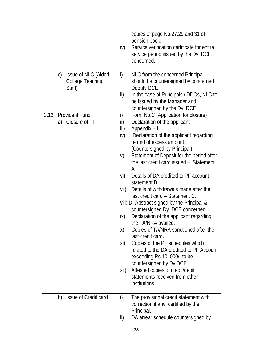|      |                                                                          | copies of page No.27,29 and 31 of<br>pension book.<br>Service verification certificate for entire<br>iv)<br>service period issued by the Dy. DCE.<br>concerned.                                                                                                                                                                                                                                                                                                                                                                                                                                                                                                                                                                                                                                                                                                                                                                                                |
|------|--------------------------------------------------------------------------|----------------------------------------------------------------------------------------------------------------------------------------------------------------------------------------------------------------------------------------------------------------------------------------------------------------------------------------------------------------------------------------------------------------------------------------------------------------------------------------------------------------------------------------------------------------------------------------------------------------------------------------------------------------------------------------------------------------------------------------------------------------------------------------------------------------------------------------------------------------------------------------------------------------------------------------------------------------|
|      | Issue of NLC (Aided<br>$\mathsf{C}$<br><b>College Teaching</b><br>Staff) | i)<br>NLC from the concerned Principal<br>should be countersigned by concerned<br>Deputy DCE.<br>ii)<br>In the case of Principals / DDOs, NLC to<br>be issued by the Manager and<br>countersigned by the Dy. DCE.                                                                                                                                                                                                                                                                                                                                                                                                                                                                                                                                                                                                                                                                                                                                              |
| 3.12 | <b>Provident Fund</b><br>Closure of PF<br>a)                             | i)<br>Form No.C (Application for closure)<br>ii)<br>Declaration of the applicant<br>iii)<br>Appendix - I<br>iv)<br>Declaration of the applicant regarding<br>refund of excess amount.<br>(Countersigned by Principal).<br>Statement of Deposit for the period after<br>V)<br>the last credit card issued - Statement<br>A<br>Details of DA credited to PF account -<br>vi)<br>statement B.<br>Details of withdrawals made after the<br>vii)<br>last credit card - Statement C.<br>viii) D- Abstract signed by the Principal &<br>countersigned Dy. DCE concerned.<br>Declaration of the applicant regarding<br>ix)<br>the TA/NRA availed.<br>Copies of TA/NRA sanctioned after the<br>X)<br>last credit card.<br>Copies of the PF schedules which<br>xi)<br>related to the DA credited to PF Account<br>exceeding Rs.10, 000/- to be<br>countersigned by Dy.DCE.<br>Attested copies of credit/debit<br>xii)<br>statements received from other<br>institutions. |
|      | Issue of Credit card<br>b)                                               | i)<br>The provisional credit statement with<br>correction if any, certified by the<br>Principal.                                                                                                                                                                                                                                                                                                                                                                                                                                                                                                                                                                                                                                                                                                                                                                                                                                                               |
|      |                                                                          | DA arrear schedule countersigned by<br>ii)                                                                                                                                                                                                                                                                                                                                                                                                                                                                                                                                                                                                                                                                                                                                                                                                                                                                                                                     |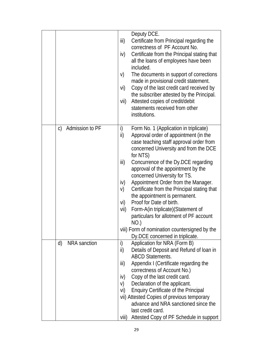|                                 | Deputy DCE.<br>iii)<br>Certificate from Principal regarding the<br>correctness of PF Account No.<br>iv)<br>Certificate from the Principal stating that<br>all the loans of employees have been<br>included.<br>The documents in support of corrections<br>V)<br>made in provisional credit statement.<br>Copy of the last credit card received by<br>vi)<br>the subscriber attested by the Principal.<br>Attested copies of credit/debit<br>vii)<br>statements received from other<br>institutions.                                                                                                                                                                            |
|---------------------------------|--------------------------------------------------------------------------------------------------------------------------------------------------------------------------------------------------------------------------------------------------------------------------------------------------------------------------------------------------------------------------------------------------------------------------------------------------------------------------------------------------------------------------------------------------------------------------------------------------------------------------------------------------------------------------------|
| Admission to PF<br>$\mathsf{C}$ | Form No. 1 (Application in triplicate)<br>i)<br>Approval order of appointment (in the<br>ii)<br>case teaching staff approval order from<br>concerned University and from the DCE<br>for NTS)<br>iii)<br>Concurrence of the Dy.DCE regarding<br>approval of the appointment by the<br>concerned University for TS.<br>Appointment Order from the Manager.<br>iv)<br>Certificate from the Principal stating that<br>V)<br>the appointment is permanent.<br>Proof for Date of birth.<br>vi)<br>vii)<br>Form-A(in triplicate) (Statement of<br>particulars for allotment of PF account<br>NO.)<br>viii) Form of nomination countersigned by the<br>Dy.DCE concerned in triplicate. |
| d)<br><b>NRA</b> sanction       | Application for NRA (Form B)<br>i)<br>Details of Deposit and Refund of Ioan in<br>ii)<br><b>ABCD Statements.</b><br>Appendix I (Certificate regarding the<br>iii)<br>correctness of Account No.)<br>Copy of the last credit card.<br>iv)<br>Declaration of the applicant.<br>V)<br><b>Enquiry Certificate of the Principal</b><br>vi)<br>vii) Attested Copies of previous temporary<br>advance and NRA sanctioned since the<br>last credit card.<br>Attested Copy of PF Schedule in support<br>viii)                                                                                                                                                                           |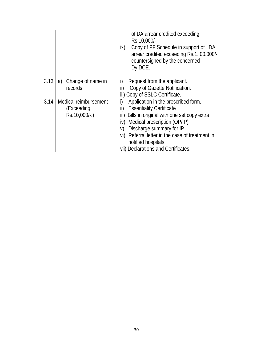|      |                       | of DA arrear credited exceeding<br>Rs.10,000/-<br>Copy of PF Schedule in support of DA<br>ix)<br>arrear credited exceeding Rs.1, 00,000/-<br>countersigned by the concerned<br>Dy.DCE. |
|------|-----------------------|----------------------------------------------------------------------------------------------------------------------------------------------------------------------------------------|
| 3.13 | a) Change of name in  | i)<br>Request from the applicant.                                                                                                                                                      |
|      | records               | ii)<br>Copy of Gazette Notification.                                                                                                                                                   |
|      |                       | iii) Copy of SSLC Certificate.                                                                                                                                                         |
| 3.14 | Medical reimbursement | i)<br>Application in the prescribed form.                                                                                                                                              |
|      | (Exceeding            | ii)<br><b>Essentiality Certificate</b>                                                                                                                                                 |
|      | Rs.10,000/-.)         | Bills in original with one set copy extra<br>iii)                                                                                                                                      |
|      |                       | Medical prescription (OP/IP)<br>iv)                                                                                                                                                    |
|      |                       | Discharge summary for IP<br>V)                                                                                                                                                         |
|      |                       | Referral letter in the case of treatment in<br>vi)                                                                                                                                     |
|      |                       | notified hospitals                                                                                                                                                                     |
|      |                       | vii) Declarations and Certificates.                                                                                                                                                    |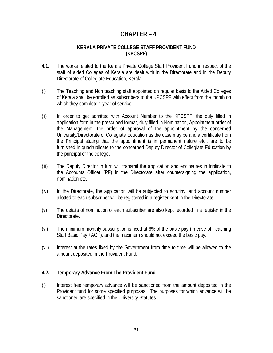# **CHAPTER – 4**

#### **KERALA PRIVATE COLLEGE STAFF PROVIDENT FUND (KPCSPF)**

- **4.1.** The works related to the Kerala Private College Staff Provident Fund in respect of the staff of aided Colleges of Kerala are dealt with in the Directorate and in the Deputy Directorate of Collegiate Education, Kerala.
- (i) The Teaching and Non teaching staff appointed on regular basis to the Aided Colleges of Kerala shall be enrolled as subscribers to the KPCSPF with effect from the month on which they complete 1 year of service.
- (ii) In order to get admitted with Account Number to the KPCSPF, the duly filled in application form in the prescribed format, duly filled in Nomination, Appointment order of the Management, the order of approval of the appointment by the concerned University/Directorate of Collegiate Education as the case may be and a certificate from the Principal stating that the appointment is in permanent nature etc., are to be furnished in quadruplicate to the concerned Deputy Director of Collegiate Education by the principal of the college.
- (iii) The Deputy Director in turn will transmit the application and enclosures in triplicate to the Accounts Officer (PF) in the Directorate after countersigning the application, nomination etc.
- (iv) In the Directorate, the application will be subjected to scrutiny, and account number allotted to each subscriber will be registered in a register kept in the Directorate.
- (v) The details of nomination of each subscriber are also kept recorded in a register in the Directorate.
- (vi) The minimum monthly subscription is fixed at 6% of the basic pay (In case of Teaching Staff Basic Pay +AGP), and the maximum should not exceed the basic pay.
- (vii) Interest at the rates fixed by the Government from time to time will be allowed to the amount deposited in the Provident Fund.

#### **4.2. Temporary Advance From The Provident Fund**

(i) Interest free temporary advance will be sanctioned from the amount deposited in the Provident fund for some specified purposes. The purposes for which advance will be sanctioned are specified in the University Statutes.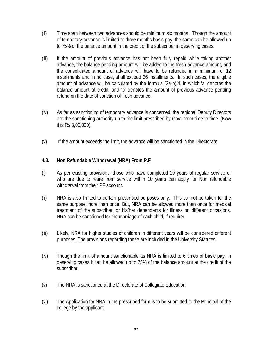- (ii) Time span between two advances should be minimum six months. Though the amount of temporary advance is limited to three months basic pay, the same can be allowed up to 75% of the balance amount in the credit of the subscriber in deserving cases.
- (iii) If the amount of previous advance has not been fully repaid while taking another advance, the balance pending amount will be added to the fresh advance amount, and the consolidated amount of advance will have to be refunded in a minimum of 12 installments and in no case, shall exceed 36 installments. In such cases, the eligible amount of advance will be calculated by the formula (3a-b)/4, in which 'a' denotes the balance amount at credit, and 'b' denotes the amount of previous advance pending refund on the date of sanction of fresh advance.
- (iv) As far as sanctioning of temporary advance is concerned, the regional Deputy Directors are the sanctioning authority up to the limit prescribed by Govt. from time to time. (Now it is Rs.3,00,000).
- (v) If the amount exceeds the limit, the advance will be sanctioned in the Directorate.

#### **4.3. Non Refundable Withdrawal (NRA) From P.F**

- (i) As per existing provisions, those who have completed 10 years of regular service or who are due to retire from service within 10 years can apply for Non refundable withdrawal from their PF account.
- (ii) NRA is also limited to certain prescribed purposes only. This cannot be taken for the same purpose more than once. But, NRA can be allowed more than once for medical treatment of the subscriber, or his/her dependents for illness on different occasions. NRA can be sanctioned for the marriage of each child, if required.
- (iii) Likely, NRA for higher studies of children in different years will be considered different purposes. The provisions regarding these are included in the University Statutes.
- (iv) Though the limit of amount sanctionable as NRA is limited to 6 times of basic pay, in deserving cases it can be allowed up to 75% of the balance amount at the credit of the subscriber.
- (v) The NRA is sanctioned at the Directorate of Collegiate Education.
- (vi) The Application for NRA in the prescribed form is to be submitted to the Principal of the college by the applicant.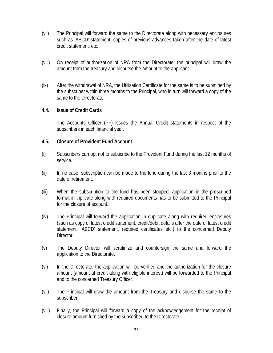- (vii) The Principal will forward the same to the Directorate along with necessary enclosures such as 'ABCD' statement, copies of previous advances taken after the date of latest credit statement, etc.
- (viii) On receipt of authorization of NRA from the Directorate, the principal will draw the amount from the treasury and disburse the amount to the applicant.
- (ix) After the withdrawal of NRA, the Utilisation Certificate for the same is to be submitted by the subscriber within three months to the Principal, who in turn will forward a copy of the same to the Directorate.

#### **4.4. Issue of Credit Cards**

The Accounts Officer (PF) issues the Annual Credit statements in respect of the subscribers in each financial year.

#### **4.5. Closure of Provident Fund Account**

- (i) Subscribers can opt not to subscribe to the Provident Fund during the last 12 months of service.
- (ii) In no case, subscription can be made to the fund during the last 3 months prior to the date of retirement.
- (iii) When the subscription to the fund has been stopped, application in the prescribed format in triplicate along with required documents has to be submitted to the Principal for the closure of account.
- (iv) The Principal will forward the application in duplicate along with required enclosures (such as copy of latest credit statement, credit/debit details after the date of latest credit statement, 'ABCD' statement, required certificates etc.) to the concerned Deputy Director.
- (v) The Deputy Director will scrutinize and countersign the same and forward the application to the Directorate.
- (vi) In the Directorate, the application will be verified and the authorization for the closure amount (amount at credit along with eligible interest) will be forwarded to the Principal and to the concerned Treasury Officer.
- (vii) The Principal will draw the amount from the Treasury and disburse the same to the subscriber.
- (viii) Finally, the Principal will forward a copy of the acknowledgement for the receipt of closure amount furnished by the subscriber, to the Directorate.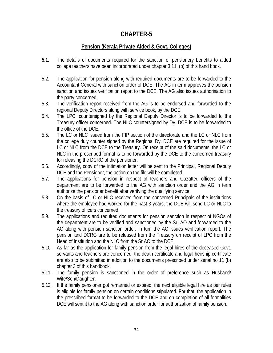## **Pension (Kerala Private Aided & Govt. Colleges)**

- **5.1.** The details of documents required for the sanction of pensionery benefits to aided college teachers have been incorporated under chapter 3.11. (b) of this hand book.
- 5.2. The application for pension along with required documents are to be forwarded to the Accountant General with sanction order of DCE. The AG in term approves the pension sanction and issues verification report to the DCE. The AG also issues authorisation to the party concerned.
- 5.3. The verification report received from the AG is to be endorsed and forwarded to the regional Deputy Directors along with service book, by the DCE.
- 5.4. The LPC, countersigned by the Regional Deputy Director is to be forwarded to the Treasury officer concerned. The NLC countersigned by Dy. DCE is to be forwarded to the office of the DCE.
- 5.5. The LC or NLC issued from the FIP section of the directorate and the LC or NLC from the college duly counter signed by the Regional Dy. DCE are required for the issue of LC or NLC from the DCE to the Treasury. On receipt of the said documents, the LC or NLC in the prescribed format is to be forwarded by the DCE to the concerned treasury for releasing the DCRG of the pensioner.
- 5.6. Accordingly, copy of the intimation letter will be sent to the Principal, Regional Deputy DCE and the Pensioner, the action on the file will be completed.
- 5.7. The applications for pension in respect of teachers and Gazatted officers of the department are to be forwarded to the AG with sanction order and the AG in term authorize the pensioner benefit after verifying the qualifying service.
- 5.8. On the basis of LC or NLC received from the concerned Principals of the institutions where the employee had worked for the past 3 years, the DCE will send LC or NLC to the treasury officers concerned.
- 5.9. The applications and required documents for pension sanction in respect of NGOs of the department are to be verified and sanctioned by the Sr. AO and forwarded to the AG along with pension sanction order. In turn the AG issues verification report. The pension and DCRG are to be released from the Treasury on receipt of LPC from the Head of Institution and the NLC from the Sr AO to the DCE.
- 5.10. As far as the application for family pension from the legal hires of the deceased Govt. servants and teachers are concerned, the death certificate and legal heirship certificate are also to be submitted in addition to the documents prescribed under serial no 11 (b) chapter 3 of this handbook.
- 5.11. The family pension is sanctioned in the order of preference such as Husband/ Wife/Son/Daughter.
- 5.12. If the family pensioner got remarried or expired, the next eligible legal hire as per rules is eligible for family pension on certain conditions stipulated. For that, the application in the prescribed format to be forwarded to the DCE and on completion of all formalities DCE will sent it to the AG along with sanction order for authorization of family pension.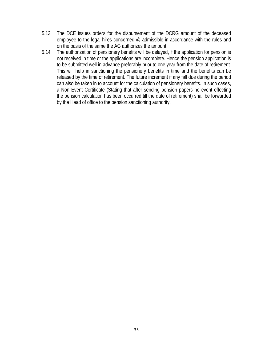- 5.13. The DCE issues orders for the disbursement of the DCRG amount of the deceased employee to the legal hires concerned @ admissible in accordance with the rules and on the basis of the same the AG authorizes the amount.
- 5.14. The authorization of pensionery benefits will be delayed, if the application for pension is not received in time or the applications are incomplete. Hence the pension application is to be submitted well in advance preferably prior to one year from the date of retirement. This will help in sanctioning the pensionery benefits in time and the benefits can be released by the time of retirement. The future increment if any fall due during the period can also be taken in to account for the calculation of pensionery benefits. In such cases, a Non Event Certificate (Stating that after sending pension papers no event effecting the pension calculation has been occurred till the date of retirement) shall be forwarded by the Head of office to the pension sanctioning authority.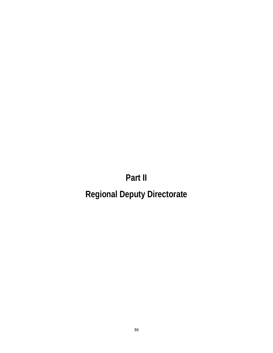# **Part II**

# **Regional Deputy Directorate**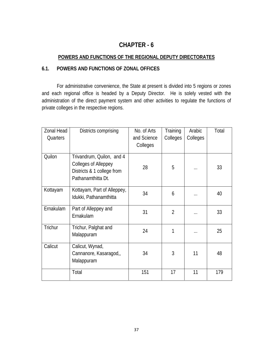# **POWERS AND FUNCTIONS OF THE REGIONAL DEPUTY DIRECTORATES**

## **6.1. POWERS AND FUNCTIONS OF ZONAL OFFICES**

 For administrative convenience, the State at present is divided into 5 regions or zones and each regional office is headed by a Deputy Director. He is solely vested with the administration of the direct payment system and other activities to regulate the functions of private colleges in the respective regions.

| Zonal Head | Districts comprising                                                                                         | No. of Arts | Training       | Arabic   | Total |
|------------|--------------------------------------------------------------------------------------------------------------|-------------|----------------|----------|-------|
| Quarters   |                                                                                                              | and Science | Colleges       | Colleges |       |
|            |                                                                                                              | Colleges    |                |          |       |
| Quilon     | Trivandrum, Quilon, and 4<br><b>Colleges of Alleppey</b><br>Districts & 1 college from<br>Pathanamthitta Dt. | 28          | 5              | .        | 33    |
| Kottayam   | Kottayam, Part of Alleppey,<br>Idukki, Pathanamthitta                                                        | 34          | 6              | .        | 40    |
| Ernakulam  | Part of Alleppey and<br>Ernakulam                                                                            | 31          | $\overline{2}$ | .        | 33    |
| Trichur    | Trichur, Palghat and<br>Malappuram                                                                           | 24          | 1              | $\cdots$ | 25    |
| Calicut    | Calicut, Wynad,<br>Cannanore, Kasaragod,,<br>Malappuram                                                      | 34          | 3              | 11       | 48    |
|            | Total                                                                                                        | 151         | 17             | 11       | 179   |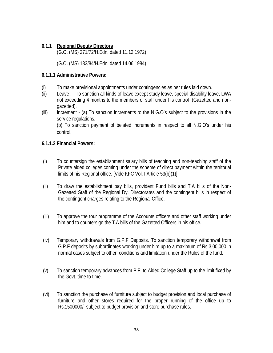#### **6.1.1 Regional Deputy Directors**

(G.O. (MS) 271/72/H.Edn. dated 11.12.1972)

(G.O. (MS) 133/84/H.Edn. dated 14.06.1984)

#### **6.1.1.1 Administrative Powers:**

- (i) To make provisional appointments under contingencies as per rules laid down.
- (ii) Leave : To sanction all kinds of leave except study leave, special disability leave, LWA not exceeding 4 months to the members of staff under his control (Gazetted and nongazetted).
- (iii) Increment (a) To sanction increments to the N.G.O's subject to the provisions in the service regulations. (b) To sanction payment of belated increments in respect to all N.G.O's under his

control.

#### **6.1.1.2 Financial Powers:**

- (i) To countersign the establishment salary bills of teaching and non-teaching staff of the Private aided colleges coming under the scheme of direct payment within the territorial limits of his Regional office. [Vide KFC Vol. I Article 53(b)(1)]
- (ii) To draw the establishment pay bills, provident Fund bills and T.A bills of the Non-Gazetted Staff of the Regional Dy. Directorates and the contingent bills in respect of the contingent charges relating to the Regional Office.
- (iii) To approve the tour programme of the Accounts officers and other staff working under him and to countersign the T.A bills of the Gazetted Officers in his office.
- (iv) Temporary withdrawals from G.P.F Deposits. To sanction temporary withdrawal from G.P.F deposits by subordinates working under him up to a maximum of Rs.3,00,000 in normal cases subject to other conditions and limitation under the Rules of the fund.
- (v) To sanction temporary advances from P.F. to Aided College Staff up to the limit fixed by the Govt. time to time.
- (vi) To sanction the purchase of furniture subject to budget provision and local purchase of furniture and other stores required for the proper running of the office up to Rs.1500000/- subject to budget provision and store purchase rules.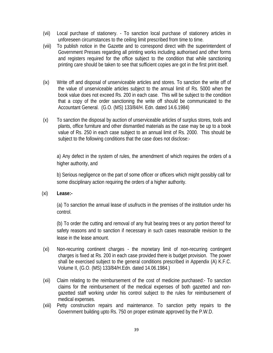- (vii) Local purchase of stationery. To sanction local purchase of stationery articles in unforeseen circumstances to the ceiling limit prescribed from time to time.
- (viii) To publish notice in the Gazette and to correspond direct with the superintendent of Government Presses regarding all printing works including authorised and other forms and registers required for the office subject to the condition that while sanctioning printing care should be taken to see that sufficient copies are got in the first print itself.
- (ix) Write off and disposal of unserviceable articles and stores. To sanction the write off of the value of unserviceable articles subject to the annual limit of Rs. 5000 when the book value does not exceed Rs. 200 in each case. This will be subject to the condition that a copy of the order sanctioning the write off should be communicated to the Accountant General. (G.O. (MS) 133/84/H. Edn. dated 14.6.1984)
- (x) To sanction the disposal by auction of unserviceable articles of surplus stores, tools and plants, office furniture and other dismantled materials as the case may be up to a book value of Rs. 250 in each case subject to an annual limit of Rs. 2000. This should be subject to the following conditions that the case does not disclose:-

a) Any defect in the system of rules, the amendment of which requires the orders of a higher authority, and

b) Serious negligence on the part of some officer or officers which might possibly call for some disciplinary action requiring the orders of a higher authority.

(xi) **Lease:-** 

(a) To sanction the annual lease of usufructs in the premises of the institution under his control.

(b) To order the cutting and removal of any fruit bearing trees or any portion thereof for safety reasons and to sanction if necessary in such cases reasonable revision to the lease in the lease amount.

- (xi) Non-recurring continent charges the monetary limit of non-recurring contingent charges is fixed at Rs. 200 in each case provided there is budget provision. The power shall be exercised subject to the general conditions prescribed in Appendix (A) K.F.C. Volume II, (G.O. (MS) 133/84/H.Edn. dated 14.06.1984.)
- (xii) Claim relating to the reimbursement of the cost of medicine purchased:- To sanction claims for the reimbursement of the medical expenses of both gazetted and nongazetted staff working under his control subject to the rules for reimbursement of medical expenses.
- (xiii) Petty construction repairs and maintenance. To sanction petty repairs to the Government building upto Rs. 750 on proper estimate approved by the P.W.D.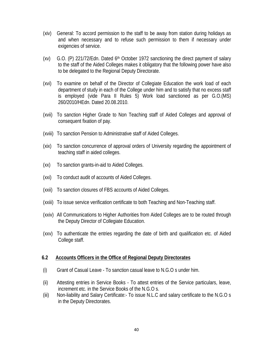- (xiv) General: To accord permission to the staff to be away from station during holidays as and when necessary and to refuse such permission to them if necessary under exigencies of service.
- (xv) G.O. (P) 221/72/Edn. Dated  $6<sup>th</sup>$  October 1972 sanctioning the direct payment of salary to the staff of the Aided Colleges makes it obligatory that the following power have also to be delegated to the Regional Deputy Directorate.
- (xvi) To examine on behalf of the Director of Collegiate Education the work load of each department of study in each of the College under him and to satisfy that no excess staff is employed (vide Para II Rules 5) Work load sanctioned as per G.O.(MS) 260/2010/HEdn. Dated 20.08.2010.
- (xvii) To sanction Higher Grade to Non Teaching staff of Aided Colleges and approval of consequent fixation of pay.
- (xviii) To sanction Pension to Administrative staff of Aided Colleges.
- (xix) To sanction concurrence of approval orders of University regarding the appointment of teaching staff in aided colleges.
- (xx) To sanction grants-in-aid to Aided Colleges.
- (xxi) To conduct audit of accounts of Aided Colleges.
- (xxii) To sanction closures of FBS accounts of Aided Colleges.
- (xxiii) To issue service verification certificate to both Teaching and Non-Teaching staff.
- (xxiv) All Communications to Higher Authorities from Aided Colleges are to be routed through the Deputy Director of Collegiate Education.
- (xxv) To authenticate the entries regarding the date of birth and qualification etc. of Aided College staff.

#### **6.2 Accounts Officers in the Office of Regional Deputy Directorates**

- (i) Grant of Casual Leave To sanction casual leave to N.G.O s under him.
- (ii) Attesting entries in Service Books To attest entries of the Service particulars, leave, increment etc. in the Service Books of the N.G.O s.
- (iii) Non-liability and Salary Certificate:- To issue N.L.C and salary certificate to the N.G.O s in the Deputy Directorates.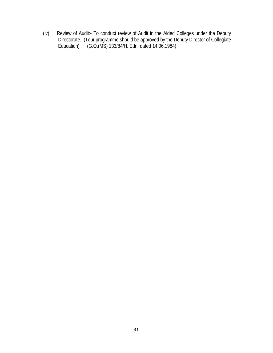(iv) Review of Audit:- To conduct review of Audit in the Aided Colleges under the Deputy Directorate. (Tour programme should be approved by the Deputy Director of Collegiate Education) (G.O.(MS) 133/84/H. Edn. dated 14.06.1984)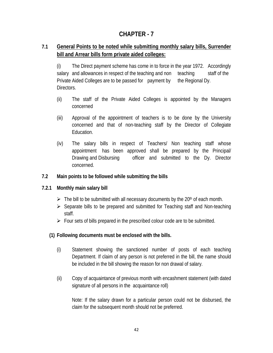# **7.1 General Points to be noted while submitting monthly salary bills, Surrender bill and Arrear bills form private aided colleges:**

 (i) The Direct payment scheme has come in to force in the year 1972. Accordingly salary and allowances in respect of the teaching and non teaching staff of the Private Aided Colleges are to be passed for payment by the Regional Dy. Directors.

- (ii) The staff of the Private Aided Colleges is appointed by the Managers concerned
- (iii) Approval of the appointment of teachers is to be done by the University concerned and that of non-teaching staff by the Director of Collegiate Education.
- (iv) The salary bills in respect of Teachers/ Non teaching staff whose appointment has been approved shall be prepared by the Principal/ Drawing and Disbursing officer and submitted to the Dy. Director concerned.

#### **7.2 Main points to be followed while submitting the bills**

#### **7.2.1 Monthly main salary bill**

- $\triangleright$  The bill to be submitted with all necessary documents by the 20<sup>th</sup> of each month.
- $\triangleright$  Separate bills to be prepared and submitted for Teaching staff and Non-teaching staff.
- $\triangleright$  Four sets of bills prepared in the prescribed colour code are to be submitted.

#### **(1) Following documents must be enclosed with the bills.**

- (i) Statement showing the sanctioned number of posts of each teaching Department. If claim of any person is not preferred in the bill, the name should be included in the bill showing the reason for non drawal of salary.
- (ii) Copy of acquaintance of previous month with encashment statement (with dated signature of all persons in the acquaintance roll)

Note: If the salary drawn for a particular person could not be disbursed, the claim for the subsequent month should not be preferred.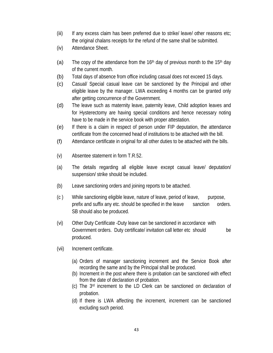- (iii) If any excess claim has been preferred due to strike/ leave/ other reasons etc; the original chalans receipts for the refund of the same shall be submitted.
- (iv) Attendance Sheet.
- (a) The copy of the attendance from the 16<sup>th</sup> day of previous month to the 15<sup>th</sup> day of the current month.
- (b) Total days of absence from office including casual does not exceed 15 days.
- (c) Casual/ Special casual leave can be sanctioned by the Principal and other eligible leave by the manager. LWA exceeding 4 months can be granted only after getting concurrence of the Government.
- (d) The leave such as maternity leave, paternity leave, Child adoption leaves and for Hysterectomy are having special conditions and hence necessary noting have to be made in the service book with proper attestation.
- (e) If there is a claim in respect of person under FIP deputation, the attendance certificate from the concerned head of institutions to be attached with the bill.
- (f) Attendance certificate in original for all other duties to be attached with the bills.
- (v) Absentee statement in form T.R.52.
- (a) The details regarding all eligible leave except casual leave/ deputation/ suspension/ strike should be included.
- (b) Leave sanctioning orders and joining reports to be attached.
- (c ) While sanctioning eligible leave, nature of leave, period of leave, purpose, prefix and suffix any etc. should be specified in the leave sanction orders. SB should also be produced.
- (vi) Other Duty Certificate -Duty leave can be sanctioned in accordance with Government orders. Duty certificate/ invitation call letter etc should be produced.
- (vii) Increment certificate.
	- (a) Orders of manager sanctioning increment and the Service Book after recording the same and by the Principal shall be produced.
	- (b) Increment in the post where there is probation can be sanctioned with effect from the date of declaration of probation.
	- (c) The 3rd increment to the LD Clerk can be sanctioned on declaration of probation.
	- (d) If there is LWA affecting the increment, increment can be sanctioned excluding such period.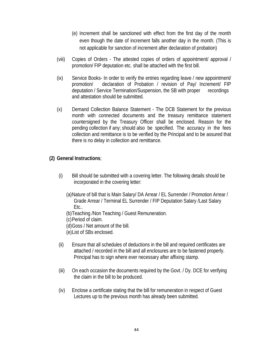- (e) Increment shall be sanctioned with effect from the first day of the month even though the date of increment falls another day in the month. (This is not applicable for sanction of increment after declaration of probation)
- (viii) Copies of Orders The attested copies of orders of appointment/ approval / promotion/ FIP deputation etc. shall be attached with the first bill.
- (ix) Service Books- In order to verify the entries regarding leave / new appointment/ promotion/ declaration of Probation / revision of Pay/ Increment/ FIP deputation / Service Termination/Suspension, the SB with proper recordings and attestation should be submitted.
- (x) Demand Collection Balance Statement The DCB Statement for the previous month with connected documents and the treasury remittance statement countersigned by the Treasury Officer shall be enclosed. Reason for the pending collection if any; should also be specified. The accuracy in the fees collection and remittance is to be verified by the Principal and to be assured that there is no delay in collection and remittance.

#### **(2) General Instructions**;

- (i) Bill should be submitted with a covering letter. The following details should be incorporated in the covering letter:
	- (a)Nature of bill that is Main Salary/ DA Arrear / EL Surrender / Promotion Arrear / Grade Arrear / Terminal EL Surrender / FIP Deputation Salary /Last Salary Etc..
	- (b)Teaching /Non Teaching / Guest Remuneration.
	- (c)Period of claim.
	- (d)Goss / Net amount of the bill.
	- (e)List of SBs enclosed.
- (ii) Ensure that all schedules of deductions in the bill and required certificates are attached / recorded in the bill and all enclosures are to be fastened properly. Principal has to sign where ever necessary after affixing stamp.
- (iii) On each occasion the documents required by the Govt. / Dy. DCE for verifying the claim in the bill to be produced.
- (iv) Enclose a certificate stating that the bill for remuneration in respect of Guest Lectures up to the previous month has already been submitted.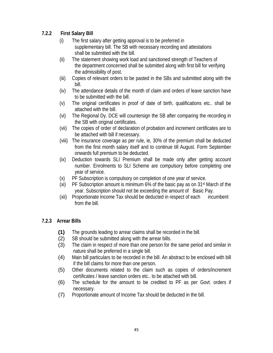# **7.2.2 First Salary Bill**

- (i) The first salary after getting approval is to be preferred in supplementary bill. The SB with necessary recording and attestations shall be submitted with the bill.
- (ii) The statement showing work load and sanctioned strength of Teachers of the department concerned shall be submitted along with first bill for verifying the admissibility of post.
- (iii) Copies of relevant orders to be pasted in the SBs and submitted along with the bill.
- (iv) The attendance details of the month of claim and orders of leave sanction have to be submitted with the bill.
- (v) The original certificates in proof of date of birth, qualifications etc.. shall be attached with the bill.
- (vi) The Regional Dy. DCE will countersign the SB after comparing the recording in the SB with original certificates.
- (vii) The copies of order of declaration of probation and increment certificates are to be attached with bill if necessary.
- (viii) The insurance coverage as per rule, ie, 30% of the premium shall be deducted from the first month salary itself and to continue till August. Form September onwards full premium to be deducted.
- (ix) Deduction towards SLI Premium shall be made only after getting account number. Enrolments to SLI Scheme are compulsory before completing one year of service.
- (x) PF Subscription is compulsory on completion of one year of service.
- (xi) PF Subscription amount is minimum 6% of the basic pay as on  $31<sup>st</sup>$  March of the year. Subscription should not be exceeding the amount of Basic Pay.
- (xii) Proportionate Income Tax should be deducted in respect of each incumbent from the bill.

# **7.2.3 Arrear Bills**

- **(1)** The grounds leading to arrear claims shall be recorded in the bill.
- (2) SB should be submitted along with the arrear bills.
- (3) The claim in respect of more than one person for the same period and similar in nature shall be preferred in a single bill.
- (4) Main bill particulars to be recorded in the bill. An abstract to be enclosed with bill if the bill claims for more than one person.
- (5) Other documents related to the claim such as copies of orders/increment certificates / leave sanction orders etc.. to be attached with bill.
- (6) The schedule for the amount to be credited to PF as per Govt. orders if necessary.
- (7) Proportionate amount of Income Tax should be deducted in the bill.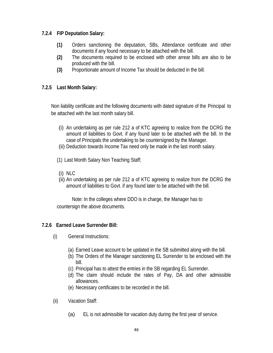#### **7.2.4 FIP Deputation Salary:**

- **(1)** Orders sanctioning the deputation, SBs, Attendance certificate and other documents if any found necessary to be attached with the bill.
- **(2)** The documents required to be enclosed with other arrear bills are also to be produced with the bill.
- **(3)** Proportionate amount of Income Tax should be deducted in the bill.

### **7.2.5 Last Month Salary:**

 Non liability certificate and the following documents with dated signature of the Principal to be attached with the last month salary bill.

- (i) An undertaking as per rule 212 a of KTC agreeing to realize from the DCRG the amount of liabilities to Govt. if any found later to be attached with the bill. In the case of Principals the undertaking to be countersigned by the Manager.
- (ii) Deduction towards Income Tax need only be made in the last month salary.
- (1) Last Month Salary Non Teaching Staff;
- (i) NLC
- (ii) An undertaking as per rule 212 a of KTC agreeing to realize from the DCRG the amount of liabilities to Govt. if any found later to be attached with the bill.

 Note: In the colleges where DDO is in charge, the Manager has to countersign the above documents.

# **7.2.6 Earned Leave Surrender Bill:**

- (i) General Instructions:
	- (a) Earned Leave account to be updated in the SB submitted along with the bill.
	- (b) The Orders of the Manager sanctioning EL Surrender to be enclosed with the bill.
	- (c) Principal has to attest the entries in the SB regarding EL Surrender.
	- (d) The claim should include the rates of Pay, DA and other admissible allowances.
	- (e) Necessary certificates to be recorded in the bill.
- (ii) Vacation Staff:
	- (a) EL is not admissible for vacation duty during the first year of service.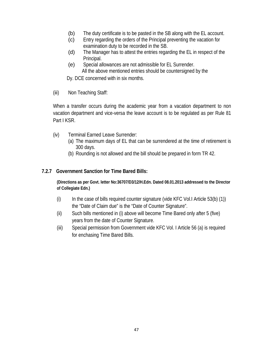- (b) The duty certificate is to be pasted in the SB along with the EL account.
- (c) Entry regarding the orders of the Principal preventing the vacation for examination duty to be recorded in the SB.
- (d) The Manager has to attest the entries regarding the EL in respect of the Principal.
- (e) Special allowances are not admissible for EL Surrender. All the above mentioned entries should be countersigned by the
- Dy. DCE concerned with in six months.
- (iii) Non Teaching Staff:

When a transfer occurs during the academic year from a vacation department to non vacation department and vice-versa the leave account is to be regulated as per Rule 81 Part I KSR.

- (iv) Terminal Earned Leave Surrender:
	- (a) The maximum days of EL that can be surrendered at the time of retirement is 300 days.
	- (b) Rounding is not allowed and the bill should be prepared in form TR 42.

#### **7.2.7 Government Sanction for Time Bared Bills:**

**(Directions as per Govt. letter No:36707/D3/12/H.Edn. Dated 08.01.2013 addressed to the Director of Collegiate Edn.)** 

- $(i)$  In the case of bills required counter signature (vide KFC Vol.I Article 53(b) (1)) the "Date of Claim due" is the "Date of Counter Signature".
- (ii) Such bills mentioned in (i) above will become Time Bared only after 5 (five) years from the date of Counter Signature.
- (iii) Special permission from Government vide KFC Vol. I Article 56 (a) is required for enchasing Time Bared Bills.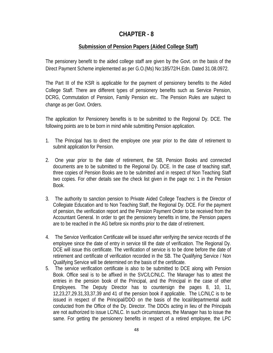## **Submission of Pension Papers (Aided College Staff)**

The pensionery benefit to the aided college staff are given by the Govt. on the basis of the Direct Payment Scheme implemented as per G.O.(Ms) No:185/72/H.Edn. Dated 31.08.0972.

The Part III of the KSR is applicable for the payment of pensionery benefits to the Aided College Staff. There are different types of pensionery benefits such as Service Pension, DCRG, Commutation of Pension, Family Pension etc.. The Pension Rules are subject to change as per Govt. Orders.

The application for Pensionery benefits is to be submitted to the Regional Dy. DCE. The following points are to be born in mind while submitting Pension application.

- 1. The Principal has to direct the employee one year prior to the date of retirement to submit application for Pension.
- 2. One year prior to the date of retirement, the SB, Pension Books and connected documents are to be submitted to the Regional Dy. DCE. In the case of teaching staff, three copies of Pension Books are to be submitted and in respect of Non Teaching Staff two copies. For other details see the check list given in the page no: 1 in the Pension Book.
- 3. The authority to sanction pension to Private Aided College Teachers is the Director of Collegiate Education and to Non Teaching Staff, the Regional Dy. DCE. For the payment of pension, the verification report and the Pension Payment Order to be received from the Accountant General. In order to get the pensionery benefits in time, the Pension papers are to be reached in the AG before six months prior to the date of retirement.
- 4. The Service Verification Certificate will be issued after verifying the service records of the employee since the date of entry in service till the date of verification. The Regional Dy. DCE will issue this certificate. The verification of service is to be done before the date of retirement and certificate of verification recorded in the SB. The Qualifying Service / Non Qualifying Service will be determined on the basis of the certificate.
- 5. The service verification certificate is also to be submitted to DCE along with Pension Book. Office seal is to be affixed in the SVC/LC/NLC. The Manager has to attest the entries in the pension book of the Principal, and the Principal in the case of other Employees. The Deputy Director has to countersign the pages 8, 10, 11, 12,23,27,29.31,33,37,39 and 41 of the pension book if applicable. The LC/NLC is to be issued in respect of the Principal/DDO on the basis of the local/departmental audit conducted from the Office of the Dy. Director. The DDOs acting in lieu of the Principals are not authorized to issue LC/NLC. In such circumstances, the Manager has to issue the same. For getting the pensionery benefits in respect of a retired employee, the LPC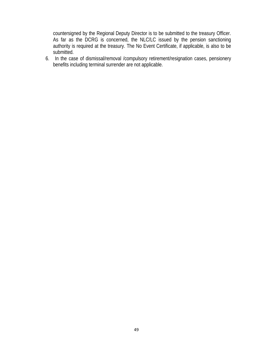countersigned by the Regional Deputy Director is to be submitted to the treasury Officer. As far as the DCRG is concerned, the NLC/LC issued by the pension sanctioning authority is required at the treasury. The No Event Certificate, if applicable, is also to be submitted.

6. In the case of dismissal/removal /compulsory retirement/resignation cases, pensionery benefits including terminal surrender are not applicable.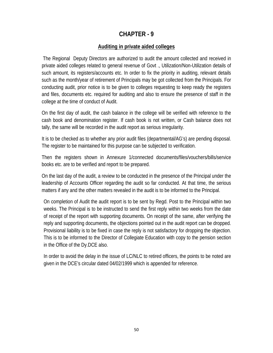## **Auditing in private aided colleges**

 The Regional Deputy Directors are authorized to audit the amount collected and received in private aided colleges related to general revenue of Govt ., Utilization/Non-Utilization details of such amount, its registers/accounts etc. In order to fix the priority in auditing, relevant details such as the month/year of retirement of Principals may be got collected from the Principals. For conducting audit, prior notice is to be given to colleges requesting to keep ready the registers and files, documents etc. required for auditing and also to ensure the presence of staff in the college at the time of conduct of Audit.

On the first day of audit, the cash balance in the college will be verified with reference to the cash book and denomination register. If cash book is not written, or Cash balance does not tally, the same will be recorded in the audit report as serious irregularity.

It is to be checked as to whether any prior audit files (departmental/AG's) are pending disposal. The register to be maintained for this purpose can be subjected to verification.

Then the registers shown in Annexure 1/connected documents/files/vouchers/bills/service books etc. are to be verified and report to be prepared.

On the last day of the audit, a review to be conducted in the presence of the Principal under the leadership of Accounts Officer regarding the audit so far conducted. At that time, the serious matters if any and the other matters revealed in the audit is to be informed to the Principal.

On completion of Audit the audit report is to be sent by Regd. Post to the Principal within two weeks. The Principal is to be instructed to send the first reply within two weeks from the date of receipt of the report with supporting documents. On receipt of the same, after verifying the reply and supporting documents, the objections pointed out in the audit report can be dropped. Provisional liability is to be fixed in case the reply is not satisfactory for dropping the objection. This is to be informed to the Director of Collegiate Education with copy to the pension section in the Office of the Dy.DCE also.

In order to avoid the delay in the issue of LC/NLC to retired officers, the points to be noted are given in the DCE's circular dated 04/02/1999 which is appended for reference.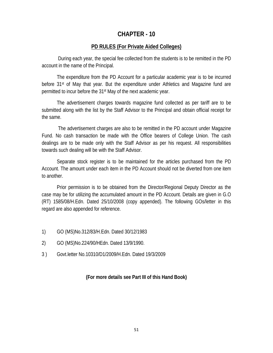#### **PD RULES (For Private Aided Colleges)**

 During each year, the special fee collected from the students is to be remitted in the PD account in the name of the Principal.

 The expenditure from the PD Account for a particular academic year is to be incurred before 31<sup>st</sup> of May that year. But the expenditure under Athletics and Magazine fund are permitted to incur before the 31st May of the next academic year.

 The advertisement charges towards magazine fund collected as per tariff are to be submitted along with the list by the Staff Advisor to the Principal and obtain official receipt for the same.

 The advertisement charges are also to be remitted in the PD account under Magazine Fund. No cash transaction be made with the Office bearers of College Union. The cash dealings are to be made only with the Staff Advisor as per his request. All responsibilities towards such dealing will be with the Staff Advisor.

 Separate stock register is to be maintained for the articles purchased from the PD Account. The amount under each item in the PD Account should not be diverted from one item to another.

 Prior permission is to be obtained from the Director/Regional Deputy Director as the case may be for utilizing the accumulated amount in the PD Account. Details are given in G.O (RT) 1585/08/H.Edn. Dated 25/10/2008 (copy appended). The following GOs/letter in this regard are also appended for reference.

- 1) GO (MS)No.312/83/H.Edn. Dated 30/12/1983
- 2) GO (MS)No.224/90/HEdn. Dated 13/9/1990.
- 3 ) Govt.letter No.10310/D1/2009/H.Edn. Dated 19/3/2009

#### **(For more details see Part III of this Hand Book)**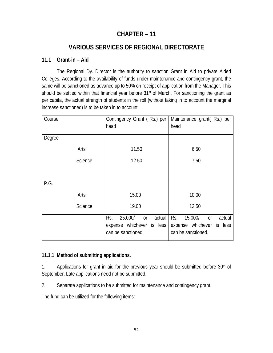# **CHAPTER – 11**

# **VARIOUS SERVICES OF REGIONAL DIRECTORATE**

# **11.1 Grant-in – Aid**

 The Regional Dy. Director is the authority to sanction Grant in Aid to private Aided Colleges. According to the availability of funds under maintenance and contingency grant, the same will be sanctioned as advance up to 50% on receipt of application from the Manager. This should be settled within that financial year before 31<sup>st</sup> of March. For sanctioning the grant as per capita, the actual strength of students in the roll (without taking in to account the marginal increase sanctioned) is to be taken in to account.

| Course |                | Contingency Grant (Rs.) per        | Maintenance grant(Rs.) per        |
|--------|----------------|------------------------------------|-----------------------------------|
|        |                | head                               | head                              |
| Degree |                |                                    |                                   |
|        |                |                                    |                                   |
|        | Arts           | 11.50                              | 6.50                              |
|        | Science        | 12.50                              | 7.50                              |
|        |                |                                    |                                   |
|        |                |                                    |                                   |
| P.G.   |                |                                    |                                   |
|        | Arts           | 15.00                              | 10.00                             |
|        | <b>Science</b> | 19.00                              | 12.50                             |
|        |                | Rs.<br>$25,000$ /-<br>actual<br>or | Rs.<br>$15,000/-$<br>actual<br>or |
|        |                | expense whichever is less          | expense whichever is less         |
|        |                | can be sanctioned.                 | can be sanctioned.                |

# **11.1.1 Method of submitting applications.**

1. Applications for grant in aid for the previous year should be submitted before  $30<sup>th</sup>$  of September. Late applications need not be submitted.

2. Separate applications to be submitted for maintenance and contingency grant.

The fund can be utilized for the following items: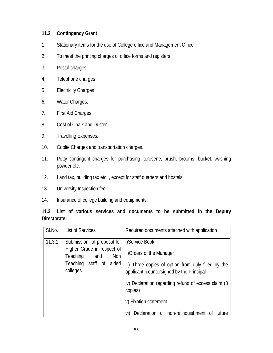### **11.2 Contingency Grant**

- 1. Stationary items for the use of College office and Management Office.
- 2. To meet the printing charges of office forms and registers.
- 3. Postal charges.
- 4. Telephone charges
- 5. Electricity Charges
- 6. Water Charges.
- *7.* First Aid Charges.
- 8. Cost of Chalk and Duster.
- 9. Travelling Expenses.
- 10. Coolie Charges and transportation charges.
- 11. Petty contingent charges for purchasing kerosene, brush, brooms, bucket, washing powder etc.
- 12. Land tax, building tax etc. , except for staff quarters and hostels.
- 13. University Inspection fee.
- 14. Insurance of college building and equipments.

# **11.3 List of various services and documents to be submitted in the Deputy Directorate:**

| SI.No. | <b>List of Services</b>                              | Required documents attached with application                                                     |
|--------|------------------------------------------------------|--------------------------------------------------------------------------------------------------|
| 11.3.1 | Submission of proposal for                           | i)Service Book                                                                                   |
|        | Higher Grade in respect of<br>Teaching<br>Non<br>and | ii) Orders of the Manager                                                                        |
|        | Teaching staff of<br>aided<br>colleges               | iii) Three copies of option from duly filled by the<br>applicant, countersigned by the Principal |
|        |                                                      | iv) Declaration regarding refund of excess claim (3<br>copies)                                   |
|        |                                                      | v) Fixation statement                                                                            |
|        |                                                      | Declaration of non-relinguishment of future<br>vi)                                               |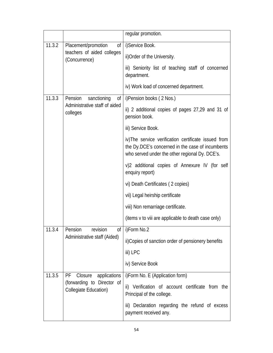|        |                                                                                      | regular promotion.                                                                                                                                        |
|--------|--------------------------------------------------------------------------------------|-----------------------------------------------------------------------------------------------------------------------------------------------------------|
| 11.3.2 | Placement/promotion<br>0f<br>teachers of aided colleges<br>(Concurrence)             | i)Service Book.                                                                                                                                           |
|        |                                                                                      | ii) Order of the University.                                                                                                                              |
|        |                                                                                      | iii) Seniority list of teaching staff of concerned<br>department.                                                                                         |
|        |                                                                                      | iv) Work load of concerned department.                                                                                                                    |
| 11.3.3 | sanctioning<br>Pension<br>Оf<br>Administrative staff of aided<br>colleges            | i)Pension books (2 Nos.)                                                                                                                                  |
|        |                                                                                      | ii) 2 additional copies of pages 27,29 and 31 of<br>pension book.                                                                                         |
|        |                                                                                      | iii) Service Book.                                                                                                                                        |
|        |                                                                                      | iv)The service verification certificate issued from<br>the Dy.DCE's concerned in the case of incumbents<br>who served under the other regional Dy. DCE's. |
|        |                                                                                      | v)2 additional copies of Annexure IV (for self<br>enquiry report)                                                                                         |
|        |                                                                                      | vi) Death Certificates (2 copies)                                                                                                                         |
|        |                                                                                      | vii) Legal heirship certificate                                                                                                                           |
|        |                                                                                      | viii) Non remarriage certificate.                                                                                                                         |
|        |                                                                                      | (items v to viii are applicable to death case only)                                                                                                       |
| 11.3.4 | Pension<br>revision<br>of<br>Administrative staff (Aided)                            | i)Form No.2                                                                                                                                               |
|        |                                                                                      | ii) Copies of sanction order of pensionery benefits                                                                                                       |
|        |                                                                                      | iii) LPC                                                                                                                                                  |
|        |                                                                                      | iv) Service Book                                                                                                                                          |
| 11.3.5 | Closure<br>PF<br>applications<br>(forwarding to Director of<br>Collegiate Education) | i) Form No. E (Application form)                                                                                                                          |
|        |                                                                                      | ii) Verification of account certificate from the<br>Principal of the college.                                                                             |
|        |                                                                                      | iii) Declaration regarding the refund of excess<br>payment received any.                                                                                  |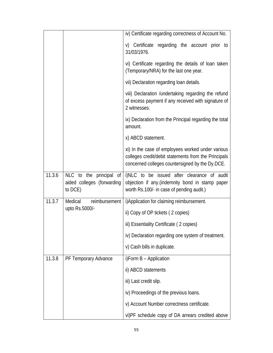|        |                                                                  | iv) Certificate regarding correctness of Account No.                                                                                                         |
|--------|------------------------------------------------------------------|--------------------------------------------------------------------------------------------------------------------------------------------------------------|
|        |                                                                  | v) Certificate regarding the account prior to<br>31/03/1976.                                                                                                 |
|        |                                                                  | vi) Certificate regarding the details of loan taken<br>(Temporary/NRA) for the last one year.                                                                |
|        |                                                                  | vii) Declaration regarding loan details.                                                                                                                     |
|        |                                                                  | viii) Declaration / undertaking regarding the refund<br>of excess payment if any received with signature of<br>2 witnesses.                                  |
|        |                                                                  | ix) Declaration from the Principal regarding the total<br>amount.                                                                                            |
|        |                                                                  | x) ABCD statement.                                                                                                                                           |
|        |                                                                  | xi) In the case of employees worked under various<br>colleges credit/debit statements from the Principals<br>concerned colleges countersigned by the Dy.DCE. |
| 11.3.6 | NLC to the principal of<br>aided colleges (forwarding<br>to DCE) | i)NLC to be issued after clearance of audit<br>objection if any.(indemnity bond in stamp paper<br>worth Rs.100/- in case of pending audit.)                  |
| 11.3.7 | reimbursement<br>Medical                                         | i) Application for claiming reimbursement.                                                                                                                   |
|        | upto Rs.5000/-                                                   | ii) Copy of OP tickets (2 copies)                                                                                                                            |
|        |                                                                  | iii) Essentiality Certificate (2 copies)                                                                                                                     |
|        |                                                                  | iv) Declaration regarding one system of treatment.                                                                                                           |
|        |                                                                  | v) Cash bills in duplicate.                                                                                                                                  |
| 11.3.8 | PF Temporary Advance                                             | i)Form B - Application                                                                                                                                       |
|        |                                                                  | ii) ABCD statements                                                                                                                                          |
|        |                                                                  | iii) Last credit slip.                                                                                                                                       |
|        |                                                                  | iv) Proceedings of the previous loans.                                                                                                                       |
|        |                                                                  | v) Account Number correctness certificate.                                                                                                                   |
|        |                                                                  | vi)PF schedule copy of DA arrears credited above                                                                                                             |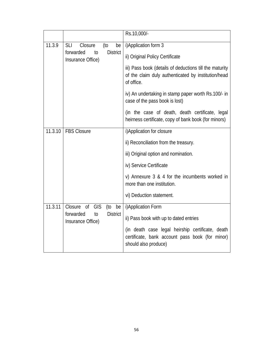|         |                                                         | Rs.10,000/-                                                                                                                  |
|---------|---------------------------------------------------------|------------------------------------------------------------------------------------------------------------------------------|
| 11.3.9  | Closure<br><b>SLI</b><br>(to<br>be                      | i) Application form 3                                                                                                        |
|         | forwarded<br><b>District</b><br>to<br>Insurance Office) | ii) Original Policy Certificate                                                                                              |
|         |                                                         | iii) Pass book (details of deductions till the maturity<br>of the claim duly authenticated by institution/head<br>of office. |
|         |                                                         | iv) An undertaking in stamp paper worth Rs.100/- in<br>case of the pass book is lost)                                        |
|         |                                                         | (in the case of death, death certificate, legal<br>heirness certificate, copy of bank book (for minors)                      |
| 11.3.10 | <b>FBS Closure</b>                                      | i) Application for closure                                                                                                   |
|         |                                                         | ii) Reconciliation from the treasury.                                                                                        |
|         |                                                         | iii) Original option and nomination.                                                                                         |
|         |                                                         | iv) Service Certificate                                                                                                      |
|         |                                                         | v) Annexure 3 & 4 for the incumbents worked in<br>more than one institution.                                                 |
|         |                                                         | vi) Deduction statement.                                                                                                     |
| 11.3.11 | <b>GIS</b><br>Closure<br>of<br>(to be                   | i) Application Form                                                                                                          |
|         | forwarded<br><b>District</b><br>to<br>Insurance Office) | ii) Pass book with up to dated entries                                                                                       |
|         |                                                         | (in death case legal heirship certificate, death<br>certificate, bank account pass book (for minor)<br>should also produce)  |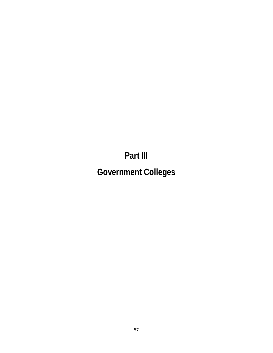**Part III** 

**Government Colleges**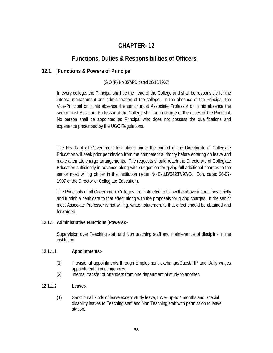# **CHAPTER- 12**

# **Functions, Duties & Responsibilities of Officers**

## **12.1. Functions & Powers of Principal**

## (G.O.(P) No.357/PD dated 28/10/1967)

In every college, the Principal shall be the head of the College and shall be responsible for the internal management and administration of the college. In the absence of the Principal, the Vice-Principal or in his absence the senior most Associate Professor or in his absence the senior most Assistant Professor of the College shall be in charge of the duties of the Principal. No person shall be appointed as Principal who does not possess the qualifications and experience prescribed by the UGC Regulations.

The Heads of all Government Institutions under the control of the Directorate of Collegiate Education will seek prior permission from the competent authority before entering on leave and make alternate charge arrangements. The requests should reach the Directorate of Collegiate Education sufficiently in advance along with suggestion for giving full additional charges to the senior most willing officer in the institution (letter No.Estt.B/34287/97/Coll.Edn. dated 26-07- 1997 of the Director of Collegiate Education).

The Principals of all Government Colleges are instructed to follow the above instructions strictly and furnish a certificate to that effect along with the proposals for giving charges. If the senior most Associate Professor is not willing, written statement to that effect should be obtained and forwarded.

## **12.1.1 Administrative Functions (Powers):-**

Supervision over Teaching staff and Non teaching staff and maintenance of discipline in the institution.

## **12.1.1.1 Appointments:-**

- (1) Provisional appointments through Employment exchange/Guest/FIP and Daily wages appointment in contingencies.
- (2) Internal transfer of Attenders from one department of study to another.

## **12.1.1.2 Leave:-**

(1) Sanction all kinds of leave except study leave, LWA- up-to 4 months and Special disability leaves to Teaching staff and Non Teaching staff with permission to leave station.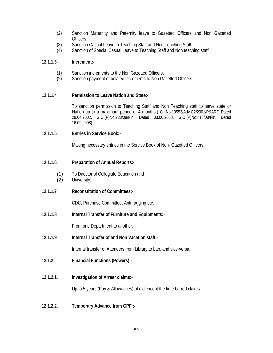- (2) Sanction Maternity and Paternity leave to Gazetted Officers and Non Gazetted Officers.
- (3) Sanction Casual Leave to Teaching Staff and Non Teaching Staff.
- (4) Sanction of Special Casual Leave to Teaching Staff and Non teaching staff

## **12.1.1.3 Increment:-**

- (1) Sanction increments to the Non Gazetted Officers.
- (2) Sanction payment of belated increments to Non Gazetted Officers

## **12.1.1.4 Permission to Leave Nation and State:-**

To sanction permission to Teaching Staff and Non Teaching staff to leave state or Nation up to a maximum period of 4 months.( Cir.No:10553/Adv.C2/2001/P&ARD Dated 29.04.2002, G.O.(P)No:233/08/Fin. Dated 03.06.2008, G.O.(P)No:418/08/Fin. Dated 16.09.2008)

## **12.1.1.5 Entries in Service Book:-**

Making necessary entries in the Service Book of Non- Gazetted Officers.

## **12.1.1.6 Preparation of Annual Reports:-**

- (1) To Director of Collegiate Education and (2) University.
- **12.1.1.7 Reconstitution of Committees:-**

CDC, Purchase Committee, Anti-ragging etc.

**12.1.1.8 Internal Transfer of Furniture and Equipments:**-

From one Department to another.

**12.1.1.9 Internal Transfer of and Non Vacation staff:**-

Internal transfer of Attenders from Library to Lab. and vice-versa.

- **12.1.2 Financial Functions (Powers):-**
- **12.1.2.1. Investigation of Arrear claims:-**

Up to 5 years (Pay & Allowances) of old except the time barred claims.

**12.1.2.2. Temporary Advance from GPF :-**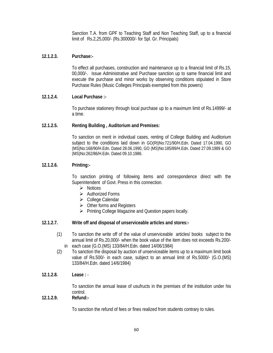Sanction T.A. from GPF to Teaching Staff and Non Teaching Staff, up to a financial limit of Rs.2,25,000/- (Rs.300000/- for Spl. Gr. Principals)

## **12.1.2.3. Purchase:-**

 To effect all purchases, construction and maintenance up to a financial limit of Rs.15, 00,000/-. Issue Administrative and Purchase sanction up to same financial limit and execute the purchase and minor works by observing conditions stipulated in Store Purchase Rules (Music Colleges Principals exempted from this powers)

## **12.1.2.4. Local Purchase :-**

To purchase stationery through local purchase up to a maximum limit of Rs.14999/- at a time.

#### **12.1.2.5. Renting Building , Auditorium and Premises:**

To sanction on merit in individual cases, renting of College Building and Auditorium subject to the conditions laid down in GO(Rt)No:721/90/H.Edn. Dated 17.04.1990, GO (MS)No:168/90/H.Edn. Dated 28.06.1990, GO (MS)No:185/89/H.Edn. Dated 27.09.1989 & GO (MS)No:262/86/H.Edn. Dated 09.10.1986.

#### **12.1.2.6. Printing:-**

To sanction printing of following items and correspondence direct with the Superintendent of Govt. Press in this connection.

- $\triangleright$  Notices
- $\triangleright$  Authorized Forms
- College Calendar
- $\triangleright$  Other forms and Registers
- $\triangleright$  Printing College Magazine and Question papers locally.

#### **12.1.2.7. Write off and disposal of unserviceable articles and stores:-**

- (1) To sanction the write off of the value of unserviceable articles/ books subject to the annual limit of Rs.20,000/- when the book value of the item does not exceeds Rs.200/ in each case (G.O.(MS) 133/84/H.Edn. dated 14/06/1984)
- (2) To sanction the disposal by auction of unserviceable items up to a maximum limit book value of Rs.500/- in each case, subject to an annual limit of Rs.5000/- (G.O.(MS) 133/84/H.Edn. dated 14/6/1984)
- **12.1.2.8. Lease :** -

 To sanction the annual lease of usufructs in the premises of the institution under his control.

#### **12.1.2.9. Refund:-**

To sanction the refund of fees or fines realized from students contrary to rules.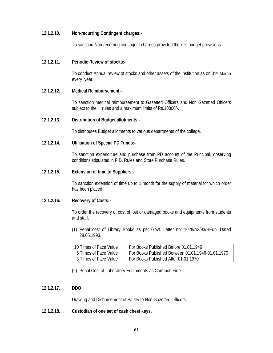#### **12.1.2.10. Non-recurring Contingent charges:-**

To sanction Non-recurring contingent charges provided there is budget provisions.

#### **12.1.2.11. Periodic Review of stocks:-**

 To conduct Annual review of stocks and other assets of the institution as on 31st March every year.

#### **12.1.2.12. Medical Reimbursement:-**

 To sanction medical reimbursement to Gazetted Officers and Non Gazetted Officers subject to the rules and a maximum limits of Rs.10000/-.

#### **12.1.2.13. Distribution of Budget allotments:-**

To distributes Budget allotments to various departments of the college.

#### **12.1.2.14. Utilisation of Special PD Funds:-**

 To sanction expenditure and purchase from PD account of the Principal, observing conditions stipulated in P.D. Rules and Store Purchase Rules.

#### **12.1.2.15. Extension of time to Suppliers:-**

To sanction extension of time up to 1 month for the supply of material for which order has been placed.

#### **12.1.2.16. Recovery of Costs:-**

To order the recovery of cost of lost or damaged books and equipments from students and staff.

(1) Penal cost of Library Books as per Govt. Letter no: 1028/A3/93/HEdn. Dated 28.05.1993.

| 10 Times of Face Value | For Books Published Before 01.01.1946             |
|------------------------|---------------------------------------------------|
| 6 Times of Face Value  | For Books Published Between 01.01.1946-01.01.1970 |
| 3 Times of Face Value  | For Books Published After 01.01.1970              |

(2) Penal Cost of Laboratory Equipments as Common Fine.

## **12.1.2.17. DDO**

Drawing and Disbursement of Salary to Non Gazetted Officers.

**12.1.2.18. Custodian of one set of cash chest keys.**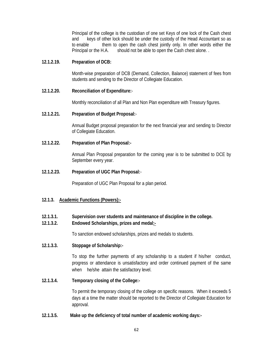Principal of the college is the custodian of one set Keys of one lock of the Cash chest and keys of other lock should be under the custody of the Head Accountant so as to enable them to open the cash chest jointly only. In other words either the Principal or the H.A. should not be able to open the Cash chest alone...

#### **12.1.2.19. Preparation of DCB:**

 Month-wise preparation of DCB (Demand, Collection, Balance) statement of fees from students and sending to the Director of Collegiate Education.

#### **12.1.2.20. Reconciliation of Expenditure:**-

Monthly reconciliation of all Plan and Non Plan expenditure with Treasury figures.

#### **12.1.2.21. Preparation of Budget Proposal:**-

Annual Budget proposal preparation for the next financial year and sending to Director of Collegiate Education.

## **12.1.2.22. Preparation of Plan Proposal:-**

 Annual Plan Proposal preparation for the coming year is to be submitted to DCE by September every year.

#### **12.1.2.23. Preparation of UGC Plan Proposal:**-

Preparation of UGC Plan Proposal for a plan period.

## **12.1.3. Academic Functions (Powers):-**

## **12.1.3.1. Supervision over students and maintenance of discipline in the college.**

## **12.1.3.2. Endowed Scholarships, prizes and medal:-**

To sanction endowed scholarships, prizes and medals to students.

## **12.1.3.3. Stoppage of Scholarship:-**

To stop the further payments of any scholarship to a student if his/her conduct, progress or attendance is unsatisfactory and order continued payment of the same when he/she attain the satisfactory level.

## **12.1.3.4. Temporary closing of the College:-**

 To permit the temporary closing of the college on specific reasons. When it exceeds 5 days at a time the matter should be reported to the Director of Collegiate Education for approval.

#### **12.1.3.5. Make up the deficiency of total number of academic working days:-**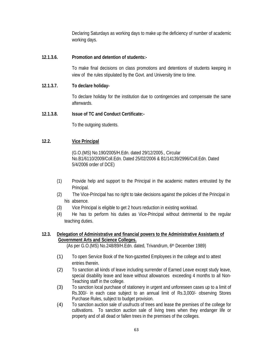Declaring Saturdays as working days to make up the deficiency of number of academic working days.

## **12.1.3.6. Promotion and detention of students:-**

To make final decisions on class promotions and detentions of students keeping in view of the rules stipulated by the Govt. and University time to time.

## **12.1.3.7. To declare holiday-**

 To declare holiday for the institution due to contingencies and compensate the same afterwards.

## **12.1.3.8. Issue of TC and Conduct Certificate:-**

To the outgoing students.

## **12.2. Vice Principal**

(G.O.(MS) No.190/2005/H.Edn. dated 29/12/2005., Circular No.B1/6110/2009/Coll.Edn. Dated 25/02/2006 & B1/14139/2996/Coll.Edn. Dated 5/4/2006 order of DCE)

- (1) Provide help and support to the Principal in the academic matters entrusted by the Principal.
- (2) The Vice-Principal has no right to take decisions against the policies of the Principal in his absence.
- (3) Vice Principal is eligible to get 2 hours reduction in existing workload.
- (4) He has to perform his duties as Vice-Principal without detrimental to the regular teaching duties.

## **12.3. Delegation of Administrative and financial powers to the Administrative Assistants of Government Arts and Science Colleges.**

(As per G.O.(MS) No.248/89/H.Edn. dated, Trivandrum, 6th December 1989)

- (1) To open Service Book of the Non-gazetted Employees in the college and to attest entries therein.
- (2) To sanction all kinds of leave including surrender of Earned Leave except study leave, special disability leave and leave without allowances exceeding 4 months to all Non-Teaching staff in the college.
- (3) To sanction local purchase of stationery in urgent and unforeseen cases up to a limit of Rs.300/- in each case subject to an annual limit of Rs.3,000/- observing Stores Purchase Rules, subject to budget provision.
- (4) To sanction auction sale of usufructs of trees and lease the premises of the college for cultivations. To sanction auction sale of living trees when they endanger life or property and of all dead or fallen trees in the premises of the colleges.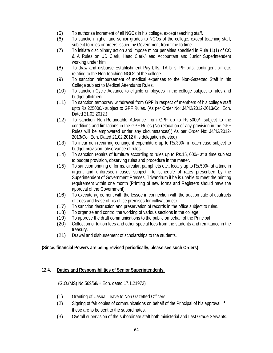- (5) To authorize increment of all NGOs in his college, except teaching staff.
- (6) To sanction higher and senior grades to NGOs of the college, except teaching staff, subject to rules or orders issued by Government from time to time.
- (7) To initiate disciplinary action and impose minor penalties specified in Rule 11(1) of CC & A Rules on UD Clerk, Head Clerk/Head Accountant and Junior Superintendent working under him.
- (8) To draw and disburse Establishment Pay bills, TA bills, PF bills, contingent bill etc. relating to the Non-teaching NGOs of the college.
- (9) To sanction reimbursement of medical expenses to the Non-Gazetted Staff in his College subject to Medical Attendants Rules.
- (10) To sanction Cycle Advance to eligible employees in the college subject to rules and budget allotment.
- (11) To sanction temporary withdrawal from GPF in respect of members of his college staff upto Rs.225000/- subject to GPF Rules. (As per Order No: J4/42/2012-2013/Coll.Edn. Dated 21.02.2012.)
- (12) To sanction Non-Refundable Advance from GPF up to Rs.5000/- subject to the conditions and limitations in the GPF Rules (No relaxation of any provision in the GPF Rules will be empowered under any circumstances)( As per Order No: J4/42/2012- 2013/Coll.Edn. Dated 21.02.2012 this delegation deleted)
- (13) To incur non-recurring contingent expenditure up to Rs.300/- in each case subject to budget provision, observance of rules.
- (14) To sanction repairs of furniture according to rules up to Rs.15, 000/- at a time subject to budget provision, observing rules and procedure in the matter.
- (15) To sanction printing of forms, circular, pamphlets etc., locally up to Rs.500/- at a time in urgent and unforeseen cases subject to schedule of rates prescribed by the Superintendent of Government Presses, Trivandrum if he is unable to meet the printing requirement within one month (Printing of new forms and Registers should have the approval of the Government)
- (16) To execute agreement with the lessee in connection with the auction sale of usufructs of trees and lease of his office premises for cultivation etc.
- (17) To sanction destruction and preservation of records in the office subject to rules.
- (18) To organize and control the working of various sections in the college.
- (19) To approve the draft communications to the public on behalf of the Principal
- (20) Collection of tuition fees and other special fees from the students and remittance in the treasury.
- (21) Drawal and disbursement of scholarships to the students.

## **(Since, financial Powers are being revised periodically, please see such Orders)**

## **12.4. Duties and Responsibilities of Senior Superintendents.**

(G.O.(MS) No.569/68/H.Edn. dated 17.1.21972)

- (1) Granting of Casual Leave to Non Gazetted Officers.
- (2) Signing of fair copies of communications on behalf of the Principal of his approval, if these are to be sent to the subordinates.
- (3) Overall supervision of the subordinate staff both ministerial and Last Grade Servants.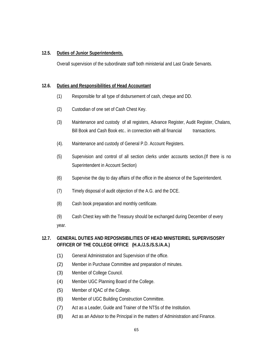## **12.5. Duties of Junior Superintendents.**

Overall supervision of the subordinate staff both ministerial and Last Grade Servants.

## **12.6. Duties and Responsibilities of Head Accountant**

- (1) Responsible for all type of disbursement of cash, cheque and DD.
- (2) Custodian of one set of Cash Chest Key.
- (3) Maintenance and custody of all registers, Advance Register, Audit Register, Chalans, Bill Book and Cash Book etc.. in connection with all financial transactions.
- (4). Maintenance and custody of General P.D. Account Registers.
- (5) Supervision and control of all section clerks under accounts section.(If there is no Superintendent in Account Section)
- (6) Supervise the day to day affairs of the office in the absence of the Superintendent.
- (7) Timely disposal of audit objection of the A.G. and the DCE.
- (8) Cash book preparation and monthly certificate.
- (9) Cash Chest key with the Treasury should be exchanged during December of every year.

## **12.7. GENERAL DUTIES AND REPOSNSIBILITIES OF HEAD MINISTEIRIEL SUPERVISOSRY OFFICER OF THE COLLEGE OFFICE (H.A./J.S./S.S./A.A.)**

- (1) General Administration and Supervision of the office.
- (2) Member in Purchase Committee and preparation of minutes.
- (3) Member of College Council.
- (4) Member UGC Planning Board of the College.
- (5) Member of IQAC of the College.
- (6) Member of UGC Building Construction Committee.
- (7) Act as a Leader, Guide and Trainer of the NTSs of the Institution.
- (8) Act as an Advisor to the Principal in the matters of Administration and Finance.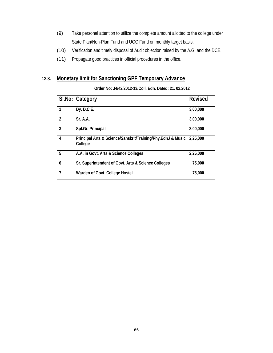- (9) Take personal attention to utilize the complete amount allotted to the college under State Plan/Non-Plan Fund and UGC Fund on monthly target basis.
- (10) Verification and timely disposal of Audit objection raised by the A.G. and the DCE.
- (11) Propagate good practices in official procedures in the office.

# **12.8. Monetary limit for Sanctioning GPF Temporary Advance**

#### **Order No: J4/42/2012-13/Coll. Edn. Dated: 21. 02.2012**

|                         | SI.No: Category                                                         | <b>Revised</b> |
|-------------------------|-------------------------------------------------------------------------|----------------|
| 1                       | Dy. D.C.E.                                                              | 3,00,000       |
| $\overline{\mathbf{c}}$ | Sr. A.A.                                                                | 3,00,000       |
| 3                       | Spl.Gr. Principal                                                       | 3,00,000       |
| 4                       | Principal Arts & Science/Sanskrit/Training/Phy.Edn./ & Music<br>College | 2,25,000       |
| 5                       | A.A. in Govt. Arts & Science Colleges                                   | 2,25,000       |
| 6                       | Sr. Superintendent of Govt. Arts & Science Colleges                     | 75,000         |
| 7                       | Warden of Govt. College Hostel                                          | 75,000         |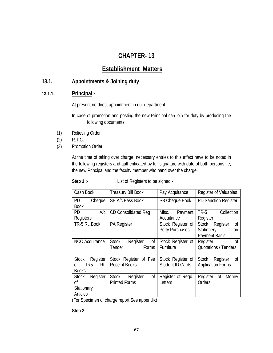# **CHAPTER- 13**

# **Establishment Matters**

# **13.1. Appointments & Joining duty**

## **13.1.1. Principal:-**

At present no direct appointment in our department.

 In case of promotion and posting the new Principal can join for duty by producing the following documents:

- (1) Relieving Order
- (2) R.T.C.
- (3) Promotion Order

At the time of taking over charge, necessary entries to this effect have to be noted in the following registers and authenticated by full signature with date of both persons, ie, the new Principal and the faculty member who hand over the charge.

**Step 1 :-** List of Registers to be signed:-

| Cash Book                                                                | <b>Treasury Bill Book</b>                              | Pay Acquitance                              | Register of Valuables                                                          |
|--------------------------------------------------------------------------|--------------------------------------------------------|---------------------------------------------|--------------------------------------------------------------------------------|
| PD<br>Cheque<br><b>Book</b>                                              | SB A/c Pass Book                                       | <b>SB Cheque Book</b>                       | <b>PD Sanction Register</b>                                                    |
| PD<br>A/c<br>Registers                                                   | <b>CD Consolidated Req</b>                             | Payment<br>Misc.<br>Acquitance              | TR-5<br>Collection<br>Register                                                 |
| TR-5 Rt. Book                                                            | <b>PA Register</b>                                     | Stock Register of<br><b>Petty Purchases</b> | 0f<br>Stock<br>Register<br>Stationery<br><sub>on</sub><br><b>Payment Basis</b> |
| <b>NCC</b> Acquitance                                                    | Register<br>0f<br><b>Stock</b><br>Tender<br>Forms      | Stock Register of<br>Furniture              | <sub>Of</sub><br>Register<br><b>Quotations / Tenders</b>                       |
| <b>Stock</b><br>Register<br>TR <sub>5</sub><br>Rt.<br>Οf<br><b>Books</b> | Stock Register of Fee<br><b>Receipt Books</b>          | Stock Register of<br>Student ID Cards       | 0f<br>Stock<br>Register<br><b>Application Forms</b>                            |
| Register<br>Stock<br>Οf<br>Stationary<br><b>Articles</b>                 | 0f<br>Register<br><b>Stock</b><br><b>Printed Forms</b> | Register of Regd.<br>Letters                | Register<br>Οf<br>Money<br>Orders                                              |

(For Specimen of charge report See appendix)

 **Step 2:**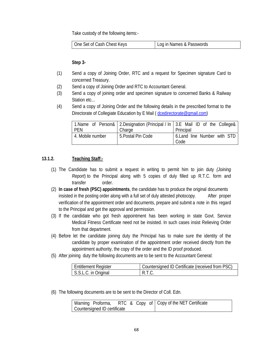Take custody of the following items:-

#### **Step 3-**

- (1) Send a copy of Joining Order, RTC and a request for Specimen signature Card to concerned Treasury.
- (2) Send a copy of Joining Order and RTC to Accountant General.
- (3) Send a copy of joining order and specimen signature to concerned Banks & Railway Station etc...
- (4) Send a copy of Joining Order and the following details in the prescribed format to the Directorate of Collegiate Education by E Mail ( dcedirectorate@gmail.com)

|                  |                    | 1.Name of Person& 2.Designation (Principal / In 3.E Mail ID of the College& |
|------------------|--------------------|-----------------------------------------------------------------------------|
| <b>PEN</b>       | Charge             | Principal                                                                   |
| 4. Mobile number | 5. Postal Pin Code | 6. Land line Number with STD                                                |
|                  |                    | Code                                                                        |

## **13.1.2. Teaching Staff:-**

- (1) The Candidate has to submit a request in writing to permit him to join duty *(Joining Report*) to the Principal along with 5 copies of duly filled up R.T.C. form and transfer order.
- (2) **In case of fresh (PSC) appointments**, the candidate has to produce the original documents insisted in the posting order along with a full set of duly attested photocopy. After proper verification of the appointment order and documents, prepare and submit a note in this regard to the Principal and get the approval and permission.
- (3) If the candidate who got fresh appointment has been working in state Govt. Service Medical Fitness Certificate need not be insisted. In such cases insist Relieving Order from that department.
- (4) Before let the candidate joining duty the Principal has to make sure the identity of the candidate by proper examination of the appointment order received directly from the appointment authority, the copy of the order and the ID proof produced.
- (5) After joining duty the following documents are to be sent to the Accountant General:

| Entitlement Register | Countersigned ID Certificate (received from PSC) |
|----------------------|--------------------------------------------------|
| S.S.L.C. in Original | R.L.C.                                           |

(6) The following documents are to be sent to the Director of Coll. Edn.

|                              |  |  | Warning Proforma, RTC & Copy of Copy of the NET Certificate |
|------------------------------|--|--|-------------------------------------------------------------|
| Countersigned ID certificate |  |  |                                                             |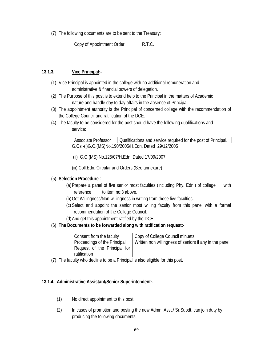(7) The following documents are to be sent to the Treasury:

| Order.<br>Copy of Appointment |  |
|-------------------------------|--|
|-------------------------------|--|

## **13.1.3. Vice Principal:-**

- (1) Vice Principal is appointed in the college with no additional remuneration and administrative & financial powers of delegation.
- (2) The Purpose of this post is to extend help to the Principal in the matters of Academic nature and handle day to day affairs in the absence of Principal.
- (3) The appointment authority is the Principal of concerned college with the recommendation of the College Council and ratification of the DCE.
- (4) The faculty to be considered for the post should have the following qualifications and service:

Associate Professor | Qualifications and service required for the post of Principal. G.Os:-(i)G.O.(MS)No.190/2005/H.Edn. Dated 29/12/2005

(ii) G.O.(MS) No.125/07/H.Edn. Dated 17/09/2007

(iii) Coll.Edn. Circular and Orders (See annexure)

## (5) **Selection Procedure** :-

- (a)Prepare a panel of five senior most faculties (including Phy. Edn.) of college with reference to item no:3 above.
- (b) Get Willingness/Non-willingness in writing from those five faculties.
- (c) Select and appoint the senior most willing faculty from this panel with a formal recommendation of the College Council.
- (d)And get this appointment ratified by the DCE.
- (6) **The Documents to be forwarded along with ratification request:-**

| Consent from the faculty     | Copy of College Council minuets                        |
|------------------------------|--------------------------------------------------------|
| Proceedings of the Principal | Written non willingness of seniors if any in the panel |
| Request of the Principal for |                                                        |
| ratification                 |                                                        |

(7) The faculty who decline to be a Principal is also eligible for this post.

## **13.1.4. Administrative Assistant/Senior Superintendent:-**

- (1) No direct appointment to this post.
- (2) In cases of promotion and posting the new Admn. Asst./ Sr.Supdt. can join duty by producing the following documents: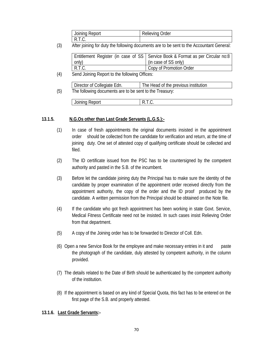| Joining | Order     |
|---------|-----------|
| Report  | kelleving |
| 11.1.0  |           |

(3) After joining for duty the following documents are to be sent to the Accountant General:

|        | Entitlement Register (in case of SS   Service Book & Format as per Circular no:8 |
|--------|----------------------------------------------------------------------------------|
| only)  | (in case of SS only)                                                             |
| R.T.C. | Copy of Promotion Order                                                          |

(4) Send Joining Report to the following Offices:

|     | Director of Collegiate Edn.                             | The Head of the previous institution |
|-----|---------------------------------------------------------|--------------------------------------|
| (5) | The following documents are to be sent to the Treasury: |                                      |

| Joining<br>≺eport<br>$\cdot$ |  |
|------------------------------|--|

## **13.1.5. N.G.Os other than Last Grade Servants (L.G.S.):-**

- (1) In case of fresh appointments the original documents insisted in the appointment order should be collected from the candidate for verification and return, at the time of joining duty. One set of attested copy of qualifying certificate should be collected and filed.
- (2) The ID certificate issued from the PSC has to be countersigned by the competent authority and pasted in the S.B. of the incumbent.
- (3) Before let the candidate joining duty the Principal has to make sure the identity of the candidate by proper examination of the appointment order received directly from the appointment authority, the copy of the order and the ID proof produced by the candidate. A written permission from the Principal should be obtained on the Note file.
- (4) If the candidate who got fresh appointment has been working in state Govt. Service, Medical Fitness Certificate need not be insisted. In such cases insist Relieving Order from that department.
- (5) A copy of the Joining order has to be forwarded to Director of Coll. Edn.
- (6) Open a new Service Book for the employee and make necessary entries in it and paste the photograph of the candidate, duly attested by competent authority, in the column provided.
- (7) The details related to the Date of Birth should be authenticated by the competent authority of the institution.
- (8) If the appointment is based on any kind of Special Quota, this fact has to be entered on the first page of the S.B. and properly attested.

## **13.1.6. Last Grade Servants:-**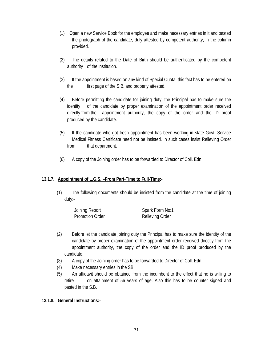- (1) Open a new Service Book for the employee and make necessary entries in it and pasted the photograph of the candidate, duly attested by competent authority, in the column provided.
- (2) The details related to the Date of Birth should be authenticated by the competent authority of the institution.
- (3) If the appointment is based on any kind of Special Quota, this fact has to be entered on the first page of the S.B. and properly attested.
- (4) Before permitting the candidate for joining duty, the Principal has to make sure the identity of the candidate by proper examination of the appointment order received directly from the appointment authority, the copy of the order and the ID proof produced by the candidate.
- (5) If the candidate who got fresh appointment has been working in state Govt. Service Medical Fitness Certificate need not be insisted. In such cases insist Relieving Order from that department.
- (6) A copy of the Joining order has to be forwarded to Director of Coll. Edn.

## **13.1.7. Appointment of L.G.S. –From Part-Time to Full-Time:-**

(1) The following documents should be insisted from the candidate at the time of joining duty:-

| Joining Report         | Spark Form No:1        |
|------------------------|------------------------|
| <b>Promotion Order</b> | <b>Relieving Order</b> |
|                        |                        |
|                        |                        |

- (2) Before let the candidate joining duty the Principal has to make sure the identity of the candidate by proper examination of the appointment order received directly from the appointment authority, the copy of the order and the ID proof produced by the candidate.
- (3) A copy of the Joining order has to be forwarded to Director of Coll. Edn.
- (4) Make necessary entries in the SB.
- (5) An affidavit should be obtained from the incumbent to the effect that he is willing to retire on attainment of 56 years of age. Also this has to be counter signed and pasted in the S.B.

## **13.1.8. General Instructions:-**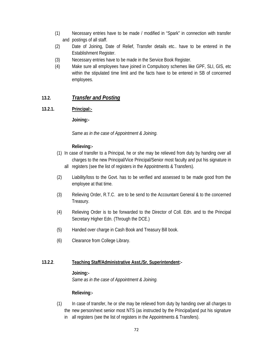- (1) Necessary entries have to be made / modified in "Spark" in connection with transfer and postings of all staff.
- (2) Date of Joining, Date of Relief, Transfer details etc.. have to be entered in the Establishment Register.
- (3) Necessary entries have to be made in the Service Book Register.
- (4) Make sure all employees have joined in Compulsory schemes like GPF, SLI, GIS, etc within the stipulated time limit and the facts have to be entered in SB of concerned employees.

# **13.2.** *Transfer and Posting*

## **13.2.1. Principal:-**

 **Joining:-** 

 *Same as in the case of Appointment & Joining.* 

## **Relieving:-**

- (1) In case of transfer to a Principal, he or she may be relieved from duty by handing over all charges to the new Principal/Vice Principal/Senior most faculty and put his signature in all registers (see the list of registers in the Appointments & Transfers).
- (2) Liability/loss to the Govt. has to be verified and assessed to be made good from the employee at that time.
- (3) Relieving Order, R.T.C. are to be send to the Accountant General & to the concerned Treasury.
- (4) Relieving Order is to be forwarded to the Director of Coll. Edn. and to the Principal Secretary Higher Edn. (Through the DCE.)
- (5) Handed over charge in Cash Book and Treasury Bill book.
- (6) Clearance from College Library.

## **13.2.2**. **Teaching Staff/Administrative Asst./Sr. Superintendent:-**

## **Joining:-**

 *Same as in the case of Appointment & Joining.* 

## **Relieving:-**

(1) In case of transfer, he or she may be relieved from duty by handing over all charges to the new person/next senior most NTS (as instructed by the Principal)and put his signature in all registers (see the list of registers in the Appointments & Transfers).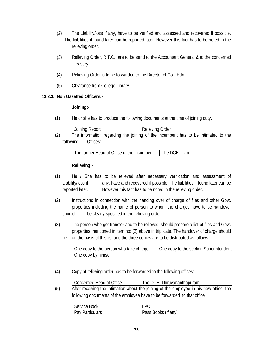- (2) The Liability/loss if any, have to be verified and assessed and recovered if possible. The liabilities if found later can be reported later. However this fact has to be noted in the relieving order.
- (3) Relieving Order, R.T.C. are to be send to the Accountant General & to the concerned Treasury.
- (4) Relieving Order is to be forwarded to the Director of Coll. Edn.
- (5) Clearance from College Library.

## **13.2.3. Non Gazetted Officers:-**

#### **Joining:-**

(1) He or she has to produce the following documents at the time of joining duty.

| Joining Report                                                                    |  |  | Relieving Order |  |  |  |
|-----------------------------------------------------------------------------------|--|--|-----------------|--|--|--|
| The information regarding the joining of the incumbent has to be intimated to the |  |  |                 |  |  |  |

(2) The information regarding the joining of the incumbent has to be intimated to the following Offices:-

The former Head of Office of the incumbent  $\Box$  The DCE, Tvm.

## **Relieving:-**

- (1) He / She has to be relieved after necessary verification and assessment of Liability/loss if any, have and recovered if possible. The liabilities if found later can be reported later. However this fact has to be noted in the relieving order.
- (2) Instructions in connection with the handing over of charge of files and other Govt. properties including the name of person to whom the charges have to be handover should be clearly specified in the relieving order.
- (3) The person who got transfer and to be relieved, should prepare a list of files and Govt. properties mentioned in item no: (2) above in triplicate. The handover of charge should be on the basis of this list and the three copies are to be distributed as follows:

| One copy to the person who take charge | One copy to the section Superintendent |
|----------------------------------------|----------------------------------------|
| One copy by himself                    |                                        |

(4) Copy of relieving order has to be forwarded to the following offices:-

|     | Concerned Head of Office                                                 | The DCE, Thiruvananthapuram                                                             |
|-----|--------------------------------------------------------------------------|-----------------------------------------------------------------------------------------|
| (5) |                                                                          | After receiving the intimation about the joining of the employee in his new office, the |
|     | following documents of the employee have to be forwarded to that office: |                                                                                         |

| Service Book           |                     |
|------------------------|---------------------|
| <b>Pay Particulars</b> | Pass Books (if any) |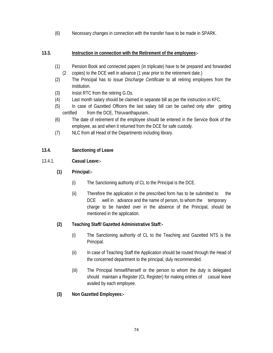(6) Necessary changes in connection with the transfer have to be made in SPARK.

## **13.3. Instruction in connection with the Retirement of the employees:-**

- (1) Pension Book and connected papers (in triplicate) have to be prepared and forwarded (2 copies) to the DCE well in advance (1 year prior to the retirement date.)
- (2) The Principal has to issue *Discharge Certificate* to all retiring employees from the institution.
- (3) Insist RTC from the retiring G.Os.
- (4) Last month salary should be claimed in separate bill as per the instruction in KFC.
- (5) In case of Gazetted Officers the last salary bill can be cashed only after getting certified from the DCE, Thiruvanthapuram...
- (6) The date of retirement of the employee should be entered in the Service Book of the employee, as and when it returned from the DCE for safe custody.
- (7) NLC from all Head of the Departments including library.

## **13.4. Sanctioning of Leave**

## 13.4.1. **Casual Leave:-**

- **(1) Principal:-** 
	- (i) The Sanctioning authority of CL to the Principal is the DCE.
	- (ii) Therefore the application in the prescribed form has to be submitted to the DCE well in advance and the name of person, to whom the temporary charge to be handed over in the absence of the Principal, should be mentioned in the application.

## **(2) Teaching Staff/ Gazetted Administrative Staff:-**

- (i) The Sanctioning authority of CL to the Teaching and Gazetted NTS is the Principal.
- (ii) In case of Teaching Staff the Application should be routed through the Head of the concerned department to the principal, duly recommended.
- (iii) The Principal himself/herself or the person to whom the duty is delegated should maintain a Register (CL Register) for making entries of casual leave availed by each employee.
- **(3) Non Gazetted Employees:-**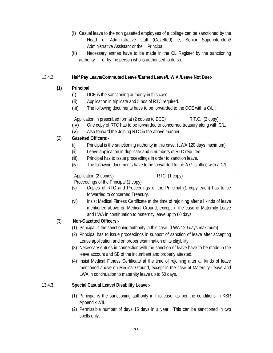- (i) Casual leave to the non gazetted employees of a college can be sanctioned by the Head of Administrative staff (Gazetted) ie, Senior Superintendent/ Administrative Assistant or the Principal.
- (ii) Necessary entries have to be made in the CL Register by the sanctioning authority or by the person who is authorised to do so.

## 13.4.2. **Half Pay Leave/Commuted Leave /Earned Leave/L.W.A./Leave Not Due:-**

# **(1) Principal**

- (i) DCE is the sanctioning authority in this case.
- (ii) Application in triplicate and 5 nos of RTC required.
- (iii) The following documents have to be forwarded to the DCE with a C/L.:

| Application in prescribed format (2 copies to DCE) | $R.T.C.$ (2 copy) |
|----------------------------------------------------|-------------------|
|                                                    |                   |
|                                                    |                   |

- (iv) One copy of RTC has to be forwarded to concerned treasury along with C/L.
- (v) Also forward the Joining RTC in the above manner.

# (2) **Gazetted Officers:-**

- (i) Principal is the sanctioning authority in this case. (LWA 120 days maximum)
- (ii) Leave application in duplicate and 5 numbers of RTC required.
- (iii) Principal has to issue proceedings in order to sanction leave.
- (iv) The following documents have to be forwarded to the A.G.'s office with a C/L

| Application (2 copies)                | RTC (1 copy) |
|---------------------------------------|--------------|
| Proceedings of the Principal (1 copy) |              |

- (v) Copies of RTC and Proceedings of the Principal (1 copy each) has to be forwarded to concerned Treasury.
- (vi) Insist Medical Fitness Certificate at the time of rejoining after all kinds of leave mentioned above on Medical Ground, except in the case of Maternity Leave and LWA in continuation to maternity leave up to 60 days.

# (3) **Non-Gazetted Officers:-**

- (1) Principal is the sanctioning authority in this case. (LWA 120 days maximum)
- (2) Principal has to issue proceedings in support of sanction of leave after accepting Leave application and on proper examination of its eligibility.
- (3) Necessary entries in connection with the sanction of leave have to be made in the leave account and SB of the incumbent and properly attested.
- (4) Insist Medical Fitness Certificate at the time of rejoining after all kinds of leave mentioned above on Medical Ground, except in the case of Maternity Leave and LWA in continuation to maternity leave up to 60 days.

## 13.4.3. **Special Casual Leave/ Disability Leave:-**

- (1) Principal is the sanctioning authority in this case, as per the conditions in KSR Appendix .VII.
- (2) Permissible number of days 15 days in a year. This can be sanctioned in two spells only.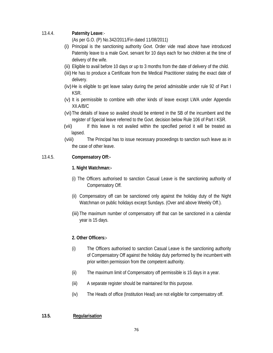## 13.4.4. **Paternity Leave**:-

(As per G.O. (P) No.342/2011/Fin dated 11/08/2011)

- (i) Principal is the sanctioning authority Govt. Order vide read above have introduced Paternity leave to a male Govt. servant for 10 days each for two children at the time of delivery of the wife.
- (ii) Eligible to avail before 10 days or up to 3 months from the date of delivery of the child.
- (iii) He has to produce a Certificate from the Medical Practitioner stating the exact date of delivery.
- (iv) He is eligible to get leave salary during the period admissible under rule 92 of Part I KSR.
- (v) It is permissible to combine with other kinds of leave except LWA under Appendix XII.A/B/C
- (vi) The details of leave so availed should be entered in the SB of the incumbent and the register of Special leave referred to the Govt. decision below Rule 106 of Part I KSR.
- (vii) If this leave is not availed within the specified period it will be treated as lapsed.
- (viii) The Principal has to issue necessary proceedings to sanction such leave as in the case of other leave.

## 13.4.5. **Compensatory Off:-**

## **1. Night Watchman:-**

- (i) The Officers authorised to sanction Casual Leave is the sanctioning authority of Compensatory Off.
- (ii) Compensatory off can be sanctioned only against the holiday duty of the Night Watchman on public holidays except Sundays. (Over and above Weekly Off.).
- (iii) The maximum number of compensatory off that can be sanctioned in a calendar year is 15 days.

## **2. Other Officers:-**

- (i) The Officers authorised to sanction Casual Leave is the sanctioning authority of Compensatory Off against the holiday duty performed by the incumbent with prior written permission from the competent authority.
- (ii) The maximum limit of Compensatory off permissible is 15 days in a year.
- (iii) A separate register should be maintained for this purpose.
- (iv) The Heads of office (Institution Head) are not eligible for compensatory off.

## **13.5. Regularisation**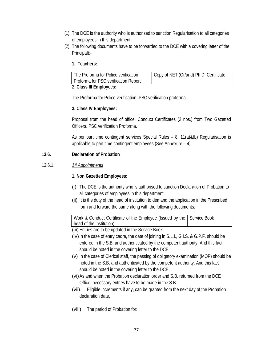- (1) The DCE is the authority who is authorised to sanction Regularisation to all categories of employees in this department.
- (2) The following documents have to be forwarded to the DCE with a covering letter of the Principal):-
	- **1. Teachers:**

| The Proforma for Police verification | Copy of NET (Or/and) Ph D. Certificate |
|--------------------------------------|----------------------------------------|
| Proforma for PSC verification Report |                                        |

## 2. **Class III Employees:**

The Proforma for Police verification. PSC verification proforma.

## **3. Class IV Employees:**

Proposal from the head of office, Conduct Certificates (2 nos.) from Two Gazetted Officers. PSC verification Proforma.

As per part time contingent services Special Rules – 8, 11(a)&(b) Regularisation is applicable to part time contingent employees (See Annexure – 4)

## **13.6. Declaration of Probation**

## 13.6.1. *1St Appointments*

## **1. Non Gazetted Employees:**

- (i) The DCE is the authority who is authorised to sanction Declaration of Probation to all categories of employees in this department.
- (ii) It is the duty of the head of institution to demand the application in the Prescribed form and forward the same along with the following documents:

Work & Conduct Certificate of the Employee (Issued by the head of the institution) Service Book

(iii) Entries are to be updated in the Service Book.

- (iv) In the case of entry cadre, the date of joining in S.L.I., G.I.S. & G.P.F. should be entered in the S.B. and authenticated by the competent authority. And this fact should be noted in the covering letter to the DCE.
- (v) In the case of Clerical staff, the passing of obligatory examination (MOP) should be noted in the S.B. and authenticated by the competent authority. And this fact should be noted in the covering letter to the DCE.
- (vi) As and when the Probation declaration order and S.B. returned from the DCE Office, necessary entries have to be made in the S.B.
- (vii) Eligible increments if any, can be granted from the next day of the Probation declaration date.
- (viii) The period of Probation for: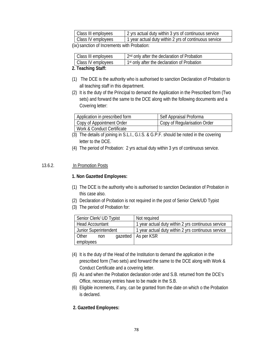| Class III employees                                                                                                                                                                                                            | 1 2 yrs actual duty within 3 yrs of continuous service |  |  |  |
|--------------------------------------------------------------------------------------------------------------------------------------------------------------------------------------------------------------------------------|--------------------------------------------------------|--|--|--|
| Class IV employees                                                                                                                                                                                                             | 1 year actual duty within 2 yrs of continuous service  |  |  |  |
| to Andreas and the company of the state of the model of the company of the company of the company of the company of the company of the company of the company of the company of the company of the company of the company of t |                                                        |  |  |  |

(ix) sanction of Increments with Probation:

| Class III employees | 2 <sup>nd</sup> only after the declaration of Probation |
|---------------------|---------------------------------------------------------|
| Class IV employees  | 1 <sup>st</sup> only after the declaration of Probation |
| .                   |                                                         |

#### **2. Teaching Staff:**

- (1) The DCE is the authority who is authorised to sanction Declaration of Probation to all teaching staff in this department.
- (2) It is the duty of the Principal to demand the Application in the Prescribed form (Two sets) and forward the same to the DCE along with the following documents and a Covering letter:

| Application in prescribed form | Self Appraisal Proforma      |
|--------------------------------|------------------------------|
| Copy of Appointment Order      | Copy of Regularisation Order |
| Work & Conduct Certificate     |                              |

- (3) The details of joining in S.L.I., G.I.S. & G.P.F. should be noted in the covering letter to the DCE.
- (4) The period of Probation: 2 yrs actual duty within 3 yrs of continuous service.

## 13.6.2. In Promotion Posts

## **1. Non Gazetted Employees:**

- (1) The DCE is the authority who is authorised to sanction Declaration of Probation in this case also.
- (2) Declaration of Probation is not required in the post of Senior Clerk/UD Typist
- (3) The period of Probation for:

| Senior Clerk/ UD Typist      | Not required                                       |
|------------------------------|----------------------------------------------------|
| <b>Head Accountant</b>       | 1 year actual duty within 2 yrs continuous service |
| <b>Junior Superintendent</b> | 1 year actual duty within 2 yrs continuous service |
| <b>Other</b><br>non          | qazetted   As per KSR                              |
| employees                    |                                                    |

- (4) It is the duty of the Head of the Institution to demand the application in the prescribed form (Two sets) and forward the same to the DCE along with Work & Conduct Certificate and a covering letter.
- (5) As and when the Probation declaration order and S.B. returned from the DCE's Office, necessary entries have to be made in the S.B.
- (6) Eligible increments, if any, can be granted from the date on which o the Probation is declared.

## **2. Gazetted Employees:**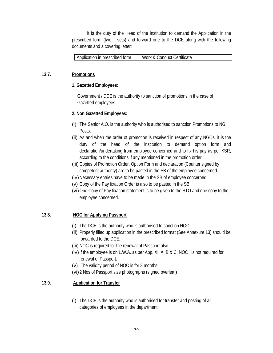It is the duty of the Head of the Institution to demand the Application in the prescribed form (two sets) and forward one to the DCE along with the following documents and a covering letter:

#### **13.7. Promotions**

#### **1. Gazetted Employees:**

Government / DCE is the authority to sanction of promotions in the case of Gazetted employees.

#### **2. Non Gazetted Employees:**

- (i) The Senior A.O. is the authority who is authorised to sanction Promotions to NG Posts.
- (ii) As and when the order of promotion is received in respect of any NGOs, it is the duty of the head of the institution to demand option form and declaration/undertaking from employee concerned and to fix his pay as per KSR, according to the conditions if any mentioned in the promotion order.
- (iii) Copies of Promotion Order, Option Form and declaration (Counter signed by competent authority) are to be pasted in the SB of the employee concerned.
- (iv) Necessary entries have to be made in the SB of employee concerned.
- (v) Copy of the Pay fixation Order is also to be pasted in the SB.
- (vi) One Copy of Pay fixation statement is to be given to the STO and one copy to the employee concerned.

## **13.8. NOC for Applying Passport**

- (i) The DCE is the authority who is authorised to sanction NOC.
- (ii) Properly filled up application in the prescribed format (See Annexure 13) should be forwarded to the DCE.
- (iii) NOC is required for the renewal of Passport also.
- (iv) If the employee is on L.W.A. as per App. XII A, B & C, NOC is not required for renewal of Passport.
- (v) The validity period of NOC is for 3 months.
- (vi) 2 Nos of Passport size photographs (signed overleaf)

## **13.9. Application for Transfer**

(i) The DCE is the authority who is authorised for transfer and posting of all categories of employees in the department.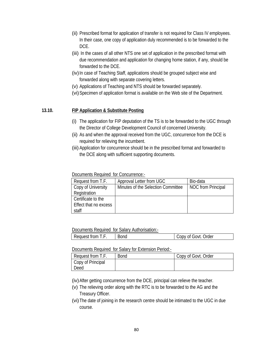- (ii) Prescribed format for application of transfer is not required for Class IV employees. In their case, one copy of application duly recommended is to be forwarded to the DCE.
- (iii) In the cases of all other NTS one set of application in the prescribed format with due recommendation and application for changing home station, if any, should be forwarded to the DCE.
- (iv) In case of Teaching Staff, applications should be grouped subject wise and forwarded along with separate covering letters.
- (v) Applications of Teaching and NTS should be forwarded separately.
- (vi) Specimen of application format is available on the Web site of the Department.

## **13.10. FIP Application & Substitute Posting**

- (i) The application for FIP deputation of the TS is to be forwarded to the UGC through the Director of College Development Council of concerned University.
- (ii) As and when the approval received from the UGC, concurrence from the DCE is required for relieving the incumbent.
- (iii) Application for concurrence should be in the prescribed format and forwarded to the DCE along with sufficient supporting documents.

Documents Required for Concurrence:-

| Request from T.F.     | Approval Letter from UGC           | Bio-data                  |
|-----------------------|------------------------------------|---------------------------|
| Copy of University    | Minutes of the Selection Committee | <b>NOC</b> from Principal |
| Registration          |                                    |                           |
| Certificate to the    |                                    |                           |
| Effect that no excess |                                    |                           |
| staff                 |                                    |                           |

Documents Required for Salary Authorisation:-

| -<br>$+$ $ -$<br>н<br>-<br>−<br>- | $\sim$<br>SUNG | $1 - 1 - 1$<br>л<br>uer |
|-----------------------------------|----------------|-------------------------|
|                                   |                |                         |

Documents Required for Salary for Extension Period:-

| Request from T.F. | <b>Bond</b> | Copy of Govt. Order |
|-------------------|-------------|---------------------|
| Copy of Principal |             |                     |
| Deed              |             |                     |

(iv) After getting concurrence from the DCE, principal can relieve the teacher.

- (v) The relieving order along with the RTC is to be forwarded to the AG and the Treasury Officer.
- (vi) The date of joining in the research centre should be intimated to the UGC in due course.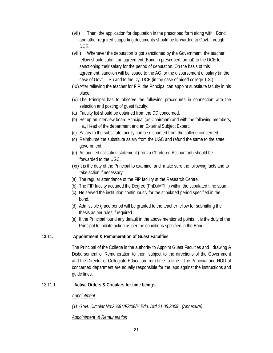- (vii) Then, the application for deputation in the prescribed form along with Bond and other required supporting documents should be forwarded to Govt. through DCE.
- (viii) Whenever the deputation is got sanctioned by the Government, the teacher fellow should submit an agreement (Bond in prescribed format) to the DCE for sanctioning their salary for the period of deputation. On the basis of this agreement, sanction will be issued to the AG for the disbursement of salary (in the case of Govt. T.S.) and to the Dy. DCE (in the case of aided college T.S.)
- (ix) After relieving the teacher for FIP, the Principal can appoint substitute faculty in his place.
- (x) The Principal has to observe the following procedures in connection with the selection and posting of guest faculty:
- (a) Faculty list should be obtained from the DD concerned.
- (b) Set up an interview board Principal (as Chairman) and with the following members, i.e., Head of the department and an External Subject Expert.
- (c) Salary to the substitute faculty can be disbursed from the college concerned.
- (d) Reimburse the substitute salary from the UGC and refund the same to the state government.
- (e) An audited utilisation statement (from a Chartered Accountant) should be forwarded to the UGC.
- (xi) It is the duty of the Principal to examine and make sure the following facts and to take action if necessary:
- (a) The regular attendance of the FIP faculty at the Research Centre.
- (b) The FIP faculty acquired the Degree (PhD./MPhil) within the stipulated time span.
- (c) He served the institution continuously for the stipulated period specified in the bond.
- (d) Admissible grace period will be granted to the teacher fellow for submitting the thesis as per rules if required.
- (e) If the Principal found any default in the above mentioned points, it is the duty of the Principal to initiate action as per the conditions specified in the Bond.

## **13.11. Appointment & Remuneration of Guest Faculties**

The Principal of the College is the authority to Appoint Guest Faculties and drawing & Disbursement of Remuneration to them subject to the directions of the Government and the Director of Collegiate Education from time to time. The Principal and HOD of concerned department are equally responsible for the laps against the instructions and guide lines.

## 13.11.1. **Active Orders & Circulars for time being:-**

## *Appointment*

*(1) Govt. Circular No:26094/F2/08/H.Edn. Dtd.21.05.2009. (Annexure)* 

## *Appointment & Remuneration*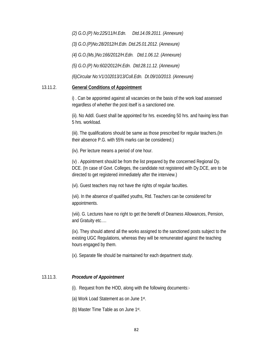*(2) G.O.(P) No:225/11/H.Edn. Dtd.14.09.2011. (Annexure) (3) G.O.(P)No:28/2012/H.Edn. Dtd.25.01.2012. (Annexure) (4) G.O.(Ms.)No:166/2012/H.Edn. Dtd.1.06.12. (Annexure) (5) G.O.(P) No:602/2012/H.Edn. Dtd:28.11.12. (Annexure) (6)Circular No:V1/102013/13/Coll.Edn. Dt.09/10/2013. (Annexure)*

#### 13.11.2. **General Conditions of Appointment**

i) . Can be appointed against all vacancies on the basis of the work load assessed regardless of whether the post itself is a sanctioned one.

(ii). No Addl. Guest shall be appointed for hrs. exceeding 50 hrs. and having less than 5 hrs. workload.

(iii). The qualifications should be same as those prescribed for regular teachers.(In their absence P.G. with 55% marks can be considered.)

(iv). Per lecture means a period of one hour.

(v) . Appointment should be from the list prepared by the concerned Regional Dy. DCE. (In case of Govt. Colleges, the candidate not registered with Dy.DCE, are to be directed to get registered immediately after the interview.)

(vi). Guest teachers may not have the rights of regular faculties.

(vii). In the absence of qualified youths, Rtd. Teachers can be considered for appointments.

(viii). G. Lectures have no right to get the benefit of Dearness Allowances, Pension, and Gratuity etc….

(ix). They should attend all the works assigned to the sanctioned posts subject to the existing UGC Regulations, whereas they will be remunerated against the teaching hours engaged by them.

(x). Separate file should be maintained for each department study.

## 13.11.3. *Procedure of Appointment*

(i). Request from the HOD, along with the following documents:-

(a) Work Load Statement as on June 1st.

(b) Master Time Table as on June 1st.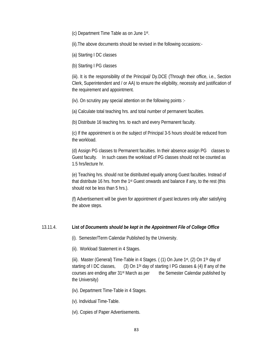(c) Department Time Table as on June 1st.

(ii).The above documents should be revised in the following occasions:-

(a) Starting I DC classes

(b) Starting I PG classes

(iii). It is the responsibility of the Principal/ Dy.DCE (Through their office, i.e., Section Clerk, Superintendent and / or AA) to ensure the eligibility, necessity and justification of the requirement and appointment.

(iv). On scrutiny pay special attention on the following points :-

(a) Calculate total teaching hrs. and total number of permanent faculties.

(b) Distribute 16 teaching hrs. to each and every Permanent faculty.

(c) If the appointment is on the subject of Principal 3-5 hours should be reduced from the workload.

(d) Assign PG classes to Permanent faculties. In their absence assign PG classes to Guest faculty. In such cases the workload of PG classes should not be counted as 1.5 hrs/lecture hr.

(e) Teaching hrs. should not be distributed equally among Guest faculties. Instead of that distribute 16 hrs. from the 1st Guest onwards and balance if any, to the rest (this should not be less than 5 hrs.).

(f) Advertisement will be given for appointment of guest lecturers only after satisfying the above steps.

## 13.11.4. **List of** *Documents should be kept in the Appointment File of College Office*

(i). Semester/Term Calendar Published by the University.

(ii). Workload Statement in 4 Stages.

(iii). Master (General) Time-Table in 4 Stages. ( $(1)$  On June 1st,  $(2)$  On 1st day of starting of I DC classes,  $(3)$  On 1<sup>st</sup> day of starting I PG classes & (4) If any of the courses are ending after 31st March as per the Semester Calendar published by the University)

- (iv). Department Time-Table in 4 Stages.
- (v). Individual Time-Table.
- (vi). Copies of Paper Advertisements.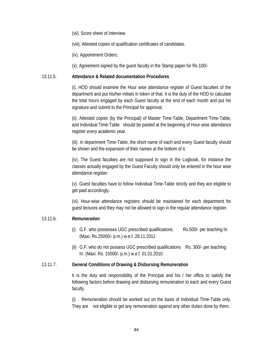(vii). Score sheet of Interview.

(viii). Attested copies of qualification certificates of candidates.

(ix). Appointment Orders.

(x). Agreement signed by the guest faculty in the Stamp paper for Rs.100/-

#### 13.11.5. **Attendance & Related documentation Procedures**

(i). HOD should examine the Hour wise attendance register of Guest faculties of the department and put his/her initials in token of that. It is the duty of the HOD to calculate the total hours engaged by each Guest faculty at the end of each month and put his signature and submit to the Principal for approval.

(ii). Attested copies (by the Principal) of Master Time-Table, Department Time-Table, and Individual Time-Table should be pasted at the beginning of Hour wise attendance register every academic year.

(iii). In department Time-Table, the short name of each and every Guest faculty should be shown and the expansion of their names at the bottom of it.

(iv). The Guest faculties are not supposed to sign in the Logbook, for instance the classes actually engaged by the Guest Faculty should only be entered in the hour wise attendance register.

(v). Guest faculties have to follow Individual Time-Table strictly and they are eligible to get paid accordingly.

(vi). Hour-wise attendance registers should be maintained for each department for guest lectures and they may not be allowed to sign in the regular attendance register.

## 13.11.6. *Remuneration*

- (i) G.F. who possesses UGC prescribed qualifications. Rs.500/- per teaching hr. (Maxi. Rs.25000/- p.m.) w.e.f. 28.11.2012
- (ii) G.F. who do not possess UGC prescribed qualifications Rs. 300/- per teaching hr. (Maxi. Rs. 15000/- p.m.) w.e.f. 01.01.2010.

## 13.11.7. **General Conditions of Drawing & Disbursing Remuneration**

It is the duty and responsibility of the Principal and his / her office to satisfy the following factors before drawing and disbursing remuneration to each and every Guest faculty.

(i) . Remuneration should be worked out on the basis of Individual Time-Table only. They are not eligible to get any remuneration against any other duties done by them.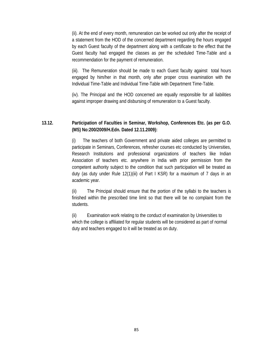(ii). At the end of every month, remuneration can be worked out only after the receipt of a statement from the HOD of the concerned department regarding the hours engaged by each Guest faculty of the department along with a certificate to the effect that the Guest faculty had engaged the classes as per the scheduled Time-Table and a recommendation for the payment of remuneration.

(iii). The Remuneration should be made to each Guest faculty against total hours engaged by him/her in that month, only after proper cross examination with the Individual Time-Table and Individual Time-Table with Department Time-Table.

(iv). The Principal and the HOD concerned are equally responsible for all liabilities against improper drawing and disbursing of remuneration to a Guest faculty.

## **13.12. Participation of Faculties in Seminar, Workshop, Conferences Etc. (as per G.O. (MS) No:200/2009/H.Edn. Dated 12.11.2009):**

(i) The teachers of both Government and private aided colleges are permitted to participate in Seminars, Conferences, refresher courses etc conducted by Universities, Research Institutions and professional organizations of teachers like Indian Association of teachers etc. anywhere in India with prior permission from the competent authority subject to the condition that such participation will be treated as duty (as duty under Rule 12(1)(iii) of Part I KSR) for a maximum of 7 days in an academic year.

(ii) The Principal should ensure that the portion of the syllabi to the teachers is finished within the prescribed time limit so that there will be no complaint from the students.

(ii) Examination work relating to the conduct of examination by Universities to which the college is affiliated for regular students will be considered as part of normal duty and teachers engaged to it will be treated as on duty.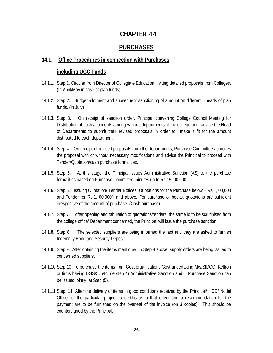# **CHAPTER -14**

# **PURCHASES**

## **14.1. Office Procedures in connection with Purchases**

## **including UGC Funds**

- 14.1.1. Step 1. Circular from Director of Collegiate Education inviting detailed proposals from Colleges. (In April/May in case of plan funds)
- 14.1.2. Step 2. Budget allotment and subsequent sanctioning of amount on different heads of plan funds. (In July)
- 14.1.3. Step 3. On receipt of sanction order, Principal convening College Council Meeting for Distribution of such allotments among various departments of the college and advice the Head of Departments to submit their revised proposals in order to make it fit for the amount distributed to each department.
- 14.1.4. Step 4. On receipt of revised proposals from the departments, Purchase Committee approves the proposal with or without necessary modifications and advice the Principal to proceed with Tender/Quotation/cash purchase formalities.
- 14.1.5. Step 5. At this stage, the Principal issues Administrative Sanction (AS) to the purchase formalities based on Purchase Committee minutes up to Rs 15, 00,000
- 14.1.6. Step 6. Issuing Quotation/ Tender Notices. Quotations for the Purchase below Rs.1, 00,000 and Tender for Rs.1, 00,000/- and above. For purchase of books, quotations are sufficient irrespective of the amount of purchase. (Cash purchase)
- 14.1.7. Step 7. After opening and tabulation of quotations/tenders, the same is to be scrutinised from the college office/ Department concerned, the Principal will issue the purchase sanction.
- 14.1.8. Step 8. The selected suppliers are being informed the fact and they are asked to furnish Indemnity Bond and Security Deposit.
- 14.1.9. Step 9. After obtaining the items mentioned in Step 8 above, supply orders are being issued to concerned suppliers.
- 14.1.10. Step 10. To purchase the items from Govt organisations/Govt undertaking M/s.SIDCO, Keltron or firms having DGS&D etc. (ie step 4) Administrative Sanction and Purchase Sanction can be issued jointly, at Step (5).
- 14.1.11. Step. 11. After the delivery of items in good conditions received by the Principal/ HOD/ Nodal Officer of the particular project, a certificate to that effect and a recommendation for the payment are to be furnished on the overleaf of the invoice (on 3 copies). This should be countersigned by the Principal.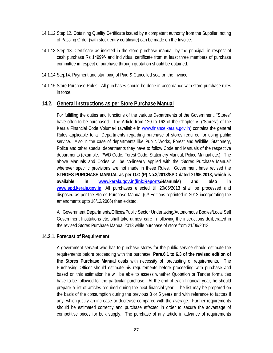- 14.1.12. Step 12. Obtaining Quality Certificate issued by a competent authority from the Supplier, noting of Passing Order (with stock entry certificate) can be made on the Invoice.
- 14.1.13. Step 13. Certificate as insisted in the store purchase manual, by the principal, in respect of cash purchase Rs 14999/- and individual certificate from at least three members of purchase committee in respect of purchase through quotation should be obtained.
- 14.1.14. Step14. Payment and stamping of Paid & Cancelled seal on the Invoice
- 14.1.15. Store Purchase Rules:- All purchases should be done in accordance with store purchase rules in force.

## **14.2. General Instructions as per Store Purchase Manual**

For fulfilling the duties and functions of the various Departments of the Government, "Stores" have often to be purchased. The Article from 120 to 162 of the Chapter VI ("Stores") of the Kerala Financial Code Volume-I (available in www.finance.kerala.gov.in) contains the general Rules applicable to all Departments regarding purchase of stores required for using public service. Also in the case of departments like Public Works, Forest and Wildlife, Stationery, Police and other special departments they have to follow Code and Manuals of the respective departments (example: PWD Code, Forest Code, Stationery Manual, Police Manual etc.). The above Manuals and Codes will be co-linearly applied with the "Stores Purchase Manual" wherever specific provisions are not made in these Rules. Government have revised the **STROES PURCHASE MANUAL as per G.O.(P) No.3/2013/SPD dated 21/06.2013, which is available in www.kerala.gov.in(link:Reports&Manuals) and also in www.spd.kerala.gov.in**. All purchases effected till 20/06/2013 shall be processed and disposed as per the Stores Purchase Manual (6th Editions reprinted in 2012 incorporating the amendments upto 18/12/2006) then existed.

All Government Departments/Offices/Public Sector Undertaking/Autonomous Bodies/Local Self Government Institutions etc. shall take utmost care in following the instructions deliberated in the revised Stores Purchase Manual 2013 while purchase of store from 21/06/2013.

## **14.2.1. Forecast of Requirement**

A government servant who has to purchase stores for the public service should estimate the requirements before proceeding with the purchase. **Para.6.1 to 6.3 of the revised edition of the Stores Purchase Manual** deals with necessity of forecasting of requirements. The Purchasing Officer should estimate his requirements before proceeding with purchase and based on this estimation he will be able to assess whether Quotation or Tender formalities have to be followed for the particular purchase. At the end of each financial year, he should prepare a list of articles required during the next financial year. The list may be prepared on the basis of the consumption during the previous 3 or 5 years and with reference to factors if any, which justify an increase or decrease compared with the average. Further requirements should be estimated correctly and purchase effected in order to secure the advantage of competitive prices for bulk supply. The purchase of any article in advance of requirements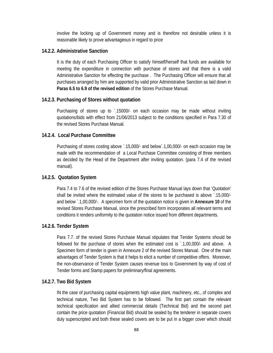involve the locking up of Government money and is therefore not desirable unless it is reasonable likely to prove advantageous in regard to price

## **14.2.2. Administrative Sanction**

It is the duty of each Purchasing Officer to satisfy himself/herself that funds are available for meeting the expenditure in connection with purchase of stores and that there is a valid Administrative Sanction for effecting the purchase . The Purchasing Officer will ensure that all purchases arranged by him are supported by valid prior Administrative Sanction as laid down in **Paras 6.5 to 6.9 of the revised edition** of the Stores Purchase Manual.

## **14.2.3. Purchasing of Stores without quotation**

Purchasing of stores up to `.15000/- on each occasion may be made without inviting quotations/bids with effect from 21/06/2013 subject to the conditions specified in Para 7.30 of the revised Stores Purchase Manual.

## **14.2.4. Local Purchase Committee**

Purchasing of stores costing above `.15,000/- and below`.1,00,000/- on each occasion may be made with the recommendation of a Local Purchase Committee consisting of three members as decided by the Head of the Department after inviting quotation. (para 7.4 of the revised manual).

## **14.2.5. Quotation System**

Para 7.4 to 7.6 of the revised edition of the Stores Purchase Manual lays down that 'Quotation' shall be invited where the estimated value of the stores to be purchased is above `.15,000/ and below `.1,00,000/-. A specimen form of the quotation notice is given in **Annexure 10** of the revised Stores Purchase Manual, since the prescribed form incorporates all relevant terms and conditions it renders uniformity to the quotation notice issued from different departments.

## **14.2.6. Tender System**

Para 7.7. of the revised Stores Purchase Manual stipulates that Tender Systems should be followed for the purchase of stores when the estimated cost is `.1,00,000/- and above. A Specimen form of tender is given in Annexure 2 of the revised Stores Manual. One of the main advantages of Tender System is that it helps to elicit a number of competitive offers. Moreover, the non-observance of Tender System causes revenue loss to Government by way of cost of Tender forms and Stamp papers for preliminary/final agreements.

## **14.2.7. Two Bid System**

IN the case of purchasing capital equipments high value plant, machinery, etc., of complex and technical nature, Two Bid System has to be followed. The first part contain the relevant technical specification and allied commercial details (Technical Bid) and the second part contain the price quotation (Financial Bid) should be sealed by the tenderer in separate covers duly superscripted and both these sealed covers are to be put in a bigger cover which should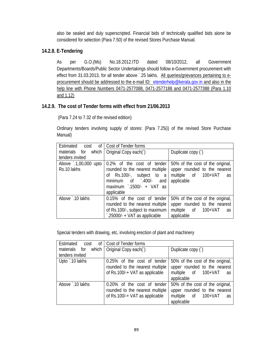also be sealed and duly superscripted. Financial bids of technically qualified bids alone be considered for selection (Para 7.50) of the revised Stores Purchase Manual.

## **14.2.8. E-Tendering**

As per G.O.(Ms) No.18.2012.ITD dated 08/10/2012, all Government Departments/Boards/Public Sector Undertakings should follow e-Government procurement with effect from 31.03.2013, for all tender above `.25 lakhs. All queries/grievances pertaining to eprocurement should be addressed to the e-mail ID: etenderhelp@kerala.gov.in and also in the help line with Phone Numbers 0471-2577088, 0471-2577188 and 0471-2577388 (Para 1.10 and 1.12)

## **14.2.9. The cost of Tender forms with effect from 21/06.2013**

(Para 7.24 to 7.32 of the revised edition)

Ordinary tenders involving supply of stores: (Para 7.25(i) of the revised Store Purchase Manual)

| $of \mid$<br>Estimated<br>cost | Cost of Tender forms                   |                                  |
|--------------------------------|----------------------------------------|----------------------------------|
| which<br>materials for         | Original Copy each(`)                  | Duplicate copy ()                |
| tenders invited                |                                        |                                  |
| Above 1,00,000 upto            | 0.2% of the cost of tender             | 50% of the cost of the original, |
| Rs.10 lakhs                    | rounded to the nearest multiple        | upper rounded to the nearest     |
|                                | of Rs.100/-, subject to a              | multiple of 100+VAT<br>as        |
|                                | minimum of 100/-<br>and                | applicable                       |
|                                | maximum $\cdot$ .1500/- + VAT as       |                                  |
|                                | applicable                             |                                  |
| Above `.10 lakhs               | 0.15% of the cost of tender            | 50% of the cost of the original, |
|                                | rounded to the nearest multiple        | upper rounded to the nearest     |
|                                | of Rs.100/-, subject to maximum        | multiple of 100+VAT<br>as        |
|                                | $\degree$ .25000/- + VAT as applicable | applicable                       |

Special tenders with drawing, etc, involving erection of plant and machinery

| Estimated cost   | of   Cost of Tender forms                                                                        |                                                                                                             |
|------------------|--------------------------------------------------------------------------------------------------|-------------------------------------------------------------------------------------------------------------|
| materials for    | which $\int$ Original Copy each( $\int$ )                                                        | Duplicate copy ()                                                                                           |
| tenders invited  |                                                                                                  |                                                                                                             |
| Upto `.10 lakhs  | 0.25% of the cost of tender<br>rounded to the nearest multiple<br>of Rs.100/-+ VAT as applicable | 50% of the cost of the original,<br>upper rounded to the nearest<br>multiple of 100+VAT<br>as<br>applicable |
| Above `.10 lakhs | 0.20% of the cost of tender<br>rounded to the nearest multiple<br>of Rs.100/-+ VAT as applicable | 50% of the cost of the original,<br>upper rounded to the nearest<br>multiple of 100+VAT<br>as<br>applicable |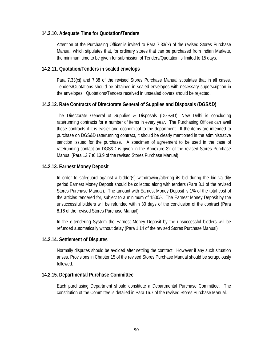## **14.2.10. Adequate Time for Quotation/Tenders**

Attention of the Purchasing Officer is invited to Para 7.33(ix) of the revised Stores Purchase Manual, which stipulates that, for ordinary stores that can be purchased from Indian Markets, the minimum time to be given for submission of Tenders/Quotation is limited to 15 days.

## **14.2.11. Quotation/Tenders in sealed envelops**

Para 7.33(xi) and 7.38 of the revised Stores Purchase Manual stipulates that in all cases, Tenders/Quotations should be obtained in sealed envelopes with necessary superscription in the envelopes. Quotations/Tenders received in unsealed covers should be rejected.

## **14.2.12. Rate Contracts of Directorate General of Supplies and Disposals (DGS&D)**

The Directorate General of Supplies & Disposals (DGS&D), New Delhi is concluding rate/running contracts for a number of items in every year. The Purchasing Offices can avail these contracts if it is easier and economical to the department. If the items are intended to purchase on DGS&D rate/running contract, it should be clearly mentioned in the administrative sanction issued for the purchase. A specimen of agreement to be used in the case of rate/running contact on DGS&D is given in the Annexure 32 of the revised Stores Purchase Manual (Para 13.7 t0 13.9 of the revised Stores Purchase Manual)

## **14.2.13. Earnest Money Deposit**

In order to safeguard against a bidder(s) withdrawing/altering its bid during the bid validity period Earnest Money Deposit should be collected along with tenders (Para 8.1 of the revised Stores Purchase Manual). The amount with Earnest Money Deposit is 1% of the total cost of the articles tendered for, subject to a minimum of 1500/-. The Earnest Money Deposit by the unsuccessful bidders will be refunded within 30 days of the conclusion of the contract (Para 8.16 of the revised Stores Purchase Manual)

In the e-tendering System the Earnest Money Deposit by the unsuccessful bidders will be refunded automatically without delay (Para 1.14 of the revised Stores Purchase Manual)

## **14.2.14. Settlement of Disputes**

Normally disputes should be avoided after settling the contract. However if any such situation arises, Provisions in Chapter 15 of the revised Stores Purchase Manual should be scrupulously followed.

#### **14.2.15. Departmental Purchase Committee**

Each purchasing Department should constitute a Departmental Purchase Committee. The constitution of the Committee is detailed in Para 16.7 of the revised Stores Purchase Manual.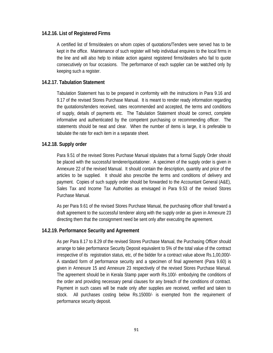## **14.2.16. List of Registered Firms**

A certified list of firms/dealers on whom copies of quotations/Tenders were served has to be kept in the office. Maintenance of such register will help individual enquires to the local firms in the line and will also help to initiate action against registered firms/dealers who fail to quote consecutively on four occasions. The performance of each supplier can be watched only by keeping such a register.

## **14.2.17. Tabulation Statement**

Tabulation Statement has to be prepared in conformity with the instructions in Para 9.16 and 9.17 of the revised Stores Purchase Manual. It is meant to render ready information regarding the quotations/tenders received, rates recommended and accepted, the terms and conditions of supply, details of payments etc. The Tabulation Statement should be correct, complete informative and authenticated by the competent purchasing or recommending officer. The statements should be neat and clear. When the number of items is large, it is preferable to tabulate the rate for each item in a separate sheet.

## **14.2.18. Supply order**

Para 9.51 of the revised Stores Purchase Manual stipulates that a formal Supply Order should be placed with the successful tenderer/quotationer. A specimen of the supply order is given in Annexure 22 of the revised Manual. It should contain the description, quantity and price of the articles to be supplied. It should also prescribe the terms and conditions of delivery and payment. Copies of such supply order should be forwarded to the Accountant General (A&E), Sales Tax and Income Tax Authorities as envisaged in Para 9.53 of the revised Stores Purchase Manual.

As per Para 9.61 of the revised Stores Purchase Manual, the purchasing officer shall forward a draft agreement to the successful tenderer along with the supply order as given in Annexure 23 directing them that the consignment need be sent only after executing the agreement.

## **14.2.19. Performance Security and Agreement**

As per Para 8.17 to 8.29 of the revised Stores Purchase Manual, the Purchasing Officer should arrange to take performance Security Deposit equivalent to 5% of the total value of the contract irrespective of its registration status, etc, of the bidder for a contract value above Rs.1,00,000/- A standard form of performance security and a specimen of final agreement (Para 9.60) is given in Annexure 15 and Annexure 23 respectively of the revised Stores Purchase Manual. The agreement should be in Kerala Stamp paper worth Rs.100/- embodying the conditions of the order and providing necessary penal clauses for any breach of the conditions of contract. Payment in such cases will be made only after supplies are received, verified and taken to stock. All purchases costing below Rs.15000/- is exempted from the requirement of performance security deposit.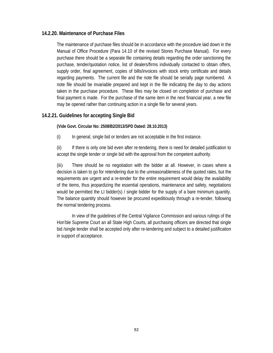### **14.2.20. Maintenance of Purchase Files**

The maintenance of purchase files should be in accordance with the procedure laid down in the Manual of Office Procedure (Para 14.10 of the revised Stores Purchase Manual). For every purchase there should be a separate file containing details regarding the order sanctioning the purchase, tender/quotation notice, list of dealers/firms individually contacted to obtain offers, supply order, final agreement, copies of bills/invoices with stock entry certificate and details regarding payments. The current file and the note file should be serially page numbered. A note file should be invariable prepared and kept in the file indicating the day to day actions taken in the purchase procedure. These files may be closed on completion of purchase and final payment is made. For the purchase of the same item in the next financial year, a new file may be opened rather than continuing action in a single file for several years.

### **14.2.21. Guidelines for accepting Single Bid**

**(Vide Govt. Circular No: 2508/B2/2013/SPD Dated: 28.10.2013)** 

(i) In general, single bid or tenders are not acceptable in the first instance.

(ii) If there is only one bid even after re-tendering, there is need for detailed justification to accept the single tender or single bid with the approval from the competent authority.

(iii) There should be no negotiation with the bidder at all. However, in cases where a decision is taken to go for retendering due to the unreasonableness of the quoted rates, but the requirements are urgent and a re-tender for the entire requirement would delay the availability of the items, thus jeopardizing the essential operations, maintenance and safety, negotiations would be permitted the LI bidder(s) / single bidder for the supply of a bare minimum quantity. The balance quantity should however be procured expeditiously through a re-tender, following the normal tendering process.

 In view of the guidelines of the Central Vigilance Commission and various rulings of the Hon'ble Supreme Court an all State High Courts, all purchasing officers are directed that single bid /single tender shall be accepted only after re-tendering and subject to a detailed justification in support of acceptance.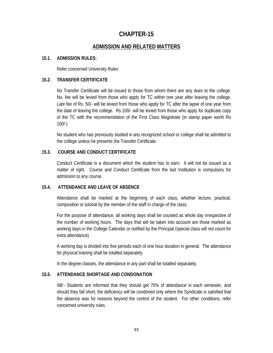# **CHAPTER-15**

### **ADMISSION AND RELATED MATTERS**

#### **15.1. ADMISSION RULES:**

Refer concerned University Rules

#### **15.2. TRANSFER CERTIFICATE**

No Transfer Certificate will be issued to those from whom there are any dues to the college. No. fee will be levied from those who apply for TC within one year after leaving the college. Late fee of Rs. 50/- will be levied from those who apply for TC after the lapse of one year from the date of leaving the college. Rs.100/- will be levied from those who apply for duplicate copy of the TC with the recommendation of the First Class Magistrate (in stamp paper worth Rs 100/-)

No student who has previously studied in any recognized school or college shall be admitted to the college unless he presents the Transfer Certificate.

### **15.3. COURSE AND CONDUCT CERTIFICATE**

Conduct Certificate is a document which the student has to earn. It will not be issued as a matter of right. Course and Conduct Certificate from the last Institution is compulsory for admission to any course.

### **15.4. ATTENDANCE AND LEAVE OF ABSENCE**

Attendance shall be marked at the beginning of each class, whether lecture, practical, composition or tutorial by the member of the staff in charge of the class.

For the purpose of attendance, all working days shall be counted as whole day irrespective of the number of working hours. The days that will be taken into account are those marked as working days in the College Calendar or notified by the Principal (special class will not count for extra attendance)

A working day is divided into five periods each of one hour duration in general. The attendance for physical training shall be totalled separately.

In the degree classes, the attendance in any part shall be totalled separately.

#### **15.5. ATTENDANCE SHORTAGE AND CONDONATION**

*NB:-* Students are informed that they should get 75% of attendance in each semester, and should they fall short, the deficiency will be condoned only where the Syndicate is satisfied that the absence was for reasons beyond the control of the student. For other conditions, refer concerned university rules.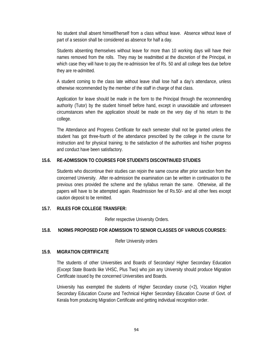No student shall absent himself/herself from a class without leave. Absence without leave of part of a session shall be considered as absence for half a day.

Students absenting themselves without leave for more than 10 working days will have their names removed from the rolls. They may be readmitted at the discretion of the Principal, in which case they will have to pay the re-admission fee of Rs. 50 and all college fees due before they are re-admitted.

A student coming to the class late without leave shall lose half a day's attendance, unless otherwise recommended by the member of the staff in charge of that class.

Application for leave should be made in the form to the Principal through the recommending authority (Tutor) by the student himself before hand, except in unavoidable and unforeseen circumstances when the application should be made on the very day of his return to the college.

The Attendance and Progress Certificate for each semester shall not be granted unless the student has got three-fourth of the attendance prescribed by the college in the course for instruction and for physical training; to the satisfaction of the authorities and his/her progress and conduct have been satisfactory.

#### **15.6. RE-ADMISSION TO COURSES FOR STUDENTS DISCONTINUED STUDIES**

Students who discontinue their studies can rejoin the same course after prior sanction from the concerned University. After re-admission the examination can be written in continuation to the previous ones provided the scheme and the syllabus remain the same. Otherwise, all the papers will have to be attempted again. Readmission fee of Rs.50/- and all other fees except caution deposit to be remitted.

#### **15.7. RULES FOR COLLEGE TRANSFER:**

Refer respective University Orders.

#### **15.8. NORMS PROPOSED FOR ADMISSION TO SENIOR CLASSES OF VARIOUS COURSES:**

Refer University orders

#### **15.9. MIGRATION CERTIFICATE**

The students of other Universities and Boards of Secondary/ Higher Secondary Education (Except State Boards like VHSC, Plus Two) who join any University should produce Migration Certificate issued by the concerned Universities and Boards.

University has exempted the students of Higher Secondary course (+2), Vocation Higher Secondary Education Course and Technical Higher Secondary Education Course of Govt. of Kerala from producing Migration Certificate and getting individual recognition order.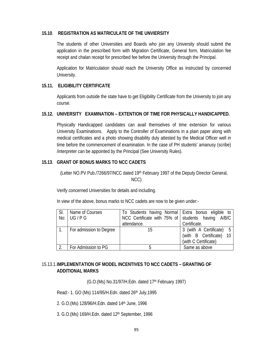#### **15.10**. **REGISTRATION AS MATRICULATE OF THE UNVIERSITY**

The students of other Universities and Boards who join any University should submit the application in the prescribed form with Migration Certificate, General form, Matriculation fee receipt and chalan receipt for prescribed fee before the University through the Principal.

Application for Matriculation should reach the University Office as instructed by concerned University.

#### **15.11. ELIGIBILITY CERTIFICATE**

Applicants from outside the state have to get Eligibility Certificate from the University to join any course.

#### **15.12. UNIVERSITY EXAMINATION – EXTENTION OF TIME FOR PHYSICALLY HANDICAPPED.**

Physically Handicapped candidates can avail themselves of time extension for various University Examinations. Apply to the Controller of Examinations in a plain paper along with medical certificates and a photo showing disability duly attested by the Medical Officer well in time before the commencement of examination. In the case of PH students' amanusy (scribe) /interpreter can be appointed by the Principal (See University Rules).

### **15.13**. **GRANT OF BONUS MARKS TO NCC CADETS**

(Letter NO.PV Pub./7266/97/NCC dated 19th February 1997 of the Deputy Director General, NCC)

Verify concerned Universities for details and including.

In view of the above, bonus marks to NCC cadets are now to be given under:-

| SI. | Name of Courses         | To Students having Normal   Extra bonus eligible to |                          |
|-----|-------------------------|-----------------------------------------------------|--------------------------|
|     | No: UG / PG             | NCC Certificate with 75% of Students having A/B/C   |                          |
|     |                         | attendance.                                         | Certificate.             |
|     | For admission to Degree | 15                                                  | 3 (with A Certificate) 5 |
|     |                         |                                                     | (with B Certificate) 10  |
|     |                         |                                                     | (with C Certificate)     |
|     | For Admission to PG     |                                                     | Same as above            |

### 15.13.1. **IMPLEMENTATION OF MODEL INCENTIVES TO NCC CADETS – GRANTING OF ADDITIONAL MARKS**

(G.O.(Ms) No.31/97/H.Edn. dated 17<sup>th</sup> February 1997)

Read:- 1. GO (Ms) 114/95/H.Edn. dated 26th July,1995

2. G.O.(Ms) 128/96/H.Edn. dated 14th June, 1996

3. G.O.(Ms) 169/H.Edn. dated 12th September, 1996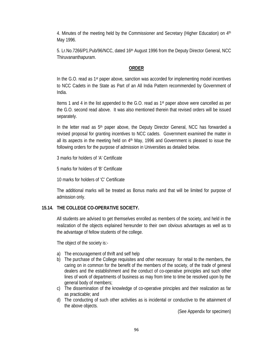4. Minutes of the meeting held by the Commissioner and Secretary (Higher Education) on 4th May 1996.

5. Lr.No.7266/P1.Pub/96/NCC, dated 16th August 1996 from the Deputy Director General, NCC Thiruvananthapuram.

### **ORDER**

In the G.O. read as 1st paper above, sanction was accorded for implementing model incentives to NCC Cadets in the State as Part of an All India Pattern recommended by Government of India.

Items 1 and 4 in the list appended to the G.O. read as 1st paper above were cancelled as per the G.O. second read above. It was also mentioned therein that revised orders will be issued separately.

In the letter read as 5<sup>th</sup> paper above, the Deputy Director General, NCC has forwarded a revised proposal for granting incentives to NCC cadets. Government examined the matter in all its aspects in the meeting held on  $4<sup>th</sup>$  May, 1996 and Government is pleased to issue the following orders for the purpose of admission in Universities as detailed below.

3 marks for holders of 'A' Certificate

5 marks for holders of 'B' Certificate

10 marks for holders of 'C' Certificate

The additional marks will be treated as Bonus marks and that will be limited for purpose of admission only.

#### **15.14. THE COLLEGE CO-OPERATIVE SOCIETY.**

All students are advised to get themselves enrolled as members of the society, and held in the realization of the objects explained hereunder to their own obvious advantages as well as to the advantage of fellow students of the college.

The object of the society is:-

- a) The encouragement of thrift and self help
- b) The purchase of the College requisites and other necessary for retail to the members, the caring on in common for the benefit of the members of the society, of the trade of general dealers and the establishment and the conduct of co-operative principles and such other lines of work of departments of business as may from time to time be resolved upon by the general body of members;
- c) The dissemination of the knowledge of co-operative principles and their realization as far as practicable; and
- d) The conducting of such other activities as is incidental or conductive to the attainment of the above objects.

(See Appendix for specimen)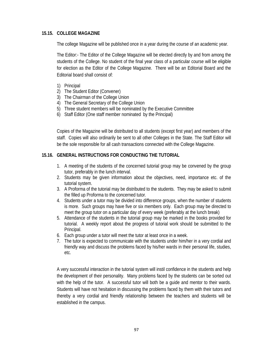### **15.15. COLLEGE MAGAZINE**

The college Magazine will be published once in a year during the course of an academic year.

The Editor:- The Editor of the College Magazine will be elected directly by and from among the students of the College. No student of the final year class of a particular course will be eligible for election as the Editor of the College Magazine. There will be an Editorial Board and the Editorial board shall consist of:

- 1) Principal
- 2) The Student Editor (Convener)
- 3) The Chairman of the College Union
- 4) The General Secretary of the College Union
- 5) Three student members will be nominated by the Executive Committee
- 6) Staff Editor (One staff member nominated by the Principal)

Copies of the Magazine will be distributed to all students (except first year) and members of the staff. Copies will also ordinarily be sent to all other Colleges in the State. The Staff Editor will be the sole responsible for all cash transactions connected with the College Magazine.

### **15.16. GENERAL INSTRUCTIONS FOR CONDUCTING THE TUTORIAL**

- 1. A meeting of the students of the concerned tutorial group may be convened by the group tutor, preferably in the lunch interval.
- 2. Students may be given information about the objectives, need, importance etc. of the tutorial system.
- 3. A Proforma of the tutorial may be distributed to the students. They may be asked to submit the filled up Proforma to the concerned tutor.
- 4. Students under a tutor may be divided into difference groups, when the number of students is more. Such groups may have five or six members only. Each group may be directed to meet the group tutor on a particular day of every week (preferably at the lunch break)
- 5. Attendance of the students in the tutorial group may be marked in the books provided for tutorial. A weekly report about the progress of tutorial work should be submitted to the Principal.
- 6. Each group under a tutor will meet the tutor at least once in a week.
- 7. The tutor is expected to communicate with the students under him/her in a very cordial and friendly way and discuss the problems faced by his/her wards in their personal life, studies, etc.

A very successful interaction in the tutorial system will instil confidence in the students and help the development of their personality. Many problems faced by the students can be sorted out with the help of the tutor. A successful tutor will both be a guide and mentor to their wards. Students will have not hesitation in discussing the problems faced by them with their tutors and thereby a very cordial and friendly relationship between the teachers and students will be established in the campus.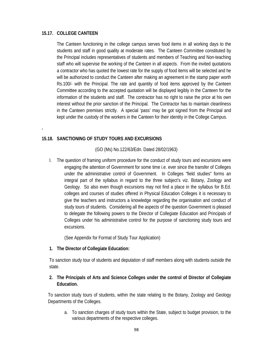### **15.17. COLLEGE CANTEEN**

**.** 

The Canteen functioning in the college campus serves food items in all working days to the students and staff in good quality at moderate rates. The Canteen Committee constituted by the Principal includes representatives of students and members of Teaching and Non-teaching staff who will supervise the working of the Canteen in all aspects. From the invited quotations a contractor who has quoted the lowest rate for the supply of food items will be selected and he will be authorized to conduct the Canteen after making an agreement in the stamp paper worth Rs.100/- with the Principal. The rate and quantity of food items approved by the Canteen Committee according to the accepted quotation will be displayed legibly in the Canteen for the information of the students and staff. The contractor has no right to raise the price at his own interest without the prior sanction of the Principal. The Contractor has to maintain cleanliness in the Canteen premises strictly. A special 'pass' may be got signed from the Principal and kept under the custody of the workers in the Canteen for their identity in the College Campus.

### **15.18. SANCTIONING OF STUDY TOURS AND EXCURSIONS**

(GO (Ms) No.122/63/Edn. Dated 28/02/1963)

I. The question of framing uniform procedure for the conduct of study tours and excursions were engaging the attention of Government for some time i.e. ever since the transfer of Colleges under the administrative control of Government. In Colleges "field studies" forms an integral part of the syllabus in regard to the three subject's viz. Botany, Zoology and Geology. So also even though excursions may not find a place in the syllabus for B.Ed. colleges and courses of studies offered in Physical Education Colleges it is necessary to give the teachers and instructors a knowledge regarding the organisation and conduct of study tours of students. Considering all the aspects of the question Government is pleased to delegate the following powers to the Director of Collegiate Education and Principals of Colleges under his administrative control for the purpose of sanctioning study tours and excursions.

(See Appendix for Format of Study Tour Application)

#### **1. The Director of Collegiate Education:**

To sanction study tour of students and deputation of staff members along with students outside the state.

### **2. The Principals of Arts and Science Colleges under the control of Director of Collegiate Education.**

To sanction study tours of students, within the state relating to the Botany, Zoology and Geology Departments of the Colleges.

a. To sanction charges of study tours within the State, subject to budget provision, to the various departments of the respective colleges.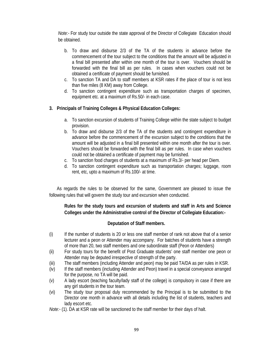*Note:-* For study tour outside the state approval of the Director of Collegiate Education should be obtained.

- b. To draw and disburse 2/3 of the TA of the students in advance before the commencement of the tour subject to the conditions that the amount will be adjusted in a final bill presented after within one month of the tour is over. Vouchers should be forwarded with the final bill as per rules. In cases when vouchers could not be obtained a certificate of payment should be furnished.
- c. To sanction TA and DA to staff members at KSR rates if the place of tour is not less than five miles (8 KM) away from College.
- d. To sanction contingent expenditure such as transportation charges of specimen, equipment etc. at a maximum of Rs.50/- in each case.

#### **3. Principals of Training Colleges & Physical Education Colleges:**

- a. To sanction excursion of students of Training College within the state subject to budget provision.
- b. To draw and disburse 2/3 of the TA of the students and contingent expenditure in advance before the commencement of the excursion subject to the conditions that the amount will be adjusted in a final bill presented within one month after the tour is over. Vouchers should be forwarded with the final bill as per rules. In case when vouchers could not be obtained a certificate of payment may be furnished.
- c. To sanction food charges of students at a maximum of Rs.3/- per head per Diem.
- d. To sanction contingent expenditure such as transportation charges; luggage, room rent, etc, upto a maximum of Rs.100/- at time.

 As regards the rules to be observed for the same, Government are pleased to issue the following rules that will govern the study tour and excursion when conducted.

### **Rules for the study tours and excursion of students and staff in Arts and Science Colleges under the Administrative control of the Director of Collegiate Education:-**

#### **Deputation of Staff members.**

- (i) If the number of students is 20 or less one staff member of rank not above that of a senior lecturer and a peon or Attender may accompany. For batches of students have a strength of more than 20, two staff members and one subordinate staff (Peon or Attenders)
- (ii) For study tours for the benefit of Post Graduate students' one staff member one peon or Attender may be deputed irrespective of strength of the party.
- (iii) The staff members (including Attender and peon) may be paid TA/DA as per rules in KSR.
- (iv) If the staff members (including Attender and Peon) travel in a special conveyance arranged for the purpose, no TA will be paid.
- (v) A lady escort (teaching faculty/lady staff of the college) is compulsory in case if there are any girl students in the tour team.
- (vi) The study tour proposal duly recommended by the Principal is to be submitted to the Director one month in advance with all details including the list of students, teachers and lady escort etc.
- *Note:-* (1). DA at KSR rate will be sanctioned to the staff member for their days of halt.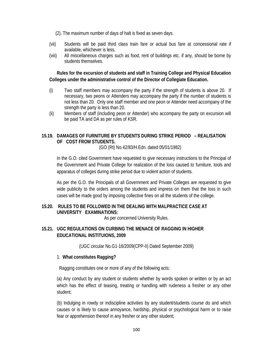- (2). The maximum number of days of halt is fixed as seven days.
- (vii) Students will be paid third class train fare or actual bus fare at concessional rate if available, whichever is less.
- (viii) All miscellaneous charges such as food, rent of buildings etc. if any, should be borne by students themselves.

**Rules for the excursion of students and staff in Training College and Physical Education Colleges under the administrative control of the Director of Collegiate Education.** 

- (i) Two staff members may accompany the party if the strength of students is above 20. If necessary, two peons or Attenders may accompany the party if the number of students is not less than 20. Only one staff member and one peon or Attender need accompany of the strength the party is less than 20.
- (ii) Members of staff (including peon or Attender) who accompany the party on excursion will be paid TA and DA as per rules of KSR.

### **15.19. DAMAGES OF FURNITURE BY STUDENTS DURING STRIKE PERIOD – REALISATION OF COST FROM STUDENTS.**

(GO (Rt) No.42/83/H.Edn. dated 05/01/1982)

In the G.O. cited Government have requested to give necessary instructions to the Principal of the Government and Private College for realization of the loss caused to furniture, tools and apparatus of colleges during strike period due to violent action of students.

As per the G.O. the Principals of all Government and Private Colleges are requested to give wide publicity to the orders among the students and impress on them that the loss in such cases will be made good by imposing collective fines on all the students of the college.

### **15.20. RULES TO BE FOLLOWED IN THE DEALING WITH MALPRACTICE CASE AT UNIVERSITY EXAMINATIONS:**

As per concerned University Rules.

### **15.21. UGC REGULATIONS ON CURBING THE MENACE OF RAGGING IN HIGHER EDUCATIONAL INSTITUIONS, 2009**

(UGC circular No.G1-16/2009(CPP-II) Dated September 2009)

#### 1. **What constitutes Ragging?**

Ragging constitutes one or more of any of the following acts:

(a) Any conduct by any student or students whether by words spoken or written or by an act which has the effect of teasing, treating or handling with rudeness a fresher or any other student;

(b) Indulging in rowdy or indiscipline activities by any student/students course do and which causes or is likely to cause annoyance, hardship, physical or psychological harm or to raise fear or apprehension thereof in any fresher or any other student;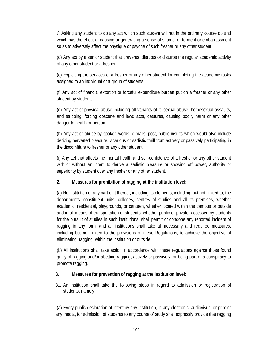© Asking any student to do any act which such student will not in the ordinary course do and which has the effect or causing or generating a sense of shame, or torment or embarrassment so as to adversely affect the physique or psyche of such fresher or any other student;

(d) Any act by a senior student that prevents, disrupts or disturbs the regular academic activity of any other student or a fresher;

(e) Exploiting the services of a fresher or any other student for completing the academic tasks assigned to an individual or a group of students.

(f) Any act of financial extortion or forceful expenditure burden put on a fresher or any other student by students;

(g) Any act of physical abuse including all variants of it: sexual abuse, homosexual assaults, and stripping, forcing obscene and lewd acts, gestures, causing bodily harm or any other danger to health or person.

(h) Any act or abuse by spoken words, e-mails, post, public insults which would also include deriving perverted pleasure, vicarious or sadistic thrill from actively or passively participating in the discomfiture to fresher or any other student;

(i) Any act that affects the mental health and self-confidence of a fresher or any other student with or without an intent to derive a sadistic pleasure or showing off power, authority or superiority by student over any fresher or any other student.

### **2. Measures for prohibition of ragging at the institution level:**

(a) No institution or any part of it thereof, including its elements, including, but not limited to, the departments, constituent units, colleges, centres of studies and all its premises, whether academic, residential, playgrounds, or canteen, whether located within the campus or outside and in all means of transportation of students, whether public or private, accessed by students for the pursuit of studies in such institutions, shall permit or condone any reported incident of ragging in any form; and all institutions shall take all necessary and required measures, including but not limited to the provisions of these Regulations, to achieve the objective of eliminating ragging, within the institution or outside.

(b) All institutions shall take action in accordance with these regulations against those found guilty of ragging and/or abetting ragging, actively or passively, or being part of a conspiracy to promote ragging.

### **3. Measures for prevention of ragging at the institution level:**

3.1 An institution shall take the following steps in regard to admission or registration of students; namely,

(a) Every public declaration of intent by any institution, in any electronic, audiovisual or print or any media, for admission of students to any course of study shall expressly provide that ragging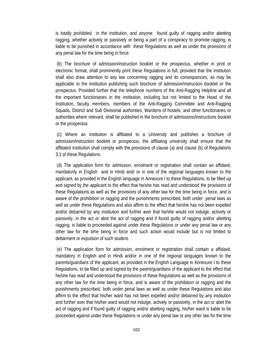is totally prohibited in the institution, and anyone found guilty of ragging and/or abetting ragging, whether actively or passively or being a part of a conspiracy to promote ragging, is liable to be punished in accordance with these Regulations as well as under the provisions of any penal law for the time being in force.

(b) The brochure of admission/instruction booklet or the prospectus, whether in print or electronic format, shall prominently print these Regulations in full, provided that the institution shall also draw attention to any law concerning ragging and its consequences, as may be applicable to the institution publishing such brochure of admission/instruction booklet or the prospectus. Provided further that the telephone numbers of the Anti-Ragging Helpline and all the important functionaries in the institution, including but not limited to the Head of the Institution, faculty members, members of the Anti-Ragging Committee and Anti-Ragging Squads, District and Sub Divisional authorities, Wardens of hostels, and other functionaries or authorities where relevant, shall be published in the brochure of admissions/instructions booklet or the prospectus.

(c) Where an institution is affiliated to a University and publishes a brochure of admission/instruction booklet or prospectus, the affiliating university shall ensure that the affiliated institution shall comply with the provisions of clause (a) and clause (b) of Regulations 3.1 of these Regulations.

(d) The application form for admission, enrolment or registration shall contain an affidavit, mandatorily in English and in Hindi and/ or in one of the regional languages known to the applicant, as provided in the English language in Annexure I to these Regulations, to be filled up and signed by the applicant to the effect that he/she has read and understood the provisions of these Regulations as well as the provisions of any other law for the time being in force, and is aware of the prohibition or ragging and the punishments prescribed, both under penal laws as well as under these Regulations and also affirm to the effect that he/she has not been expelled and/or debarred by any institution and further aver that he/she would not indulge, actively or passively, in the act or abet the act of ragging and if found guilty of ragging and/or abetting ragging, is liable to proceeded against under these Regulations or under any penal law or any other law for the time being in force and such action would include but is not limited to debarment or expulsion of such student.

(e) The application form for admission, enrolment or registration shall contain a affidavit, mandatory in English and in Hindi and/or in one of the regional languages known to the parents/guardians of the applicant, as provided in the English Language in Annexure I to these Regulations, to be filled up and signed by the parent/guardians of the applicant to the effect that he/she has read and understood the provisions of these Regulations as well as the provisions of any other law for the time being in force, and is aware of the prohibition or ragging and the punishments prescribed, both under penal laws as well as under these Regulations and also affirm to the effect that his/her ward has not been expelled and/or debarred by any institution and further aver that his/her ward would not indulge, actively or passively, in the act or abet the act of ragging and if found guilty of ragging and/or abetting ragging, his/her ward is liable to be proceeded against under these Regulations or under any penal law or any other law for the time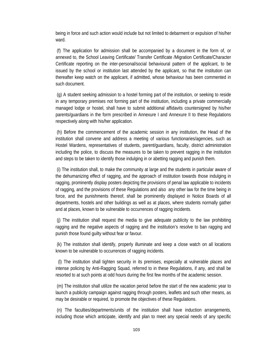being in force and such action would include but not limited to debarment or expulsion of his/her ward.

(f) The application for admission shall be accompanied by a document in the form of, or annexed to, the School Leaving Certificate/ Transfer Certificate /Migration Certificate/Character Certificate reporting on the inter-personal/social behavioural pattern of the applicant, to be issued by the school or institution last attended by the applicant, so that the institution can thereafter keep watch on the applicant, if admitted, whose behaviour has been commented in such document.

(g) A student seeking admission to a hostel forming part of the institution, or seeking to reside in any temporary premises not forming part of the institution, including a private commercially managed lodge or hostel, shall have to submit additional affidavits countersigned by his/her parents/guardians in the form prescribed in Annexure I and Annexure II to these Regulations respectively along with his/her application.

(h) Before the commencement of the academic session in any institution, the Head of the institution shall convene and address a meeting of various functionaries/agencies, such as Hostel Wardens, representatives of students, parent/guardians, faculty, district administration including the police, to discuss the measures to be taken to prevent ragging in the institution and steps to be taken to identify those indulging in or abetting ragging and punish them.

(i) The institution shall, to make the community at large and the students in particular aware of the dehumanizing effect of ragging, and the approach of institution towards those indulging in ragging, prominently display posters depicting the provisions of penal law applicable to incidents of ragging, and the provisions of these Regulations and also any other law for the time being in force, and the punishments thereof, shall be prominently displayed in Notice Boards of all departments, hostels and other buildings as well as at places, where students normally gather and at places, known to be vulnerable to occurrences of ragging incidents.

(j) The institution shall request the media to give adequate publicity to the law prohibiting ragging and the negative aspects of ragging and the institution's resolve to ban ragging and punish those found guilty without fear or favour.

(k) The institution shall identify, properly illuminate and keep a close watch on all locations known to be vulnerable to occurrences of ragging incidents.

(l) The institution shall tighten security in its premises, especially at vulnerable places and intense policing by Anti-Ragging Squad, referred to in these Regulations, if any, and shall be resorted to at such points at odd hours during the first few months of the academic session.

(m) The institution shall utilize the vacation period before the start of the new academic year to launch a publicity campaign against ragging through posters, leaflets and such other means, as may be desirable or required, to promote the objectives of these Regulations.

(n) The faculties/departments/units of the institution shall have induction arrangements, including those which anticipate, identify and plan to meet any special needs of any specific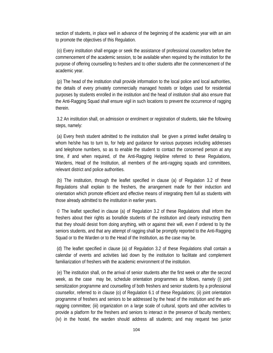section of students, in place well in advance of the beginning of the academic year with an aim to promote the objectives of this Regulation.

(o) Every institution shall engage or seek the assistance of professional counsellors before the commencement of the academic session, to be available when required by the institution for the purpose of offering counselling to freshers and to other students after the commencement of the academic year.

(p) The head of the institution shall provide information to the local police and local authorities, the details of every privately commercially managed hostels or lodges used for residential purposes by students enrolled in the institution and the head of institution shall also ensure that the Anti-Ragging Squad shall ensure vigil in such locations to prevent the occurrence of ragging therein.

3.2 An institution shall, on admission or enrolment or registration of students, take the following steps, namely:

(a) Every fresh student admitted to the institution shall be given a printed leaflet detailing to whom he/she has to turn to, for help and guidance for various purposes including addresses and telephone numbers, so as to enable the student to contact the concerned person at any time, if and when required, of the Anti-Ragging Helpline referred to these Regulations, Wardens, Head of the Institution, all members of the anti-ragging squads and committees, relevant district and police authorities.

(b) The institution, through the leaflet specified in clause (a) of Regulation 3.2 of these Regulations shall explain to the freshers, the arrangement made for their induction and orientation which promote efficient and effective means of integrating them full as students with those already admitted to the institution in earlier years.

© The leaflet specified in clause (a) of Regulation 3.2 of these Regulations shall inform the freshers about their rights as bonafide students of the institution and clearly instructing them that they should desist from doing anything, with or against their will, even if ordered to by the seniors students, and that any attempt of ragging shall be promptly reported to the Anti-Ragging Squad or to the Warden or to the Head of the Institution, as the case may be.

(d) The leaflet specified in clause (a) of Regulation 3.2 of these Regulations shall contain a calendar of events and activities laid down by the institution to facilitate and complement familiarization of freshers with the academic environment of the institution.

(e) The institution shall, on the arrival of senior students after the first week or after the second week, as the case may be, schedule orientation programmes as follows, namely (i) joint sensitization programme and counselling of both freshers and senior students by a professional counsellor, referred to in clause (o) of Regulation 6.1 of these Regulations; (ii) joint orientation programme of freshers and seniors to be addressed by the head of the institution and the antiragging committee; (iii) organization on a large scale of cultural, sports and other activities to provide a platform for the freshers and seniors to interact in the presence of faculty members; (iv) in the hostel, the warden should address all students; and may request two junior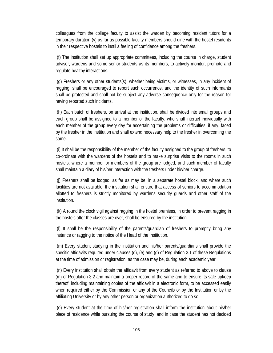colleagues from the college faculty to assist the warden by becoming resident tutors for a temporary duration (v) as far as possible faculty members should dine with the hostel residents in their respective hostels to instil a feeling of confidence among the freshers.

(f) The institution shall set up appropriate committees, including the course in charge, student advisor, wardens and some senior students as its members, to actively monitor, promote and regulate healthy interactions.

(g) Freshers or any other students(s), whether being victims, or witnesses, in any incident of ragging, shall be encouraged to report such occurrence, and the identity of such informants shall be protected and shall not be subject any adverse consequence only for the reason for having reported such incidents.

(h) Each batch of freshers, on arrival at the institution, shall be divided into small groups and each group shall be assigned to a member or the faculty, who shall interact individually with each member of the group every day for ascertaining the problems or difficulties, if any, faced by the fresher in the institution and shall extend necessary help to the fresher in overcoming the same.

(i) It shall be the responsibility of the member of the faculty assigned to the group of freshers, to co-ordinate with the wardens of the hostels and to make surprise visits to the rooms in such hostels, where a member or members of the group are lodged; and such member of faculty shall maintain a diary of his/her interaction with the freshers under his/her charge.

(j) Freshers shall be lodged, as far as may be, in a separate hostel block, and where such facilities are not available; the institution shall ensure that access of seniors to accommodation allotted to freshers is strictly monitored by wardens security guards and other staff of the institution.

(k) A round the clock vigil against ragging in the hostel premises, in order to prevent ragging in the hostels after the classes are over, shall be ensured by the institution.

(l) It shall be the responsibility of the parents/guardian of freshers to promptly bring any instance or ragging to the notice of the Head of the Institution.

(m) Every student studying in the institution and his/her parents/guardians shall provide the specific affidavits required under clauses (d), (e) and (g) of Regulation 3.1 of these Regulations at the time of admission or registration, as the case may be, during each academic year.

(n) Every institution shall obtain the affidavit from every student as referred to above to clause (m) of Regulation 3.2 and maintain a proper record of the same and to ensure its safe upkeep thereof, including maintaining copies of the affidavit in a electronic form, to be accessed easily when required either by the Commission or any of the Councils or by the Institution or by the affiliating University or by any other person or organization authorized to do so.

(o) Every student at the time of his/her registration shall inform the institution about his/her place of residence while pursuing the course of study, and in case the student has not decided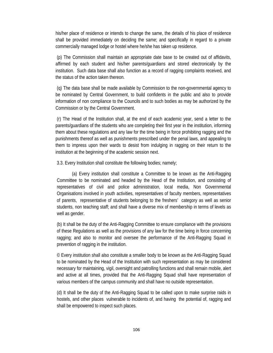his/her place of residence or intends to change the same, the details of his place of residence shall be provided immediately on deciding the same; and specifically in regard to a private commercially managed lodge or hostel where he/she has taken up residence.

(p) The Commission shall maintain an appropriate date base to be created out of affidavits, affirmed by each student and his/her parents/guardians and stored electronically by the institution. Such data base shall also function as a record of ragging complaints received, and the status of the action taken thereon.

(q) The data base shall be made available by Commission to the non-governmental agency to be nominated by Central Government, to build confidents in the public and also to provide information of non compliance to the Councils and to such bodies as may be authorized by the Commission or by the Central Government.

(r) The Head of the Institution shall, at the end of each academic year, send a letter to the parents/guardians of the students who are completing their first year in the institution, informing them about these regulations and any law for the time being in force prohibiting ragging and the punishments thereof as well as punishments prescribed under the penal laws, and appealing to them to impress upon their wards to desist from indulging in ragging on their return to the institution at the beginning of the academic session next.

3.3. Every Institution shall constitute the following bodies; namely;

 (a) Every institution shall constitute a Committee to be known as the Anti-Ragging Committee to be nominated and headed by the Head of the Institution, and consisting of representatives of civil and police administration, local media, Non Governmental Organisations involved in youth activities, representatives of faculty members, representatives of parents, representative of students belonging to the freshers' category as well as senior students, non teaching staff; and shall have a diverse mix of membership in terms of levels as well as gender.

(b) It shall be the duty of the Anti-Ragging Committee to ensure compliance with the provisions of these Regulations as well as the provisions of any law for the time being in force concerning ragging; and also to monitor and oversee the performance of the Anti-Ragging Squad in prevention of ragging in the institution.

© Every institution shall also constitute a smaller body to be known as the Anti-Ragging Squad to be nominated by the Head of the Institution with such representation as may be considered necessary for maintaining, vigil, oversight and patrolling functions and shall remain mobile, alert and active at all times, provided that the Anti-Ragging Squad shall have representation of various members of the campus community and shall have no outside representation.

(d) It shall be the duty of the Anti-Ragging Squad to be called upon to make surprise raids in hostels, and other places vulnerable to incidents of, and having the potential of, ragging and shall be empowered to inspect such places.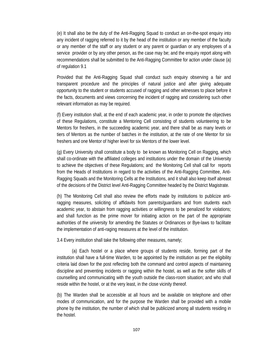(e) It shall also be the duty of the Anti-Ragging Squad to conduct an on-the-spot enquiry into any incident of ragging referred to it by the head of the institution or any member of the faculty or any member of the staff or any student or any parent or guardian or any employees of a service provider or by any other person, as the case may be; and the enquiry report along with recommendations shall be submitted to the Anti-Ragging Committee for action under clause (a) of regulation 9.1

Provided that the Anti-Ragging Squad shall conduct such enquiry observing a fair and transparent procedure and the principles of natural justice and after giving adequate opportunity to the student or students accused of ragging and other witnesses to place before it the facts, documents and views concerning the incident of ragging and considering such other relevant information as may be required.

(f) Every institution shall, at the end of each academic year, in order to promote the objectives of these Regulations, constitute a Mentoring Cell consisting of students volunteering to be Mentors for freshers, in the succeeding academic year, and there shall be as many levels or tiers of Mentors as the number of batches in the institution, at the rate of one Mentor for six freshers and one Mentor of higher level for six Mentors of the lower level.

(g) Every University shall constitute a body to be known as Monitoring Cell on Ragging, which shall co-ordinate with the affiliated colleges and institutions under the domain of the University to achieve the objectives of these Regulations; and the Monitoring Cell shall call for reports from the Heads of Institutions in regard to the activities of the Anti-Ragging Committee, Anti-Ragging Squads and the Monitoring Cells at the Institutions, and it shall also keep itself abreast of the decisions of the District level Anti-Ragging Committee headed by the District Magistrate.

(h) The Monitoring Cell shall also review the efforts made by institutions to publicize antiragging measures, soliciting of affidavits from parents/guardians and from students each academic year, to abstain from ragging activities or willingness to be penalized for violations; and shall function as the prime mover for initiating action on the part of the appropriate authorities of the university for amending the Statutes or Ordinances or Bye-laws to facilitate the implementation of anti-raging measures at the level of the institution.

3.4 Every institution shall take the following other measures, namely;

 (a) Each hostel or a place where groups of students reside, forming part of the institution shall have a full-time Warden, to be appointed by the institution as per the eligibility criteria laid down for the post reflecting both the command and control aspects of maintaining discipline and preventing incidents or ragging within the hostel, as well as the softer skills of counselling and communicating with the youth outside the class-room situation; and who shall reside within the hostel, or at the very least, in the close vicinity thereof.

(b) The Warden shall be accessible at all hours and be available on telephone and other modes of communication, and for the purpose the Warden shall be provided with a mobile phone by the institution, the number of which shall be publicized among all students residing in the hostel.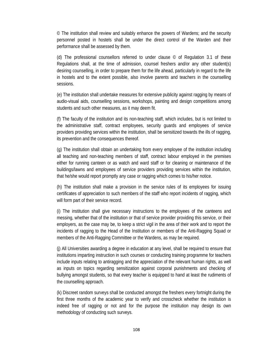© The institution shall review and suitably enhance the powers of Wardens; and the security personnel posted in hostels shall be under the direct control of the Warden and their performance shall be assessed by them.

(d) The professional counsellors referred to under clause  $\degree$  of Regulation 3.1 of these Regulations shall, at the time of admission, counsel freshers and/or any other student(s) desiring counselling, in order to prepare them for the life ahead, particularly in regard to the life in hostels and to the extent possible, also involve parents and teachers in the counselling sessions.

(e) The institution shall undertake measures for extensive publicity against ragging by means of audio-visual aids, counselling sessions, workshops, painting and design competitions among students and such other measures, as it may deem fit.

(f) The faculty of the institution and its non-teaching staff, which includes, but is not limited to the administrative staff, contract employees, security guards and employees of service providers providing services within the institution, shall be sensitized towards the ills of ragging, its prevention and the consequences thereof.

(g) The institution shall obtain an undertaking from every employee of the institution including all teaching and non-teaching members of staff, contract labour employed in the premises either for running canteen or as watch and ward staff or for cleaning or maintenance of the buildings/lawns and employees of service providers providing services within the institution, that he/she would report promptly any case or ragging which comes to his/her notice.

(h) The institution shall make a provision in the service rules of its employees for issuing certificates of appreciation to such members of the staff who report incidents of ragging, which will form part of their service record.

(i) The institution shall give necessary instructions to the employees of the canteens and messing, whether that of the institution or that of service provider providing this service, or their employers, as the case may be, to keep a strict vigil in the area of their work and to report the incidents of ragging to the Head of the Institution or members of the Anti-Ragging Squad or members of the Anti-Ragging Committee or the Wardens, as may be required.

(j) All Universities awarding a degree in education at any level, shall be required to ensure that institutions imparting instruction in such courses or conducting training programme for teachers include inputs relating to antiragging and the appreciation of the relevant human rights, as well as inputs on topics regarding sensitization against corporal punishments and checking of bullying amongst students, so that every teacher is equipped to hand at least the rudiments of the counselling approach.

(k) Discreet random surveys shall be conducted amongst the freshers every fortnight during the first three months of the academic year to verify and crosscheck whether the institution is indeed free of ragging or not and for the purpose the institution may design its own methodology of conducting such surveys.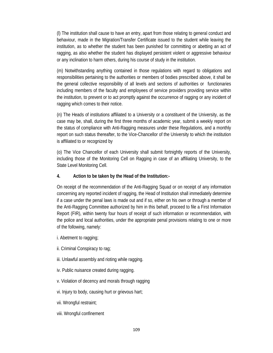(l) The institution shall cause to have an entry, apart from those relating to general conduct and behaviour, made in the Migration/Transfer Certificate issued to the student while leaving the institution, as to whether the student has been punished for committing or abetting an act of ragging, as also whether the student has displayed persistent violent or aggressive behaviour or any inclination to harm others, during his course of study in the institution.

(m) Notwithstanding anything contained in those regulations with regard to obligations and responsibilities pertaining to the authorities or members of bodies prescribed above, it shall be the general collective responsibility of all levels and sections of authorities or functionaries including members of the faculty and employees of service providers providing service within the institution, to prevent or to act promptly against the occurrence of ragging or any incident of ragging which comes to their notice.

(n) The Heads of institutions affiliated to a University or a constituent of the University, as the case may be, shall, during the first three months of academic year, submit a weekly report on the status of compliance with Anti-Ragging measures under these Regulations, and a monthly report on such status thereafter, to the Vice-Chancellor of the University to which the institution is affiliated to or recognized by

(o) The Vice Chancellor of each University shall submit fortnightly reports of the University, including those of the Monitoring Cell on Ragging in case of an affiliating University, to the State Level Monitoring Cell.

### **4. Action to be taken by the Head of the Institution:-**

On receipt of the recommendation of the Anti-Ragging Squad or on receipt of any information concerning any reported incident of ragging, the Head of Institution shall immediately determine if a case under the penal laws is made out and if so, either on his own or through a member of the Anti-Ragging Committee authorized by him in this behalf, proceed to file a First Information Report (FIR), within twenty four hours of receipt of such information or recommendation, with the police and local authorities, under the appropriate penal provisions relating to one or more of the following, namely:

- i. Abetment to ragging;
- ii. Criminal Conspiracy to rag;
- iii. Unlawful assembly and rioting while ragging.
- iv. Public nuisance created during ragging.
- v. Violation of decency and morals through ragging
- vi. Injury to body, causing hurt or grievous hart;
- vii. Wrongful restraint;
- viii. Wrongful confinement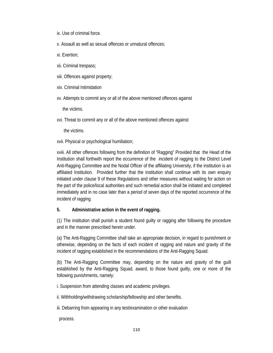- ix. Use of criminal force.
- x. Assault as well as sexual offences or unnatural offences;
- xi. Exertion;
- xii. Criminal trespass;
- xiii. Offences against property;
- xiv. Criminal Intimidation
- xv. Attempts to commit any or all of the above mentioned offences against

the victims.

xvi. Threat to commit any or all of the above mentioned offences against

the victims.

xvii. Physical or psychological humiliation;

xviii. All other offences following from the definition of "Ragging" Provided that the Head of the Institution shall forthwith report the occurrence of the incident of ragging to the District Level Anti-Ragging Committee and the Nodal Officer of the affiliating University, if the institution is an affiliated Institution. Provided further that the institution shall continue with its own enquiry initiated under clause 9 of these Regulations and other measures without waiting for action on the part of the police/local authorities and such remedial action shall be initiated and completed immediately and in no case later than a period of seven days of the reported occurrence of the incident of ragging.

#### **5. Administrative action in the event of ragging.**

(1) The institution shall punish a student found guilty or ragging after following the procedure and in the manner prescribed herein under.

(a) The Anti-Ragging Committee shall take an appropriate decision, in regard to punishment or otherwise, depending on the facts of each incident of ragging and nature and gravity of the incident of ragging established in the recommendations of the Anti-Ragging Squad.

(b) The Anti-Ragging Committee may, depending on the nature and gravity of the guilt established by the Anti-Ragging Squad, award, to those found guilty, one or more of the following punishments, namely:

i. Suspension from attending classes and academic privileges.

ii. Withholding/withdrawing scholarship/fellowship and other benefits.

iii. Debarring from appearing in any test/examination or other evaluation

process.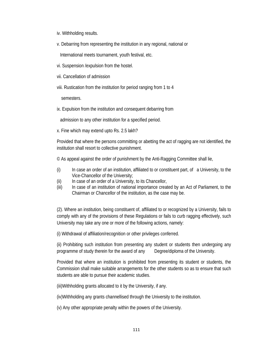- iv. Withholding results.
- v. Debarring from representing the institution in any regional, national or

International meets tournament, youth festival, etc.

- vi. Suspension /expulsion from the hostel.
- vii. Cancellation of admission
- viii. Rustication from the institution for period ranging from 1 to 4

semesters.

ix. Expulsion from the institution and consequent debarring from

admission to any other institution for a specified period.

x. Fine which may extend upto Rs. 2.5 lakh?

Provided that where the persons committing or abetting the act of ragging are not identified, the institution shall resort to collective punishment.

© As appeal against the order of punishment by the Anti-Ragging Committee shall lie,

- (i) In case an order of an institution, affiliated to or constituent part, of a University, to the Vice-Chancellor of the University;
- (ii) In case of an order of a University, to its Chancellor,
- (iii) In case of an institution of national importance created by an Act of Parliament, to the Chairman or Chancellor of the institution, as the case may be.

(2). Where an institution, being constituent of, affiliated to or recognized by a University, fails to comply with any of the provisions of these Regulations or fails to curb ragging effectively, such University may take any one or more of the following actions, namely:

(i) Withdrawal of affiliation/recognition or other privileges conferred.

(ii) Prohibiting such institution from presenting any student or students then undergoing any programme of study therein for the award of any Degree/diploma of the University.

Provided that where an institution is prohibited from presenting its student or students, the Commission shall make suitable arrangements for the other students so as to ensure that such students are able to pursue their academic studies.

(iii)Withholding grants allocated to it by the University, if any.

(iv)Withholding any grants channellised through the University to the institution.

(v) Any other appropriate penalty within the powers of the University.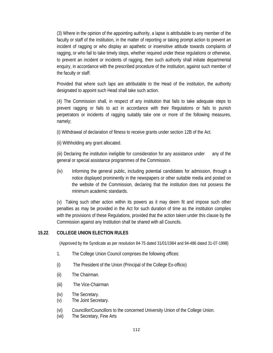(3) Where in the opinion of the appointing authority, a lapse is attributable to any member of the faculty or staff of the institution, in the matter of reporting or taking prompt action to prevent an incident of ragging or who display an apathetic or insensitive attitude towards complaints of ragging, or who fail to take timely steps, whether required under these regulations or otherwise, to prevent an incident or incidents of ragging, then such authority shall initiate departmental enquiry, in accordance with the prescribed procedure of the institution, against such member of the faculty or staff.

Provided that where such laps are attributable to the Head of the institution, the authority designated to appoint such Head shall take such action.

(4) The Commission shall, in respect of any institution that fails to take adequate steps to prevent ragging or fails to act in accordance with their Regulations or fails to punish perpetrators or incidents of ragging suitably take one or more of the following measures, namely;

(i) Withdrawal of declaration of fitness to receive grants under section 12B of the Act.

(ii) Withholding any grant allocated.

(iii) Declaring the institution ineligible for consideration for any assistance under any of the general or special assistance programmes of the Commission.

(iv) Informing the general public, including potential candidates for admission, through a notice displayed prominently in the newspapers or other suitable media and posted on the website of the Commission, declaring that the institution does not possess the minimum academic standards.

(v) Taking such other action within its powers as it may deem fit and impose such other penalties as may be provided in the Act for such duration of time as the institution complies with the provisions of these Regulations, provided that the action taken under this clause by the Commission against any Institution shall be shared with all Councils.

### **15.22**. **COLLEGE UNION ELECTION RULES**

(Approved by the Syndicate as per resolution 84-75 dated 31/01/1984 and 94-486 dated 31-07-1998)

- 1. The College Union Council comprises the following offices:
- (i) The President of the Union (Principal of the College Ex-officio)
- (ii) The Chairman.
- (iii) The Vice-Chairman
- (iv) The Secretary.
- (v) The Joint Secretary.
- (vi) Councillor/Councillors to the concerned University Union of the College Union.
- (vii) The Secretary, Fine Arts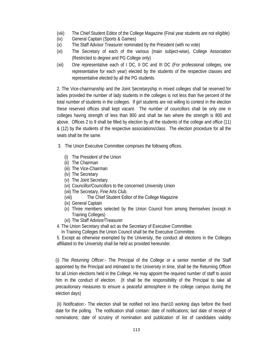- (viii) The Chief Student Editor of the College Magazine (Final year students are not eligible)
- (ix) General Captain (Sports & Games)
- (x) The Staff Advisor Treasurer nominated by the President (with no vote)
- (xi) The Secretary of each of the various (main subject-wise), College Association (Restricted to degree and PG College only)
- (xii) One representative each of I DC, II DC and III DC (For professional colleges, one representative for each year) elected by the students of the respective classes and representative elected by all the PG students.

2. The Vice-chairmanship and the Joint Secretaryship in mixed colleges shall be reserved for ladies provided the number of lady students in the colleges is not less than five percent of the total number of students in the colleges. If girl students are not willing to contest in the election these reserved offices shall kept vacant. The number of councillors shall be only one in colleges having strength of less than 800 and shall be two where the strength is 800 and above. Offices 2 to 9 shall be filled by election by all the students of the college and office (11) & (12) by the students of the respective associations/class. The election procedure for all the seats shall be the same.

- 3. The Union Executive Committee comprises the following offices.
	- (i) The President of the Union
	- (ii) The Chairman
	- (iii) The Vice-Chairman
	- (iv) The Secretary
	- (v) The Joint Secretary
	- (vi) Councillor/Councillors to the concerned University Union
	- (vii) The Secretary, Fine Arts Club.
	- (viii) The Chief Student Editor of the College Magazine
	- (ix) General Captain
	- (x) Three members selected by the Union Council from among themselves (except in Training Colleges)
	- (xi) The Staff Advisor/Treasurer
- 4. The Union Secretary shall act as the Secretary of Executive Committee.
	- In Training Colleges the Union Council shall be the Executive Committee.
- 5. Except as otherwise exempted by the University, the conduct all elections in the Colleges affiliated to the University shall be held as provided hereunder.

(i) *The Returning Officer:-* The Principal of the College or a senior member of the Staff appointed by the Principal and intimated to the University in time, shall be the Returning Officer for all Union elections held in the College. He may appoint the required number of staff to assist him in the conduct of election. (It shall be the responsibility of the Principal to take all precautionary measures to ensure a peaceful atmosphere in the college campus during the election days)

(ii) *Notification:-* The election shall be notified not less than10 working days before the fixed date for the polling. The notification shall contain: date of notifications; last date of receipt of nominations; date of scrutiny of nomination and publication of list of candidates validity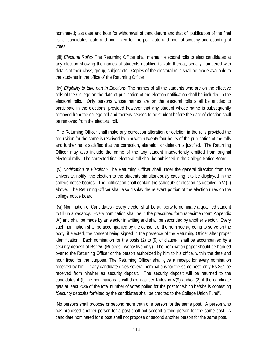nominated; last date and hour for withdrawal of candidature and that of publication of the final list of candidates; date and hour fixed for the poll; date and hour of scrutiny and counting of votes.

(iii) *Electoral Rolls:-* The Returning Officer shall maintain electoral rolls to elect candidates at any election showing the names of students qualified to vote thereat, serially numbered with details of their class, group, subject etc. Copies of the electoral rolls shall be made available to the students in the office of the Returning Officer.

(iv) *Eligibility to take part in Election*;- The names of all the students who are on the effective rolls of the College on the date of publication of the election notification shall be included in the electoral rolls. Only persons whose names are on the electoral rolls shall be entitled to participate in the elections, provided however that any student whose name is subsequently removed from the college roll and thereby ceases to be student before the date of election shall be removed from the electoral roll.

The Returning Officer shall make any correction alteration or deletion in the rolls provided the requisition for the same is received by him within twenty four hours of the publication of the rolls and further he is satisfied that the correction, alteration or deletion is justified. The Returning Officer may also include the name of the any student inadvertently omitted from original electoral rolls. The corrected final electoral roll shall be published in the College Notice Board.

(v) *Notification of Election:-* The Returning Officer shall under the general direction from the University, notify the election to the students simultaneously causing it to be displayed in the college notice boards. The notification shall contain the schedule of election as detailed in V (2) above. The Returning Officer shall also display the relevant portion of the election rules on the college notice board.

(vi) Nomination of Candidates:- Every elector shall be at liberty to nominate a qualified student to fill up a vacancy. Every nomination shall be in the prescribed form (specimen form Appendix 'A') and shall be made by an elector in writing and shall be seconded by another elector. Every such nomination shall be accompanied by the consent of the nominee agreeing to serve on the body, if elected, the consent being signed in the presence of the Returning Officer after proper identification. Each nomination for the posts (2) to (9) of clause-I shall be accompanied by a security deposit of Rs.25/- (Rupees Twenty five only). The nomination paper should be handed over to the Returning Officer or the person authorized by him to his office, within the date and hour fixed for the purpose. The Returning Officer shall give a receipt for every nomination received by him. If any candidate gives several nominations for the same post, only Rs.25/- be received from him/her as security deposit. The security deposit will be returned to the candidates if (I) the nominations is withdrawn as per Rules in  $V(9)$  and/or (2) if the candidate gets at least 20% of the total number of votes polled for the post for which he/she is contesting "Security deposits forfeited by the candidates shall be credited to the College Union Fund".

No persons shall propose or second more than one person for the same post. A person who has proposed another person for a post shall not second a third person for the same post. A candidate nominated for a post shall not propose or second another person for the same post.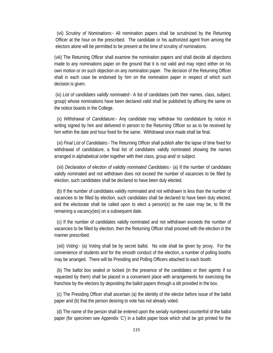(vii) *Scrutiny of Nominations:-* All nomination papers shall be scrutinized by the Returning Officer at the hour on the prescribed. The candidate or his authorized agent from among the electors alone will be permitted to be present at the time of scrutiny of nominations.

(viii) The Returning Officer shall examine the nomination papers and shall decide all objections made to any nominations paper on the ground that it is not valid and may reject either on his own motion or on such objection on any nomination paper. The decision of the Returning Officer shall in each case be endorsed by him on the nomination paper in respect of which such decision is given.

(ix) *List of candidates validly nominated:-* A list of candidates (with their names, class, subject, group) whose nominations have been declared valid shall be published by affixing the same on the notice boards in the College.

(x) *Withdrawal of Candidature:-* Any candidate may withdraw his candidature by notice in writing signed by him and delivered in person to the Returning Officer so as to be received by him within the date and hour fixed for the same. Withdrawal once made shall be final.

(xi) *Final List of Candidates:-* The Returning Officer shall publish after the lapse of time fixed for withdrawal of candidature, a final list of candidates validly nominated showing the names arranged in alphabetical order together with their class, group and/ or subject.

(xii) *Declaration of election of validity nominated Candidates:-* (a) If the number of candidates validly nominated and not withdrawn does not exceed the number of vacancies to be filled by election, such candidates shall be declared to have been duly elected.

(b) If the number of candidates validly nominated and not withdrawn is less than the number of vacancies to be filled by election, such candidates shall be declared to have been duly elected, and the electorate shall be called upon to elect a person(s) as the case may be, to fill the remaining a vacancy(ies) on a subsequent date.

(c) If the number of candidates validly nominated and not withdrawn exceeds the number of vacancies to be filled by election, then the Returning Officer shall proceed with the election in the manner prescribed.

(xiii) *Voting:-* (a) Voting shall be by secret ballot. No vote shall be given by proxy. For the convenience of students and for the smooth conduct of the election, a number of polling booths may be arranged. There will be Presiding and Polling Officers attached to each booth.

(b) The ballot box sealed or locked (in the presence of the candidates or their agents if so requested by them) shall be placed in a convenient place with arrangements for exercising the franchise by the electors by depositing the ballot papers through a slit provided in the box.

(c) The Presiding Officer shall ascertain (a) the identity of the elector before issue of the ballot paper and (b) that the person desiring to vote has not already voted.

(d) The name of the person shall be entered upon the serially numbered counterfoil of the ballot paper (for specimen see Appendix 'C') in a ballot paper book which shall be got printed for the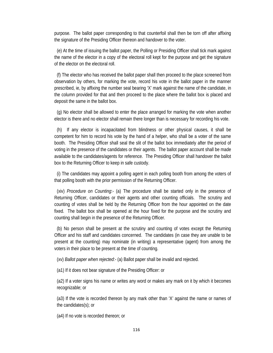purpose. The ballot paper corresponding to that counterfoil shall then be torn off after affixing the signature of the Presiding Officer thereon and handover to the voter.

(e) At the time of issuing the ballot paper, the Polling or Presiding Officer shall tick mark against the name of the elector in a copy of the electoral roll kept for the purpose and get the signature of the elector on the electoral roll.

(f) The elector who has received the ballot paper shall then proceed to the place screened from observation by others, for marking the vote, record his vote in the ballot paper in the manner prescribed, ie, by affixing the number seal bearing 'X' mark against the name of the candidate, in the column provided for that and then proceed to the place where the ballot box is placed and deposit the same in the ballot box.

(g) No elector shall be allowed to enter the place arranged for marking the vote when another elector is there and no elector shall remain there longer than is necessary for recording his vote.

(h) If any elector is incapacitated from blindness or other physical causes, it shall be competent for him to record his vote by the hand of a helper, who shall be a voter of the same booth. The Presiding Officer shall seal the slit of the ballot box immediately after the period of voting in the presence of the candidates or their agents. The ballot paper account shall be made available to the candidates/agents for reference. The Presiding Officer shall handover the ballot box to the Returning Officer to keep in safe custody.

(i) The candidates may appoint a polling agent in each polling booth from among the voters of that polling booth with the prior permission of the Returning Officer.

(xiv) *Procedure on Counting*:- (a) The procedure shall be started only in the presence of Returning Officer, candidates or their agents and other counting officials. The scrutiny and counting of votes shall be held by the Returning Officer from the hour appointed on the date fixed. The ballot box shall be opened at the hour fixed for the purpose and the scrutiny and counting shall begin in the presence of the Returning Officer.

(b) No person shall be present at the scrutiny and counting of votes except the Returning Officer and his staff and candidates concerned. The candidates (in case they are unable to be present at the counting) may nominate (in writing) a representative (agent) from among the voters in their place to be present at the time of counting.

(xv) *Ballot paper when rejected:-* (a) Ballot paper shall be invalid and rejected.

(a1) If it does not bear signature of the Presiding Officer: or

(a2) If a voter signs his name or writes any word or makes any mark on it by which it becomes recognizable; or

(a3) If the vote is recorded thereon by any mark other than 'X' against the name or names of the candidates(s); or

(a4) If no vote is recorded thereon; or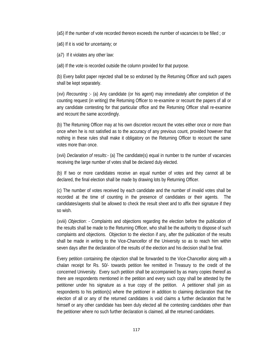(a5) If the number of vote recorded thereon exceeds the number of vacancies to be filled ; or

(a6) If it is void for uncertainty; or

(a7) If it violates any other law:

(a8) If the vote is recorded outside the column provided for that purpose.

(b) Every ballot paper rejected shall be so endorsed by the Returning Officer and such papers shall be kept separately.

(xvi) *Recounting* :- (a) Any candidate (or his agent) may immediately after completion of the counting request (in writing) the Returning Officer to re-examine or recount the papers of all or any candidate contesting for that particular office and the Returning Officer shall re-examine and recount the same accordingly.

(b) The Returning Officer may at his own discretion recount the votes either once or more than once when he is not satisfied as to the accuracy of any previous count, provided however that nothing in these rules shall make it obligatory on the Returning Officer to recount the same votes more than once.

(xvii) *Declaration of results*:- (a) The candidate(s) equal in number to the number of vacancies receiving the large number of votes shall be declared duly elected.

(b) If two or more candidates receive an equal number of votes and they cannot all be declared, the final election shall be made by drawing lots by Returning Officer.

(c) The number of votes received by each candidate and the number of invalid votes shall be recorded at the time of counting in the presence of candidates or their agents. The candidates/agents shall be allowed to check the result sheet and to affix their signature if they so wish.

(xviii) *Objection*: - Complaints and objections regarding the election before the publication of the results shall be made to the Returning Officer, who shall be the authority to dispose of such complaints and objections. Objection to the election if any, after the publication of the results shall be made in writing to the Vice-Chancellor of the University so as to reach him within seven days after the declaration of the results of the election and his decision shall be final.

Every petition containing the objection shall be forwarded to the Vice-Chancellor along with a chalan receipt for Rs. 50/- towards petition fee remitted in Treasury to the credit of the concerned University. Every such petition shall be accompanied by as many copies thereof as there are respondents mentioned in the petition and every such copy shall be attested by the petitioner under his signature as a true copy of the petition. A petitioner shall join as respondents to his petition(s) where the petitioner in addition to claiming declaration that the election of all or any of the returned candidates is void claims a further declaration that he himself or any other candidate has been duly elected all the contesting candidates other than the petitioner where no such further declaration is claimed, all the returned candidates.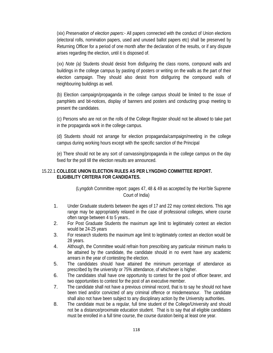(xix) *Preservation of election papers:-* All papers connected with the conduct of Union elections (electoral rolls, nomination papers, used and unused ballot papers etc) shall be preserved by Returning Officer for a period of one month after the declaration of the results, or if any dispute arises regarding the election, until it is disposed of.

(xx) *Note (a)* Students should desist from disfiguring the class rooms, compound walls and buildings in the college campus by pasting of posters or writing on the walls as the part of their election campaign. They should also desist from disfiguring the compound walls of neighbouring buildings as well.

(b) Election campaign/propaganda in the college campus should be limited to the issue of pamphlets and bit-notices, display of banners and posters and conducting group meeting to present the candidates.

(c) Persons who are not on the rolls of the College Register should not be allowed to take part in the propaganda work in the college campus.

(d) Students should not arrange for election propaganda/campaign/meeting in the college campus during working hours except with the specific sanction of the Principal

(e) There should not be any sort of canvassing/propaganda in the college campus on the day fixed for the poll till the election results are announced.

### 15.22.1. **COLLEGE UNION ELECTION RULES AS PER LYNGDHO COMMITTEE REPORT. ELIGIBILITY CRITERIA FOR CANDIDATES.**

 (Lyngdoh Committee report: pages 47, 48 & 49 as accepted by the Hon'ble Supreme Court of India)

- 1. Under Graduate students between the ages of 17 and 22 may contest elections. This age range may be appropriately relaxed in the case of professional colleges, where course often range between 4 to 5 years..
- 2. For Post Graduate Students the maximum age limit to legitimately contest an election would be 24-25 years
- 3. For research students the maximum age limit to legitimately contest an election would be 28 years.
- 4. Although, the Committee would refrain from prescribing any particular minimum marks to be attained by the candidate, the candidate should in no event have any academic arrears in the year of contesting the election.
- 5. The candidates should have attained the minimum percentage of attendance as prescribed by the university or 75% attendance, of whichever is higher.
- 6. The candidates shall have one opportunity to contest for the post of officer bearer, and two opportunities to contest for the post of an executive member.
- 7. The candidate shall not have a previous criminal record, that is to say he should not have been tried and/or convicted of any criminal offence or misdemeanour. The candidate shall also not have been subject to any disciplinary action by the University authorities.
- 8. The candidate must be a regular, full time student of the College/University and should not be a distance/proximate education student. That is to say that all eligible candidates must be enrolled in a full time course, the course duration being at least one year.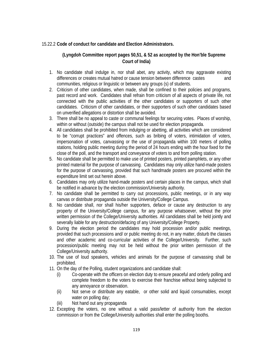### 15.22.2 **Code of conduct for candidate and Election Administrators.**

### **(Lyngdoh Committee report pages 50,51, & 52 as accepted by the Hon'ble Supreme Court of India)**

- 1. No candidate shall indulge in, nor shall abet, any activity, which may aggravate existing differences or creates mutual hatred or cause tension between difference castes and communities, religious or linguistic or between any groups (s) of students.
- 2. Criticism of other candidates, when made, shall be confined to their policies and programs, past record and work. Candidates shall refrain from criticism of all aspects of private life, not connected with the public activities of the other candidates or supporters of such other candidates. Criticism of other candidates, or their supporters of such other candidates based on unverified allegations or distortion shall be avoided.
- 3. There shall be no appeal to caste or communal feelings for securing votes. Places of worship, within or without (outside) the campus shall not be used for election propaganda.
- 4. All candidates shall be prohibited from indulging or abetting, all activities which are considered to be "corrupt practices" and offences, such as bribing of voters, intimidation of voters, impersonation of votes, canvassing or the use of propaganda within 100 meters of polling stations, holding public meeting during the period of 24 hours ending with the hour fixed for the close of the poll, and the transport and conveyance of voters to and from polling station.
- 5. No candidate shall be permitted to make use of printed posters, printed pamphlets, or any other printed material for the purpose of canvassing. Candidates may only utilize hand-made posters for the purpose of canvassing, provided that such handmade posters are procured within the expenditure limit set out herein above.
- 6. Candidates may only utilize hand-made posters and certain places in the campus, which shall be notified in advance by the election commission/University authority.
- 7. No candidate shall be permitted to carry out processions, public meetings, or in any way canvas or distribute propaganda outside the University/College Campus.
- 8. No candidate shall, nor shall his/her supporters, deface or cause any destruction to any property of the University/College campus, for any purpose whatsoever, without the prior written permission of the College/University authorities. All candidates shall be held jointly and severally liable for any destruction/defacing of any University/College Property.
- 9. During the election period the candidates may hold procession and/or public meetings, provided that such processions and/ or public meeting do not, in any matter, disturb the classes and other academic and co-curricular activities of the College/University. Further, such procession/public meeting may not be held without the prior written permission of the College/University authority.
- 10. The use of loud speakers, vehicles and animals for the purpose of canvassing shall be prohibited.
- 11. On the day of the Polling, student organizations and candidate shall:
	- (i) Co-operate with the officers on election duty to ensure peaceful and orderly polling and complete freedom to the voters to exercise their franchise without being subjected to any annoyance or observation.
	- (ii) Not serve or distribute any eatable, or other solid and liquid consumables, except water on polling day;
	- (iii) Not hand out any propaganda
- 12. Excepting the voters, no one without a valid pass/letter of authority from the election commission or from the College/University authorities shall enter the polling booths.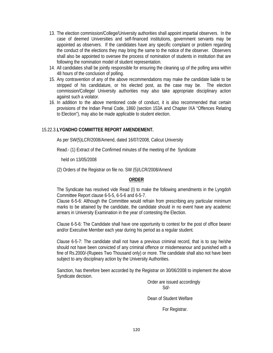- 13. The election commission/College/University authorities shall appoint impartial observers. In the case of deemed Universities and self-financed institutions, government servants may be appointed as observers. If the candidates have any specific complaint or problem regarding the conduct of the elections they may bring the same to the notice of the observer. Observers shall also be appointed to oversee the process of nomination of students in institution that are following the nomination model of student representation.
- 14. All candidates shall be jointly responsible for ensuring the cleaning up of the polling area within 48 hours of the conclusion of polling.
- 15. Any contravention of any of the above recommendations may make the candidate liable to be stripped of his candidature, or his elected post, as the case may be. The election commission/College/ University authorities may also take appropriate disciplinary action against such a violator.
- 16. In addition to the above mentioned code of conduct, it is also recommended that certain provisions of the Indian Penal Code, 1860 (section 153A and Chapter IXA "Offences Relating to Election"), may also be made applicable to student election.

### 15.22.3. **LYGNDHO COMMITTEE REPORT AMENDEMENT.**

As per SW(5)LCR/2008/Amend, dated 16/07/2008, Calicut University

Read:- (1) Extract of the Confirmed minutes of the meeting of the Syndicate

held on 13/05/2008

(2) Orders of the Registrar on file no. SW (5)/LCR/2008/Amend

### **ORDER**

The Syndicate has resolved vide Read (I) to make the following amendments in the Lyngdoh Committee Report clause 6-5-5, 6-5-6 and 6-5-7.

Clause 6-5-6: Although the Committee would refrain from prescribing any particular minimum marks to be attained by the candidate, the candidate should in no event have any academic arrears in University Examination in the year of contesting the Election.

Clause 6-5-6: The Candidate shall have one opportunity to contest for the post of office bearer and/or Executive Member each year during his period as a regular student.

Clause 6-5-7: The candidate shall not have a previous criminal record, that is to say he/she should not have been convicted of any criminal offence or misdemeanour and punished with a fine of Rs.2000/-(Rupees Two Thousand only) or more. The candidate shall also not have been subject to any disciplinary action by the University Authorities.

Sanction, has therefore been accorded by the Registrar on 30/06/2008 to implement the above Syndicate decision.

 Order are issued accordingly Sd/-

Dean of Student Welfare

For Registrar.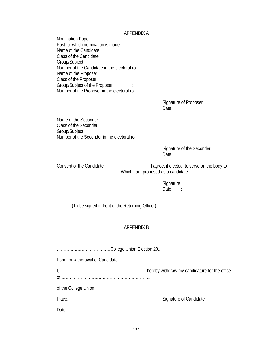# APPENDIX A

| Nomination Paper<br>Post for which nomination is made<br>Name of the Candidate<br>Class of the Candidate<br>Group/Subject<br>Number of the Candidate in the electoral roll:<br>Name of the Proposer<br>Class of the Proposer<br>Group/Subject of the Proposer |                                                                                       |
|---------------------------------------------------------------------------------------------------------------------------------------------------------------------------------------------------------------------------------------------------------------|---------------------------------------------------------------------------------------|
| Number of the Proposer in the electoral roll                                                                                                                                                                                                                  | Signature of Proposer<br>Date:                                                        |
| Name of the Seconder<br>Class of the Seconder<br>Group/Subject<br>Number of the Seconder in the electoral roll                                                                                                                                                |                                                                                       |
|                                                                                                                                                                                                                                                               | Signature of the Seconder<br>Date:                                                    |
| Consent of the Candidate                                                                                                                                                                                                                                      | : I agree, if elected, to serve on the body to<br>Which I am proposed as a candidate. |
|                                                                                                                                                                                                                                                               | Signature:<br>Date                                                                    |
| (To be signed in front of the Returning Officer)                                                                                                                                                                                                              |                                                                                       |
| <b>APPENDIX B</b>                                                                                                                                                                                                                                             |                                                                                       |
|                                                                                                                                                                                                                                                               |                                                                                       |
| Form for withdrawal of Candidate                                                                                                                                                                                                                              |                                                                                       |
|                                                                                                                                                                                                                                                               |                                                                                       |
| of the College Union.                                                                                                                                                                                                                                         |                                                                                       |
| Place:                                                                                                                                                                                                                                                        | Signature of Candidate                                                                |
| Date:                                                                                                                                                                                                                                                         |                                                                                       |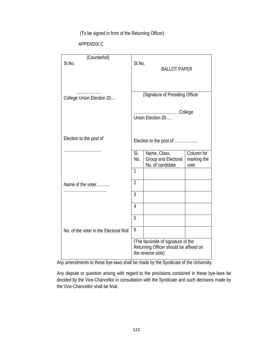(To be signed in front of the Returning Officer)

### APPENDIX C

| (Counterfoil)<br>SI.No.                | SI.No.         | <b>BALLOT PAPER</b>                                                                               |                                   |
|----------------------------------------|----------------|---------------------------------------------------------------------------------------------------|-----------------------------------|
| .<br>College Union Election 20         |                | (Signature of Presiding Officer<br>College<br>Union Election 20                                   |                                   |
| Election to the post of                |                | Election to the post of                                                                           |                                   |
|                                        | SI.<br>No.     | Name, Class,<br>Group and Electoral<br>No. of candidate                                           | Column for<br>marking the<br>vote |
|                                        | $\mathbf{1}$   |                                                                                                   |                                   |
| Name of the voter                      | $\overline{2}$ |                                                                                                   |                                   |
|                                        | 3              |                                                                                                   |                                   |
|                                        | $\overline{4}$ |                                                                                                   |                                   |
|                                        | 5              |                                                                                                   |                                   |
| No. of the voter in the Electoral Roll | 6              |                                                                                                   |                                   |
|                                        |                | (The facsimile of signature of the<br>Returning Officer should be affixed on<br>the reverse side) |                                   |

Any amendments to these bye-laws shall be made by the Syndicate of the University.

Any dispute or question arising with regard to the provisions contained in these bye-laws be decided by the Vice-Chancellor in consultation with the Syndicate and such decisions made by the Vice-Chancellor shall be final.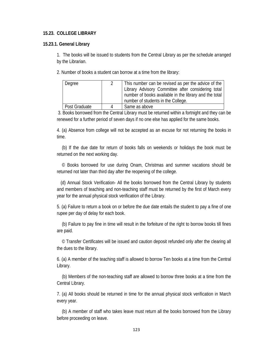#### **15.23. COLLEGE LIBRARY**

#### **15.23.1. General Library**

1. The books will be issued to students from the Central Library as per the schedule arranged by the Librarian.

2. Number of books a student can borrow at a time from the library:

| Degree        | This number can be revised as per the advice of the    |  |
|---------------|--------------------------------------------------------|--|
|               | Library Advisory Committee after considering total     |  |
|               | number of books available in the library and the total |  |
|               | number of students in the College.                     |  |
| Post Graduate | Same as above                                          |  |

3. Books borrowed from the Central Library must be returned within a fortnight and they can be renewed for a further period of seven days if no one else has applied for the same books.

4. (a) Absence from college will not be accepted as an excuse for not returning the books in time.

(b) If the due date for return of books falls on weekends or holidays the book must be returned on the next working day.

© Books borrowed for use during Onam, Christmas and summer vacations should be returned not later than third day after the reopening of the college.

(d) Annual Stock Verification- All the books borrowed from the Central Library by students and members of teaching and non-teaching staff must be returned by the first of March every year for the annual physical stock verification of the Library.

5. (a) Failure to return a book on or before the due date entails the student to pay a fine of one rupee per day of delay for each book.

(b) Failure to pay fine in time will result in the forfeiture of the right to borrow books till fines are paid.

© Transfer Certificates will be issued and caution deposit refunded only after the clearing all the dues to the library.

6. (a) A member of the teaching staff is allowed to borrow Ten books at a time from the Central Library.

(b) Members of the non-teaching staff are allowed to borrow three books at a time from the Central Library.

7. (a) All books should be returned in time for the annual physical stock verification in March every year.

(b) A member of staff who takes leave must return all the books borrowed from the Library before proceeding on leave.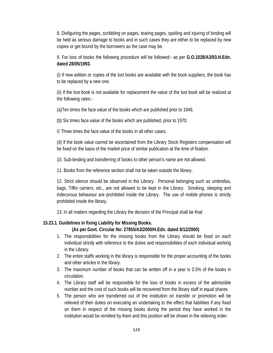8. Disfiguring the pages, scribbling on pages, tearing pages, spoiling and injuring of binding will be held as serious damage to books and in such cases they are either to be replaced by new copies or get bound by the borrowers as the case may be.

9. For loss of books the following procedure will be followed:- as per **G.O.1028/A3/93.H.Edn. dated 28/05/1993.** 

(i) If new edition or copies of the lost books are available with the book suppliers, the book has to be replaced by a new one.

(ii) If the lost book is not available for replacement the value of the lost book will be realized at the following rates:-

(a)Ten times the face value of the books which are published prior to 1946.

(b) Six times face value of the books which are published, prior to 1970.

© Three times the face value of the books in all other cases.

(d) If the book value cannot be ascertained from the Library Stock Registers compensation will be fixed on the basis of the market price of similar publication at the time of fixation.

10. Sub-lending and transferring of books to other person's name are not allowed.

11. Books from the reference section shall not be taken outside the library.

12. Strict silence should be observed in the Library. Personal belonging such as umbrellas, bags, Tiffin carriers, etc., are not allowed to be kept in the Library. Smoking, sleeping and indecorous behaviour are prohibited inside the Library. The use of mobile phones is strictly prohibited inside the library.

13. In all matters regarding the Library the decision of the Principal shall be final

### **15.23.1. Guidelines in fixing Liability for Missing Books.**

### **(As per Govt. Circular No: 27855/A3/2000/H.Edn. dated 8/12/2000)**

- 1. The responsibilities for the missing books from the Library should be fixed on each individual strictly with reference to the duties and responsibilities of each individual working in the Library.
- 2. The entire staffs working in the library is responsible for the proper accounting of the books and other articles in the library.
- 3. The maximum number of books that can be written off in a year is 0.5% of the books in circulation.
- 4. The Library staff will be responsible for the loss of books in excess of the admissible number and the cost of such books will be recovered from the library staff in equal shares.
- 5. The person who are transferred out of the institution on transfer or promotion will be relieved of their duties on executing an undertaking to the effect that liabilities if any fixed on them in respect of the missing books during the period they have worked in the institution would be remitted by them and this position will be shown in the relieving order.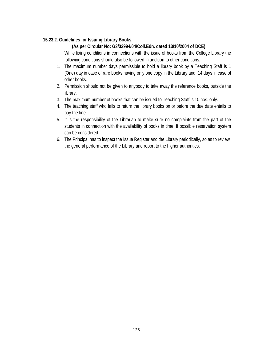### **15.23.2. Guidelines for Issuing Library Books.**

### **(As per Circular No: G3/32994/04/Coll.Edn. dated 13/10/2004 of DCE)**

While fixing conditions in connections with the issue of books from the College Library the following conditions should also be followed in addition to other conditions.

- 1. The maximum number days permissible to hold a library book by a Teaching Staff is 1 (One) day in case of rare books having only one copy in the Library and 14 days in case of other books.
- 2. Permission should not be given to anybody to take away the reference books, outside the library.
- 3. The maximum number of books that can be issued to Teaching Staff is 10 nos. only.
- 4. The teaching staff who fails to return the library books on or before the due date entails to pay the fine.
- 5. It is the responsibility of the Librarian to make sure no complaints from the part of the students in connection with the availability of books in time. If possible reservation system can be considered.
- 6. The Principal has to inspect the Issue Register and the Library periodically, so as to review the general performance of the Library and report to the higher authorities.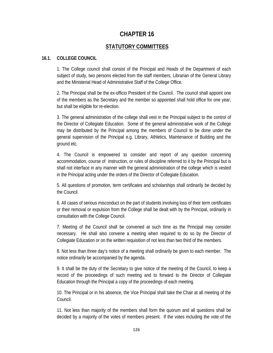## **CHAPTER 16**

### **STATUTORY COMMITTEES**

### **16.1. COLLEGE COUNCIL**

1. The College council shall consist of the Principal and Heads of the Department of each subject of study, two persons elected from the staff members, Librarian of the General Library and the Ministerial Head of Administrative Staff of the College Office.

2. The Principal shall be the ex-officio President of the Council. The council shall appoint one of the members as the Secretary and the member so appointed shall hold office for one year, but shall be eligible for re-election.

3. The general administration of the college shall vest in the Principal subject to the control of the Director of Collegiate Education. Some of the general administrative work of the College may be distributed by the Principal among the members of Council to be done under the general supervision of the Principal e.g. Library, Athletics, Maintenance of Building and the ground etc.

4. The Council is empowered to consider and report of any question concerning accommodation, course of instruction, or rules of discipline referred to it by the Principal but is shall not interface in any manner with the general administration of the college which is vested in the Principal acting under the orders of the Director of Collegiate Education.

5. All questions of promotion, term certificates and scholarships shall ordinarily be decided by the Council.

6. All cases of serious misconduct on the part of students involving loss of their term certificates or their removal or expulsion from the College shall be dealt with by the Principal, ordinarily in consultation with the College Council.

7. Meeting of the Council shall be convened at such time as the Principal may consider necessary. He shall also convene a meeting when required to do so by the Director of Collegiate Education or on the written requisition of not less than two third of the members.

8. Not less than three day's notice of a meeting shall ordinarily be given to each member. The notice ordinarily be accompanied by the agenda.

9. It shall be the duty of the Secretary to give notice of the meeting of the Council, to keep a record of the proceedings of such meeting and to forward to the Director of Collegiate Education through the Principal a copy of the proceedings of each meeting.

10. The Principal or in his absence, the Vice Principal shall take the Chair at all meeting of the Council.

11. Not less than majority of the members shall form the quorum and all questions shall be decided by a majority of the votes of members present. If the votes including the vote of the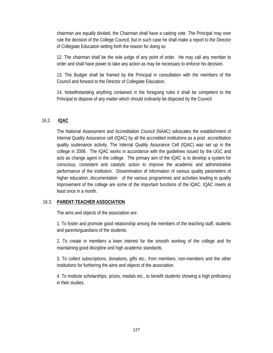chairman are equally divided, the Chairman shall have a casting vote. The Principal may over rule the decision of the College Council, but in such case he shall make a report to the Director of Collegiate Education setting forth the reason for doing so.

12. The chairman shall be the sole judge of any point of order. He may call any member to order and shall have power to take any action as may be necessary to enforce his decision.

13. The Budget shall be framed by the Principal in consultation with the members of the Council and forward to the Director of Collegiate Education.

14. Notwithstanding anything contained in the foregoing rules it shall be competent to the Principal to dispose of any matter which should ordinarily be disposed by the Council.

### 16.2. **IQAC**

The National Assessment and Accreditation Council (NAAC) advocates the establishment of Internal Quality Assurance cell (IQAC) by all the accredited institutions as a post accreditation quality sustenance activity. The Internal Quality Assurance Cell (IQAC) was set up in the college in 2006. The IQAC works in accordance with the guidelines issued by the UGC and acts as change agent in the college. The primary aim of the IQAC is to develop a system for conscious, consistent and catalytic action to improve the academic and administrative performance of the institution. Dissemination of information of various quality parameters of higher education, documentation of the various programmes and activities leading to quality improvement of the college are some of the important functions of the IQAC. IQAC meets at least once in a month.

#### 16.3. **PARENT-TEACHER ASSOCIATION**

The aims and objects of the association are:

1. To foster and promote good relationship among the members of the teaching staff, students and parents/guardians of the students.

2. To create in members a keen interest for the smooth working of the college and for maintaining good discipline and high academic standards.

3. To collect subscriptions, donations, gifts etc., from members, non-members and the other institutions for furthering the aims and objects of the association.

4. To institute scholarships, prizes, medals etc., to benefit students showing a high proficiency in their studies.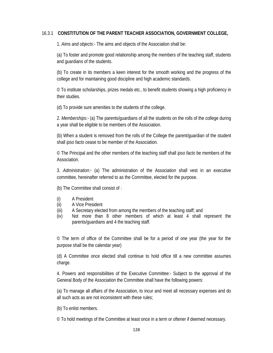### 16.3.1 **CONSTITUTION OF THE PARENT TEACHER ASSOCIATION, GOVERNMENT COLLEGE,**

1. *Aims and objects*:- The aims and objects of the Association shall be:

(a) To foster and promote good relationship among the members of the teaching staff, students and guardians of the students.

(b) To create in its members a keen interest for the smooth working and the progress of the college and for maintaining good discipline and high academic standards.

© To institute scholarships, prizes medals etc., to benefit students showing a high proficiency in their studies.

(d) To provide sure amenities to the students of the college.

2. *Memberships:-* (a) The parents/guardians of all the students on the rolls of the college during a year shall be eligible to be members of the Association.

(b) When a student is removed from the rolls of the College the parent/guardian of the student shall *ipso facto* cease to be member of the Association.

© The Principal and the other members of the teaching staff shall *ipso facto* be members of the Association.

3. *Administration:-* (a) The administration of the Association shall vest in an executive committee, hereinafter referred to as the Committee, elected for the purpose.

(b) The Committee shall consist of :

- (i) A President
- (ii) A Vice President
- (iii) A Secretary elected from among the members of the teaching staff; and
- (iv) Not more than 8 other members of which at least 4 shall represent the parents/guardians and 4 the teaching staff.

© The term of office of the Committee shall be for a period of one year (the year for the purpose shall be the calendar year)

(d) A Committee once elected shall continue to hold office till a new committee assumes charge.

4. Powers and responsibilities of the Executive Committee:- Subject to the approval of the General Body of the Association the Committee shall have the following powers:

(a) To manage all affairs of the Association, to incur and meet all necessary expenses and do all such acts as are not inconsistent with these rules:

(b) To enlist members.

© To hold meetings of the Committee at least once in a term or oftener if deemed necessary.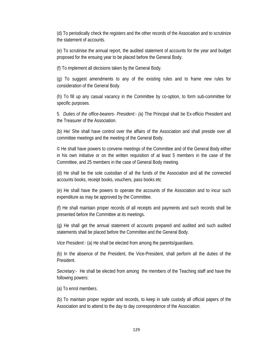(d) To periodically check the registers and the other records of the Association and to scrutinize the statement of accounts.

(e) To scrutinise the annual report, the audited statement of accounts for the year and budget proposed for the ensuing year to be placed before the General Body.

(f) To implement all decisions taken by the General Body.

(g) To suggest amendments to any of the existing rules and to frame new rules for consideration of the General Body.

(h) To fill up any casual vacancy in the Committee by co-option, to form sub-committee for specific purposes.

5. *Duties of the office-bearers- President:- (*a) The Principal shall be Ex-officio President and the Treasurer of the Association.

(b) He/ She shall have control over the affairs of the Association and shall preside over all committee meetings and the meeting of the General Body.

© He shall have powers to convene meetings of the Committee and of the General Body either in his own initiative or on the written requisition of at least 5 members in the case of the Committee, and 25 members in the case of General Body meeting.

(d) He shall be the sole custodian of all the funds of the Association and all the connected accounts books, receipt books, vouchers, pass books etc

(e) He shall have the powers to operate the accounts of the Association and to incur such expenditure as may be approved by the Committee.

(f) He shall maintain proper records of all receipts and payments and such records shall be presented before the Committee at its meetings.

(g) He shall get the annual statement of accounts prepared and audited and such audited statements shall be placed before the Committee and the General Body.

*Vice President*:- (a) He shall be elected from among the parents/guardians.

(b) In the absence of the President, the Vice-President, shall perform all the duties of the President.

*Secretary:-* He shall be elected from among the members of the Teaching staff and have the following powers:

(a) To enrol members.

(b) To maintain proper register and records, to keep in safe custody all official papers of the Association and to attend to the day to day correspondence of the Association.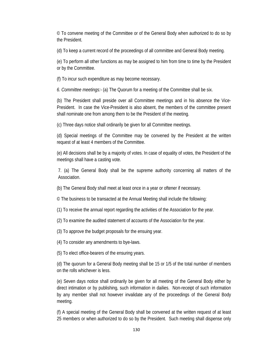© To convene meeting of the Committee or of the General Body when authorized to do so by the President.

(d) To keep a current record of the proceedings of all committee and General Body meeting.

(e) To perform all other functions as may be assigned to him from time to time by the President or by the Committee.

(f) To incur such expenditure as may become necessary.

 *6. Committee meetings:-* (a) The Quorum for a meeting of the Committee shall be six.

(b) The President shall preside over all Committee meetings and in his absence the Vice-President. In case the Vice-President is also absent, the members of the committee present shall nominate one from among them to be the President of the meeting.

(c) Three days notice shall ordinarily be given for all Committee meetings.

(d) Special meetings of the Committee may be convened by the President at the written request of at least 4 members of the Committee.

(e) All decisions shall be by a majority of votes. In case of equality of votes, the President of the meetings shall have a casting vote.

7. (a) The General Body shall be the supreme authority concerning all matters of the Association.

(b) The General Body shall meet at least once in a year or oftener if necessary.

© The business to be transacted at the Annual Meeting shall include the following:

(1) To receive the annual report regarding the activities of the Association for the year.

(2) To examine the audited statement of accounts of the Association for the year.

(3) To approve the budget proposals for the ensuing year.

(4) To consider any amendments to bye-laws.

(5) To elect office-bearers of the ensuring years.

(d) The quorum for a General Body meeting shall be 15 or 1/5 of the total number of members on the rolls whichever is less.

(e) Seven days notice shall ordinarily be given for all meeting of the General Body either by direct intimation or by publishing, such information in dailies. Non-receipt of such information by any member shall not however invalidate any of the proceedings of the General Body meeting.

(f) A special meeting of the General Body shall be convened at the written request of at least 25 members or when authorized to do so by the President. Such meeting shall dispense only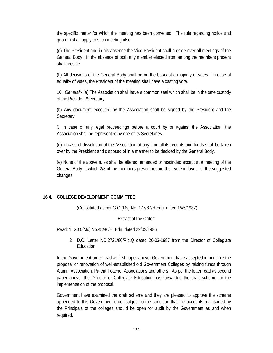the specific matter for which the meeting has been convened. The rule regarding notice and quorum shall apply to such meeting also.

(g) The President and in his absence the Vice-President shall preside over all meetings of the General Body. In the absence of both any member elected from among the members present shall preside.

(h) All decisions of the General Body shall be on the basis of a majority of votes. In case of equality of votes, the President of the meeting shall have a casting vote.

10. *General:-* (a) The Association shall have a common seal which shall be in the safe custody of the President/Secretary.

(b) Any document executed by the Association shall be signed by the President and the Secretary.

 $\degree$  In case of any legal proceedings before a court by or against the Association, the Association shall be represented by one of its Secretaries.

(d) In case of dissolution of the Association at any time all its records and funds shall be taken over by the President and disposed of in a manner to be decided by the General Body.

(e) None of the above rules shall be altered, amended or rescinded except at a meeting of the General Body at which 2/3 of the members present record their vote in favour of the suggested changes.

## **16.4. COLLEGE DEVELOPMENT COMMITTEE.**

(Constituted as per G.O.(Ms) No. 177/87/H.Edn. dated 15/5/1987)

Extract of the Order:-

Read: 1. G.O.(Ms) No.48/86/H. Edn. dated 22/02/1986.

2. D.O. Letter NO.2721/86/Plg.Q dated 20-03-1987 from the Director of Collegiate Education.

In the Government order read as first paper above, Government have accepted in principle the proposal or renovation of well-established old Government Colleges by raising funds through Alumni Association, Parent Teacher Associations and others. As per the letter read as second paper above, the Director of Collegiate Education has forwarded the draft scheme for the implementation of the proposal.

Government have examined the draft scheme and they are pleased to approve the scheme appended to this Government order subject to the condition that the accounts maintained by the Principals of the colleges should be open for audit by the Government as and when required.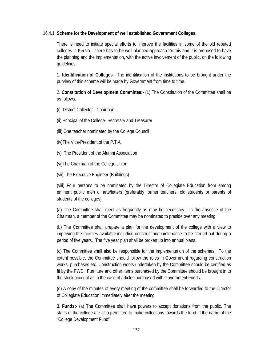## 16.4.1. **Scheme for the Development of well established Government Colleges.**

There is need to initiate special efforts to improve the facilities in some of the old reputed colleges in Kerala. There has to be well planned approach for this and it is proposed to have the planning and the implementation, with the active involvement of the public, on the following guidelines.

1. **Identification of Colleges**:- The identification of the institutions to be brought under the purview of this scheme will be made by Government from time to time.

2. **Constitution of Development Committee:-** (1) The Constitution of the Committee shall be as follows:-

(i) District Collector - Chairman

(ii) Principal of the College- Secretary and Treasurer

(iii) One teacher nominated by the College Council

(iv)The Vice-President of the P.T.A.

(v) The President of the Alumni Association

(vi)The Chairman of the College Union

(vii) The Executive Engineer (Buildings)

(viii) Four persons to be nominated by the Director of Collegiate Education from among eminent public men of arts/letters (preferably former teachers, old students or parents of students of the colleges)

(a) The Committee shall meet as frequently as may be necessary. In the absence of the Chairman, a member of the Committee may be nominated to preside over any meeting.

(b) The Committee shall prepare a plan for the development of the college with a view to improving the facilities available including construction/maintenance to be carried out during a period of five years. The five year plan shall be broken up into annual plans.

(c) The Committee shall also be responsible for the implementation of the schemes. To the extent possible, the Committee should follow the rules in Government regarding construction works, purchases etc. Construction works undertaken by the Committee should be certified as fit by the PWD. Furniture and other items purchased by the Committee should be brought in to the stock account as in the case of articles purchased with Government Funds.

(d) A copy of the minutes of every meeting of the committee shall be forwarded to the Director of Collegiate Education immediately after the meeting.

3. **Funds:-** (a) The Committee shall have powers to accept donations from the public. The staffs of the college are also permitted to make collections towards the fund in the name of the "College Development Fund".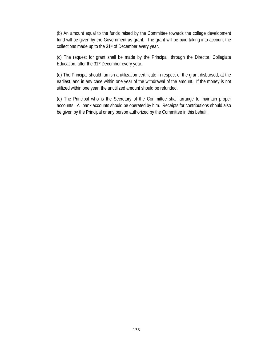(b) An amount equal to the funds raised by the Committee towards the college development fund will be given by the Government as grant. The grant will be paid taking into account the collections made up to the 31st of December every year.

(c) The request for grant shall be made by the Principal, through the Director, Collegiate Education, after the 31st December every year.

(d) The Principal should furnish a utilization certificate in respect of the grant disbursed, at the earliest, and in any case within one year of the withdrawal of the amount. If the money is not utilized within one year, the unutilized amount should be refunded.

(e) The Principal who is the Secretary of the Committee shall arrange to maintain proper accounts. All bank accounts should be operated by him. Receipts for contributions should also be given by the Principal or any person authorized by the Committee in this behalf.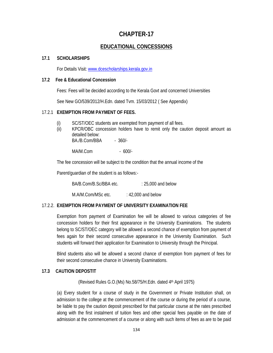# **CHAPTER-17**

## **EDUCATIONAL CONCESSIONS**

#### **17.1 SCHOLARSHIPS**

For Details Visit: www.dcescholarships.kerala.gov.in

#### **17.2 Fee & Educational Concession**

Fees: Fees will be decided according to the Kerala Govt and concerned Universities

See New GO/539/2012/H.Edn. dated Tvm. 15/03/2012 ( See Appendix)

#### 17.2.1 **EXEMPTION FROM PAYMENT OF FEES.**

- (i) SC/ST/OEC students are exempted from payment of all fees.
- (ii) KPCR/OBC concession holders have to remit only the caution deposit amount as detailed below: BA./B.Com/BBA - 360/-

MA/M.Com - 600/-

The fee concession will be subject to the condition that the annual income of the

Parent/guardian of the student is as follows:-

BA/B.Com/B.Sc/BBA etc. : 25,000 and below

M.A/M.Com/MSc etc. : 42,000 and below

### 17.2.2. **EXEMPTION FROM PAYMENT OF UNIVERSITY EXAMINATION FEE**

Exemption from payment of Examination fee will be allowed to various categories of fee concession holders for their first appearance in the University Examinations. The students belong to SC/ST/OEC category will be allowed a second chance of exemption from payment of fees again for their second consecutive appearance in the University Examination. Such students will forward their application for Examination to University through the Principal.

Blind students also will be allowed a second chance of exemption from payment of fees for their second consecutive chance in University Examinations.

### **17.3 CAUTION DEPOSTIT**

(Revised Rules G.O.(Ms) No.58/75/H.Edn. dated 4th April 1975)

(a) Every student for a course of study in the Government or Private Institution shall, on admission to the college at the commencement of the course or during the period of a course, be liable to pay the caution deposit prescribed for that particular course at the rates prescribed along with the first instalment of tuition fees and other special fees payable on the date of admission at the commencement of a course or along with such items of fees as are to be paid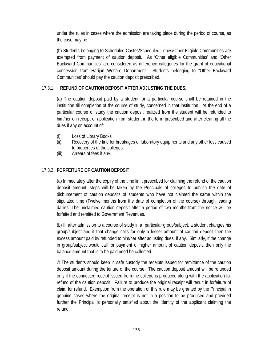under the rules in cases where the admission are taking place during the period of course, as the case may be.

(b) Students belonging to Scheduled Castes/Scheduled Tribes/Other Eligible Communities are exempted from payment of caution deposit. As 'Other eligible Communities' and 'Other Backward Communities' are considered as difference categories for the grant of educational concession from Harijan Welfare Department. Students belonging to "Other Backward Communities' should pay the caution deposit prescribed.

## 17.3.1. **REFUND OF CAUTION DEPOSIT AFTER ADJUSTING THE DUES.**

(a) The caution deposit paid by a student for a particular course shall be retained in the institution till completion of the course of study, concerned in that institution. At the end of a particular course of study the caution deposit realized from the student will be refunded to him/her on receipt of application from student in the form prescribed and after clearing all the dues if any on account of:

- (i) Loss of Library Books
- (ii) Recovery of the fine for breakages of laboratory equipments and any other loss caused to properties of the colleges.
- (iii) Arrears of fees if any.

## 17.3.2. **FORFEITURE OF CAUTION DEPOSIT**

(a) Immediately after the expiry of the time limit prescribed for claiming the refund of the caution deposit amount, steps will be taken by the Principals of colleges to publish the date of disbursement of caution deposits of students who have not claimed the same within the stipulated time (Twelve months from the date of completion of the course) through leading dailies. The unclaimed caution deposit after a period of two months from the notice will be forfeited and remitted to Government Revenues.

(b) If, after admission to a course of study in a particular group/subject, a student changes his group/subject and if that change calls for only a lesser amount of caution deposit then the excess amount paid by refunded to him/her after adjusting dues, if any. Similarly, if the change in group/subject would call for payment of higher amount of caution deposit, then only the balance amount that is to be paid need be collected.

© The students should keep in safe custody the receipts issued for remittance of the caution deposit amount during the tenure of the course. The caution deposit amount will be refunded only if the connected receipt issued from the college is produced along with the application for refund of the caution deposit. Failure to produce the original receipt will result in forfeiture of claim for refund. Exemption from the operation of this rule may be granted by the Principal in genuine cases where the original receipt is not in a position to be produced and provided further the Principal is personally satisfied about the identity of the applicant claiming the refund.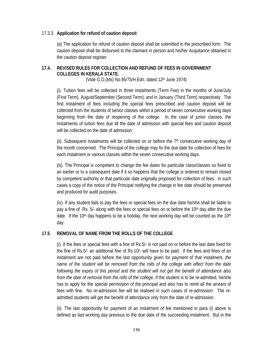## 17.3.3. **Application for refund of caution deposit**

(a) The application for refund of caution deposit shall be submitted in the prescribed form. The caution deposit shall be disbursed to the claimant in person and his/her Acquitance obtained in the caution deposit register.

## **17.4. REVISED RULES FOR COLLECTION AND REFUND OF FEES IN GOVERNMENT COLLEGES IN KERALA STATE.**

(Vide G.O. (Ms) No.95/75/H. Edn. dated 12<sup>th</sup> June 1974)

(i). Tuition fees will be collected in three instalments (Term Fee) in the months of June/July (First Term), August/September (Second Term), and in January (Third Term) respectively. The first instalment of fees including the special fees prescribed and caution deposit will be collected from the students of senior classes within a period of seven consecutive working days beginning from the date of reopening of the college. In the case of junior classes, the instalments of tuition fees due till the date of admission with special fees and caution deposit will be collected on the date of admission

(ii). Subsequent instalments will be collected on or before the  $7<sup>th</sup>$  consecutive working day of the month concerned. The Principal of the college may fix the due date for collection of fees for each instalment or various classes within the seven consecutive working days.

(iii). The Principal is competent to change the fee dates for particular class/classes so fixed to an earlier or to a subsequent date if it so happens that the college is ordered to remain closed by competent authority or that particular date originally proposed for collection of fees. In such cases a copy of the notice of the Principal notifying the change in fee date should be preserved and produced for audit purposes.

(iv). If any student fails to pay the fees or special fees on the due date he/she shall be liable to pay a fine of Rs. 5/- along with the fees or special fees on or before the 10<sup>th</sup> day after the due date. If the 10<sup>th</sup> day happens to be a holiday, the next working day will be counted as the 10<sup>th</sup> day.

## **17.5**. **REMOVAL OF NAME FROM THE ROLLS OF THE COLLEGE**

(i). If the fees or special fees with a fine of Rs.5/- is not paid on or before the last date fixed for the fine of Rs.5/- an additional fine of Rs.10/- will have to be paid. If the fees and fines of an instalment are not paid before the last opportunity given for payment of that instalment, *the name of the student will be removed from the rolls of the college with effect from the date following the expiry of this period and the student will not get the benefit of attendance also from the date of removal from the rolls of the college*. If the student is to be re-admitted, he/she has to apply for the special permission of the principal and also has to remit all the arrears of fees with fine. No re-admission fee will be realised in such cases of re-admission. The readmitted students will get the benefit of attendance only from the date of re-admission.

(ii). The last opportunity for payment of an instalment of fee mentioned in para (i) above is defined as last working day previous to the due date of the succeeding instalment. But in the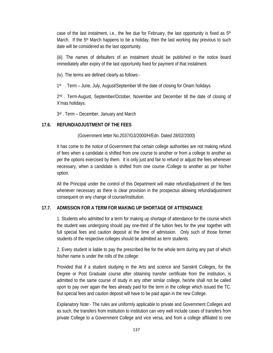case of the last instalment, i.e., the fee due for February, the last opportunity is fixed as  $5<sup>th</sup>$ March. If the  $5<sup>th</sup>$  March happens to be a holiday, then the last working day previous to such date will be considered as the last opportunity.

(iii). The names of defaulters of an instalment should be published in the notice board immediately after expiry of the last opportunity fixed for payment of that instalment.

(iv). The terms are defined clearly as follows:-

1<sup>st</sup> . Term – June, July, August/September till the date of closing for Onam holidays

2nd . Term-August, September/October, November and December till the date of closing of X'mas holidays.

3rd . Term – December, January and March

## **17.6. REFUND/ADJUSTMENT OF THE FEES**

(Government letter No.2037/G3/2000/H/Edn. Dated 28/02/2000)

It has come to the notice of Government that certain college authorities are not making refund of fees when a candidate is shifted from one course to another or from a college to another as per the options exercised by them. It is only just and fair to refund or adjust the fees whenever necessary, when a candidate is shifted from one course /College to another as per his/her option.

All the Principal under the control of this Department will make refund/adjustment of the fees whenever necessary as there is clear provision in the prospectus allowing refund/adjustment consequent on any change of course/Institution.

## **17.7. ADMISSION FOR A TERM FOR MAKING UP SHORTAGE OF ATTENDANCE**

1. Students who admitted for a term for making up shortage of attendance for the course which the student was undergoing should pay one-third of the tuition fees for the year together with full special fees and caution deposit at the time of admission. Only such of those former students of the respective colleges should be admitted as term students.

2. Every student is liable to pay the prescribed fee for the whole term during any part of which his/her name is under the rolls of the college:

Provided that if a student studying in the Arts and science and Sanskrit Colleges, for the Degree or Post Graduate course after obtaining transfer certificate from the institution, is admitted to the same course of study in any other similar college, he/she shall not be called upon to pay over again the fees already paid for the term in the college which issued the TC. But special fees and caution deposit will have to be paid again in the new College.

*Explanatory Note*:- The rules are uniformly applicable to private and Government Colleges and as such, the transfers from institution to institution can very well include cases of transfers from private College to a Government College and vice versa, and from a college affiliated to one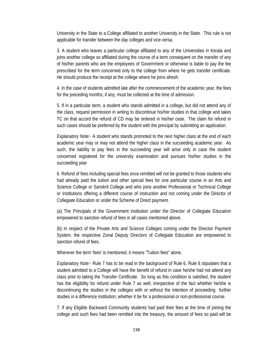University in the State to a College affiliated to another University in the State. This rule is not applicable for transfer between the day colleges and vice versa.

3. A student who leaves a particular college affiliated to any of the Universities in Kerala and joins another college so affiliated during the course of a term consequent on the transfer of any of his/her parents who are the employees of Government or otherwise is liable to pay the fee prescribed for the term concerned only to the college from where he gets transfer certificate. He should produce the receipt at the college where he joins afresh.

4. In the case of students admitted late after the commencement of the academic year, the fees for the preceding months, if any, must be collected at the time of admission.

5. If in a particular term, a student who stands admitted in a college, but did not attend any of the class, request permission in writing to discontinue his/her studies in that college and takes TC on that accord the refund of CD may be ordered in his/her case. The claim for refund in such cases should be preferred by the student with the principal by submitting an application.

*Explanatory Note:-* A student who stands promoted to the next higher class at the end of each academic year may or may not attend the higher class in the succeeding academic year. As such, the liability to pay fees in the succeeding year will arise only in case the student concerned registered for the university examination and pursues his/her studies in the succeeding year

6. Refund of fees including special fees once remitted will not be granted to those students who had already paid the tuition and other special fees for one particular course in an Arts and Science College or Sanskrit College and who joins another Professional or Technical College or Institutions offering a different course of instruction and not coming under the Director of Collegiate Education or under the Scheme of Direct payment.

(a) The Principals of the Government institution under the Director of Collegiate Education empowered to sanction refund of fees in all cases mentioned above.

(b) In respect of the Private Arts and Science Colleges coming under the Director Payment System, the respective Zonal Deputy Directors of Collegiate Education are empowered to sanction refund of fees.

Wherever the term 'fees' is mentioned, it means "Tuition fees" alone.

*Explanatory Note:-* Rule 7 has to be read in the background of Rule 6, Rule 6 stipulates that a student admitted to a College will have the benefit of refund in case he/she had not attend any class prior to taking the Transfer Certificate. So long as this condition is satisfied, the student has the eligibility for refund under Rule 7 as well; irrespective of the fact whether he/she is discontinuing the studies in the colleges with or without the intention of proceeding further studies in a difference institution, whether it be for a professional or non-professional course.

7. If any Eligible Backward Community students had paid their fees at the time of joining the college and such fees had been remitted into the treasury, the amount of fees so paid will be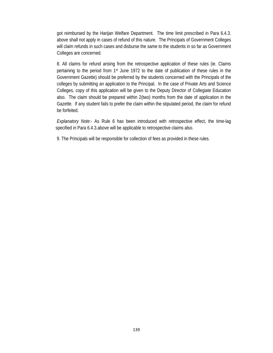got reimbursed by the Harijan Welfare Department. The time limit prescribed in Para 6.4.3. above shall not apply in cases of refund of this nature. The Principals of Government Colleges will claim refunds in such cases and disburse the same to the students in so far as Government Colleges are concerned.

8. All claims for refund arising from the retrospective application of these rules (ie. Claims pertaining to the period from 1st June 1972 to the date of publication of these rules in the Government Gazette) should be preferred by the students concerned with the Principals of the colleges by submitting an application to the Principal. In the case of Private Arts and Science Colleges, copy of this application will be given to the Deputy Director of Collegiate Education also. The claim should be prepared within 2(two) months from the date of application in the Gazette. If any student fails to prefer the claim within the stipulated period, the claim for refund be forfeited.

*Explanatory Note*:- As Rule 6 has been introduced with retrospective effect, the time-lag specified in Para 6.4.3.above will be applicable to retrospective claims also.

9. The Principals will be responsible for collection of fees as provided in these rules.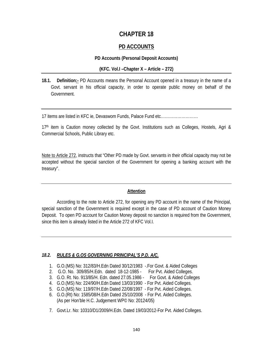# **CHAPTER 18**

## **PD ACCOUNTS**

#### **PD Accounts (Personal Deposit Accounts)**

#### **(KFC. Vol.I –Chapter X – Article – 272)**

**18.1. Definition:-** PD Accounts means the Personal Account opened in a treasury in the name of a Govt. servant in his official capacity, in order to operate public money on behalf of the Government.

17 items are listed in KFC ie, Devaswom Funds, Palace Fund etc………………………

17<sup>th</sup> item is Caution money collected by the Govt. Institutions such as Colleges, Hostels, Agri & Commercial Schools, Public Library etc.

Note to Article 272, instructs that "Other PD made by Govt. servants in their official capacity may not be accepted without the special sanction of the Government for opening a banking account with the treasury".

### **Attention**

 According to the note to Article 272, for opening any PD account in the name of the Principal, special sanction of the Government is required except in the case of PD account of Caution Money Deposit. To open PD account for Caution Money deposit no sanction is required from the Government, since this item is already listed in the Article 272 of KFC Vol.I.

### *18.2. RULES & G.OS GOVERNING PRINCIPAL'S P.D. A/C.*

- 1. G.O.(MS) No: 312/83/H.Edn Dated 30/12/1983 -.For Govt. & Aided Colleges
- 2. G.O. No. 309/85/H.Edn. dated 18-12-1985 For Pvt. Aided Colleges.
- 3. G.O. Rt. No. 913/85/H. Edn. dated 27.05.1986 For Govt. & Aided Colleges
- 4. G.O.(MS) No: 224/90/H.Edn Dated 13/03/1990 For Pvt. Aided Colleges.
- 5. G.O.(MS) No: 119/97/H.Edn Dated 22/08/1997 For Pvt. Aided Colleges.
- 6. G.O.(Rt) No: 1585/08/H.Edn Dated 25/10/2008 For Pvt. Aided Colleges. (As per Hon'ble H.C. Judgement WP© No: 20124/05)
- 7. Govt.Lr. No: 10310/D1/2009/H.Edn. Dated 19/03/2012-For Pvt. Aided Colleges.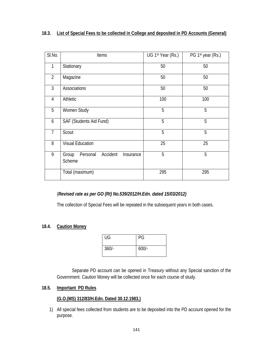| List of Special Fees to be collected in College and deposited in PD Accounts (General)<br>18.3. |
|-------------------------------------------------------------------------------------------------|
|-------------------------------------------------------------------------------------------------|

| SI.No.         | Items                                                | UG 1st Year (Rs.) | PG 1st year (Rs.) |
|----------------|------------------------------------------------------|-------------------|-------------------|
| $\mathbf{1}$   | Stationary                                           | 50                | 50                |
| $\overline{2}$ | Magazine                                             | 50                | 50                |
| $\mathfrak{Z}$ | Associations                                         | 50                | 50                |
| $\overline{4}$ | Athletic                                             | 100               | 100               |
| 5              | Women Study                                          | 5                 | 5                 |
| 6              | SAF (Students Aid Fund)                              | 5                 | 5                 |
| $\overline{1}$ | Scout                                                | 5                 | 5                 |
| 8              | <b>Visual Education</b>                              | 25                | 25                |
| 9              | Personal<br>Accident<br>Group<br>Insurance<br>Scheme | 5                 | 5                 |
|                | Total (maximum)                                      | 295               | 295               |

## (*Revised rate as per GO (Rt) No.539/2012/H.Edn. dated 15/03/2012)*

The collection of Special Fees will be repeated in the subsequent years in both cases.

### **18.4. Caution Money**

| UG      | PG      |
|---------|---------|
| $360/-$ | $600/-$ |

Separate PD account can be opened in Treasury without any Special sanction of the Government. Caution Money will be collected once for each course of study.

## **18.5. Important PD Rules**

## **(G.O.(MS) 312/83/H.Edn. Dated 30.12.1983.)**

1) All special fees collected from students are to be deposited into the PD account opened for the purpose.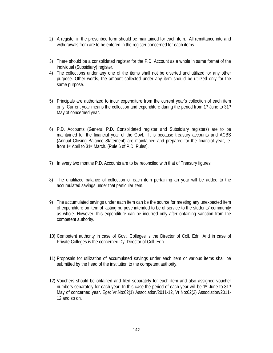- 2) A register in the prescribed form should be maintained for each item. All remittance into and withdrawals from are to be entered in the register concerned for each items.
- 3) There should be a consolidated register for the P.D. Account as a whole in same format of the individual (Subsidiary) register.
- 4) The collections under any one of the items shall not be diverted and utilized for any other purpose. Other words, the amount collected under any item should be utilized only for the same purpose.
- 5) Principals are authorized to incur expenditure from the current year's collection of each item only. Current year means the collection and expenditure during the period from 1st June to 31st May of concerned year.
- 6) P.D. Accounts (General P.D. Consolidated register and Subsidiary registers) are to be maintained for the financial year of the Govt. It is because treasury accounts and ACBS (Annual Closing Balance Statement) are maintained and prepared for the financial year, ie. from 1st April to 31st March. (Rule 6 of P.D. Rules).
- 7) In every two months P.D. Accounts are to be reconciled with that of Treasury figures.
- 8) The unutilized balance of collection of each item pertaining an year will be added to the accumulated savings under that particular item.
- 9) The accumulated savings under each item can be the source for meeting any unexpected item of expenditure on item of lasting purpose intended to be of service to the students' community as whole. However, this expenditure can be incurred only after obtaining sanction from the competent authority.
- 10) Competent authority in case of Govt. Colleges is the Director of Coll. Edn. And in case of Private Colleges is the concerned Dy. Director of Coll. Edn.
- 11) Proposals for utilization of accumulated savings under each item or various items shall be submitted by the head of the institution to the competent authority.
- 12) Vouchers should be obtained and filed separately for each item and also assigned voucher numbers separately for each year. In this case the period of each year will be 1<sup>st</sup> June to 31<sup>st</sup> May of concerned year. Ege: Vr.No:62(1) Association/2011-12, Vr.No:62(2) Association/2011- 12 and so on.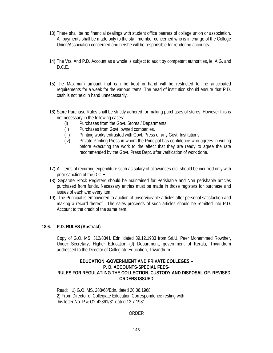- 13) There shall be no financial dealings with student office bearers of college union or association. All payments shall be made only to the staff member concerned who is in charge of the College Union/Association concerned and he/she will be responsible for rendering accounts.
- 14) The Vrs. And P.D. Account as a whole is subject to audit by competent authorities, ie, A.G. and D.C.E.
- 15) The Maximum amount that can be kept in hand will be restricted to the anticipated requirements for a week for the various items. The head of institution should ensure that P.D. cash is not held in hand unnecessarily.
- 16) Store Purchase Rules shall be strictly adhered for making purchases of stores. However this is not necessary in the following cases:
	- (i) Purchases from the Govt. Stores / Departments.
	- (ii) Purchases from Govt. owned companies.
	- (iii) Printing works entrusted with Govt. Press or any Govt. Institutions.
	- (iv) Private Printing Press in whom the Principal has confidence who agrees in writing before executing the work to the effect that they are ready to agree the rate recommended by the Govt. Press Dept. after verification of work done.
- 17) All items of recurring expenditure such as salary of allowances etc. should be incurred only with prior sanction of the D.C.E.
- 18) Separate Stock Registers should be maintained for Perishable and Non perishable articles purchased from funds. Necessary entries must be made in those registers for purchase and issues of each and every item.
- 19) The Principal is empowered to auction of unserviceable articles after personal satisfaction and making a record thereof. The sales proceeds of such articles should be remitted into P.D. Account to the credit of the same item.

#### **18.6. P.D. RULES (Abstract)**

Copy of G.O. MS. 312/83/H. Edn. dated 39.12.1983 from Sri.U. Peer Mohammed Rowther, Under Secretary, Higher Education (J) Department, government of Kerala, Trivandrum addressed to the Director of Collegiate Education, Trivandrum.

#### **EDUCATION -GOVERNMENT AND PRIVATE COLLEGES – P. D. ACCOUNTS-SPECIAL FEES-RULES FOR REGULATIING THE COLLECTION, CUSTODY AND DISPOSAL OF- REVISED ORDERS ISSUED**

Read: 1) G.O. MS, 288/68/Edn. dated 20.06.1968 2) From Director of Collegiate Education Correspondence resting with his letter No. P & G2-42861/81 dated 13.7.1981.

#### ORDER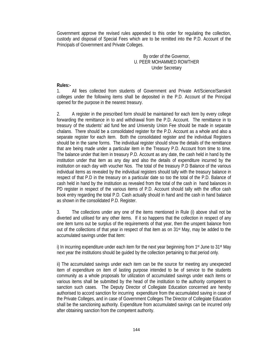Government approve the revised rules appended to this order for regulating the collection, custody and disposal of Special Fees which are to be remitted into the P.D. Account of the Principals of Government and Private Colleges.

> By order of the Governor, U. PEER MOHAMMED ROWTHER Under Secretary

#### **Rules:-**

1. All fees collected from students of Government and Private Art/Science/Sanskrit colleges under the following items shall be deposited in the P.D. Account of the Principal opened for the purpose in the nearest treasury.

2. A register in the prescribed form should be maintained for each item by every college forwarding the remittance in to and withdrawal from the P.D. Account. The remittance in to treasury of the students' aid fund fee and University Union Fee should be made in separate chalans. There should be a consolidated register for the P.D. Account as a whole and also a separate register for each item. Both the consolidated register and the individual Registers should be in the same forms. The individual register should show the details of the remittance that are being made under a particular item in the Treasury P.D. Account from time to time. The balance under that item in treasury P.D. Account as any date, the cash held in hand by the institution under that item as any day and also the details of expenditure incurred by the institution on each day with voucher Nos. The total of the treasury P.D Balance of the various individual items as revealed by the individual registers should tally with the treasury balance in respect of that P.D in the treasury on a particular date so too the total of the P.D. Balance of cash held in hand by the institution as revealed from the total of the cash in hand balances in PD register in respect of the various items of P.D. Account should tally with the office cash book entry regarding the total P.D. Cash actually should in hand and the cash in hand balance as shown in the consolidated P.D. Register.

3. The collections under any one of the items mentioned in Rule (i) above shall not be diverted and utilised for any other items. If it so happens that the collection in respect of any one item turns out be surplus of the requirements of that year, then the unspent balance from out of the collections of that year in respect of that item as on 31st May, may be added to the accumulated savings under that item:

i) In incurring expenditure under each item for the next year beginning from 1<sup>st</sup> June to 31<sup>st</sup> May next year the institutions should be guided by the collection pertaining to that period only.

ii) The accumulated savings under each item can be the source for meeting any unexpected item of expenditure on item of lasting purpose intended to be of service to the students community as a whole proposals for utilization of accumulated savings under each items or various items shall be submitted by the head of the institution to the authority competent to sanction such cases. The Deputy Director of Collegiate Education concerned are hereby authorised to accord sanction for incurring expenditure from the accumulated saving in case of the Private Colleges, and in case of Government Colleges The Director of Collegiate Education shall be the sanctioning authority. Expenditure from accumulated savings can be incurred only after obtaining sanction from the competent authority.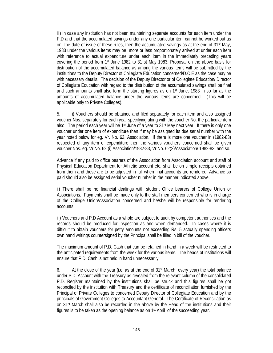iii) In case any institution has not been maintaining separate accounts for each item under the P.D and that the accumulated savings under any one particular item cannot be worked out as on the date of issue of these rules, then the accumulated savings as at the end of  $31<sup>st</sup>$  May, 1983 under the various items may be more or less proportionately arrived at under each item with reference to actual expenditure under each item in the immediately preceding years covering the period from 1st June 1982 to 31 st May 1983. Proposal on the above basis for distribution of the accumulated balance as among the various items will be submitted by the institutions to the Deputy Director of Collegiate Education concerned/D.C.E as the case may be with necessary details. The decision of the Deputy Director or of Collegiate Education/ Director of Collegiate Education with regard to the distribution of the accumulated savings shall be final and such amounts shall also form the starting figures as on 1st June, 1983 in so far as the amounts of accumulated balance under the various items are concerned. (This will be applicable only to Private Colleges).

5. i) Vouchers should be obtained and filed separately for each item and also assigned voucher Nos. separately for each year specifying along with the voucher No. the particular item also. The period each year will be  $1<sup>st</sup>$  June of a year to  $31<sup>st</sup>$  May next year. If there is only one voucher under one item of expenditure then if may be assigned its due serial number with the year noted below for eg. Vr. No. 62, Association. If there is more one voucher in (1982-83) respected of any item of expenditure then the various vouchers concerned shall be given voucher Nos. eg. Vr.No. 62 (i) Association/1982-83, Vr.No. 62(2)/Association/ 1982-83. and so.

Advance if any paid to office bearers of the Association from Association account and staff of Physical Education Department for Athletic account etc. shall be on simple receipts obtained from them and these are to be adjusted in full when final accounts are rendered. Advance so paid should also be assigned serial voucher number in the manner indicated above.

ii) There shall be no financial dealings with student Office bearers of College Union or Associations. Payments shall be made only to the staff members concerned who is in charge of the College Union/Association concerned and he/she will be responsible for rendering accounts.

iii) Vouchers and P.D Account as a whole are subject to audit by competent authorities and the records should be produced for inspection as and when demanded. In cases where it is difficult to obtain vouchers for petty amounts not exceeding Rs. 5 actually spending officers own hand writings countersigned by the Principal shall be filled in bill of the voucher.

The maximum amount of P.D. Cash that can be retained in hand in a week will be restricted to the anticipated requirements from the week for the various items. The heads of institutions will ensure that P.D. Cash is not held in hand unnecessarily.

6. At the close of the year (i.e. as at the end of  $31<sup>st</sup>$  March every year) the total balance under P.D. Account with the Treasury as revealed from the relevant column of the consolidated P.D. Register maintained by the institutions shall be struck and this figures shall be got reconciled by the institution with Treasury and the certificate of reconciliation furnished by the Principal of Private Colleges to concerned Deputy Director of Collegiate Education and by the principals of Government Colleges to Accountant General. The Certificate of Reconciliation as on 31st March shall also be recorded in the above by the Head of the institutions and their figures is to be taken as the opening balance as on 1st April of the succeeding year.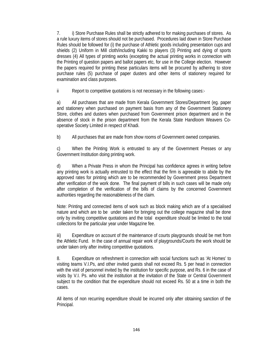7. i) Store Purchase Rules shall be strictly adhered to for making purchases of stores. As a rule luxury items of stores should not be purchased. Procedures laid down in Store Purchase Rules should be followed for (i) the purchase of Athletic goods including presentation cups and shields (2) Uniform in Mill cloth/including Kakki to players (3) Printing and dying of sports dresses (4) All types of printing works (excepting the actual printing works in connection with the Printing of question papers and ballot papers etc, for use in the College election. However the papers required for printing these particulars items will be procured by adhering to store purchase rules (5) purchase of paper dusters and other items of stationery required for examination and class purposes.

ii Report to competitive quotations is not necessary in the following cases:-

a) All purchases that are made from Kerala Government Stores/Department (eg. paper and stationery when purchased on payment basis from any of the Government Stationery Store, clothes and dusters when purchased from Government prison department and in the absence of stock in the prison department from the Kerala State Handloom Weavers Cooperative Society Limited in respect of Khadi.

b) All purchases that are made from show rooms of Government owned companies.

c) When the Printing Work is entrusted to any of the Government Presses or any Government Institution doing printing work.

d) When a Private Press in whom the Principal has confidence agrees in writing before any printing work is actually entrusted to the effect that the firm is agreeable to abide by the approved rates for printing which are to be recommended by Government press Department after verification of the work done. The final payment of bills in such cases will be made only after completion of the verification of the bills of claims by the concerned Government authorities regarding the reasonableness of the claim.

Note: Printing and connected items of work such as block making which are of a specialised nature and which are to be under taken for bringing out the college magazine shall be done only by inviting competitive quotations and the total expenditure should be limited to the total collections for the particular year under Magazine fee.

iii) Expenditure on account of the maintenance of courts playgrounds should be met from the Athletic Fund. In the case of annual repair work of playgrounds/Courts the work should be under taken only after inviting competitive quotations.

8. Expenditure on refreshment in connection with social functions such as 'At Homes' to visiting teams V.I.Ps, and other invited guests shall not exceed Rs. 5 per head in connection with the visit of personnel invited by the institution for specific purpose, and Rs. 6 in the case of visits by V.I. Ps. who visit the institution at the invitation of the State or Central Government subject to the condition that the expenditure should not exceed Rs. 50 at a time in both the cases.

All items of non recurring expenditure should be incurred only after obtaining sanction of the Principal.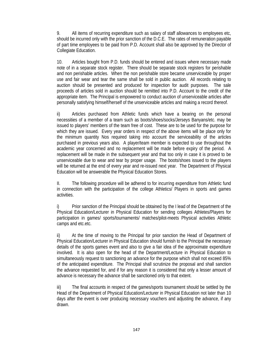9. All items of recurring expenditure such as salary of staff allowances to employees etc, should be incurred only with the prior sanction of the D.C.E. The rates of remuneration payable of part time employees to be paid from P.D. Account shall also be approved by the Director of Collegiate Education.

10. Articles bought from P.D. funds should be entered and issues where necessary made note of in a separate stock register. There should be separate stock registers for perishable and non perishable articles. When the non perishable store became unserviceable by proper use and fair wear and tear the same shall be sold in public auction. All records relating to auction should be presented and produced for inspection for audit purposes. The sale proceeds of articles sold in auction should be remitted into P.D. Account to the credit of the appropriate item. The Principal is empowered to conduct auction of unserviceable articles after personally satisfying himself/herself of the unserviceable articles and making a record thereof.

ii) Articles purchased from Athletic funds which have a bearing on the personal necessities of a member of a team such as boots/shoes/socks/Jerseys Banyans/etc. may be issued to players' members of the team free of cost. These are to be used for the purpose for which they are issued. Every year orders in respect of the above items will be place only for the minimum quantity Nos required taking into account the serviceability of the articles purchased in previous years also. A player/team member is expected to use throughout the academic year concerned and no replacement will be made before expiry of the period. A replacement will be made in the subsequent year and that too only in case it is proved to be unserviceable due to wear and tear by proper usage. The boots/shoes issued to the players will be returned at the end of every year and re-issued next year. The Department of Physical Education will be answerable the Physical Education Stores.

II. The following procedure will be adhered to for incurring expenditure from Athletic fund in connection with the participation of the college Athletics/ Players in sports and games activities.

i) Prior sanction of the Principal should be obtained by the I lead of the Department of the Physical Education/Lecturer in Physical Education for sending colleges Athletes/Players for participation in games/ sports/tournaments/ matches/pilot-meets Physical activities Athletic camps and etc.etc.

ii) At the time of moving to the Principal for prior sanction the Head of Department of Physical Education/Lecturer in Physical Education should furnish to the Principal the necessary details of the sports games event and also to give a fair idea of the approximate expenditure involved. It is also open for the head of the Department/Lecture in Physical Education to simultaneously request to sanctioning an advance for the purpose which shall not exceed 85% of the anticipated expenditure. The Principal shall scrutinize the proposal and shall sanction the advance requested for, and if for any reason it is considered that only a lesser amount of advance is necessary the advance shall be sanctioned only to that extent.

iii) The final accounts in respect of the games/sports tournament should be settled by the Head of the Department of Physical Education/Lecturer in Physical Education not later than 10 days after the event is over producing necessary vouchers and adjusting the advance, if any drawn.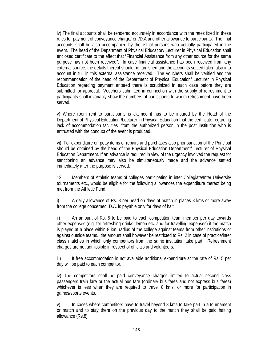iv) The final accounts shall be rendered accurately in accordance with the rates fixed in these rules for payment of conveyance charge/rent/D.A and other allowance to participants. The final accounts shall be also accompanied by the list of persons who actually participated in the event. The head of the Department of Physical Education/ Lecturer in Physical Education shall enclosed certificate to the effect that "Financial Assistance from any other source for the same purpose has not been received". In case financial assistance has been received from any external source, the details thereof should be furnished and the accounts settled taken also into account in full in this external assistance received. The vouchers shall be verified and the recommendation of the head of the Department of Physical Education/ Lecturer in Physical Education regarding payment entered there is scrutinized in each case before they are submitted for approval. Vouchers submitted in connection with the supply of refreshment to participants shall invariably show the numbers of participants to whom refreshment have been served.

v) Where room rent to participants is claimed it has to be insured by the Head of the Department of Physical Education /Lecturer in Physical Education that the certificate regarding lack of accommodation facilities" from the authorized person in the post institution who is entrusted with the conduct of the event is produced.

vi) For expenditure on petty items of repairs and purchases also prior sanction of the Principal should be obtained by the head of the Physical Education Department/ Lecturer of Physical Education Department. If an advance is required in view of the urgency involved the request for sanctioning an advance may also be simultaneously made and the advance settled immediately after the purpose is served.

12. Members of Athletic teams of colleges participating in inter Collegiate/Inter University tournaments etc., would be eligible for the following allowances the expenditure thereof being met from the Athletic Fund.

i) A daily allowance of Rs. 8 per head on days of match in places 8 kms or more away from the college concerned. D.A. is payable only for days of halt.

ii) An amount of Rs. 5 to be paid to each competition team member per day towards other expenses (e.g. for refreshing drinks. lemon etc. and for travelling expenses) if the match is played at a place within 8 km. radius of the college against teams from other institutions or against outside teams. the amount shall however be restricted to Rs. 2 in case of practice/inter class matches in which only competitors from the same institution take part. Refreshment charges are not admissible in respect of officials and volunteers.

iii) If free accommodation is not available additional expenditure at the rate of Rs. 5 per day will be paid to each competitor.

iv) The competitors shall be paid conveyance charges limited to actual second class passengers train fare or the actual bus fare (ordinary bus fares and not express bus fares) whichever is less when they are required to travel 8 kms. or more for participation in games/sports events.

v) In cases where competitors have to travel beyond 8 kms to take part in a tournament or match and to stay there on the previous day to the match they shall be paid halting allowance (Rs.8)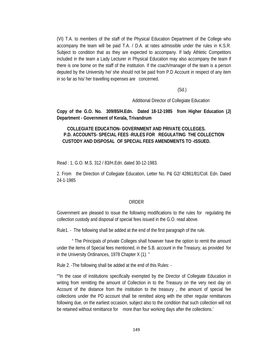(VI) T.A. to members of the staff of the Physical Education Department of the College who accompany the team will be paid T.A. / D.A. at rates admissible under the rules in K.S.R. Subject to condition that as they are expected to accompany. If lady Athletic Competitors included in the team a Lady Lecturer in Physical Education may also accompany the team if there is one borne on the staff of the institution. If the coach/manager of the team is a person deputed by the University he/ she should not be paid from P.D Account in respect of any item in so far as his/ her travelling expenses are concerned.

 $(Sd.)$ 

Additional Director of Collegiate Education

**Copy of the G.O. No. 309/85/H.Edn. Dated 18-12-1985 from Higher Education (J) Department - Government of Kerala, Trivandrum** 

## **COLLEGIATE EDUCATION- GOVERNMENT AND PRIVATE COLLEGES. P.D. ACCOUNTS- SPECIAL FEES -RULES FOR REGULATING THE COLLECTION CUSTODY AND DISPOSAL OF SPECIAL FEES AMENDMENTS TO -ISSUED.**

Read : 1. G.O. M.S. 312 / 83/H.Edn. dated 30-12-1983.

2. From the Direction of Collegiate Education, Letter No. P& G2/ 42861/81/Coll. Edn. Dated 24-1-1985

#### ORDER

Government are pleased to issue the following modifications to the rules for regulating the collection custody and disposal of special fees issued in the G.O. read above.

Rule1. - The following shall be added at the end of the first paragraph of the rule.

 " The Principals of private Colleges shall however have the option to remit the amount under the items of Special fees mentioned, in the S.B. account in the Treasury, as provided for in the University Ordinances, 1978 Chapter X (1). "

Rule 2. -The following shall be added at the end of this Rules: -

""In the case of institutions specifically exempted by the Director of Collegiate Education in writing from remitting the amount of Collection in to the Treasury on the very next day on Account of the distance from the institution to the treasury , the amount of special fee collections under the PD account shall be remitted along with the other regular remittances following due, on the earliest occasion, subject also to the condition that such collection will not be retained without remittance for more than four working days after the collections.'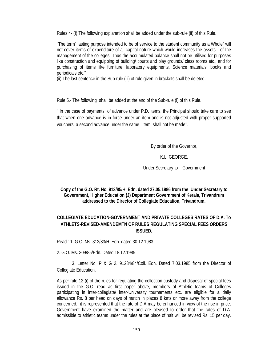Rules 4- (I) The following explanation shall be added under the sub-rule (ii) of this Rule.

"The term" lasting purpose intended to be of service to the student community as a Whole" will not cover items of expenditure of a capital nature which would increases the assets of the management of the colleges. Thus the accumulated balance shall not be utilised for purposes like construction and equipping of building/ courts and play grounds/ class rooms etc., and for purchasing of items like furniture, laboratory equipments, Science materials, books and periodicals etc."

(ii) The last sentence in the Sub-rule (iii) of rule given in brackets shall be deleted.

Rule 5.- The following shall be added at the end of the Sub-rule (i) of this Rule.

" In the case of payments of advance under P.D. items, the Principal should take care to see that when one advance is in force under an item and is not adjusted with proper supported vouchers, a second advance under the same item, shall not be made''.

By order of the Governor,

## K.L. GEORGE,

Under Secretary to Government

**Copy of the G.O. Rt. No. 913/85/H. Edn. dated 27.05.1986 from the Under Secretary to Government, Higher Education (J) Department Government of Kerala, Trivandrum addressed to the Director of Collegiate Education, Trivandrum.** 

## **COLLEGIATE EDUCATION-GOVERNMENT AND PRIVATE COLLEGES RATES OF D.A. To ATHLETS-REVISED-AMENDEMTN OF RULES REGULATING SPECIAL FEES ORDERS ISSUED.**

Read : 1. G.O. Ms. 312/83/H. Edn. dated 30.12.1983

2. G.O. Ms. 309/85/Edn. Dated 18.12.1985

 3. Letter No. P & G 2. 91284/84/Coll. Edn. Dated 7.03.1985 from the Director of Collegiate Education.

As per rule 12 (i) of the rules for regulating the collection custody and disposal of special fees issued in the G.O. read as first paper above, members of Athletic teams of Colleges participating in inter-collegiate/ inter-University tournaments etc. are eligible for a daily allowance Rs. 8 per head on days of match in places 8 kms or more away from the college concerned. it is represented that the rate of D.A may be enhanced in view of the rise in price. Government have examined the matter and are pleased to order that the rates of D.A. admissible to athletic teams under the rules at the place of halt will be revised Rs. 15 per day.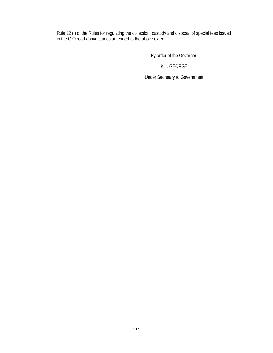Rule 12 (i) of the Rules for regulating the collection, custody and disposal of special fees issued in the G.O read above stands amended to the above extent.

By order of the Governor,

K.L. GEORGE

Under Secretary to Government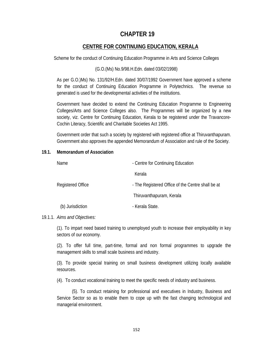# **CHAPTER 19**

## **CENTRE FOR CONTINUING EDUCATION, KERALA**

Scheme for the conduct of Continuing Education Programme in Arts and Science Colleges

#### (G.O.(Ms) No.9/98.H.Edn. dated 03/02/1998)

As per G.O.)Ms) No. 131/92/H.Edn. dated 30/07/1992 Government have approved a scheme for the conduct of Continuing Education Programme in Polytechnics. The revenue so generated is used for the developmental activities of the institutions.

Government have decided to extend the Continuing Education Programme to Engineering Colleges/Arts and Science Colleges also. The Programmes will be organized by a new society, viz. Centre for Continuing Education, Kerala to be registered under the Travancore-Cochin Literacy, Scientific and Charitable Societies Act 1995.

Government order that such a society by registered with registered office at Thiruvanthapuram. Government also approves the appended Memorandum of Association and rule of the Society.

#### **19.1. Memorandum of Association**

| Name              | - Centre for Continuing Education                 |
|-------------------|---------------------------------------------------|
|                   | Kerala                                            |
| Registered Office | - The Registered Office of the Centre shall be at |
|                   | Thiruvanthapuram, Kerala                          |
| (b) Jurisdiction  | - Kerala State.                                   |

### 19.1.1. *Aims and Objectives:*

(1). To impart need based training to unemployed youth to increase their employability in key sectors of our economy.

(2). To offer full time, part-time, formal and non formal programmes to upgrade the management skills to small scale business and industry.

(3). To provide special training on small business development utilizing locally available resources.

(4). To conduct vocational training to meet the specific needs of industry and business.

 (5). To conduct retaining for professional and executives in Industry, Business and Service Sector so as to enable them to cope up with the fast changing technological and managerial environment.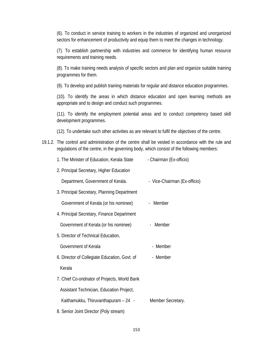(6). To conduct in service training to workers in the industries of organized and unorganized sectors for enhancement of productivity and equip them to meet the changes in technology.

(7). To establish partnership with industries and commerce for identifying human resource requirements and training needs.

(8). To make training needs analysis of specific sectors and plan and organize suitable training programmes for them.

(9). To develop and publish training materials for regular and distance education programmes.

(10). To identify the areas in which distance education and open learning methods are appropriate and to design and conduct such programmes.

(11). To identify the employment potential areas and to conduct competency based skill development programmes.

(12). To undertake such other activities as are relevant to fulfil the objectives of the centre.

19.1.2. The control and administration of the centre shall be vested in accordance with the rule and regulations of the centre, in the governing body, which consist of the following members:

| 1. The Minister of Education, Kerala State    | - Chairman (Ex-officio)      |
|-----------------------------------------------|------------------------------|
| 2. Principal Secretary, Higher Education      |                              |
| Department, Government of Kerala.             | - Vice-Chairman (Ex-officio) |
| 3. Principal Secretary, Planning Department   |                              |
| Government of Kerala (or his nominee)         | - Member                     |
| 4. Principal Secretary, Finance Department    |                              |
| Government of Kerala (or his nominee)         | - Member                     |
| 5. Director of Technical Education,           |                              |
| Government of Kerala                          | - Member                     |
| 6. Director of Collegiate Education, Govt. of | - Member                     |
| Kerala                                        |                              |
| 7. Chief Co-oridnator of Projects, World Bank |                              |
| Assistant Technician, Education Project,      |                              |
| Kaithamukku, Thiruvanthapuram - 24 -          | Member Secretary.            |
| 8. Senior Joint Director (Poly stream)        |                              |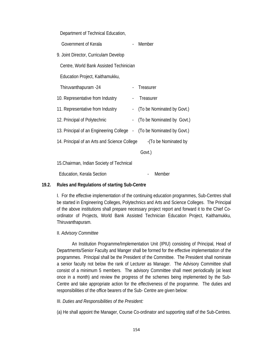Department of Technical Education,

| Government of Kerala                                                 |                          | Member                     |
|----------------------------------------------------------------------|--------------------------|----------------------------|
| 9. Joint Director, Curriculam Develop                                |                          |                            |
| Centre, World Bank Assisted Techinician                              |                          |                            |
| Education Project, Kaithamukku,                                      |                          |                            |
| Thiruvanthapuram -24                                                 | $\frac{1}{2}$            | Treasurer                  |
| 10. Representative from Industry                                     | $\overline{\phantom{a}}$ | Treasurer                  |
| 11. Representative from Industry                                     | $\blacksquare$           | (To be Nominated by Govt.) |
| 12. Principal of Polytechnic                                         | $\overline{\phantom{a}}$ | (To be Nominated by Govt.) |
| 13. Principal of an Engineering College - (To be Nominated by Govt.) |                          |                            |
| 14. Principal of an Arts and Science College                         |                          | -(To be Nominated by       |
|                                                                      |                          | Govt.)                     |
|                                                                      |                          |                            |

15.Chairman, Indian Society of Technical

Education, Kerala Section **Constanting Constanting Constanting Constanting Constanting Constanting Constanting Constanting Constanting Constanting Constanting Constanting Constanting Constanting Constanting Constanting Con** 

### **19.2. Rules and Regulations of starting Sub-Centre**

I. For the effective implementation of the continuing education programmes, Sub-Centres shall be started in Engineering Colleges, Polytechnics and Arts and Science Colleges. The Principal of the above institutions shall prepare necessary project report and forward it to the Chief Coordinator of Projects, World Bank Assisted Technician Education Project, Kaithamukku, Thiruvanthapuram.

### II. *Advisory Committee*

 An Institution Programme/Implementation Unit (IPIU) consisting of Principal, Head of Departments/Senior Faculty and Manger shall be formed for the effective implementation of the programmes. Principal shall be the President of the Committee. The President shall nominate a senior faculty not below the rank of Lecturer as Manager. The Advisory Committee shall consist of a minimum 5 members. The advisory Committee shall meet periodically (at least once in a month) and review the progress of the schemes being implemented by the Sub-Centre and take appropriate action for the effectiveness of the programme. The duties and responsibilities of the office bearers of the Sub- Centre are given below:

#### III. *Duties and Responsibilities of the President:*

(a) He shall appoint the Manager, Course Co-ordinator and supporting staff of the Sub-Centres.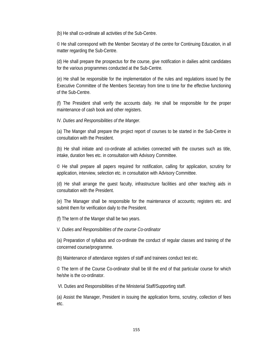(b) He shall co-ordinate all activities of the Sub-Centre.

© He shall correspond with the Member Secretary of the centre for Continuing Education, in all matter regarding the Sub-Centre.

(d) He shall prepare the prospectus for the course, give notification in dailies admit candidates for the various programmes conducted at the Sub-Centre.

(e) He shall be responsible for the implementation of the rules and regulations issued by the Executive Committee of the Members Secretary from time to time for the effective functioning of the Sub-Centre.

(f) The President shall verify the accounts daily. He shall be responsible for the proper maintenance of cash book and other registers.

IV. *Duties and Responsibilities of the Manger.*

(a) The Manger shall prepare the project report of courses to be started in the Sub-Centre in consultation with the President.

(b) He shall initiate and co-ordinate all activities connected with the courses such as title, intake, duration fees etc. in consultation with Advisory Committee.

© He shall prepare all papers required for notification, calling for application, scrutiny for application, interview, selection etc. in consultation with Advisory Committee.

(d) He shall arrange the guest faculty, infrastructure facilities and other teaching aids in consultation with the President.

(e) The Manager shall be responsible for the maintenance of accounts; registers etc. and submit them for verification daily to the President.

(f) The term of the Manger shall be two years.

V. *Duties and Responsibilities of the course Co-ordinator*

(a) Preparation of syllabus and co-ordinate the conduct of regular classes and training of the concerned course/programme.

(b) Maintenance of attendance registers of staff and trainees conduct test etc.

© The term of the Course Co-ordinator shall be till the end of that particular course for which he/she is the co-ordinator.

VI. Duties and Responsibilities of the Ministerial Staff/Supporting staff.

(a) Assist the Manager, President in issuing the application forms, scrutiny, collection of fees etc.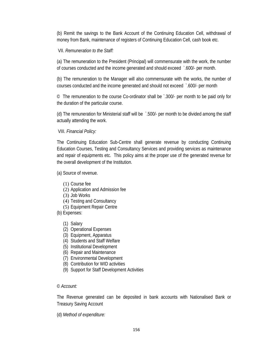(b) Remit the savings to the Bank Account of the Continuing Education Cell, withdrawal of money from Bank, maintenance of registers of Continuing Education Cell, cash book etc.

## VII. *Remuneration to the Staff:*

(a) The remuneration to the President (Principal) will commensurate with the work, the number of courses conducted and the income generated and should exceed `.600/- per month.

(b) The remuneration to the Manager will also commensurate with the works, the number of courses conducted and the income generated and should not exceed `.600/- per month

© The remuneration to the course Co-ordinator shall be `.300/- per month to be paid only for the duration of the particular course.

(d) The remuneration for Ministerial staff will be `.500/- per month to be divided among the staff actually attending the work.

VIII. *Financial Policy:*

The Continuing Education Sub-Centre shall generate revenue by conducting Continuing Education Courses, Testing and Consultancy Services and providing services as maintenance and repair of equipments etc. This policy aims at the proper use of the generated revenue for the overall development of the Institution.

(a) Source of revenue.

- (1) Course fee
- (2) Application and Admission fee
- (3) Job Works
- (4) Testing and Consultancy
- (5) Equipment Repair Centre
- (b) Expenses:
	- (1) Salary
	- (2) Operational Expenses
	- (3) Equipment, Apparatus
	- (4) Students and Staff Welfare
	- (5) Institutional Development
	- (6) Repair and Maintenance
	- (7) Environmental Development
	- (8) Contribution for WID activities
	- (9) Support for Staff Development Activities

#### © *Account:*

The Revenue generated can be deposited in bank accounts with Nationalised Bank or Treasury Saving Account

(d) *Method of expenditure:*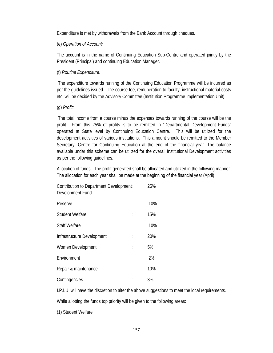Expenditure is met by withdrawals from the Bank Account through cheques.

### (e) *Operation of Account:*

The account is in the name of Continuing Education Sub-Centre and operated jointly by the President (Principal) and continuing Education Manager.

### (f) *Routine Expenditure:*

 The expenditure towards running of the Continuing Education Programme will be incurred as per the guidelines issued. The course fee, remuneration to faculty, instructional material costs etc. will be decided by the Advisory Committee (Institution Programme Implementation Unit)

#### (g) *Profit:*

 The total income from a course minus the expenses towards running of the course will be the profit. From this 25% of profits is to be remitted in "Departmental Development Funds" operated at State level by Continuing Education Centre. This will be utilized for the development activities of various institutions. This amount should be remitted to the Member Secretary, Centre for Continuing Education at the end of the financial year. The balance available under this scheme can be utilized for the overall Institutional Development activities as per the following guidelines.

Allocation of funds: The profit generated shall be allocated and utilized in the following manner. The allocation for each year shall be made at the beginning of the financial year (April)

| Contribution to Department Development:<br>Development Fund | 25%  |
|-------------------------------------------------------------|------|
| Reserve                                                     | :10% |
| <b>Student Welfare</b>                                      | 15%  |
| <b>Staff Welfare</b>                                        | :10% |
| Infrastructure Development                                  | 20%  |
| Women Development                                           | 5%   |
| Environment                                                 | :2%  |
| Repair & maintenance                                        | 10%  |
| Contingencies                                               | 3%   |

I.P.I.U. will have the discretion to alter the above suggestions to meet the local requirements.

While allotting the funds top priority will be given to the following areas:

(1) Student Welfare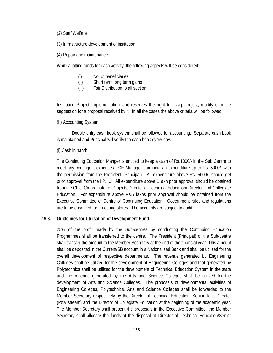(2) Staff Welfare

(3) Infrastructure development of institution

(4) Repair and maintenance

While allotting funds for each activity, the following aspects will be considered:

- (i) No. of beneficiaries
- (ii) Short term long term gains
- (iii) Fair Distribution to all section.

Institution Project Implementation Unit reserves the right to accept, reject, modify or make suggestion for a proposal received by it. In all the cases the above criteria will be followed.

### (h) Accounting System:

 Double entry cash book system shall be followed for accounting. Separate cash book is maintained and Principal will verify the cash book every day.

### (i) Cash in hand:

The Continuing Education Manger is entitled to keep a cash of Rs.1000/- in the Sub Centre to meet any contingent expenses. CE Manager can incur an expenditure up to Rs. 5000/- with the permission from the President (Principal). All expenditure above Rs. 5000/- should get prior approval from the I.P.I.U. All expenditure above 1 lakh prior approval should be obtained from the Chief Co-ordinator of Projects/Director of Technical Education/ Director of Collegiate Education. For expenditure above Rs.5 lakhs prior approval should be obtained from the Executive Committee of Centre of Continuing Education. Government rules and regulations are to be observed for procuring stores. The accounts are subject to audit.

### **19.3. Guidelines for Utilisation of Development Fund.**

25% of the profit made by the Sub-centres by conducting the Continuing Education Programmes shall be transferred to the centre. The President (Principal) of the Sub-centre shall transfer the amount to the Member Secretary at the end of the financial year. This amount shall be deposited in the Current/SB account in a Nationalised Bank and shall be utilized for the overall development of respective departments. The revenue generated by Engineering Colleges shall be utilized for the development of Engineering Colleges and that generated by Polytechnics shall be utilized for the development of Technical Education System in the state and the revenue generated by the Arts and Science Colleges shall be utilized for the development of Arts and Science Colleges. The proposals of developmental activities of Engineering Colleges, Polytechnics, Arts and Science Colleges shall be forwarded to the Member Secretary respectively by the Director of Technical Education, Senior Joint Director (Poly stream) and the Director of Collegiate Education at the beginning of the academic year. The Member Secretary shall present the proposals in the Executive Committee, the Member Secretary shall allocate the funds at the disposal of Director of Technical Education/Senior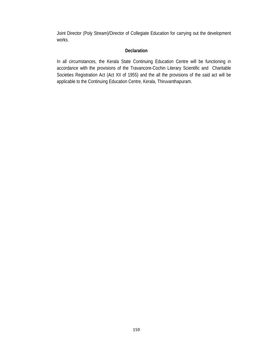Joint Director (Poly Stream)/Director of Collegiate Education for carrying out the development works.

## **Declaration**

In all circumstances, the Kerala State Continuing Education Centre will be functioning in accordance with the provisions of the Travancore-Cochin Literary Scientific and Charitable Societies Registration Act (Act XII of 1955) and the all the provisions of the said act will be applicable to the Continuing Education Centre, Kerala, Thiruvanthapuram.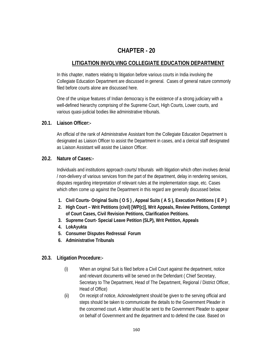# **CHAPTER - 20**

## **LITIGATION INVOLVING COLLEGIATE EDUCATION DEPARTMENT**

In this chapter, matters relating to litigation before various courts in India involving the Collegiate Education Department are discussed in general. Cases of general nature commonly filed before courts alone are discussed here.

One of the unique features of Indian democracy is the existence of a strong judiciary with a well-defined hierarchy comprising of the Supreme Court, High Courts, Lower courts, and various quasi-judicial bodies like administrative tribunals.

## **20.1. Liaison Officer:-**

An official of the rank of Administrative Assistant from the Collegiate Education Department is designated as Liaison Officer to assist the Department in cases, and a clerical staff designated as Liaison Assistant will assist the Liaison Officer.

## **20.2. Nature of Cases:-**

Individuals and institutions approach courts/ tribunals with litigation which often involves denial / non-delivery of various services from the part of the department, delay in rendering services, disputes regarding interpretation of relevant rules at the implementation stage, etc. Cases which often come up against the Department in this regard are generally discussed below.

- **1. Civil Courts- Original Suits ( O S ) , Appeal Suits ( A S ), Execution Petitions ( E P )**
- **2. High Court Writ Petitions (civil) [WP(c)], Writ Appeals, Review Petitions, Contempt of Court Cases, Civil Revision Petitions, Clarification Petitions.**
- **3. Supreme Court- Special Leave Petition (SLP), Writ Petition, Appeals**
- **4. LokAyukta**
- **5. Consumer Disputes Redressal Forum**
- **6. Administrative Tribunals**

## **20.3. Litigation Procedure:-**

- (i) When an original Suit is filed before a Civil Court against the department, notice and relevant documents will be served on the Defendant ( Chief Secretary, Secretary to The Department, Head of The Department, Regional / District Officer, Head of Office)
- (ii) On receipt of notice, Acknowledgment should be given to the serving official and steps should be taken to communicate the details to the Government Pleader in the concerned court. A letter should be sent to the Government Pleader to appear on behalf of Government and the department and to defend the case. Based on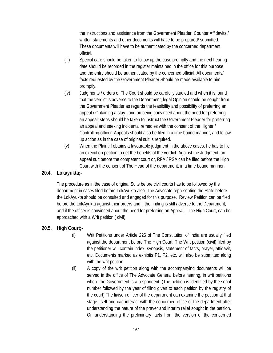the instructions and assistance from the Government Pleader, Counter Affidavits / written statements and other documents will have to be prepared/ submitted. These documents will have to be authenticated by the concerned department official.

- (iii) Special care should be taken to follow up the case promptly and the next hearing date should be recorded in the register maintained in the office for this purpose and the entry should be authenticated by the concerned official. All documents/ facts requested by the Government Pleader Should be made available to him promptly.
- (iv) Judgments / orders of The Court should be carefully studied and when it is found that the verdict is adverse to the Department, legal Opinion should be sought from the Government Pleader as regards the feasibility and possibility of preferring an appeal / Obtaining a stay , and on being convinced about the need for preferring an appeal; steps should be taken to instruct the Government Pleader for preferring an appeal and seeking incidental remedies with the consent of the Higher / Controlling officer. Appeals should also be filed in a time bound manner, and follow up action as in the case of original suit is required.
- (v) When the Plaintiff obtains a favourable judgment in the above cases, he has to file an execution petition to get the benefits of the verdict. Against the Judgment, an appeal suit before the competent court or, RFA / RSA can be filed before the High Court with the consent of The Head of the department, in a time bound manner.

## **20.4. Lokayukta;-**

The procedure as in the case of original Suits before civil courts has to be followed by the department in cases filed before LokAyukta also. The Advocate representing the State before the LokAyukta should be consulted and engaged for this purpose. Review Petition can be filed before the LokAyukta against their orders and if the finding is still adverse to the Department, and if the officer is convinced about the need for preferring an Appeal , The High Court, can be approached with a Writ petition ( civil)

## **20.5. High Court;-**

- (i) Writ Petitions under Article 226 of The Constitution of India are usually filed against the department before The High Court. The Writ petition (civil) filed by the petitioner will contain index, synopsis, statement of facts, prayer, affidavit, etc. Documents marked as exhibits P1, P2, etc. will also be submitted along with the writ petition.
- (ii) A copy of the writ petition along with the accompanying documents will be served in the office of The Advocate General before hearing, in writ petitions where the Government is a respondent. (The petition is identified by the serial number followed by the year of filing given to each petition by the registry of the court) The liaison officer of the department can examine the petition at that stage itself and can interact with the concerned office of the department after understanding the nature of the prayer and interim relief sought in the petition. On understanding the preliminary facts from the version of the concerned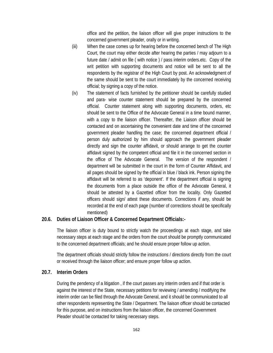office and the petition, the liaison officer will give proper instructions to the concerned government pleader, orally or in writing.

- (iii) When the case comes up for hearing before the concerned bench of The High Court, the court may either decide after hearing the parties / may adjourn to a future date / admit on file ( with notice ) / pass interim orders.etc. Copy of the writ petition with supporting documents and notice will be sent to all the respondents by the registrar of the High Court by post. An acknowledgment of the same should be sent to the court immediately by the concerned receiving official; by signing a copy of the notice.
- (iv) The statement of facts furnished by the petitioner should be carefully studied and para- wise counter statement should be prepared by the concerned official. Counter statement along with supporting documents, orders, etc should be sent to the Office of the Advocate General in a time bound manner, with a copy to the liaison officer. Thereafter, the Liaison officer should be contacted and on ascertaining the convenient date and time of the concerned government pleader handling the case; the concerned department official / person duly authorized by him should approach the government pleader directly and sign the counter affidavit, or should arrange to get the counter affidavit signed by the competent official and file it in the concerned section in the office of The Advocate General. The version of the respondent / department will be submitted in the court in the form of Counter Affidavit, and all pages should be signed by the official in blue / black ink. Person signing the affidavit will be referred to as 'deponent'. If the department official is signing the documents from a place outside the office of the Advocate General, it should be attested by a Gazetted officer from the locality. Only Gazetted officers should sign/ attest these documents. Corrections if any, should be recorded at the end of each page (number of corrections should be specifically mentioned)

## **20.6. Duties of Liaison Officer & Concerned Department Officials:-**

The liaison officer is duty bound to strictly watch the proceedings at each stage, and take necessary steps at each stage and the orders from the court should be promptly communicated to the concerned department officials; and he should ensure proper follow up action.

The department officials should strictly follow the instructions / directions directly from the court or received through the liaison officer; and ensure proper follow up action.

## **20.7. Interim Orders**

During the pendency of a litigation , if the court passes any interim orders and if that order is against the interest of the State, necessary petitions for reviewing / amending / modifying the interim order can be filed through the Advocate General, and it should be communicated to all other respondents representing the State / Department. The liaison officer should be contacted for this purpose, and on instructions from the liaison officer, the concerned Government Pleader should be contacted for taking necessary steps.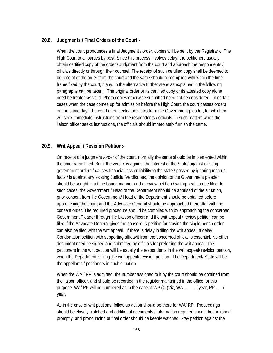## **20.8. Judgments / Final Orders of the Court:-**

When the court pronounces a final Judgment / order, copies will be sent by the Registrar of The High Court to all parties by post. Since this process involves delay, the petitioners usually obtain certified copy of the order / Judgment from the court and approach the respondents / officials directly or through their counsel. The receipt of such certified copy shall be deemed to be receipt of the order from the court and the same should be complied with within the time frame fixed by the court, if any. In the alternative further steps as explained in the following paragraphs can be taken. The original order or its certified copy or its attested copy alone need be treated as valid. Photo copies otherwise submitted need not be considered. In certain cases when the case comes up for admission before the High Court, the court passes orders on the same day. The court often seeks the views from the Government pleader; for which he will seek immediate instructions from the respondents / officials. In such matters when the liaison officer seeks instructions, the officials should immediately furnish the same.

## **20.9. Writ Appeal / Revision Petition:-**

On receipt of a judgment /order of the court, normally the same should be implemented within the time frame fixed. But if the verdict is against the interest of the State/ against existing government orders / causes financial loss or liability to the state / passed by ignoring material facts / is against any existing Judicial Verdict, etc, the opinion of the Government pleader should be sought in a time bound manner and a review petition / writ appeal can be filed. In such cases, the Government / Head of the Department should be apprised of the situation, prior consent from the Government/ Head of the Department should be obtained before approaching the court, and the Advocate General should be approached thereafter with the consent order. The required procedure should be complied with by approaching the concerned Government Pleader through the Liaison officer; and the writ appeal / review petition can be filed if the Advocate General gives the consent. A petition for staying the single bench order can also be filed with the writ appeal. If there is delay in filing the writ appeal, a delay Condonation petition with supporting affidavit from the concerned official is essential. No other document need be signed and submitted by officials for preferring the writ appeal. The petitioners in the writ petition will be usually the respondents in the writ appeal/ revision petition, when the Department is filing the writ appeal/ revision petition. The Department/ State will be the appellants / petitioners in such situation.

When the WA / RP is admitted, the number assigned to it by the court should be obtained from the liaison officer, and should be recorded in the register maintained in the office for this purpose. WA/ RP will be numbered as in the case of WP (C )Viz, WA ………/ year, RP……/ year.

As in the case of writ petitions, follow up action should be there for WA/ RP. Proceedings should be closely watched and additional documents / information required should be furnished promptly; and pronouncing of final order should be keenly watched. Stay petition against the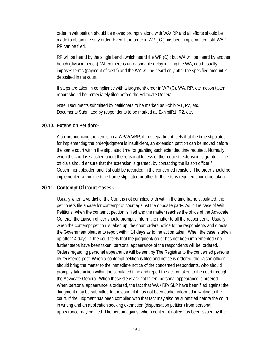order in writ petition should be moved promptly along with WA/ RP and all efforts should be made to obtain the stay order. Even if the order in WP (C) has been implemented; still WA / RP can be filed.

RP will be heard by the single bench which heard the WP (C) ; but WA will be heard by another bench (division bench). When there is unreasonable delay in filing the WA, court usually imposes terms (payment of costs) and the WA will be heard only after the specified amount is deposited in the court.

If steps are taken in compliance with a judgment/ order in WP (C), WA, RP, etc, action taken report should be immediately filed before the Advocate General

Note: Documents submitted by petitioners to be marked as ExhibitP1, P2, etc. Documents Submitted by respondents to be marked as ExhibitR1, R2, etc.

# **20.10. Extension Petition:-**

After pronouncing the verdict in a WP/WA/RP, if the department feels that the time stipulated for implementing the order/judgment is insufficient, an extension petition can be moved before the same court within the stipulated time for granting such extended time required. Normally, when the court is satisfied about the reasonableness of the request, extension is granted. The officials should ensure that the extension is granted, by contacting the liaison officer / Government pleader; and it should be recorded in the concerned register. The order should be implemented within the time frame stipulated or other further steps required should be taken.

# **20.11. Contempt Of Court Cases:-**

Usually when a verdict of the Court is not complied with within the time frame stipulated, the petitioners file a case for contempt of court against the opposite party. As in the case of Writ Petitions, when the contempt petition is filed and the matter reaches the office of the Advocate General, the Liaison officer should promptly inform the matter to all the respondents. Usually when the contempt petition is taken up, the court orders notice to the respondents and directs the Government pleader to report within 14 days as to the action taken. When the case is taken up after 14 days, if the court feels that the judgment/ order has not been implemented / no further steps have been taken, personal appearance of the respondents will be ordered. Orders regarding personal appearance will be sent by The Registrar to the concerned persons by registered post. When a contempt petition is filed and notice is ordered, the liaison officer should bring the matter to the immediate notice of the concerned respondents, who should promptly take action within the stipulated time and report the action taken to the court through the Advocate General. When these steps are not taken, personal appearance is ordered. When personal appearance is ordered, the fact that WA / RP/ SLP have been filed against the Judgment may be submitted to the court, if it has not been earlier informed in writing to the court. If the judgment has been complied with that fact may also be submitted before the court in writing and an application seeking exemption (dispensation petition) from personal appearance may be filed. The person against whom contempt notice has been issued by the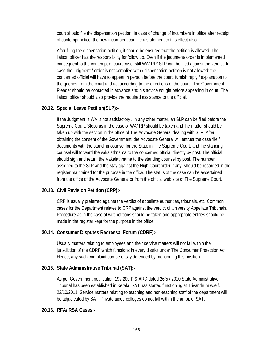court should file the dispensation petition. In case of change of incumbent in office after receipt of contempt notice, the new incumbent can file a statement to this effect also.

After filing the dispensation petition, it should be ensured that the petition is allowed. The liaison officer has the responsibility for follow up. Even if the judgment/ order is implemented consequent to the contempt of court case, still WA/ RP/ SLP can be filed against the verdict. In case the judgment / order is not complied with / dispensation petition is not allowed; the concerned official will have to appear in person before the court, furnish reply / explanation to the queries from the court and act according to the directions of the court. The Government Pleader should be contacted in advance and his advice sought before appearing in court. The liaison officer should also provide the required assistance to the official.

# **20.12. Special Leave Petition(SLP):-**

If the Judgment is WA is not satisfactory / in any other matter, an SLP can be filed before the Supreme Court. Steps as in the case of WA/ RP should be taken and the matter should be taken up with the section in the office of The Advocate General dealing with SLP. After obtaining the consent of the Government, the Advocate General will entrust the case file / documents with the standing counsel for the State in The Supreme Court; and the standing counsel will forward the vakalathnama to the concerned official directly by post. The official should sign and return the Vakalathnama to the standing counsel by post. The number assigned to the SLP and the stay against the High Court order if any, should be recorded in the register maintained for the purpose in the office. The status of the case can be ascertained from the office of the Advocate General or from the official web site of The Supreme Court.

# **20.13. Civil Revision Petition (CRP):-**

CRP is usually preferred against the verdict of appellate authorities, tribunals, etc. Common cases for the Department relates to CRP against the verdict of University Appellate Tribunals. Procedure as in the case of writ petitions should be taken and appropriate entries should be made in the register kept for the purpose in the office.

# **20.14. Consumer Disputes Redressal Forum (CDRF):-**

Usually matters relating to employees and their service matters will not fall within the jurisdiction of the CDRF which functions in every district under The Consumer Protection Act. Hence, any such complaint can be easily defended by mentioning this position.

# **20.15. State Administrative Tribunal (SAT):-**

As per Government notification 19 / 200 P & ARD dated 26/5 / 2010 State Administrative Tribunal has been established in Kerala. SAT has started functioning at Trivandrum w.e.f. 22/10/2011. Service matters relating to teaching and non-teaching staff of the department will be adjudicated by SAT. Private aided colleges do not fall within the ambit of SAT.

# **20.16. RFA/ RSA Cases:-**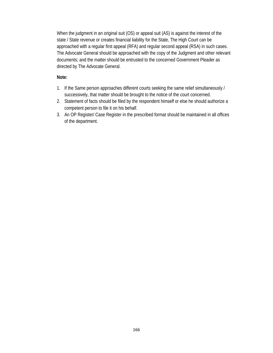When the judgment in an original suit (OS) or appeal suit (AS) is against the interest of the state / State revenue or creates financial liability for the State, The High Court can be approached with a regular first appeal (RFA) and regular second appeal (RSA) in such cases. The Advocate General should be approached with the copy of the Judgment and other relevant documents; and the matter should be entrusted to the concerned Government Pleader as directed by The Advocate General.

# **Note:**

- 1. If the Same person approaches different courts seeking the same relief simultaneously / successively, that matter should be brought to the notice of the court concerned.
- 2. Statement of facts should be filed by the respondent himself or else he should authorize a competent person to file it on his behalf.
- 3. An OP Register/ Case Register in the prescribed format should be maintained in all offices of the department.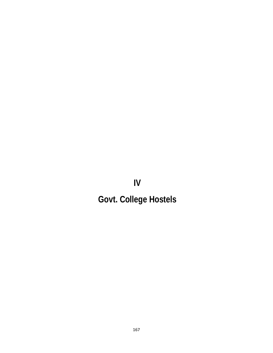**IV** 

# **Govt. College Hostels**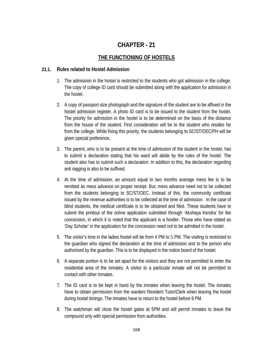# **CHAPTER - 21**

# **THE FUNCTIONING OF HOSTELS**

# **21.1. Rules related to Hostel Admission**

- 1. The admission in the hostel is restricted to the students who got admission in the college. The copy of college ID card should be submitted along with the application for admission in the hostel.
- 2. A copy of passport size photograph and the signature of the student are to be affixed in the hostel admission register. A photo ID card is to be issued to the student from the hostel. The priority for admission in the hostel is to be determined on the basis of the distance from the house of the student. First consideration will be to the student who resides far from the college. While fixing this priority, the students belonging to SC/ST/OEC/PH will be given special preference.
- 3. The parent, who is to be present at the time of admission of the student in the hostel, has to submit a declaration stating that his ward will abide by the rules of the hostel. The student also has to submit such a declaration. In addition to this, the declaration regarding anti ragging is also to be suffixed.
- 4. At the time of admission, an amount equal to two months average mess fee is to be remitted as mess advance on proper receipt. But, mess advance need not to be collected from the students belonging to SC/ST/OEC. Instead of this, the community certificate issued by the revenue authorities is to be collected at the time of admission. In the case of blind students, the medical certificate is to be obtained and filed. These students have to submit the printout of the online application submitted through 'Akshaya Kendra' for fee concession, in which it is noted that the applicant is a hostler. Those who have stated as 'Day Scholar' in the application for the concession need not to be admitted in the hostel.
- 5. The visitor's time in the ladies hostel will be from 4 PM to 5 PM. The visiting is restricted to the guardian who signed the declaration at the time of admission and to the person who authorized by the guardian. This is to be displayed in the notice board of the hostel.
- 6. A separate portion is to be set apart for the visitors and they are not permitted to enter the residential area of the inmates. A visitor to a particular inmate will not be permitted to contact with other inmates.
- 7. The ID card is to be kept in hand by the inmates when leaving the hostel. The inmates have to obtain permission from the warden/ Resident Tutor/Clerk when leaving the hostel during hostel timings. The inmates have to return to the hostel before 6 PM.
- 8. The watchman will close the hostel gates at 5PM and will permit inmates to leave the compound only with special permission from authorities.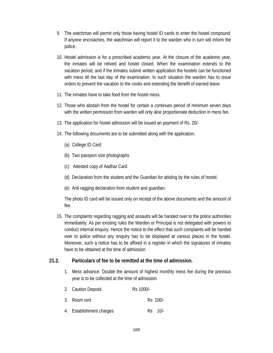- 9. The watchman will permit only those having hostel ID cards to enter the hostel compound. If anyone encroaches, the watchman will report it to the warden who in turn will inform the police.
- 10. Hostel admission is for a prescribed academic year. At the closure of the academic year, the inmates will be relived and hostel closed. When the examination extends to the vacation period, and if the inmates submit written application the hostels can be functioned with mess till the last day of the examination. In such situation the warden has to issue orders to prevent the vacation to the cooks and extending the benefit of earned leave.
- 11. The inmates have to take food from the hostel mess.
- 12. Those who abstain from the hostel for certain a continues period of minimum seven days with the written permission from warden will only aloe proportionate deduction in mess fee.
- 13. The application for hostel admission will be issued an payment of Rs. 20/-
- 14. The following documents are to be submitted along with the application.
	- (a) College ID Card
	- (b) Two passport size photographs
	- (c) Attested copy of Aadhar Card
	- (d) Declaration from the student and the Guardian for abiding by the rules of hostel.
	- (e) Anti ragging declaration from student and guardian.

The photo ID card will be issued only on receipt of the above documents and the amount of fee.

15. The complaints regarding ragging and assaults will be handed over to the police authorities immediately. As per existing rules the Warden or Principal is not delegated with powers to conduct internal enquiry. Hence the notice to the effect that such complaints will be handed over to police without any enquiry has to be displayed at various places in the hostel. Moreover, such a notice has to be affixed in a register in which the signatures of inmates have to be obtained at the time of admission.

# **21.2. Particulars of fee to be remitted at the time of admission.**

- 1. Mess advance: Double the amount of highest monthly mess fee during the previous year is to be collected at the time of admission.
- 2. Caution Deposit Rs 1000/-
- 3. Room rent Rs 100/-
- 4. Establishment charges Rs 10/-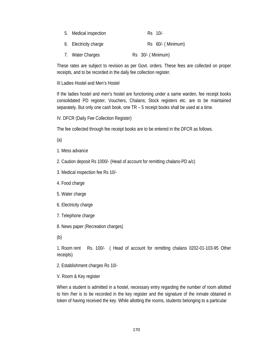| 5. Medical inspection | $Rs$ 10/-           |
|-----------------------|---------------------|
| 6. Electricity charge | Rs 60/- (Minimum)   |
| 7. Water Charges      | $Rs$ 30/- (Minimum) |

These rates are subject to revision as per Govt. orders. These fees are collected on proper receipts, and to be recorded in the daily fee collection register.

III Ladies Hostel and Men's Hostel

If the ladies hostel and men's hostel are functioning under a same warden, fee receipt books consolidated PD register, Vouchers, Chalans; Stock registers etc. are to be maintained separately. But only one cash book, one TR – 5 receipt books shall be used at a time.

IV. DFCR (Daily Fee Collection Register)

The fee collected through fee receipt books are to be entered in the DFCR as follows.

(a)

1. Mess advance

2. Caution deposit Rs 1000/- (Head of account for remitting chalans-PD a/c)

3. Medical inspection fee Rs 10/-

4. Food charge

5. Water charge

6. Electricity charge

7. Telephone charge

8. News paper (Recreation charges)

(b)

1. Room rent Rs. 100/- ( Head of account for remitting chalans 0202-01-103-95 Other receipts)

2. Establishment charges Rs 10/-

V. Room & Key register

When a student is admitted in a hostel, necessary entry regarding the number of room allotted to him /her is to be recorded in the key register and the signature of the inmate obtained in token of having received the key. While allotting the rooms, students belonging to a particular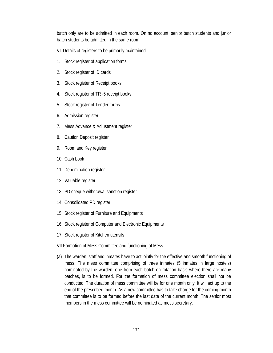batch only are to be admitted in each room. On no account, senior batch students and junior batch students be admitted in the same room.

- VI. Details of registers to be primarily maintained
- 1. Stock register of application forms
- 2. Stock register of ID cards
- 3. Stock register of Receipt books
- 4. Stock register of TR -5 receipt books
- 5. Stock register of Tender forms
- 6. Admission register
- 7. Mess Advance & Adjustment register
- 8. Caution Deposit register
- 9. Room and Key register
- 10. Cash book
- 11. Denomination register
- 12. Valuable register
- 13. PD cheque withdrawal sanction register
- 14. Consolidated PD register
- 15. Stock register of Furniture and Equipments
- 16. Stock register of Computer and Electronic Equipments
- 17. Stock register of Kitchen utensils
- VII Formation of Mess Committee and functioning of Mess
- (a) The warden, staff and inmates have to act jointly for the effective and smooth functioning of mess. The mess committee comprising of three inmates (5 inmates in large hostels) nominated by the warden, one from each batch on rotation basis where there are many batches, is to be formed. For the formation of mess committee election shall not be conducted. The duration of mess committee will be for one month only. It will act up to the end of the prescribed month. As a new committee has to take charge for the coming month that committee is to be formed before the last date of the current month. The senior most members in the mess committee will be nominated as mess secretary.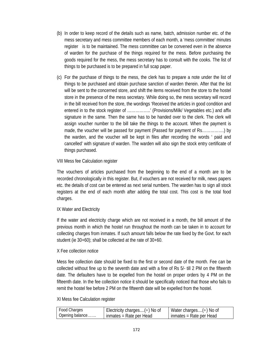- (b) In order to keep record of the details such as name, batch, admission number etc. of the mess secretary and mess committee members of each month, a 'mess committee' minutes register is to be maintained. The mess committee can be convened even in the absence of warden for the purchase of the things required for the mess. Before purchasing the goods required for the mess, the mess secretary has to consult with the cooks. The list of things to be purchased is to be prepared in full scap paper.
- (c) For the purchase of things to the mess, the clerk has to prepare a note under the list of things to be purchased and obtain purchase sanction of warden therein. After that the list will be sent to the concerned store, and shift the items received from the store to the hostel store in the presence of the mess secretary. While doing so, the mess secretary will record in the bill received from the store, the wordings 'Received the articles in good condition and entered in to the stock register of ……………..' (Provisions/Milk/ Vegetables etc.) and affix signature in the same. Then the same has to be handed over to the clerk. The clerk will assign voucher number to the bill take the things to the account. When the payment is made, the voucher will be passed for payment (Passed for payment of Rs…………….) by the warden, and the voucher will be kept in files after recording the words ' paid and cancelled' with signature of warden. The warden will also sign the stock entry certificate of things purchased.

# VIII Mess fee Calculation register

The vouchers of articles purchased from the beginning to the end of a month are to be recorded chronologically in this register. But, if vouchers are not received for milk, news papers etc. the details of cost can be entered as next serial numbers. The warden has to sign all stock registers at the end of each month after adding the total cost. This cost is the total food charges.

# IX Water and Electricity

If the water and electricity charge which are not received in a month, the bill amount of the previous month in which the hostel run throughout the month can be taken in to account for collecting charges from inmates. If such amount falls below the rate fixed by the Govt. for each student (ie 30+60); shall be collected at the rate of 30+60.

#### X Fee collection notice

Mess fee collection date should be fixed to the first or second date of the month. Fee can be collected without fine up to the seventh date and with a fine of Rs 5/- till 2 PM on the fifteenth date. The defaulters have to be expelled from the hostel on proper orders by 4 PM on the fifteenth date. In the fee collection notice it should be specifically noticed that those who fails to remit the hostel fee before 2 PM on the fifteenth date will be expelled from the hostel.

#### XI Mess fee Calculation register

| Food Charges    | Electricity charges $(\div)$ No of | Water charges $(\div)$ No of |
|-----------------|------------------------------------|------------------------------|
| Opening balance | l inmates = Rate per Head          | inmates = Rate per Head      |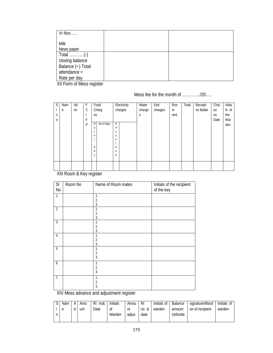| Vr Nos                       |  |
|------------------------------|--|
|                              |  |
| Milk                         |  |
| News paper                   |  |
| Total $\dots\dots\dots\dots$ |  |
| closing balance              |  |
| Balance $(\div)$ Total       |  |
| $attendance =$               |  |
| Rate per day                 |  |

XII Form of Mess register

Mess fee for the month of …………./20…..

| <sub>S</sub> | Nam | Ad | F             |    | Food       |             | Electricity | Water  | Estt    | <b>Roo</b> | Total | Receipt  | Chal | Initia |
|--------------|-----|----|---------------|----|------------|-------------|-------------|--------|---------|------------|-------|----------|------|--------|
|              | e   | no | $\mathcal{C}$ |    | Charg      |             | charges     | charge | charges | m          |       | no &date | an   | Is of  |
| n            |     |    |               | es |            |             |             | S      |         | rent       |       |          | no   | the    |
| $\mathbf 0$  |     |    | F             |    |            |             |             |        |         |            |       |          | Date | War    |
|              |     |    | P             | R  | No of days | Α           |             |        |         |            |       |          |      | den    |
|              |     |    |               | a  |            | m           |             |        |         |            |       |          |      |        |
|              |     |    |               |    |            | $\mathbf 0$ |             |        |         |            |       |          |      |        |
|              |     |    |               | e  |            | u           |             |        |         |            |       |          |      |        |
|              |     |    |               |    |            | n           |             |        |         |            |       |          |      |        |
|              |     |    |               |    |            |             |             |        |         |            |       |          |      |        |
|              |     |    |               | d  |            | d           |             |        |         |            |       |          |      |        |
|              |     |    |               | a  |            | u           |             |        |         |            |       |          |      |        |
|              |     |    |               | y  |            | e           |             |        |         |            |       |          |      |        |
|              |     |    |               |    |            |             |             |        |         |            |       |          |      |        |
|              |     |    |               |    |            |             |             |        |         |            |       |          |      |        |
|              |     |    |               |    |            |             |             |        |         |            |       |          |      |        |

XIII Room & Key register

| SI             | Room No | Name of Room mates | Initials of the recipient |
|----------------|---------|--------------------|---------------------------|
| No             |         |                    | of the key                |
| $\mathbf{1}$   |         | $\mathbf{1}$       |                           |
|                |         | 2.                 |                           |
|                |         | 3.                 |                           |
| $\overline{2}$ |         | 1.                 |                           |
|                |         | 2.                 |                           |
|                |         | 3.                 |                           |
| 3              |         | 1.                 |                           |
|                |         | 2.                 |                           |
|                |         | 3.                 |                           |
| $\overline{4}$ |         | 1.                 |                           |
|                |         | 2.                 |                           |
|                |         | 3.                 |                           |
| $\overline{5}$ |         | 1.                 |                           |
|                |         | 2.                 |                           |
|                |         | 3.                 |                           |
| 6              |         | 1.                 |                           |
|                |         | 2.                 |                           |
|                |         | 3.                 |                           |
| 7.             |         | 1.                 |                           |
|                |         | 2.                 |                           |
|                |         | 3.                 |                           |

XIV Mess advance and adjustment register

| Nam | ΑI | Amo | Rt<br>no& | <b>Initials</b> | Amou  | Rt   | Initials of | Balance  | signature/Ward  | Initials of |
|-----|----|-----|-----------|-----------------|-------|------|-------------|----------|-----------------|-------------|
| e   |    | unt | Date      | 0ľ              | nt    | no & | warden      | amount   | en of recipient | warden      |
|     |    |     |           | Warden          | adius | date |             | (refunde |                 |             |
|     |    |     |           |                 |       |      |             |          |                 |             |